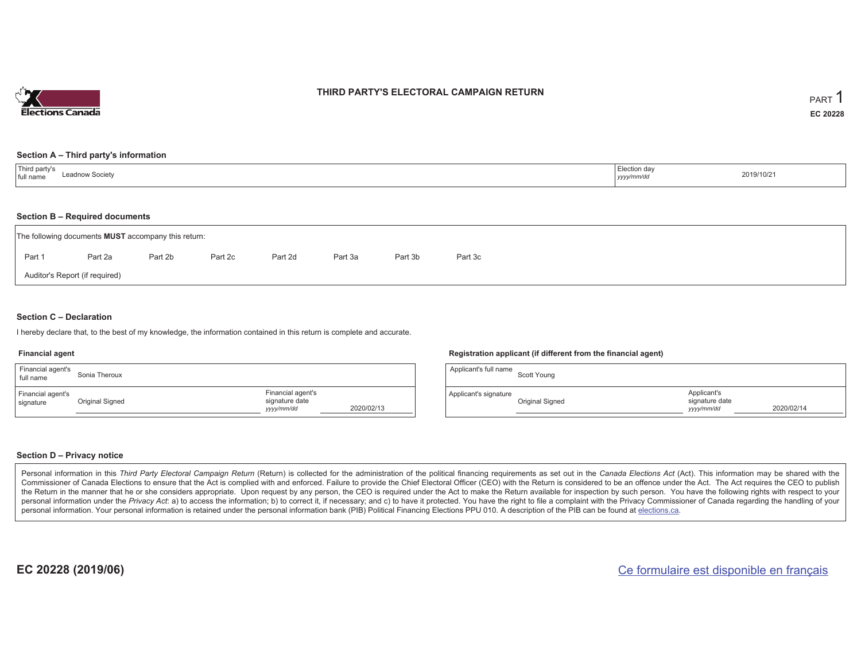

# **THIRD PARTY'S ELECTORAL CAMPAIGN RETURN**

#### **Section A – Third party's information**

| Third party's<br>full name | Election day |            |
|----------------------------|--------------|------------|
| <b>Leadnow Society</b>     | yyyy/mm/dd   | 2019/10/21 |

#### **Section B – Required documents**

|        | The following documents <b>MUST</b> accompany this return: |         |         |         |         |         |         |  |  |
|--------|------------------------------------------------------------|---------|---------|---------|---------|---------|---------|--|--|
| Part 1 | Part 2a                                                    | Part 2b | Part 2c | Part 2d | Part 3a | Part 3b | Part 3c |  |  |
|        | Auditor's Report (if required)                             |         |         |         |         |         |         |  |  |

#### **Section C – Declaration**

I hereby declare that, to the best of my knowledge, the information contained in this return is complete and accurate.

#### **Financial agent**

| Financial agent's<br>full name | Sonia Theroux   |                                                   |            |
|--------------------------------|-----------------|---------------------------------------------------|------------|
| Financial agent's<br>signature | Original Signed | Financial agent's<br>signature date<br>yyyy/mm/dd | 2020/02/13 |

#### **Registration applicant (if different from the financial agent)**

| Applicant's full name | Scott Young     |                                             |            |
|-----------------------|-----------------|---------------------------------------------|------------|
| Applicant's signature | Original Signed | Applicant's<br>signature date<br>yyyy/mm/dd | 2020/02/14 |

#### **Section D – Privacy notice**

Personal information in this Third Party Electoral Campaign Return (Return) is collected for the administration of the political financing requirements as set out in the Canada Elections Act (Act). This information may be Commissioner of Canada Elections to ensure that the Act is complied with and enforced. Failure to provide the Chief Electoral Officer (CEO) with the Return is considered to be an offence under the Act. The Act requires the the Return in the manner that he or she considers appropriate. Upon request by any person, the CEO is required under the Act to make the Return available for inspection by such person. You have the following rights with re personal information under the Privacy Act: a) to access the information; b) to correct it, if necessary; and c) to have it protected. You have the right to file a complaint with the Privacy Commissioner of Canada regardin personal information. Your personal information is retained under the personal information bank (PIB) Political Financing Elections PPU 010. A description of the PIB can be found at elections.ca.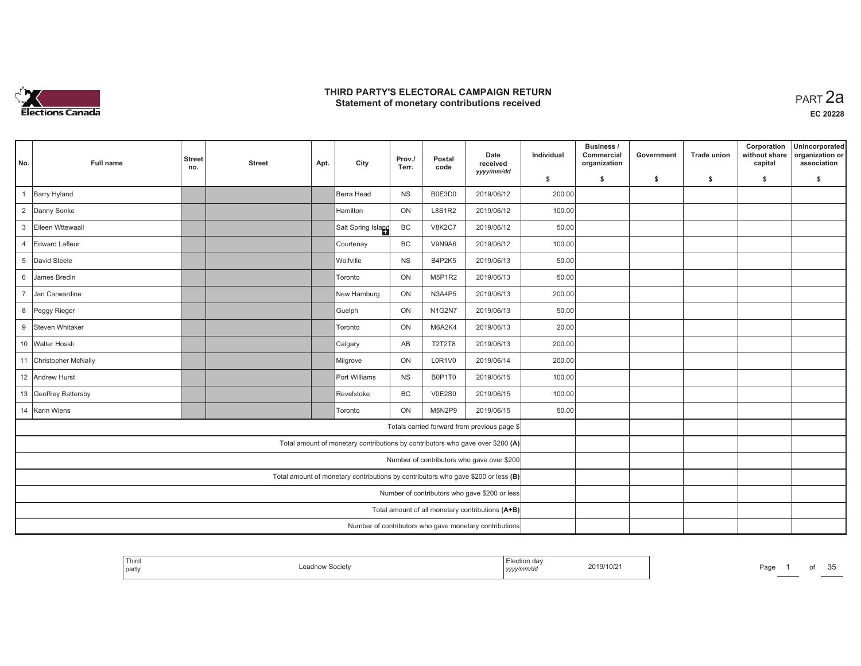

| No.             | Full name              | <b>Street</b><br>no.                                                              | <b>Street</b> | Apt. | City               | Prov./<br>Terr. | Postal<br>code | Date<br>received                                                               | Individual | Business /<br>Commercial<br>organization | Government | <b>Trade union</b> | Corporation<br>without share<br>capital | Unincorporated<br>organization or<br>association |
|-----------------|------------------------|-----------------------------------------------------------------------------------|---------------|------|--------------------|-----------------|----------------|--------------------------------------------------------------------------------|------------|------------------------------------------|------------|--------------------|-----------------------------------------|--------------------------------------------------|
|                 |                        |                                                                                   |               |      |                    |                 |                | yyyy/mm/dd                                                                     | \$         | \$                                       | \$         | -S                 | \$                                      | s.                                               |
| $\mathbf{1}$    | Barry Hyland           |                                                                                   |               |      | Berra Head         | <b>NS</b>       | B0E3D0         | 2019/06/12                                                                     | 200.00     |                                          |            |                    |                                         |                                                  |
| $\overline{2}$  | Danny Sonke            |                                                                                   |               |      | <b>Hamilton</b>    | ON              | <b>L8S1R2</b>  | 2019/06/12                                                                     | 100.00     |                                          |            |                    |                                         |                                                  |
| $\mathbf{3}$    | Eileen Wttewaall       |                                                                                   |               |      | Salt Spring Island | BC              | <b>V8K2C7</b>  | 2019/06/12                                                                     | 50.00      |                                          |            |                    |                                         |                                                  |
| $\overline{4}$  | Edward Lafleur         |                                                                                   |               |      | Courtenay          | BC              | V9N9A6         | 2019/06/12                                                                     | 100.00     |                                          |            |                    |                                         |                                                  |
| $5\overline{)}$ | David Steele           |                                                                                   |               |      | Wolfville          | <b>NS</b>       | B4P2K5         | 2019/06/13                                                                     | 50.00      |                                          |            |                    |                                         |                                                  |
| 6               | James Bredin           |                                                                                   |               |      | Toronto            | ON              | M5P1R2         | 2019/06/13                                                                     | 50.00      |                                          |            |                    |                                         |                                                  |
| $\overline{7}$  | Jan Carwardine         |                                                                                   |               |      | New Hamburg        | ON              | <b>N3A4P5</b>  | 2019/06/13                                                                     | 200.00     |                                          |            |                    |                                         |                                                  |
| 8               | Peggy Rieger           |                                                                                   |               |      | Guelph             | ON              | N1G2N7         | 2019/06/13                                                                     | 50.00      |                                          |            |                    |                                         |                                                  |
| 9               | Steven Whitaker        |                                                                                   |               |      | Toronto            | ON              | M6A2K4         | 2019/06/13                                                                     | 20.00      |                                          |            |                    |                                         |                                                  |
|                 | 10 Walter Hossli       |                                                                                   |               |      | Calgary            | AB              | <b>T2T2T8</b>  | 2019/06/13                                                                     | 200.00     |                                          |            |                    |                                         |                                                  |
|                 | 11 Christopher McNally |                                                                                   |               |      | Milgrove           | ON              | L0R1V0         | 2019/06/14                                                                     | 200.00     |                                          |            |                    |                                         |                                                  |
|                 | 12 Andrew Hurst        |                                                                                   |               |      | Port Williams      | <b>NS</b>       | B0P1T0         | 2019/06/15                                                                     | 100.00     |                                          |            |                    |                                         |                                                  |
|                 | 13 Geoffrey Battersby  |                                                                                   |               |      | Revelstoke         | BC              | <b>V0E2S0</b>  | 2019/06/15                                                                     | 100.00     |                                          |            |                    |                                         |                                                  |
|                 | 14 Karin Wiens         |                                                                                   |               |      | Toronto            | ON              | M5N2P9         | 2019/06/15                                                                     | 50.00      |                                          |            |                    |                                         |                                                  |
|                 |                        |                                                                                   |               |      |                    |                 |                | Totals carried forward from previous page \$                                   |            |                                          |            |                    |                                         |                                                  |
|                 |                        |                                                                                   |               |      |                    |                 |                | Total amount of monetary contributions by contributors who gave over \$200 (A) |            |                                          |            |                    |                                         |                                                  |
|                 |                        | Number of contributors who gave over \$200                                        |               |      |                    |                 |                |                                                                                |            |                                          |            |                    |                                         |                                                  |
|                 |                        | Total amount of monetary contributions by contributors who gave \$200 or less (B) |               |      |                    |                 |                |                                                                                |            |                                          |            |                    |                                         |                                                  |
|                 |                        | Number of contributors who gave \$200 or less                                     |               |      |                    |                 |                |                                                                                |            |                                          |            |                    |                                         |                                                  |
|                 |                        |                                                                                   |               |      |                    |                 |                | Total amount of all monetary contributions (A+B)                               |            |                                          |            |                    |                                         |                                                  |
|                 |                        |                                                                                   |               |      |                    |                 |                | Number of contributors who gave monetary contributions                         |            |                                          |            |                    |                                         |                                                  |

| <b>Third</b><br>2019/10/2<br>party<br>ישושע<br>the contract of the contract of the contract of the contract of the contract of<br>,,,,, | $\sim$ $\sim$<br>Page<br>ΩΙ<br>w<br>- - |
|-----------------------------------------------------------------------------------------------------------------------------------------|-----------------------------------------|
|-----------------------------------------------------------------------------------------------------------------------------------------|-----------------------------------------|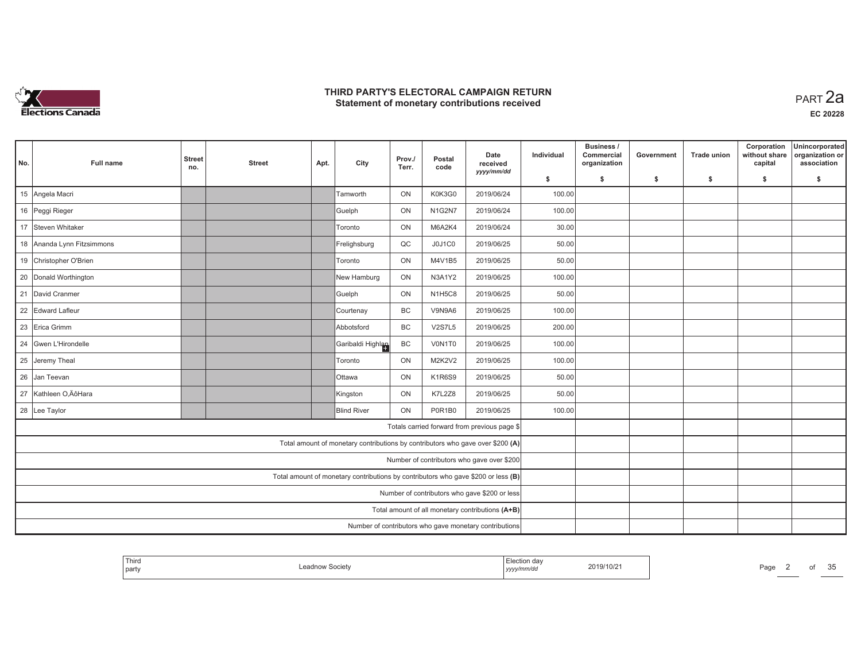

| No. | Full name                  | <b>Street</b><br>no.                       | <b>Street</b> | Apt. | City               | Prov./<br>Terr. | Postal<br>code | Date<br>received<br>yyyy/mm/dd                                                    | Individual | Business /<br>Commercial<br>organization | Government | <b>Trade union</b> | Corporation<br>without share<br>capital | Unincorporated<br>organization or<br>association |
|-----|----------------------------|--------------------------------------------|---------------|------|--------------------|-----------------|----------------|-----------------------------------------------------------------------------------|------------|------------------------------------------|------------|--------------------|-----------------------------------------|--------------------------------------------------|
|     |                            |                                            |               |      |                    |                 |                |                                                                                   | \$         | s.                                       | -\$        | -\$                | \$                                      | \$                                               |
|     | 15 Angela Macri            |                                            |               |      | Tamworth           | ON              | K0K3G0         | 2019/06/24                                                                        | 100.00     |                                          |            |                    |                                         |                                                  |
|     | 16 Peggi Rieger            |                                            |               |      | Guelph             | ON              | N1G2N7         | 2019/06/24                                                                        | 100.00     |                                          |            |                    |                                         |                                                  |
|     | 17 Steven Whitaker         |                                            |               |      | Toronto            | ON              | M6A2K4         | 2019/06/24                                                                        | 30.00      |                                          |            |                    |                                         |                                                  |
|     | 18 Ananda Lynn Fitzsimmons |                                            |               |      | Frelighsburg       | QC              | J0J1C0         | 2019/06/25                                                                        | 50.00      |                                          |            |                    |                                         |                                                  |
|     | 19 Christopher O'Brien     |                                            |               |      | Toronto            | ON              | M4V1B5         | 2019/06/25                                                                        | 50.00      |                                          |            |                    |                                         |                                                  |
|     | 20 Donald Worthington      |                                            |               |      | New Hamburg        | ON              | <b>N3A1Y2</b>  | 2019/06/25                                                                        | 100.00     |                                          |            |                    |                                         |                                                  |
|     | 21 David Cranmer           |                                            |               |      | Guelph             | ON              | N1H5C8         | 2019/06/25                                                                        | 50.00      |                                          |            |                    |                                         |                                                  |
|     | 22 Edward Lafleur          |                                            |               |      | Courtenay          | BC              | V9N9A6         | 2019/06/25                                                                        | 100.00     |                                          |            |                    |                                         |                                                  |
|     | 23 Erica Grimm             |                                            |               |      | Abbotsford         | <b>BC</b>       | <b>V2S7L5</b>  | 2019/06/25                                                                        | 200.00     |                                          |            |                    |                                         |                                                  |
| 24  | Gwen L'Hirondelle          |                                            |               |      | Garibaldi Highlan  | BC              | V0N1T0         | 2019/06/25                                                                        | 100.00     |                                          |            |                    |                                         |                                                  |
| 25  | Jeremy Theal               |                                            |               |      | Toronto            | ON              | M2K2V2         | 2019/06/25                                                                        | 100.00     |                                          |            |                    |                                         |                                                  |
| 26  | Jan Teevan                 |                                            |               |      | <b>Ottawa</b>      | ON              | <b>K1R6S9</b>  | 2019/06/25                                                                        | 50.00      |                                          |            |                    |                                         |                                                  |
|     | 27 Kathleen O,ÄôHara       |                                            |               |      | Kingston           | ON              | K7L2Z8         | 2019/06/25                                                                        | 50.00      |                                          |            |                    |                                         |                                                  |
|     | 28 Lee Taylor              |                                            |               |      | <b>Blind River</b> | <b>ON</b>       | P0R1B0         | 2019/06/25                                                                        | 100.00     |                                          |            |                    |                                         |                                                  |
|     |                            |                                            |               |      |                    |                 |                | Totals carried forward from previous page \$                                      |            |                                          |            |                    |                                         |                                                  |
|     |                            |                                            |               |      |                    |                 |                | Total amount of monetary contributions by contributors who gave over \$200 (A)    |            |                                          |            |                    |                                         |                                                  |
|     |                            | Number of contributors who gave over \$200 |               |      |                    |                 |                |                                                                                   |            |                                          |            |                    |                                         |                                                  |
|     |                            |                                            |               |      |                    |                 |                | Total amount of monetary contributions by contributors who gave \$200 or less (B) |            |                                          |            |                    |                                         |                                                  |
|     |                            |                                            |               |      |                    |                 |                | Number of contributors who gave \$200 or less                                     |            |                                          |            |                    |                                         |                                                  |
|     |                            |                                            |               |      |                    |                 |                | Total amount of all monetary contributions (A+B)                                  |            |                                          |            |                    |                                         |                                                  |
|     |                            |                                            |               |      |                    |                 |                | Number of contributors who gave monetary contributions                            |            |                                          |            |                    |                                         |                                                  |

| Third<br>the contract of the contract of<br>  party<br>са<br>,,,,,,<br>  ソソソソ | ı dav<br>2019/10/2<br>the contract of the contract of the contract of the contract of the contract of | Page<br>. | ОТ | $\sim$ $\sim$<br>w |
|-------------------------------------------------------------------------------|-------------------------------------------------------------------------------------------------------|-----------|----|--------------------|
|-------------------------------------------------------------------------------|-------------------------------------------------------------------------------------------------------|-----------|----|--------------------|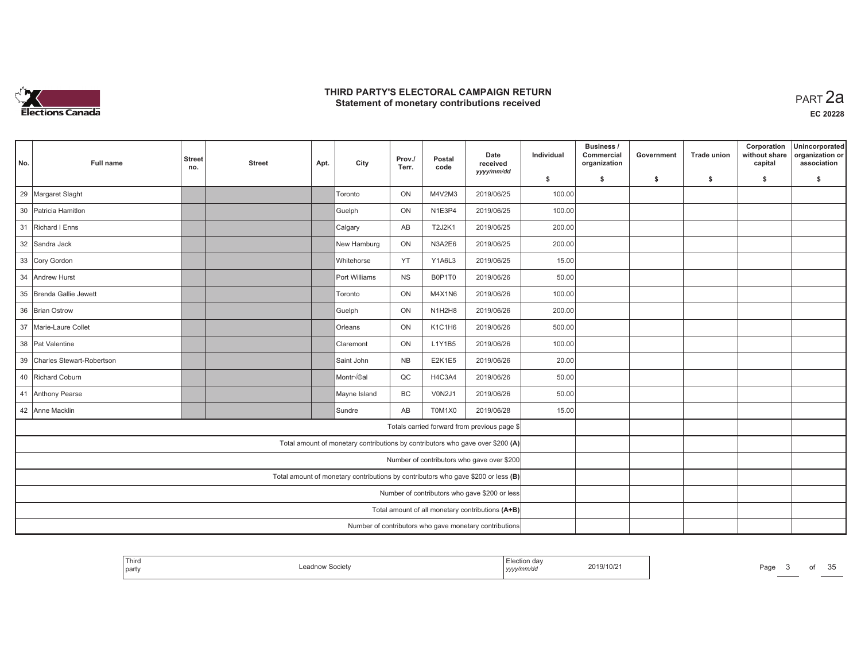

| No. | <b>Full name</b>             | <b>Street</b><br>no.                       | <b>Street</b> | Apt. | City                                                                              | Prov./<br>Terr. | Postal<br>code | Date<br>received<br>yyyy/mm/dd                         | Individual | Business /<br>Commercial<br>organization | Government | Trade union | Corporation<br>without share<br>capital | Unincorporated<br>organization or<br>association |
|-----|------------------------------|--------------------------------------------|---------------|------|-----------------------------------------------------------------------------------|-----------------|----------------|--------------------------------------------------------|------------|------------------------------------------|------------|-------------|-----------------------------------------|--------------------------------------------------|
|     |                              |                                            |               |      |                                                                                   |                 |                |                                                        | \$         | s.                                       | -\$        | -\$         | \$                                      | \$                                               |
| 29  | Margaret Slaght              |                                            |               |      | Toronto                                                                           | ON              | M4V2M3         | 2019/06/25                                             | 100.00     |                                          |            |             |                                         |                                                  |
|     | 30 Patricia Hamitlon         |                                            |               |      | Guelph                                                                            | ON              | N1E3P4         | 2019/06/25                                             | 100.00     |                                          |            |             |                                         |                                                  |
|     | 31 Richard I Enns            |                                            |               |      | Calgary                                                                           | AB              | T2J2K1         | 2019/06/25                                             | 200.00     |                                          |            |             |                                         |                                                  |
|     | 32 Sandra Jack               |                                            |               |      | New Hamburg                                                                       | ON              | N3A2E6         | 2019/06/25                                             | 200.00     |                                          |            |             |                                         |                                                  |
|     | 33 Cory Gordon               |                                            |               |      | <b>Whitehorse</b>                                                                 | YT              | Y1A6L3         | 2019/06/25                                             | 15.00      |                                          |            |             |                                         |                                                  |
|     | 34 Andrew Hurst              |                                            |               |      | Port Williams                                                                     | <b>NS</b>       | B0P1T0         | 2019/06/26                                             | 50.00      |                                          |            |             |                                         |                                                  |
|     | 35  Brenda Gallie Jewett     |                                            |               |      | <b>Toronto</b>                                                                    | ON              | M4X1N6         | 2019/06/26                                             | 100.00     |                                          |            |             |                                         |                                                  |
|     | 36 Brian Ostrow              |                                            |               |      | Guelph                                                                            | ON              | N1H2H8         | 2019/06/26                                             | 200.00     |                                          |            |             |                                         |                                                  |
|     | 37 Marie-Laure Collet        |                                            |               |      | <b>Orleans</b>                                                                    | ON              | K1C1H6         | 2019/06/26                                             | 500.00     |                                          |            |             |                                         |                                                  |
|     | 38 Pat Valentine             |                                            |               |      | Claremont                                                                         | ON              | L1Y1B5         | 2019/06/26                                             | 100.00     |                                          |            |             |                                         |                                                  |
|     | 39 Charles Stewart-Robertson |                                            |               |      | Saint John                                                                        | <b>NB</b>       | <b>E2K1E5</b>  | 2019/06/26                                             | 20.00      |                                          |            |             |                                         |                                                  |
|     | 40 Richard Coburn            |                                            |               |      | Montréal                                                                          | QC              | H4C3A4         | 2019/06/26                                             | 50.00      |                                          |            |             |                                         |                                                  |
|     | 41 Anthony Pearse            |                                            |               |      | Mayne Island                                                                      | BC              | V0N2J1         | 2019/06/26                                             | 50.00      |                                          |            |             |                                         |                                                  |
|     | 42 Anne Macklin              |                                            |               |      | <b>Sundre</b>                                                                     | AB              | T0M1X0         | 2019/06/28                                             | 15.00      |                                          |            |             |                                         |                                                  |
|     |                              |                                            |               |      |                                                                                   |                 |                | Totals carried forward from previous page \$           |            |                                          |            |             |                                         |                                                  |
|     |                              |                                            |               |      | Total amount of monetary contributions by contributors who gave over \$200 (A)    |                 |                |                                                        |            |                                          |            |             |                                         |                                                  |
|     |                              | Number of contributors who gave over \$200 |               |      |                                                                                   |                 |                |                                                        |            |                                          |            |             |                                         |                                                  |
|     |                              |                                            |               |      | Total amount of monetary contributions by contributors who gave \$200 or less (B) |                 |                |                                                        |            |                                          |            |             |                                         |                                                  |
|     |                              |                                            |               |      |                                                                                   |                 |                | Number of contributors who gave \$200 or less          |            |                                          |            |             |                                         |                                                  |
|     |                              |                                            |               |      |                                                                                   |                 |                | Total amount of all monetary contributions (A+B)       |            |                                          |            |             |                                         |                                                  |
|     |                              |                                            |               |      |                                                                                   |                 |                | Number of contributors who gave monetary contributions |            |                                          |            |             |                                         |                                                  |

| <sup>I</sup> Third<br>2019/10/2<br>Societ<br>Page<br>party<br>yyyymmvaa<br>- - | ОТ | $\sim$ $\sim$<br>. |
|--------------------------------------------------------------------------------|----|--------------------|
|--------------------------------------------------------------------------------|----|--------------------|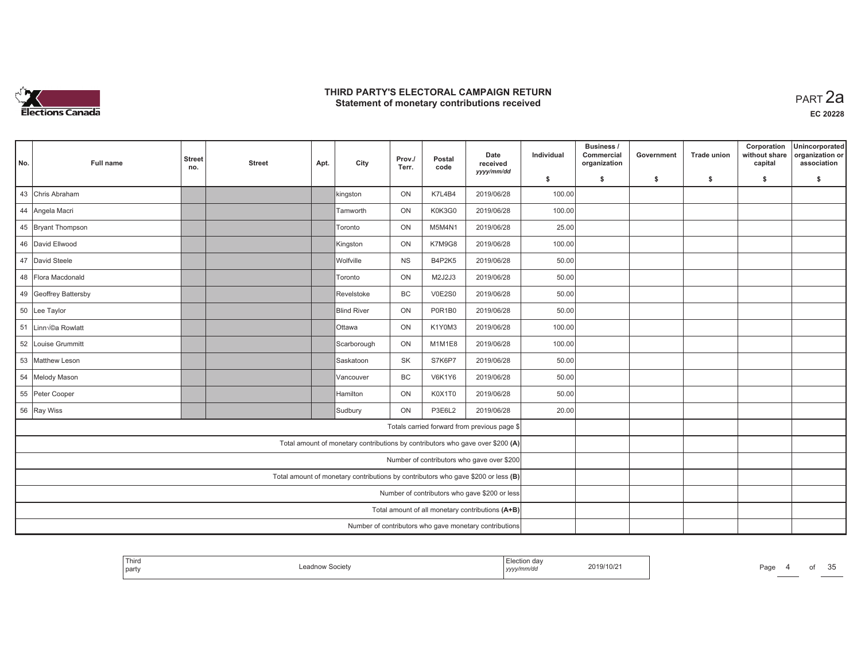

| No. | Full name             | <b>Street</b><br>no.                       | <b>Street</b> | Apt. | City               | Prov./<br>Terr. | Postal<br>code | Date<br>received<br>yyyy/mm/dd                                                    | Individual | Business /<br>Commercial<br>organization | Government | <b>Trade union</b> | Corporation<br>without share<br>capital | Unincorporated<br>organization or<br>association |
|-----|-----------------------|--------------------------------------------|---------------|------|--------------------|-----------------|----------------|-----------------------------------------------------------------------------------|------------|------------------------------------------|------------|--------------------|-----------------------------------------|--------------------------------------------------|
|     |                       |                                            |               |      |                    |                 |                |                                                                                   | \$         | s.                                       | -\$        | -\$                | \$                                      | \$                                               |
| 43  | Chris Abraham         |                                            |               |      | kingston           | ON              | K7L4B4         | 2019/06/28                                                                        | 100.00     |                                          |            |                    |                                         |                                                  |
|     | 44 Angela Macri       |                                            |               |      | Tamworth           | ON              | K0K3G0         | 2019/06/28                                                                        | 100.00     |                                          |            |                    |                                         |                                                  |
|     | 45 Bryant Thompson    |                                            |               |      | Toronto            | ON              | M5M4N1         | 2019/06/28                                                                        | 25.00      |                                          |            |                    |                                         |                                                  |
|     | 46 David Ellwood      |                                            |               |      | Kingston           | ON              | K7M9G8         | 2019/06/28                                                                        | 100.00     |                                          |            |                    |                                         |                                                  |
|     | 47 David Steele       |                                            |               |      | Wolfville          | <b>NS</b>       | B4P2K5         | 2019/06/28                                                                        | 50.00      |                                          |            |                    |                                         |                                                  |
|     | 48 Flora Macdonald    |                                            |               |      | Toronto            | ON              | M2J2J3         | 2019/06/28                                                                        | 50.00      |                                          |            |                    |                                         |                                                  |
|     | 49 Geoffrey Battersby |                                            |               |      | Revelstoke         | BC              | <b>V0E2S0</b>  | 2019/06/28                                                                        | 50.00      |                                          |            |                    |                                         |                                                  |
|     | 50 Lee Taylor         |                                            |               |      | <b>Blind River</b> | ON              | P0R1B0         | 2019/06/28                                                                        | 50.00      |                                          |            |                    |                                         |                                                  |
| 51  | Linn Voa Rowlatt      |                                            |               |      | <b>Ottawa</b>      | ON              | K1Y0M3         | 2019/06/28                                                                        | 100.00     |                                          |            |                    |                                         |                                                  |
| 52  | Louise Grummitt       |                                            |               |      | Scarborough        | ON              | M1M1E8         | 2019/06/28                                                                        | 100.00     |                                          |            |                    |                                         |                                                  |
| 53  | <b>Matthew Leson</b>  |                                            |               |      | Saskatoon          | SK              | S7K6P7         | 2019/06/28                                                                        | 50.00      |                                          |            |                    |                                         |                                                  |
| 54  | Melody Mason          |                                            |               |      | Vancouver          | BC              | <b>V6K1Y6</b>  | 2019/06/28                                                                        | 50.00      |                                          |            |                    |                                         |                                                  |
|     | 55 Peter Cooper       |                                            |               |      | Hamilton           | ON              | K0X1T0         | 2019/06/28                                                                        | 50.00      |                                          |            |                    |                                         |                                                  |
|     | 56 Ray Wiss           |                                            |               |      | Sudbury            | <b>ON</b>       | P3E6L2         | 2019/06/28                                                                        | 20.00      |                                          |            |                    |                                         |                                                  |
|     |                       |                                            |               |      |                    |                 |                | Totals carried forward from previous page \$                                      |            |                                          |            |                    |                                         |                                                  |
|     |                       |                                            |               |      |                    |                 |                | Total amount of monetary contributions by contributors who gave over \$200 (A)    |            |                                          |            |                    |                                         |                                                  |
|     |                       | Number of contributors who gave over \$200 |               |      |                    |                 |                |                                                                                   |            |                                          |            |                    |                                         |                                                  |
|     |                       |                                            |               |      |                    |                 |                | Total amount of monetary contributions by contributors who gave \$200 or less (B) |            |                                          |            |                    |                                         |                                                  |
|     |                       |                                            |               |      |                    |                 |                | Number of contributors who gave \$200 or less                                     |            |                                          |            |                    |                                         |                                                  |
|     |                       |                                            |               |      |                    |                 |                | Total amount of all monetary contributions (A+B)                                  |            |                                          |            |                    |                                         |                                                  |
|     |                       |                                            |               |      |                    |                 |                | Number of contributors who gave monetary contributions                            |            |                                          |            |                    |                                         |                                                  |

| Third<br>Society<br>_eag<br>party | ----<br>2019/10/2<br>.<br>  yyyy/mm/aa | OE<br>Page<br>o<br>. |
|-----------------------------------|----------------------------------------|----------------------|
|-----------------------------------|----------------------------------------|----------------------|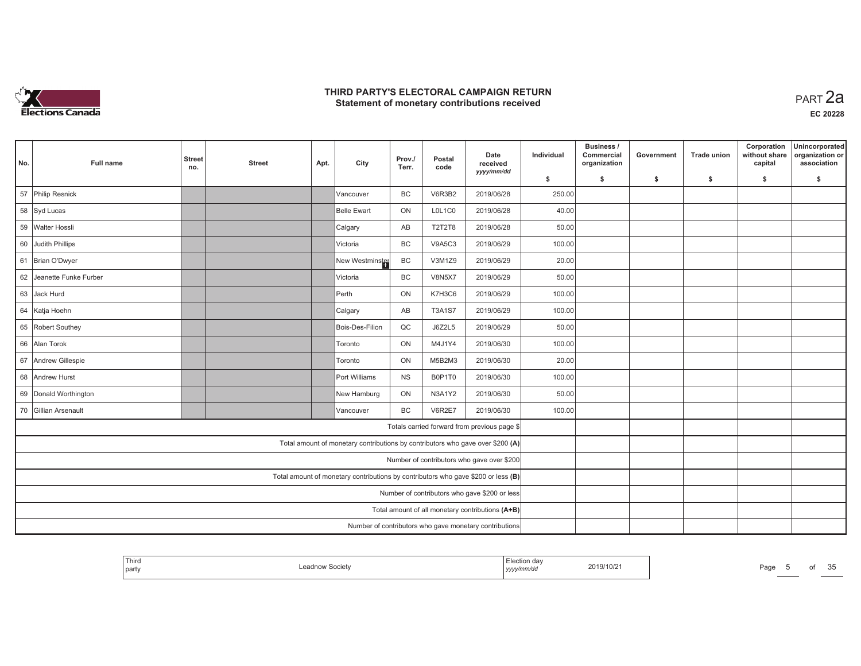

| No.                                                                               | <b>Full name</b>                                                   | <b>Street</b><br>no. | <b>Street</b> | Apt. | City                                                                           | Prov./<br>Terr. | Postal<br>code | Date<br>received<br>yyyy/mm/dd               | Individual | Business /<br>Commercial<br>organization | Government | <b>Trade union</b> | Corporation<br>without share<br>capital | Unincorporated<br>organization or<br>association |
|-----------------------------------------------------------------------------------|--------------------------------------------------------------------|----------------------|---------------|------|--------------------------------------------------------------------------------|-----------------|----------------|----------------------------------------------|------------|------------------------------------------|------------|--------------------|-----------------------------------------|--------------------------------------------------|
|                                                                                   |                                                                    |                      |               |      |                                                                                |                 |                |                                              | \$         | \$                                       | -\$        | -\$                | \$                                      | \$                                               |
|                                                                                   | 57 Philip Resnick                                                  |                      |               |      | Vancouver                                                                      | <b>BC</b>       | <b>V6R3B2</b>  | 2019/06/28                                   | 250.00     |                                          |            |                    |                                         |                                                  |
|                                                                                   | 58 Syd Lucas                                                       |                      |               |      | Belle Ewart                                                                    | ON              | L0L1C0         | 2019/06/28                                   | 40.00      |                                          |            |                    |                                         |                                                  |
|                                                                                   | 59 Walter Hossli                                                   |                      |               |      | Calgary                                                                        | AB              | <b>T2T2T8</b>  | 2019/06/28                                   | 50.00      |                                          |            |                    |                                         |                                                  |
|                                                                                   | 60 Judith Phillips                                                 |                      |               |      | Victoria                                                                       | BC              | <b>V9A5C3</b>  | 2019/06/29                                   | 100.00     |                                          |            |                    |                                         |                                                  |
|                                                                                   | 61 Brian O'Dwyer                                                   |                      |               |      | New Westminster                                                                | BC              | V3M1Z9         | 2019/06/29                                   | 20.00      |                                          |            |                    |                                         |                                                  |
| 62                                                                                | Jeanette Funke Furber                                              |                      |               |      | Victoria                                                                       | BC              | <b>V8N5X7</b>  | 2019/06/29                                   | 50.00      |                                          |            |                    |                                         |                                                  |
| 63                                                                                | Jack Hurd                                                          |                      |               |      | Perth                                                                          | ON              | K7H3C6         | 2019/06/29                                   | 100.00     |                                          |            |                    |                                         |                                                  |
| 64 Katja Hoehn<br>AB<br><b>T3A1S7</b><br>2019/06/29<br>Calgary                    |                                                                    |                      |               |      |                                                                                |                 |                |                                              | 100.00     |                                          |            |                    |                                         |                                                  |
|                                                                                   | 65 Robert Southey<br>Bois-Des-Filion<br>QC<br>J6Z2L5<br>2019/06/29 |                      |               |      |                                                                                |                 |                |                                              | 50.00      |                                          |            |                    |                                         |                                                  |
|                                                                                   | 66 Alan Torok                                                      |                      |               |      | <b>Toronto</b>                                                                 | ON              | M4J1Y4         | 2019/06/30                                   | 100.00     |                                          |            |                    |                                         |                                                  |
|                                                                                   | 67 Andrew Gillespie                                                |                      |               |      | <b>Toronto</b>                                                                 | ON              | M5B2M3         | 2019/06/30                                   | 20.00      |                                          |            |                    |                                         |                                                  |
|                                                                                   | 68 Andrew Hurst                                                    |                      |               |      | Port Williams                                                                  | <b>NS</b>       | B0P1T0         | 2019/06/30                                   | 100.00     |                                          |            |                    |                                         |                                                  |
|                                                                                   | 69 Donald Worthington                                              |                      |               |      | New Hamburg                                                                    | ON              | N3A1Y2         | 2019/06/30                                   | 50.00      |                                          |            |                    |                                         |                                                  |
|                                                                                   | 70 Gillian Arsenault                                               |                      |               |      | <b>Vancouver</b>                                                               | <b>BC</b>       | <b>V6R2E7</b>  | 2019/06/30                                   | 100.00     |                                          |            |                    |                                         |                                                  |
|                                                                                   |                                                                    |                      |               |      |                                                                                |                 |                | Totals carried forward from previous page \$ |            |                                          |            |                    |                                         |                                                  |
|                                                                                   |                                                                    |                      |               |      | Total amount of monetary contributions by contributors who gave over \$200 (A) |                 |                |                                              |            |                                          |            |                    |                                         |                                                  |
|                                                                                   |                                                                    |                      |               |      |                                                                                |                 |                | Number of contributors who gave over \$200   |            |                                          |            |                    |                                         |                                                  |
| Total amount of monetary contributions by contributors who gave \$200 or less (B) |                                                                    |                      |               |      |                                                                                |                 |                |                                              |            |                                          |            |                    |                                         |                                                  |
| Number of contributors who gave \$200 or less                                     |                                                                    |                      |               |      |                                                                                |                 |                |                                              |            |                                          |            |                    |                                         |                                                  |
| Total amount of all monetary contributions (A+B)                                  |                                                                    |                      |               |      |                                                                                |                 |                |                                              |            |                                          |            |                    |                                         |                                                  |
| Number of contributors who gave monetary contributions                            |                                                                    |                      |               |      |                                                                                |                 |                |                                              |            |                                          |            |                    |                                         |                                                  |

| <sup>1</sup> Thirc<br>  party | סוטט | , yyyyıı,<br>,,,,,,,, | 019/10/2<br>. | Page | . | $\sim$ $\sim$<br>. |
|-------------------------------|------|-----------------------|---------------|------|---|--------------------|
|                               |      |                       |               |      |   |                    |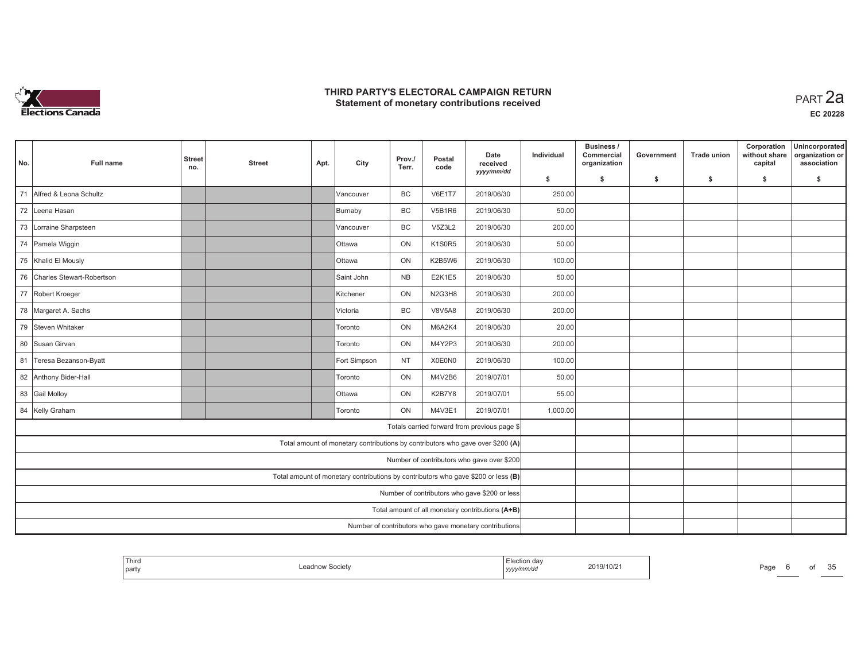

| No.                                                                               | <b>Full name</b>                                                             | <b>Street</b><br>no. | <b>Street</b> | Apt. | City                                                                           | Prov./<br>Terr. | Postal<br>code | Date<br>received<br>yyyy/mm/dd               | Individual | Business /<br>Commercial<br>organization | Government | <b>Trade union</b> | Corporation<br>without share<br>capital | Unincorporated<br>organization or<br>association |
|-----------------------------------------------------------------------------------|------------------------------------------------------------------------------|----------------------|---------------|------|--------------------------------------------------------------------------------|-----------------|----------------|----------------------------------------------|------------|------------------------------------------|------------|--------------------|-----------------------------------------|--------------------------------------------------|
|                                                                                   |                                                                              |                      |               |      |                                                                                |                 |                |                                              | \$         | S.                                       | -\$        | -S                 | \$                                      | s.                                               |
| 71                                                                                | Alfred & Leona Schultz                                                       |                      |               |      | Vancouver                                                                      | <b>BC</b>       | <b>V6E1T7</b>  | 2019/06/30                                   | 250.00     |                                          |            |                    |                                         |                                                  |
|                                                                                   | 72 Leena Hasan                                                               |                      |               |      | Burnaby                                                                        | BC              | <b>V5B1R6</b>  | 2019/06/30                                   | 50.00      |                                          |            |                    |                                         |                                                  |
|                                                                                   | 73 Lorraine Sharpsteen                                                       |                      |               |      | Vancouver                                                                      | <b>BC</b>       | V5Z3L2         | 2019/06/30                                   | 200.00     |                                          |            |                    |                                         |                                                  |
|                                                                                   | 74 Pamela Wiggin                                                             |                      |               |      | <b>Ottawa</b>                                                                  | ON              | <b>K1S0R5</b>  | 2019/06/30                                   | 50.00      |                                          |            |                    |                                         |                                                  |
|                                                                                   | 75 Khalid El Mously                                                          |                      |               |      | <b>Ottawa</b>                                                                  | ON              | K2B5W6         | 2019/06/30                                   | 100.00     |                                          |            |                    |                                         |                                                  |
| 76                                                                                | Charles Stewart-Robertson                                                    |                      |               |      | Saint John                                                                     | <b>NB</b>       | <b>E2K1E5</b>  | 2019/06/30                                   | 50.00      |                                          |            |                    |                                         |                                                  |
|                                                                                   | 77 Robert Kroeger                                                            |                      |               |      | Kitchener                                                                      | ON              | N2G3H8         | 2019/06/30                                   | 200.00     |                                          |            |                    |                                         |                                                  |
|                                                                                   | 78 Margaret A. Sachs<br><b>BC</b><br>Victoria<br><b>V8V5A8</b><br>2019/06/30 |                      |               |      |                                                                                |                 |                |                                              |            |                                          |            |                    |                                         |                                                  |
|                                                                                   | 79 Steven Whitaker<br>ON<br>M6A2K4<br>2019/06/30<br><b>Toronto</b>           |                      |               |      |                                                                                |                 |                |                                              | 20.00      |                                          |            |                    |                                         |                                                  |
|                                                                                   | 80 Susan Girvan                                                              |                      |               |      | <b>Toronto</b>                                                                 | ON              | M4Y2P3         | 2019/06/30                                   | 200.00     |                                          |            |                    |                                         |                                                  |
| 81                                                                                | Teresa Bezanson-Byatt                                                        |                      |               |      | Fort Simpson                                                                   | <b>NT</b>       | X0E0N0         | 2019/06/30                                   | 100.00     |                                          |            |                    |                                         |                                                  |
|                                                                                   | 82 Anthony Bider-Hall                                                        |                      |               |      | Toronto                                                                        | ON              | M4V2B6         | 2019/07/01                                   | 50.00      |                                          |            |                    |                                         |                                                  |
|                                                                                   | 83 Gail Molloy                                                               |                      |               |      | <b>Ottawa</b>                                                                  | ON              | K2B7Y8         | 2019/07/01                                   | 55.00      |                                          |            |                    |                                         |                                                  |
|                                                                                   | 84 Kelly Graham                                                              |                      |               |      | Toronto                                                                        | ON              | M4V3E1         | 2019/07/01                                   | 1,000.00   |                                          |            |                    |                                         |                                                  |
|                                                                                   |                                                                              |                      |               |      |                                                                                |                 |                | Totals carried forward from previous page \$ |            |                                          |            |                    |                                         |                                                  |
|                                                                                   |                                                                              |                      |               |      | Total amount of monetary contributions by contributors who gave over \$200 (A) |                 |                |                                              |            |                                          |            |                    |                                         |                                                  |
|                                                                                   |                                                                              |                      |               |      |                                                                                |                 |                | Number of contributors who gave over \$200   |            |                                          |            |                    |                                         |                                                  |
| Total amount of monetary contributions by contributors who gave \$200 or less (B) |                                                                              |                      |               |      |                                                                                |                 |                |                                              |            |                                          |            |                    |                                         |                                                  |
| Number of contributors who gave \$200 or less                                     |                                                                              |                      |               |      |                                                                                |                 |                |                                              |            |                                          |            |                    |                                         |                                                  |
| Total amount of all monetary contributions (A+B)                                  |                                                                              |                      |               |      |                                                                                |                 |                |                                              |            |                                          |            |                    |                                         |                                                  |
| Number of contributors who gave monetary contributions                            |                                                                              |                      |               |      |                                                                                |                 |                |                                              |            |                                          |            |                    |                                         |                                                  |

| Third<br>' party | ow Society | _iection<br>aa<br>2019/10/2<br>.<br>  yyyymmua | Page | ОT | $\sim$ $\sim$<br>em<br>u |
|------------------|------------|------------------------------------------------|------|----|--------------------------|
|------------------|------------|------------------------------------------------|------|----|--------------------------|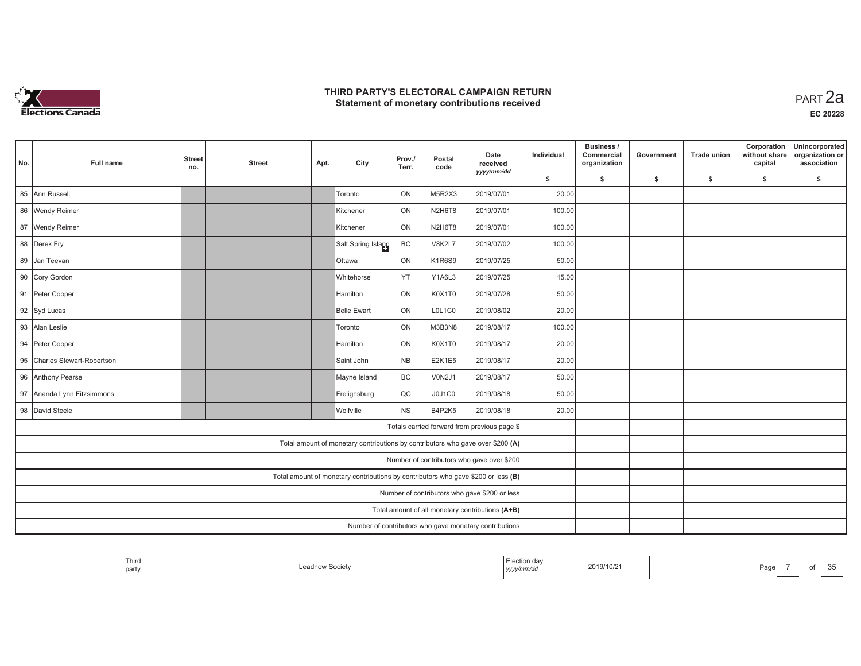

| No.                                                                               | <b>Full name</b>                                               | <b>Street</b><br>no.                                   | <b>Street</b> | Apt. | City                                                                           | Prov./<br>Terr. | Postal<br>code | Date<br>received<br>yyyy/mm/dd               | Individual | Business /<br>Commercial<br>organization | Government | <b>Trade union</b> | Corporation<br>without share<br>capital | Unincorporated<br>organization or<br>association |
|-----------------------------------------------------------------------------------|----------------------------------------------------------------|--------------------------------------------------------|---------------|------|--------------------------------------------------------------------------------|-----------------|----------------|----------------------------------------------|------------|------------------------------------------|------------|--------------------|-----------------------------------------|--------------------------------------------------|
|                                                                                   |                                                                |                                                        |               |      |                                                                                |                 |                |                                              | \$         | s.                                       | -\$        | -\$                | \$                                      | \$                                               |
| 85                                                                                | Ann Russell                                                    |                                                        |               |      | Toronto                                                                        | ON              | M5R2X3         | 2019/07/01                                   | 20.00      |                                          |            |                    |                                         |                                                  |
|                                                                                   | 86 Wendy Reimer                                                |                                                        |               |      | <b>Kitchener</b>                                                               | ON              | N2H6T8         | 2019/07/01                                   | 100.00     |                                          |            |                    |                                         |                                                  |
|                                                                                   | 87 Wendy Reimer                                                |                                                        |               |      | Kitchener                                                                      | ON              | N2H6T8         | 2019/07/01                                   | 100.00     |                                          |            |                    |                                         |                                                  |
|                                                                                   | 88 Derek Fry                                                   |                                                        |               |      | Salt Spring Island                                                             | BC              | V8K2L7         | 2019/07/02                                   | 100.00     |                                          |            |                    |                                         |                                                  |
|                                                                                   | 89 Jan Teevan                                                  |                                                        |               |      | <b>Ottawa</b>                                                                  | ON              | <b>K1R6S9</b>  | 2019/07/25                                   | 50.00      |                                          |            |                    |                                         |                                                  |
|                                                                                   | 90 Cory Gordon                                                 |                                                        |               |      | Whitehorse                                                                     | YT              | Y1A6L3         | 2019/07/25                                   | 15.00      |                                          |            |                    |                                         |                                                  |
|                                                                                   | 91 Peter Cooper                                                |                                                        |               |      | <b>Hamilton</b>                                                                | ON              | K0X1T0         | 2019/07/28                                   | 50.00      |                                          |            |                    |                                         |                                                  |
|                                                                                   | 92 Syd Lucas<br>Belle Ewart<br>ON<br>L0L1C0<br>2019/08/02      |                                                        |               |      |                                                                                |                 |                |                                              |            |                                          |            |                    |                                         |                                                  |
|                                                                                   | 93 Alan Leslie<br>ON<br>M3B3N8<br>2019/08/17<br><b>Toronto</b> |                                                        |               |      |                                                                                |                 |                |                                              | 100.00     |                                          |            |                    |                                         |                                                  |
|                                                                                   | 94 Peter Cooper                                                |                                                        |               |      | Hamilton                                                                       | ON              | K0X1T0         | 2019/08/17                                   | 20.00      |                                          |            |                    |                                         |                                                  |
| 95                                                                                | Charles Stewart-Robertson                                      |                                                        |               |      | Saint John                                                                     | <b>NB</b>       | <b>E2K1E5</b>  | 2019/08/17                                   | 20.00      |                                          |            |                    |                                         |                                                  |
|                                                                                   | 96 Anthony Pearse                                              |                                                        |               |      | Mayne Island                                                                   | BC              | V0N2J1         | 2019/08/17                                   | 50.00      |                                          |            |                    |                                         |                                                  |
|                                                                                   | 97 Ananda Lynn Fitzsimmons                                     |                                                        |               |      | Frelighsburg                                                                   | $_{\rm QC}$     | J0J1C0         | 2019/08/18                                   | 50.00      |                                          |            |                    |                                         |                                                  |
|                                                                                   | 98 David Steele                                                |                                                        |               |      | <b>Wolfville</b>                                                               | <b>NS</b>       | B4P2K5         | 2019/08/18                                   | 20.00      |                                          |            |                    |                                         |                                                  |
|                                                                                   |                                                                |                                                        |               |      |                                                                                |                 |                | Totals carried forward from previous page \$ |            |                                          |            |                    |                                         |                                                  |
|                                                                                   |                                                                |                                                        |               |      | Total amount of monetary contributions by contributors who gave over \$200 (A) |                 |                |                                              |            |                                          |            |                    |                                         |                                                  |
|                                                                                   |                                                                |                                                        |               |      |                                                                                |                 |                | Number of contributors who gave over \$200   |            |                                          |            |                    |                                         |                                                  |
| Total amount of monetary contributions by contributors who gave \$200 or less (B) |                                                                |                                                        |               |      |                                                                                |                 |                |                                              |            |                                          |            |                    |                                         |                                                  |
| Number of contributors who gave \$200 or less                                     |                                                                |                                                        |               |      |                                                                                |                 |                |                                              |            |                                          |            |                    |                                         |                                                  |
| Total amount of all monetary contributions (A+B)                                  |                                                                |                                                        |               |      |                                                                                |                 |                |                                              |            |                                          |            |                    |                                         |                                                  |
|                                                                                   |                                                                | Number of contributors who gave monetary contributions |               |      |                                                                                |                 |                |                                              |            |                                          |            |                    |                                         |                                                  |

| party<br>  yyyy/mm/dd | <sup>1</sup> Thiro | Leadnow Societv | Election day<br>2019/10/21 | Page<br>οt | 25<br>vu |
|-----------------------|--------------------|-----------------|----------------------------|------------|----------|
|-----------------------|--------------------|-----------------|----------------------------|------------|----------|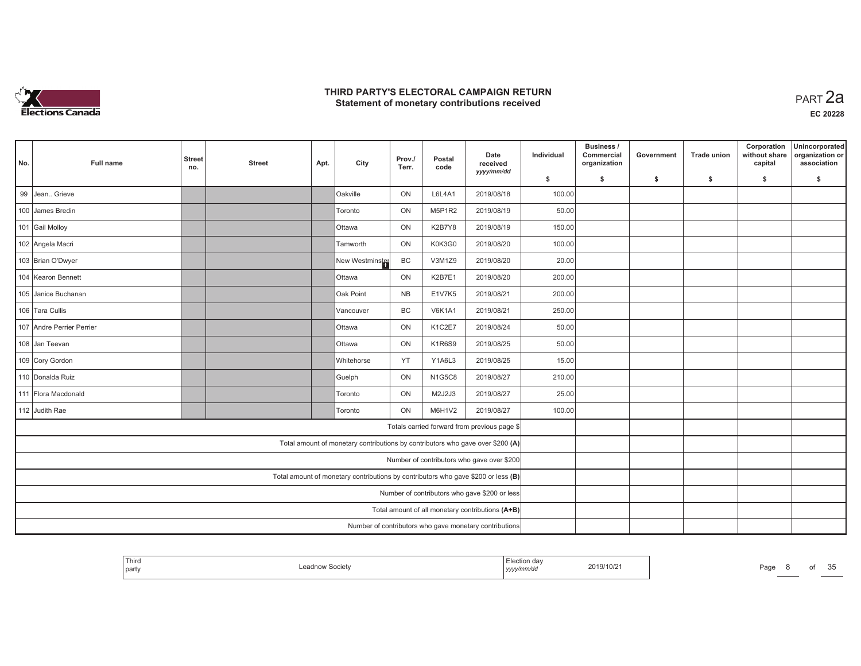

| No.                                                                               | Full name                                                                | <b>Street</b><br>no. | <b>Street</b> | Apt. | City                                                                           | Prov./<br>Terr. | Postal<br>code | Date<br>received<br>yyyy/mm/dd               | Individual | Business /<br>Commercial<br>organization | Government | <b>Trade union</b> | Corporation<br>without share<br>capital | Unincorporated<br>organization or<br>association |
|-----------------------------------------------------------------------------------|--------------------------------------------------------------------------|----------------------|---------------|------|--------------------------------------------------------------------------------|-----------------|----------------|----------------------------------------------|------------|------------------------------------------|------------|--------------------|-----------------------------------------|--------------------------------------------------|
|                                                                                   |                                                                          |                      |               |      |                                                                                |                 |                |                                              | \$         | s.                                       | -\$        | -\$                | \$                                      | \$                                               |
| 99                                                                                | Jean Grieve                                                              |                      |               |      | Oakville                                                                       | ON              | L6L4A1         | 2019/08/18                                   | 100.00     |                                          |            |                    |                                         |                                                  |
|                                                                                   | 100 James Bredin                                                         |                      |               |      | <b>Toronto</b>                                                                 | ON              | M5P1R2         | 2019/08/19                                   | 50.00      |                                          |            |                    |                                         |                                                  |
|                                                                                   | 101 Gail Molloy                                                          |                      |               |      | <b>Ottawa</b>                                                                  | ON              | K2B7Y8         | 2019/08/19                                   | 150.00     |                                          |            |                    |                                         |                                                  |
|                                                                                   | 102 Angela Macri                                                         |                      |               |      | Tamworth                                                                       | ON              | K0K3G0         | 2019/08/20                                   | 100.00     |                                          |            |                    |                                         |                                                  |
|                                                                                   | 103 Brian O'Dwyer                                                        |                      |               |      | New Westminster                                                                | BC              | V3M1Z9         | 2019/08/20                                   | 20.00      |                                          |            |                    |                                         |                                                  |
|                                                                                   | 104 Kearon Bennett                                                       |                      |               |      | <b>Ottawa</b>                                                                  | ON              | K2B7E1         | 2019/08/20                                   | 200.00     |                                          |            |                    |                                         |                                                  |
|                                                                                   | 105 Janice Buchanan                                                      |                      |               |      | Oak Point                                                                      | <b>NB</b>       | E1V7K5         | 2019/08/21                                   | 200.00     |                                          |            |                    |                                         |                                                  |
|                                                                                   | BC<br>106 Tara Cullis<br><b>V6K1A1</b><br>2019/08/21<br>Vancouver        |                      |               |      |                                                                                |                 |                |                                              | 250.00     |                                          |            |                    |                                         |                                                  |
|                                                                                   | 107 Andre Perrier Perrier<br>ON<br>K1C2E7<br>2019/08/24<br><b>Ottawa</b> |                      |               |      |                                                                                |                 |                |                                              | 50.00      |                                          |            |                    |                                         |                                                  |
|                                                                                   | 108 Jan Teevan                                                           |                      |               |      | <b>Ottawa</b>                                                                  | ON              | <b>K1R6S9</b>  | 2019/08/25                                   | 50.00      |                                          |            |                    |                                         |                                                  |
|                                                                                   | 109 Cory Gordon                                                          |                      |               |      | Whitehorse                                                                     | YT              | Y1A6L3         | 2019/08/25                                   | 15.00      |                                          |            |                    |                                         |                                                  |
|                                                                                   | 110 Donalda Ruiz                                                         |                      |               |      | Guelph                                                                         | ON              | <b>N1G5C8</b>  | 2019/08/27                                   | 210.00     |                                          |            |                    |                                         |                                                  |
|                                                                                   | 111 Flora Macdonald                                                      |                      |               |      | Toronto                                                                        | ON              | M2J2J3         | 2019/08/27                                   | 25.00      |                                          |            |                    |                                         |                                                  |
|                                                                                   | 112 Judith Rae                                                           |                      |               |      | Toronto                                                                        | ON              | M6H1V2         | 2019/08/27                                   | 100.00     |                                          |            |                    |                                         |                                                  |
|                                                                                   |                                                                          |                      |               |      |                                                                                |                 |                | Totals carried forward from previous page \$ |            |                                          |            |                    |                                         |                                                  |
|                                                                                   |                                                                          |                      |               |      | Total amount of monetary contributions by contributors who gave over \$200 (A) |                 |                |                                              |            |                                          |            |                    |                                         |                                                  |
|                                                                                   |                                                                          |                      |               |      |                                                                                |                 |                | Number of contributors who gave over \$200   |            |                                          |            |                    |                                         |                                                  |
| Total amount of monetary contributions by contributors who gave \$200 or less (B) |                                                                          |                      |               |      |                                                                                |                 |                |                                              |            |                                          |            |                    |                                         |                                                  |
| Number of contributors who gave \$200 or less                                     |                                                                          |                      |               |      |                                                                                |                 |                |                                              |            |                                          |            |                    |                                         |                                                  |
| Total amount of all monetary contributions (A+B)                                  |                                                                          |                      |               |      |                                                                                |                 |                |                                              |            |                                          |            |                    |                                         |                                                  |
| Number of contributors who gave monetary contributions                            |                                                                          |                      |               |      |                                                                                |                 |                |                                              |            |                                          |            |                    |                                         |                                                  |

| Third<br>ده ه ا<br>$\bigcirc$<br>  party<br><b>SUUCIV</b><br>yyyy/mm/aa | 2019/10/2<br>the contract of the contract of the contract of the contract of the contract of | Page | ОТ | $\sim$<br>. |
|-------------------------------------------------------------------------|----------------------------------------------------------------------------------------------|------|----|-------------|
|-------------------------------------------------------------------------|----------------------------------------------------------------------------------------------|------|----|-------------|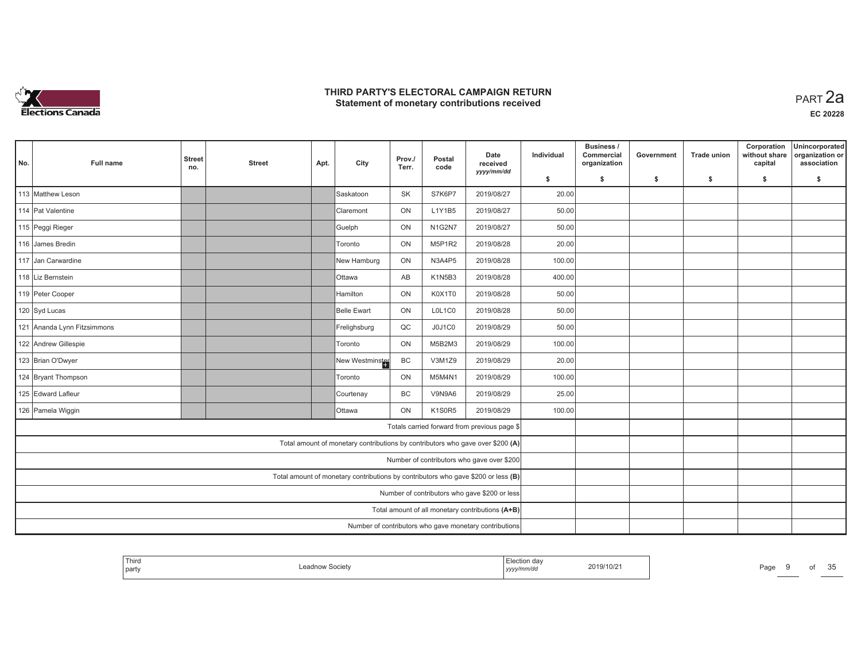

| No.                                                                               | <b>Full name</b>                                                          | <b>Street</b><br>no.                                   | <b>Street</b> | Apt. | City                                                                           | Prov./<br>Terr. | Postal<br>code | Date<br>received<br>yyyy/mm/dd               | Individual | Business /<br>Commercial<br>organization | Government | <b>Trade union</b> | Corporation<br>without share<br>capital | Unincorporated<br>organization or<br>association |
|-----------------------------------------------------------------------------------|---------------------------------------------------------------------------|--------------------------------------------------------|---------------|------|--------------------------------------------------------------------------------|-----------------|----------------|----------------------------------------------|------------|------------------------------------------|------------|--------------------|-----------------------------------------|--------------------------------------------------|
|                                                                                   |                                                                           |                                                        |               |      |                                                                                |                 |                |                                              | \$         | s.                                       | -\$        | -\$                | \$                                      | \$                                               |
|                                                                                   | 113 Matthew Leson                                                         |                                                        |               |      | <b>Saskatoon</b>                                                               | <b>SK</b>       | S7K6P7         | 2019/08/27                                   | 20.00      |                                          |            |                    |                                         |                                                  |
|                                                                                   | 114 Pat Valentine                                                         |                                                        |               |      | <b>Claremont</b>                                                               | ON              | L1Y1B5         | 2019/08/27                                   | 50.00      |                                          |            |                    |                                         |                                                  |
|                                                                                   | 115 Peggi Rieger                                                          |                                                        |               |      | Guelph                                                                         | ON              | N1G2N7         | 2019/08/27                                   | 50.00      |                                          |            |                    |                                         |                                                  |
|                                                                                   | 116 James Bredin                                                          |                                                        |               |      | Toronto                                                                        | ON              | M5P1R2         | 2019/08/28                                   | 20.00      |                                          |            |                    |                                         |                                                  |
|                                                                                   | 117 Jan Carwardine                                                        |                                                        |               |      | New Hamburg                                                                    | ON              | N3A4P5         | 2019/08/28                                   | 100.00     |                                          |            |                    |                                         |                                                  |
|                                                                                   | 118 Liz Bernstein                                                         |                                                        |               |      | <b>Ottawa</b>                                                                  | AB              | K1N5B3         | 2019/08/28                                   | 400.00     |                                          |            |                    |                                         |                                                  |
|                                                                                   | 119 Peter Cooper                                                          |                                                        |               |      | Hamilton                                                                       | ON              | K0X1T0         | 2019/08/28                                   | 50.00      |                                          |            |                    |                                         |                                                  |
|                                                                                   | 120 Syd Lucas                                                             | 2019/08/28                                             | 50.00         |      |                                                                                |                 |                |                                              |            |                                          |            |                    |                                         |                                                  |
|                                                                                   | 121 Ananda Lynn Fitzsimmons<br>Frelighsburg<br>QC<br>J0J1C0<br>2019/08/29 |                                                        |               |      |                                                                                |                 |                |                                              |            |                                          |            |                    |                                         |                                                  |
|                                                                                   | 122 Andrew Gillespie                                                      |                                                        |               |      | Toronto                                                                        | ON              | M5B2M3         | 2019/08/29                                   | 100.00     |                                          |            |                    |                                         |                                                  |
|                                                                                   | 123 Brian O'Dwyer                                                         |                                                        |               |      | New Westminster                                                                | BC              | V3M1Z9         | 2019/08/29                                   | 20.00      |                                          |            |                    |                                         |                                                  |
|                                                                                   | 124 Bryant Thompson                                                       |                                                        |               |      | Toronto                                                                        | ON              | M5M4N1         | 2019/08/29                                   | 100.00     |                                          |            |                    |                                         |                                                  |
|                                                                                   | 125 Edward Lafleur                                                        |                                                        |               |      | Courtenay                                                                      | BC              | V9N9A6         | 2019/08/29                                   | 25.00      |                                          |            |                    |                                         |                                                  |
|                                                                                   | 126 Pamela Wiggin                                                         |                                                        |               |      | <b>Ottawa</b>                                                                  | ON              | <b>K1S0R5</b>  | 2019/08/29                                   | 100.00     |                                          |            |                    |                                         |                                                  |
|                                                                                   |                                                                           |                                                        |               |      |                                                                                |                 |                | Totals carried forward from previous page \$ |            |                                          |            |                    |                                         |                                                  |
|                                                                                   |                                                                           |                                                        |               |      | Total amount of monetary contributions by contributors who gave over \$200 (A) |                 |                |                                              |            |                                          |            |                    |                                         |                                                  |
|                                                                                   |                                                                           |                                                        |               |      |                                                                                |                 |                | Number of contributors who gave over \$200   |            |                                          |            |                    |                                         |                                                  |
| Total amount of monetary contributions by contributors who gave \$200 or less (B) |                                                                           |                                                        |               |      |                                                                                |                 |                |                                              |            |                                          |            |                    |                                         |                                                  |
| Number of contributors who gave \$200 or less                                     |                                                                           |                                                        |               |      |                                                                                |                 |                |                                              |            |                                          |            |                    |                                         |                                                  |
| Total amount of all monetary contributions (A+B)                                  |                                                                           |                                                        |               |      |                                                                                |                 |                |                                              |            |                                          |            |                    |                                         |                                                  |
|                                                                                   |                                                                           | Number of contributors who gave monetary contributions |               |      |                                                                                |                 |                |                                              |            |                                          |            |                    |                                         |                                                  |

| Third<br>ده ه ا<br>2019/10/2<br>$\bigcirc$<br>  party<br><b>SUUCIV</b><br>yyyy/mm/aa<br>the contract of the contract of the contract of the contract of the contract of | $\sim$<br>Page<br>OL<br>. |
|-------------------------------------------------------------------------------------------------------------------------------------------------------------------------|---------------------------|
|-------------------------------------------------------------------------------------------------------------------------------------------------------------------------|---------------------------|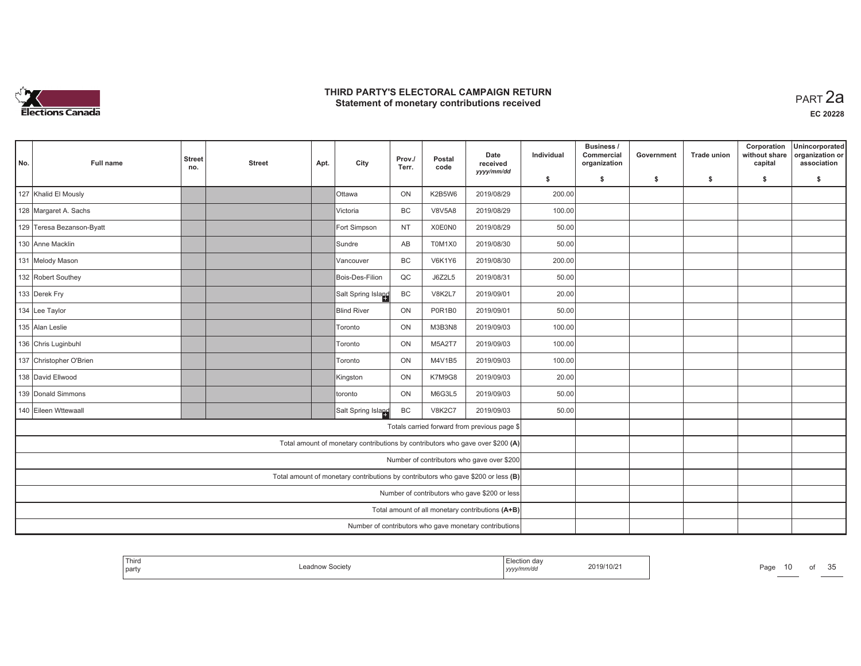

| No.                                                                               | <b>Full name</b>                                                | <b>Street</b><br>no.                                   | <b>Street</b> | Apt. | City                                                                           | Prov./<br>Terr. | Postal<br>code | Date<br>received<br>yyyy/mm/dd               | Individual | Business /<br>Commercial<br>organization | Government | <b>Trade union</b> | Corporation<br>without share<br>capital | Unincorporated<br>organization or<br>association |
|-----------------------------------------------------------------------------------|-----------------------------------------------------------------|--------------------------------------------------------|---------------|------|--------------------------------------------------------------------------------|-----------------|----------------|----------------------------------------------|------------|------------------------------------------|------------|--------------------|-----------------------------------------|--------------------------------------------------|
|                                                                                   |                                                                 |                                                        |               |      |                                                                                |                 |                |                                              | \$         | s.                                       | -\$        | -\$                | \$                                      | \$                                               |
|                                                                                   | 127 Khalid El Mously                                            |                                                        |               |      | <b>O</b> ttawa                                                                 | ON              | K2B5W6         | 2019/08/29                                   | 200.00     |                                          |            |                    |                                         |                                                  |
|                                                                                   | 128 Margaret A. Sachs                                           |                                                        |               |      | <u>IVictoria</u>                                                               | <b>BC</b>       | <b>V8V5A8</b>  | 2019/08/29                                   | 100.00     |                                          |            |                    |                                         |                                                  |
|                                                                                   | 129 Teresa Bezanson-Byatt                                       |                                                        |               |      | Fort Simpson                                                                   | <b>NT</b>       | X0E0N0         | 2019/08/29                                   | 50.00      |                                          |            |                    |                                         |                                                  |
|                                                                                   | 130 Anne Macklin                                                |                                                        |               |      | Sundre                                                                         | AB              | T0M1X0         | 2019/08/30                                   | 50.00      |                                          |            |                    |                                         |                                                  |
|                                                                                   | 131 Melody Mason                                                |                                                        |               |      | Vancouver                                                                      | <b>BC</b>       | <b>V6K1Y6</b>  | 2019/08/30                                   | 200.00     |                                          |            |                    |                                         |                                                  |
|                                                                                   | 132 Robert Southey                                              |                                                        |               |      | Bois-Des-Filion                                                                | QC              | J6Z2L5         | 2019/08/31                                   | 50.00      |                                          |            |                    |                                         |                                                  |
|                                                                                   | 133 Derek Fry                                                   |                                                        |               |      | Salt Spring Island                                                             | BC              | <b>V8K2L7</b>  | 2019/09/01                                   | 20.00      |                                          |            |                    |                                         |                                                  |
|                                                                                   | 134 Lee Taylor                                                  | 2019/09/01                                             | 50.00         |      |                                                                                |                 |                |                                              |            |                                          |            |                    |                                         |                                                  |
|                                                                                   | 135 Alan Leslie<br>ON<br>M3B3N8<br>2019/09/03<br><b>Toronto</b> |                                                        |               |      |                                                                                |                 |                |                                              |            |                                          |            |                    |                                         |                                                  |
|                                                                                   | 136 Chris Luginbuhl                                             |                                                        |               |      | Toronto                                                                        | ON              | M5A2T7         | 2019/09/03                                   | 100.00     |                                          |            |                    |                                         |                                                  |
|                                                                                   | 137 Christopher O'Brien                                         |                                                        |               |      | Toronto                                                                        | ON              | M4V1B5         | 2019/09/03                                   | 100.00     |                                          |            |                    |                                         |                                                  |
|                                                                                   | 138 David Ellwood                                               |                                                        |               |      | Kingston                                                                       | ON              | K7M9G8         | 2019/09/03                                   | 20.00      |                                          |            |                    |                                         |                                                  |
|                                                                                   | 139 Donald Simmons                                              |                                                        |               |      | toronto                                                                        | ON              | M6G3L5         | 2019/09/03                                   | 50.00      |                                          |            |                    |                                         |                                                  |
|                                                                                   | 140 Eileen Wttewaall                                            |                                                        |               |      | Salt Spring Island                                                             | BC              | <b>V8K2C7</b>  | 2019/09/03                                   | 50.00      |                                          |            |                    |                                         |                                                  |
|                                                                                   |                                                                 |                                                        |               |      |                                                                                |                 |                | Totals carried forward from previous page \$ |            |                                          |            |                    |                                         |                                                  |
|                                                                                   |                                                                 |                                                        |               |      | Total amount of monetary contributions by contributors who gave over \$200 (A) |                 |                |                                              |            |                                          |            |                    |                                         |                                                  |
| Number of contributors who gave over \$200                                        |                                                                 |                                                        |               |      |                                                                                |                 |                |                                              |            |                                          |            |                    |                                         |                                                  |
| Total amount of monetary contributions by contributors who gave \$200 or less (B) |                                                                 |                                                        |               |      |                                                                                |                 |                |                                              |            |                                          |            |                    |                                         |                                                  |
| Number of contributors who gave \$200 or less                                     |                                                                 |                                                        |               |      |                                                                                |                 |                |                                              |            |                                          |            |                    |                                         |                                                  |
| Total amount of all monetary contributions (A+B)                                  |                                                                 |                                                        |               |      |                                                                                |                 |                |                                              |            |                                          |            |                    |                                         |                                                  |
|                                                                                   |                                                                 | Number of contributors who gave monetary contributions |               |      |                                                                                |                 |                |                                              |            |                                          |            |                    |                                         |                                                  |

| <sup>I</sup> Third<br>l party | $P_{\text{max}}$ | .<br>, yyyy/mm | 2019/10/2 | Page | OI | 25<br>ັບປ |
|-------------------------------|------------------|----------------|-----------|------|----|-----------|
|                               |                  |                |           |      |    |           |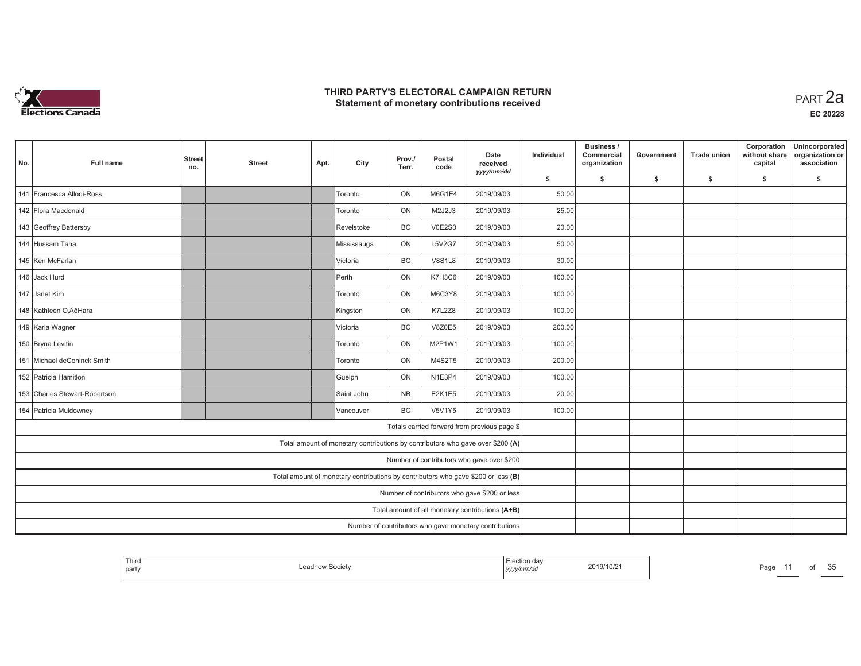

11 of 35

| No. | <b>Full name</b>              | <b>Street</b><br>no. | <b>Street</b> | Apt. | City                                                                              | Prov./<br>Terr. | Postal<br>code | Date<br>received<br>yyyy/mm/dd                         | Individual | Business /<br>Commercial<br>organization | Government | <b>Trade union</b> | Corporation<br>without share<br>capital | Unincorporated<br>organization or<br>association |
|-----|-------------------------------|----------------------|---------------|------|-----------------------------------------------------------------------------------|-----------------|----------------|--------------------------------------------------------|------------|------------------------------------------|------------|--------------------|-----------------------------------------|--------------------------------------------------|
|     |                               |                      |               |      |                                                                                   |                 |                |                                                        | \$         | s.                                       | -\$        | -\$                | \$                                      | \$                                               |
|     | 141 Francesca Allodi-Ross     |                      |               |      | Toronto                                                                           | ON              | M6G1E4         | 2019/09/03                                             | 50.00      |                                          |            |                    |                                         |                                                  |
|     | 142 Flora Macdonald           |                      |               |      | <b>Toronto</b>                                                                    | ON              | M2J2J3         | 2019/09/03                                             | 25.00      |                                          |            |                    |                                         |                                                  |
|     | 143 Geoffrey Battersby        |                      |               |      | Revelstoke                                                                        | <b>BC</b>       | <b>V0E2S0</b>  | 2019/09/03                                             | 20.00      |                                          |            |                    |                                         |                                                  |
|     | 144 Hussam Taha               |                      |               |      | Mississauga                                                                       | ON              | <b>L5V2G7</b>  | 2019/09/03                                             | 50.00      |                                          |            |                    |                                         |                                                  |
|     | 145 Ken McFarlan              |                      |               |      | Victoria                                                                          | <b>BC</b>       | <b>V8S1L8</b>  | 2019/09/03                                             | 30.00      |                                          |            |                    |                                         |                                                  |
|     | 146 Jack Hurd                 |                      |               |      | Perth                                                                             | ON              | K7H3C6         | 2019/09/03                                             | 100.00     |                                          |            |                    |                                         |                                                  |
|     | 147 Janet Kim                 |                      |               |      | <b>Toronto</b>                                                                    | ON              | M6C3Y8         | 2019/09/03                                             | 100.00     |                                          |            |                    |                                         |                                                  |
|     | 148 Kathleen O,ÄôHara         |                      |               |      | Kingston                                                                          | ON              | <b>K7L2Z8</b>  | 2019/09/03                                             | 100.00     |                                          |            |                    |                                         |                                                  |
|     | 149 Karla Wagner              |                      |               |      | <b>Victoria</b>                                                                   | <b>BC</b>       | <b>V8Z0E5</b>  | 2019/09/03                                             | 200.00     |                                          |            |                    |                                         |                                                  |
|     | 150 Bryna Levitin             |                      |               |      | Toronto                                                                           | ON              | M2P1W1         | 2019/09/03                                             | 100.00     |                                          |            |                    |                                         |                                                  |
|     | 151 Michael deConinck Smith   |                      |               |      | Toronto                                                                           | ON              | M4S2T5         | 2019/09/03                                             | 200.00     |                                          |            |                    |                                         |                                                  |
|     | 152 Patricia Hamitlon         |                      |               |      | Guelph                                                                            | ON              | N1E3P4         | 2019/09/03                                             | 100.00     |                                          |            |                    |                                         |                                                  |
|     | 153 Charles Stewart-Robertson |                      |               |      | Saint John                                                                        | <b>NB</b>       | E2K1E5         | 2019/09/03                                             | 20.00      |                                          |            |                    |                                         |                                                  |
|     | 154 Patricia Muldowney        |                      |               |      | Vancouver                                                                         | <b>BC</b>       | <b>V5V1Y5</b>  | 2019/09/03                                             | 100.00     |                                          |            |                    |                                         |                                                  |
|     |                               |                      |               |      |                                                                                   |                 |                | Totals carried forward from previous page \$           |            |                                          |            |                    |                                         |                                                  |
|     |                               |                      |               |      | Total amount of monetary contributions by contributors who gave over \$200 (A)    |                 |                |                                                        |            |                                          |            |                    |                                         |                                                  |
|     |                               |                      |               |      |                                                                                   |                 |                | Number of contributors who gave over \$200             |            |                                          |            |                    |                                         |                                                  |
|     |                               |                      |               |      | Total amount of monetary contributions by contributors who gave \$200 or less (B) |                 |                |                                                        |            |                                          |            |                    |                                         |                                                  |
|     |                               |                      |               |      |                                                                                   |                 |                | Number of contributors who gave \$200 or less          |            |                                          |            |                    |                                         |                                                  |
|     |                               |                      |               |      |                                                                                   |                 |                | Total amount of all monetary contributions (A+B)       |            |                                          |            |                    |                                         |                                                  |
|     |                               |                      |               |      |                                                                                   |                 |                | Number of contributors who gave monetary contributions |            |                                          |            |                    |                                         |                                                  |

| Third<br>party | eadnow Societv.<br>. | :lection dav<br>$\gamma$ mm/d $c$<br>,,,,, | 2019/10/21 | Page |
|----------------|----------------------|--------------------------------------------|------------|------|
|----------------|----------------------|--------------------------------------------|------------|------|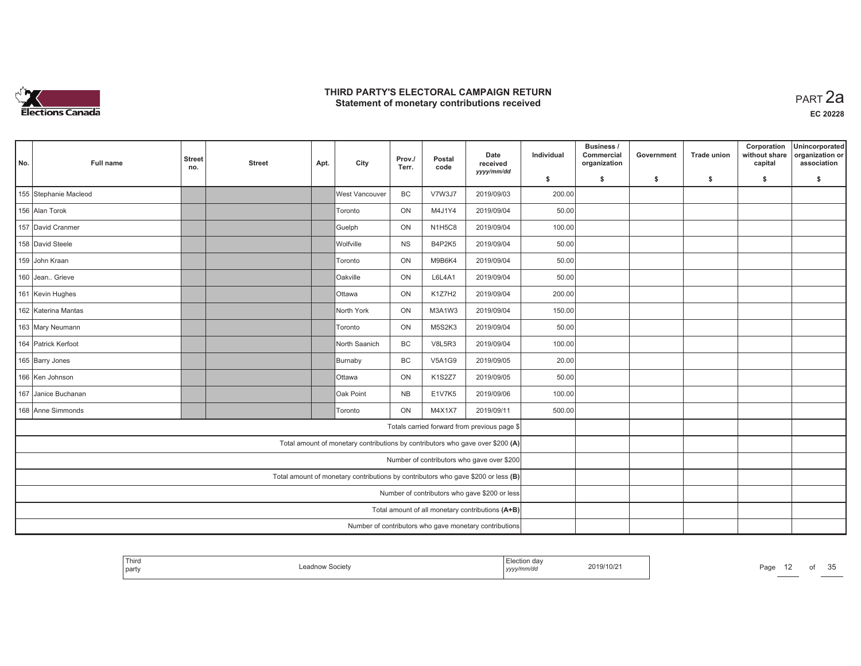

12 of 35

| No. | <b>Full name</b>                                 | <b>Street</b><br>no. | <b>Street</b> | Apt. | City                                                                              | Prov./<br>Terr. | Postal<br>code | Date<br>received<br>yyyy/mm/dd                         | Individual | <b>Business /</b><br>Commercial<br>organization | Government | <b>Trade union</b> | Corporation<br>without share<br>capital | Unincorporated<br>organization or<br>association |
|-----|--------------------------------------------------|----------------------|---------------|------|-----------------------------------------------------------------------------------|-----------------|----------------|--------------------------------------------------------|------------|-------------------------------------------------|------------|--------------------|-----------------------------------------|--------------------------------------------------|
|     |                                                  |                      |               |      |                                                                                   |                 |                |                                                        | \$         | \$                                              | \$         | \$                 | \$                                      | \$                                               |
|     | 155 Stephanie Macleod                            |                      |               |      | West Vancouver                                                                    | BC              | V7W3J7         | 2019/09/03                                             | 200.00     |                                                 |            |                    |                                         |                                                  |
|     | 156 Alan Torok                                   |                      |               |      | <b>Toronto</b>                                                                    | ON              | M4J1Y4         | 2019/09/04                                             | 50.00      |                                                 |            |                    |                                         |                                                  |
|     | 157 David Cranmer                                |                      |               |      | Guelph                                                                            | ON              | N1H5C8         | 2019/09/04                                             | 100.00     |                                                 |            |                    |                                         |                                                  |
|     | 158 David Steele                                 |                      |               |      | <b>Wolfville</b>                                                                  | <b>NS</b>       | B4P2K5         | 2019/09/04                                             | 50.00      |                                                 |            |                    |                                         |                                                  |
|     | 159 John Kraan                                   |                      |               |      | Toronto                                                                           | ON              | M9B6K4         | 2019/09/04                                             | 50.00      |                                                 |            |                    |                                         |                                                  |
|     | 160 Jean Grieve                                  |                      |               |      | <b>Oakville</b>                                                                   | ON              | L6L4A1         | 2019/09/04                                             | 50.00      |                                                 |            |                    |                                         |                                                  |
|     | 161 Kevin Hughes                                 |                      |               |      | <b>Ottawa</b>                                                                     | ON              | K1Z7H2         | 2019/09/04                                             | 200.00     |                                                 |            |                    |                                         |                                                  |
|     | 162 Katerina Mantas                              |                      |               |      | North York                                                                        | ON              | M3A1W3         | 2019/09/04                                             | 150.00     |                                                 |            |                    |                                         |                                                  |
|     | 163 Mary Neumann                                 |                      |               |      | Toronto                                                                           | ON              | M5S2K3         | 2019/09/04                                             | 50.00      |                                                 |            |                    |                                         |                                                  |
|     | 164 Patrick Kerfoot                              |                      |               |      | North Saanich                                                                     | BC              | V8L5R3         | 2019/09/04                                             | 100.00     |                                                 |            |                    |                                         |                                                  |
|     | 165 Barry Jones                                  |                      |               |      | Burnaby                                                                           | BC              | <b>V5A1G9</b>  | 2019/09/05                                             | 20.00      |                                                 |            |                    |                                         |                                                  |
|     | 166 Ken Johnson                                  |                      |               |      | <b>Ottawa</b>                                                                     | ON              | <b>K1S2Z7</b>  | 2019/09/05                                             | 50.00      |                                                 |            |                    |                                         |                                                  |
|     | 167 Janice Buchanan                              |                      |               |      | Oak Point                                                                         | <b>NB</b>       | E1V7K5         | 2019/09/06                                             | 100.00     |                                                 |            |                    |                                         |                                                  |
|     | 168 Anne Simmonds                                |                      |               |      | <b>Toronto</b>                                                                    | ON              | M4X1X7         | 2019/09/11                                             | 500.00     |                                                 |            |                    |                                         |                                                  |
|     |                                                  |                      |               |      |                                                                                   |                 |                | Totals carried forward from previous page \$           |            |                                                 |            |                    |                                         |                                                  |
|     |                                                  |                      |               |      | Total amount of monetary contributions by contributors who gave over \$200 (A)    |                 |                |                                                        |            |                                                 |            |                    |                                         |                                                  |
|     |                                                  |                      |               |      |                                                                                   |                 |                | Number of contributors who gave over \$200             |            |                                                 |            |                    |                                         |                                                  |
|     |                                                  |                      |               |      | Total amount of monetary contributions by contributors who gave \$200 or less (B) |                 |                |                                                        |            |                                                 |            |                    |                                         |                                                  |
|     |                                                  |                      |               |      |                                                                                   |                 |                | Number of contributors who gave \$200 or less          |            |                                                 |            |                    |                                         |                                                  |
|     | Total amount of all monetary contributions (A+B) |                      |               |      |                                                                                   |                 |                |                                                        |            |                                                 |            |                    |                                         |                                                  |
|     |                                                  |                      |               |      |                                                                                   |                 |                | Number of contributors who gave monetary contributions |            |                                                 |            |                    |                                         |                                                  |

| Third<br>, party | ונוי | .<br>,,,, | 2019/10/2 |  |
|------------------|------|-----------|-----------|--|
|                  |      |           |           |  |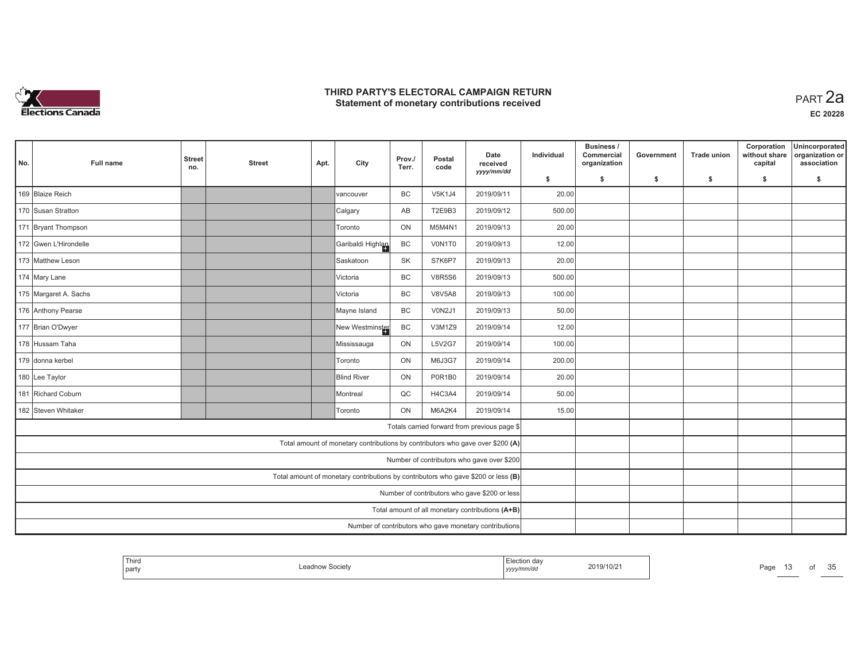

| No. | <b>Full name</b>      | <b>Street</b><br>no. | <b>Street</b> | Apt. | City                                                                              | Prov./<br>Terr. | Postal<br>code | Date<br>received<br>yyyy/mm/dd                         | Individual | Business /<br>Commercial<br>organization | Government | <b>Trade union</b> | Corporation<br>without share<br>capital | Unincorporated<br>organization or<br>association |
|-----|-----------------------|----------------------|---------------|------|-----------------------------------------------------------------------------------|-----------------|----------------|--------------------------------------------------------|------------|------------------------------------------|------------|--------------------|-----------------------------------------|--------------------------------------------------|
|     |                       |                      |               |      |                                                                                   |                 |                |                                                        | \$         | s.                                       | -\$        | -\$                | \$                                      | \$                                               |
|     | 169 Blaize Reich      |                      |               |      | vancouver                                                                         | <b>BC</b>       | <b>V5K1J4</b>  | 2019/09/11                                             | 20.00      |                                          |            |                    |                                         |                                                  |
|     | 170 Susan Stratton    |                      |               |      | Calgary                                                                           | AB              | T2E9B3         | 2019/09/12                                             | 500.00     |                                          |            |                    |                                         |                                                  |
|     | 171 Bryant Thompson   |                      |               |      | Toronto                                                                           | ON              | M5M4N1         | 2019/09/13                                             | 20.00      |                                          |            |                    |                                         |                                                  |
|     | 172 Gwen L'Hirondelle |                      |               |      | Garibaldi Highlan                                                                 | BC              | V0N1T0         | 2019/09/13                                             | 12.00      |                                          |            |                    |                                         |                                                  |
|     | 173 Matthew Leson     |                      |               |      | Saskatoon                                                                         | <b>SK</b>       | S7K6P7         | 2019/09/13                                             | 20.00      |                                          |            |                    |                                         |                                                  |
|     | 174 Mary Lane         |                      |               |      | Victoria                                                                          | BC              | <b>V8R5S6</b>  | 2019/09/13                                             | 500.00     |                                          |            |                    |                                         |                                                  |
|     | 175 Margaret A. Sachs |                      |               |      | <u>IVictoria</u>                                                                  | <b>BC</b>       | <b>V8V5A8</b>  | 2019/09/13                                             | 100.00     |                                          |            |                    |                                         |                                                  |
|     | 176 Anthony Pearse    |                      |               |      | Mayne Island                                                                      | BC              | V0N2J1         | 2019/09/13                                             | 50.00      |                                          |            |                    |                                         |                                                  |
|     | 177 Brian O'Dwyer     |                      |               |      | New Westminster                                                                   | BC              | V3M1Z9         | 2019/09/14                                             | 12.00      |                                          |            |                    |                                         |                                                  |
|     | 178 Hussam Taha       |                      |               |      | Mississauga                                                                       | ON              | <b>L5V2G7</b>  | 2019/09/14                                             | 100.00     |                                          |            |                    |                                         |                                                  |
|     | 179 donna kerbel      |                      |               |      | Toronto                                                                           | ON              | M6J3G7         | 2019/09/14                                             | 200.00     |                                          |            |                    |                                         |                                                  |
|     | 180 Lee Taylor        |                      |               |      | <b>Blind River</b>                                                                | ON              | P0R1B0         | 2019/09/14                                             | 20.00      |                                          |            |                    |                                         |                                                  |
|     | 181 Richard Coburn    |                      |               |      | Montreal                                                                          | $_{\rm QC}$     | H4C3A4         | 2019/09/14                                             | 50.00      |                                          |            |                    |                                         |                                                  |
|     | 182 Steven Whitaker   |                      |               |      | <b>Toronto</b>                                                                    | ON              | M6A2K4         | 2019/09/14                                             | 15.00      |                                          |            |                    |                                         |                                                  |
|     |                       |                      |               |      |                                                                                   |                 |                | Totals carried forward from previous page \$           |            |                                          |            |                    |                                         |                                                  |
|     |                       |                      |               |      | Total amount of monetary contributions by contributors who gave over \$200 (A)    |                 |                |                                                        |            |                                          |            |                    |                                         |                                                  |
|     |                       |                      |               |      |                                                                                   |                 |                | Number of contributors who gave over \$200             |            |                                          |            |                    |                                         |                                                  |
|     |                       |                      |               |      | Total amount of monetary contributions by contributors who gave \$200 or less (B) |                 |                |                                                        |            |                                          |            |                    |                                         |                                                  |
|     |                       |                      |               |      |                                                                                   |                 |                | Number of contributors who gave \$200 or less          |            |                                          |            |                    |                                         |                                                  |
|     |                       |                      |               |      |                                                                                   |                 |                | Total amount of all monetary contributions (A+B)       |            |                                          |            |                    |                                         |                                                  |
|     |                       |                      |               |      |                                                                                   |                 |                | Number of contributors who gave monetary contributions |            |                                          |            |                    |                                         |                                                  |

| <sup>1</sup> Thira<br>party | dnow Societ | -lection<br>yyyynnnvao | 2019/10/2 | Page | от | 25<br>ັບປ |
|-----------------------------|-------------|------------------------|-----------|------|----|-----------|
|                             |             |                        |           |      |    |           |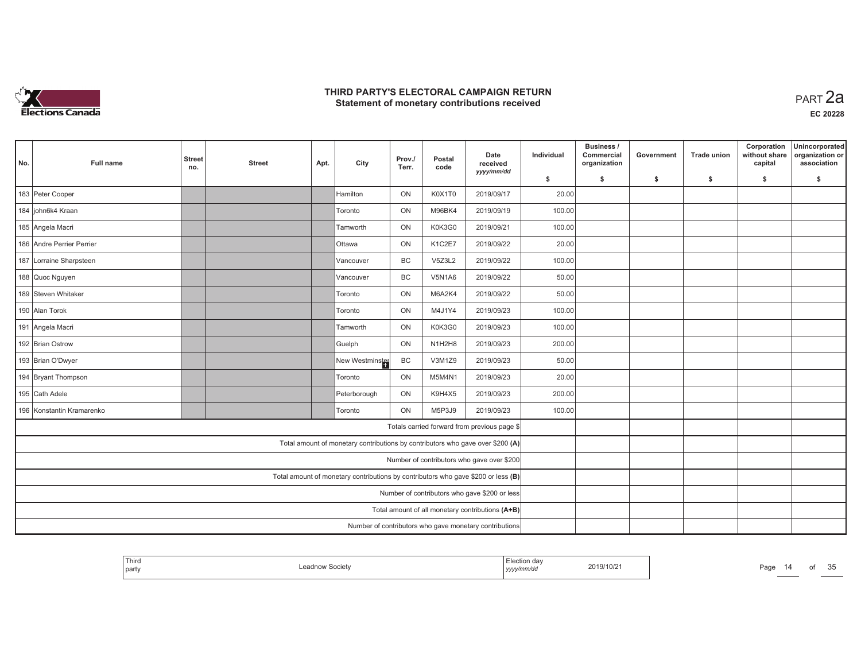

14 of 35

| No. | Full name                                        | <b>Street</b><br>no. | <b>Street</b> | Apt. | City                                                                           | Prov./<br>Terr. | Postal<br>code | Date<br>received<br>yyyy/mm/dd                                                    | Individual | Business /<br>Commercial<br>organization | Government | <b>Trade union</b> | Corporation<br>without share<br>capital | Unincorporated<br>organization or<br>association |
|-----|--------------------------------------------------|----------------------|---------------|------|--------------------------------------------------------------------------------|-----------------|----------------|-----------------------------------------------------------------------------------|------------|------------------------------------------|------------|--------------------|-----------------------------------------|--------------------------------------------------|
|     |                                                  |                      |               |      |                                                                                |                 |                |                                                                                   | \$         | s.                                       | -\$        | -\$                | \$                                      | \$                                               |
|     | 183 Peter Cooper                                 |                      |               |      | Hamilton                                                                       | ON              | K0X1T0         | 2019/09/17                                                                        | 20.00      |                                          |            |                    |                                         |                                                  |
|     | 184 john6k4 Kraan                                |                      |               |      | Toronto                                                                        | ON              | M96BK4         | 2019/09/19                                                                        | 100.00     |                                          |            |                    |                                         |                                                  |
|     | 185 Angela Macri                                 |                      |               |      | Tamworth                                                                       | ON              | K0K3G0         | 2019/09/21                                                                        | 100.00     |                                          |            |                    |                                         |                                                  |
|     | 186 Andre Perrier Perrier                        |                      |               |      | <b>Ottawa</b>                                                                  | ON              | K1C2E7         | 2019/09/22                                                                        | 20.00      |                                          |            |                    |                                         |                                                  |
|     | 187 Lorraine Sharpsteen                          |                      |               |      | Vancouver                                                                      | BC              | <b>V5Z3L2</b>  | 2019/09/22                                                                        | 100.00     |                                          |            |                    |                                         |                                                  |
|     | 188 Quoc Nguyen                                  |                      |               |      | Vancouver                                                                      | BC              | <b>V5N1A6</b>  | 2019/09/22                                                                        | 50.00      |                                          |            |                    |                                         |                                                  |
|     | 189 Steven Whitaker                              |                      |               |      | Toronto                                                                        | ON              | M6A2K4         | 2019/09/22                                                                        | 50.00      |                                          |            |                    |                                         |                                                  |
|     | 190 Alan Torok                                   |                      |               |      | Toronto                                                                        | ON              | M4J1Y4         | 2019/09/23                                                                        | 100.00     |                                          |            |                    |                                         |                                                  |
|     | 191 Angela Macri                                 |                      |               |      | Tamworth                                                                       | ON              | K0K3G0         | 2019/09/23                                                                        | 100.00     |                                          |            |                    |                                         |                                                  |
|     | 192 Brian Ostrow                                 |                      |               |      | Guelph                                                                         | ON              | N1H2H8         | 2019/09/23                                                                        | 200.00     |                                          |            |                    |                                         |                                                  |
|     | 193 Brian O'Dwyer                                |                      |               |      | New Westminster                                                                | BC              | V3M1Z9         | 2019/09/23                                                                        | 50.00      |                                          |            |                    |                                         |                                                  |
|     | 194 Bryant Thompson                              |                      |               |      | Toronto                                                                        | ON              | M5M4N1         | 2019/09/23                                                                        | 20.00      |                                          |            |                    |                                         |                                                  |
|     | 195 Cath Adele                                   |                      |               |      | Peterborough                                                                   | ON              | K9H4X5         | 2019/09/23                                                                        | 200.00     |                                          |            |                    |                                         |                                                  |
|     | 196 Konstantin Kramarenko                        |                      |               |      | Toronto                                                                        | ON              | M5P3J9         | 2019/09/23                                                                        | 100.00     |                                          |            |                    |                                         |                                                  |
|     |                                                  |                      |               |      |                                                                                |                 |                | Totals carried forward from previous page \$                                      |            |                                          |            |                    |                                         |                                                  |
|     |                                                  |                      |               |      | Total amount of monetary contributions by contributors who gave over \$200 (A) |                 |                |                                                                                   |            |                                          |            |                    |                                         |                                                  |
|     |                                                  |                      |               |      |                                                                                |                 |                | Number of contributors who gave over \$200                                        |            |                                          |            |                    |                                         |                                                  |
|     |                                                  |                      |               |      |                                                                                |                 |                | Total amount of monetary contributions by contributors who gave \$200 or less (B) |            |                                          |            |                    |                                         |                                                  |
|     |                                                  |                      |               |      |                                                                                |                 |                | Number of contributors who gave \$200 or less                                     |            |                                          |            |                    |                                         |                                                  |
|     | Total amount of all monetary contributions (A+B) |                      |               |      |                                                                                |                 |                |                                                                                   |            |                                          |            |                    |                                         |                                                  |
|     |                                                  |                      |               |      |                                                                                |                 |                | Number of contributors who gave monetary contributions                            |            |                                          |            |                    |                                         |                                                  |

| $-$<br>, party<br>,,,,, | Third |  | 2019/10/2 | Page |
|-------------------------|-------|--|-----------|------|
|-------------------------|-------|--|-----------|------|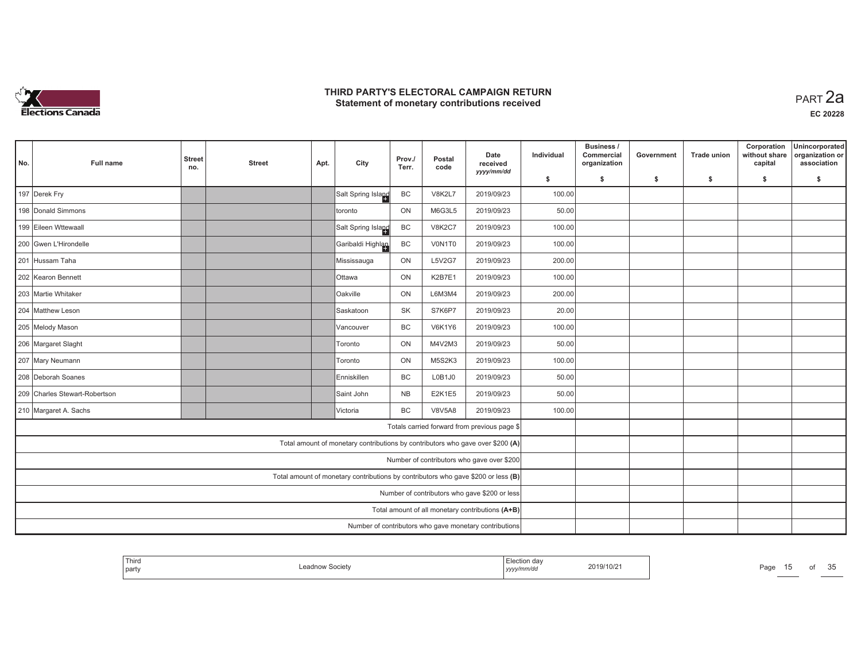

| No. | <b>Full name</b>              | <b>Street</b><br>no. | <b>Street</b> | Apt. | City                                                                              | Prov./<br>Terr. | Postal<br>code | Date<br>received<br>yyyy/mm/dd                         | Individual | Business /<br>Commercial<br>organization | Government | <b>Trade union</b> | Corporation<br>without share<br>capital | Unincorporated<br>organization or<br>association |
|-----|-------------------------------|----------------------|---------------|------|-----------------------------------------------------------------------------------|-----------------|----------------|--------------------------------------------------------|------------|------------------------------------------|------------|--------------------|-----------------------------------------|--------------------------------------------------|
|     |                               |                      |               |      |                                                                                   |                 |                |                                                        | \$         | s.                                       | -\$        | -\$                | \$                                      | \$                                               |
|     | 197 Derek Fry                 |                      |               |      | Salt Spring Island                                                                | BC              | <b>V8K2L7</b>  | 2019/09/23                                             | 100.00     |                                          |            |                    |                                         |                                                  |
|     | 198 Donald Simmons            |                      |               |      | Itoronto                                                                          | ON              | M6G3L5         | 2019/09/23                                             | 50.00      |                                          |            |                    |                                         |                                                  |
|     | 199 Eileen Wttewaall          |                      |               |      | Salt Spring Island                                                                | BC              | <b>V8K2C7</b>  | 2019/09/23                                             | 100.00     |                                          |            |                    |                                         |                                                  |
|     | 200 Gwen L'Hirondelle         |                      |               |      | Garibaldi Highlan                                                                 | BC              | V0N1T0         | 2019/09/23                                             | 100.00     |                                          |            |                    |                                         |                                                  |
|     | 201 Hussam Taha               |                      |               |      | Mississauga                                                                       | ON              | <b>L5V2G7</b>  | 2019/09/23                                             | 200.00     |                                          |            |                    |                                         |                                                  |
|     | 202 Kearon Bennett            |                      |               |      | <b>Ottawa</b>                                                                     | ON              | K2B7E1         | 2019/09/23                                             | 100.00     |                                          |            |                    |                                         |                                                  |
|     | 203 Martie Whitaker           |                      |               |      | <b>Oakville</b>                                                                   | ON              | L6M3M4         | 2019/09/23                                             | 200.00     |                                          |            |                    |                                         |                                                  |
|     | 204 Matthew Leson             |                      |               |      | <b>Saskatoon</b>                                                                  | <b>SK</b>       | S7K6P7         | 2019/09/23                                             | 20.00      |                                          |            |                    |                                         |                                                  |
|     | 205 Melody Mason              |                      |               |      | Vancouver                                                                         | <b>BC</b>       | <b>V6K1Y6</b>  | 2019/09/23                                             | 100.00     |                                          |            |                    |                                         |                                                  |
|     | 206 Margaret Slaght           |                      |               |      | Toronto                                                                           | ON              | M4V2M3         | 2019/09/23                                             | 50.00      |                                          |            |                    |                                         |                                                  |
|     | 207 Mary Neumann              |                      |               |      | Toronto                                                                           | ON              | M5S2K3         | 2019/09/23                                             | 100.00     |                                          |            |                    |                                         |                                                  |
|     | 208 Deborah Soanes            |                      |               |      | <b>Enniskillen</b>                                                                | BC              | L0B1J0         | 2019/09/23                                             | 50.00      |                                          |            |                    |                                         |                                                  |
|     | 209 Charles Stewart-Robertson |                      |               |      | Saint John                                                                        | <b>NB</b>       | E2K1E5         | 2019/09/23                                             | 50.00      |                                          |            |                    |                                         |                                                  |
|     | 210 Margaret A. Sachs         |                      |               |      | Victoria                                                                          | <b>BC</b>       | <b>V8V5A8</b>  | 2019/09/23                                             | 100.00     |                                          |            |                    |                                         |                                                  |
|     |                               |                      |               |      |                                                                                   |                 |                | Totals carried forward from previous page \$           |            |                                          |            |                    |                                         |                                                  |
|     |                               |                      |               |      | Total amount of monetary contributions by contributors who gave over \$200 (A)    |                 |                |                                                        |            |                                          |            |                    |                                         |                                                  |
|     |                               |                      |               |      |                                                                                   |                 |                | Number of contributors who gave over \$200             |            |                                          |            |                    |                                         |                                                  |
|     |                               |                      |               |      | Total amount of monetary contributions by contributors who gave \$200 or less (B) |                 |                |                                                        |            |                                          |            |                    |                                         |                                                  |
|     |                               |                      |               |      |                                                                                   |                 |                | Number of contributors who gave \$200 or less          |            |                                          |            |                    |                                         |                                                  |
|     |                               |                      |               |      |                                                                                   |                 |                | Total amount of all monetary contributions (A+B)       |            |                                          |            |                    |                                         |                                                  |
|     |                               |                      |               |      |                                                                                   |                 |                | Number of contributors who gave monetary contributions |            |                                          |            |                    |                                         |                                                  |

| <sup>1</sup> Third<br>party | Society | 2019/10/21<br>.<br>yyyy <i>nnnv</i> uu | Page | OT. | $\Omega$<br>. .<br>u |
|-----------------------------|---------|----------------------------------------|------|-----|----------------------|
|-----------------------------|---------|----------------------------------------|------|-----|----------------------|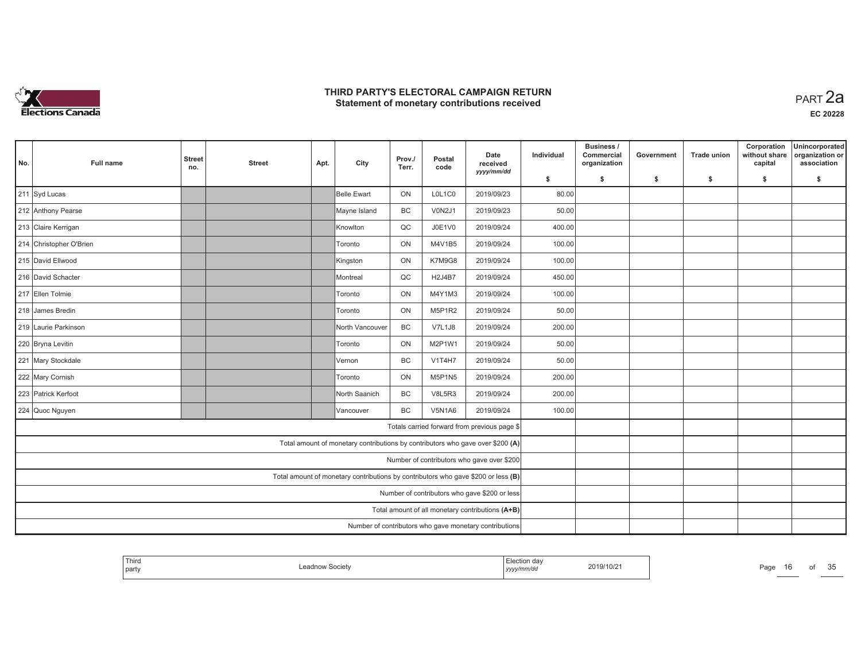

| No. | <b>Full name</b>                                       | <b>Street</b><br>no. | <b>Street</b> | Apt. | City                                                                              | Prov./<br>Terr. | Postal<br>code | Date<br>received<br>yyyy/mm/dd               | Individual | Business /<br>Commercial<br>organization | Government | <b>Trade union</b> | Corporation<br>without share<br>capital | Unincorporated<br>organization or<br>association |
|-----|--------------------------------------------------------|----------------------|---------------|------|-----------------------------------------------------------------------------------|-----------------|----------------|----------------------------------------------|------------|------------------------------------------|------------|--------------------|-----------------------------------------|--------------------------------------------------|
|     |                                                        |                      |               |      |                                                                                   |                 |                |                                              | \$         | S.                                       | \$         | \$                 | \$                                      | \$                                               |
|     | 211 Syd Lucas                                          |                      |               |      | Belle Ewart                                                                       | ON              | L0L1C0         | 2019/09/23                                   | 80.00      |                                          |            |                    |                                         |                                                  |
|     | 212 Anthony Pearse                                     |                      |               |      | Mayne Island                                                                      | BC              | V0N2J1         | 2019/09/23                                   | 50.00      |                                          |            |                    |                                         |                                                  |
|     | 213 Claire Kerrigan                                    |                      |               |      | Knowlton                                                                          | QC              | <b>J0E1V0</b>  | 2019/09/24                                   | 400.00     |                                          |            |                    |                                         |                                                  |
|     | 214 Christopher O'Brien                                |                      |               |      | <b>Toronto</b>                                                                    | ON              | M4V1B5         | 2019/09/24                                   | 100.00     |                                          |            |                    |                                         |                                                  |
|     | 215 David Ellwood                                      |                      |               |      | Kingston                                                                          | ON              | K7M9G8         | 2019/09/24                                   | 100.00     |                                          |            |                    |                                         |                                                  |
|     | 216 David Schacter                                     |                      |               |      | Montreal                                                                          | QC              | H2J4B7         | 2019/09/24                                   | 450.00     |                                          |            |                    |                                         |                                                  |
|     | 217 Ellen Tolmie                                       |                      |               |      | Toronto                                                                           | ON              | M4Y1M3         | 2019/09/24                                   | 100.00     |                                          |            |                    |                                         |                                                  |
|     | 218 James Bredin                                       |                      |               |      | Toronto                                                                           | ON              | M5P1R2         | 2019/09/24                                   | 50.00      |                                          |            |                    |                                         |                                                  |
|     | 219 Laurie Parkinson                                   |                      |               |      | North Vancouver                                                                   | BC              | <b>V7L1J8</b>  | 2019/09/24                                   | 200.00     |                                          |            |                    |                                         |                                                  |
|     | 220 Bryna Levitin                                      |                      |               |      | Toronto                                                                           | ON              | M2P1W1         | 2019/09/24                                   | 50.00      |                                          |            |                    |                                         |                                                  |
|     | 221 Mary Stockdale                                     |                      |               |      | Vernon                                                                            | <b>BC</b>       | <b>V1T4H7</b>  | 2019/09/24                                   | 50.00      |                                          |            |                    |                                         |                                                  |
|     | 222 Mary Cornish                                       |                      |               |      | Toronto                                                                           | ON              | M5P1N5         | 2019/09/24                                   | 200.00     |                                          |            |                    |                                         |                                                  |
|     | 223 Patrick Kerfoot                                    |                      |               |      | North Saanich                                                                     | BC              | V8L5R3         | 2019/09/24                                   | 200.00     |                                          |            |                    |                                         |                                                  |
|     | 224 Quoc Nguyen                                        |                      |               |      | Vancouver                                                                         | <b>BC</b>       | <b>V5N1A6</b>  | 2019/09/24                                   | 100.00     |                                          |            |                    |                                         |                                                  |
|     |                                                        |                      |               |      |                                                                                   |                 |                | Totals carried forward from previous page \$ |            |                                          |            |                    |                                         |                                                  |
|     |                                                        |                      |               |      | Total amount of monetary contributions by contributors who gave over \$200 (A)    |                 |                |                                              |            |                                          |            |                    |                                         |                                                  |
|     |                                                        |                      |               |      |                                                                                   |                 |                | Number of contributors who gave over \$200   |            |                                          |            |                    |                                         |                                                  |
|     |                                                        |                      |               |      | Total amount of monetary contributions by contributors who gave \$200 or less (B) |                 |                |                                              |            |                                          |            |                    |                                         |                                                  |
|     | Number of contributors who gave \$200 or less          |                      |               |      |                                                                                   |                 |                |                                              |            |                                          |            |                    |                                         |                                                  |
|     | Total amount of all monetary contributions (A+B)       |                      |               |      |                                                                                   |                 |                |                                              |            |                                          |            |                    |                                         |                                                  |
|     | Number of contributors who gave monetary contributions |                      |               |      |                                                                                   |                 |                |                                              |            |                                          |            |                    |                                         |                                                  |

| ' partv | <sup>1</sup> Third<br>' eadnow Societ∨ | Election dav<br>2019/10/2<br>yyyy/mm/dd | Page<br>$\overline{D}$ | $\sim$ $\sim$<br>от<br>ັບ |
|---------|----------------------------------------|-----------------------------------------|------------------------|---------------------------|
|         |                                        |                                         |                        |                           |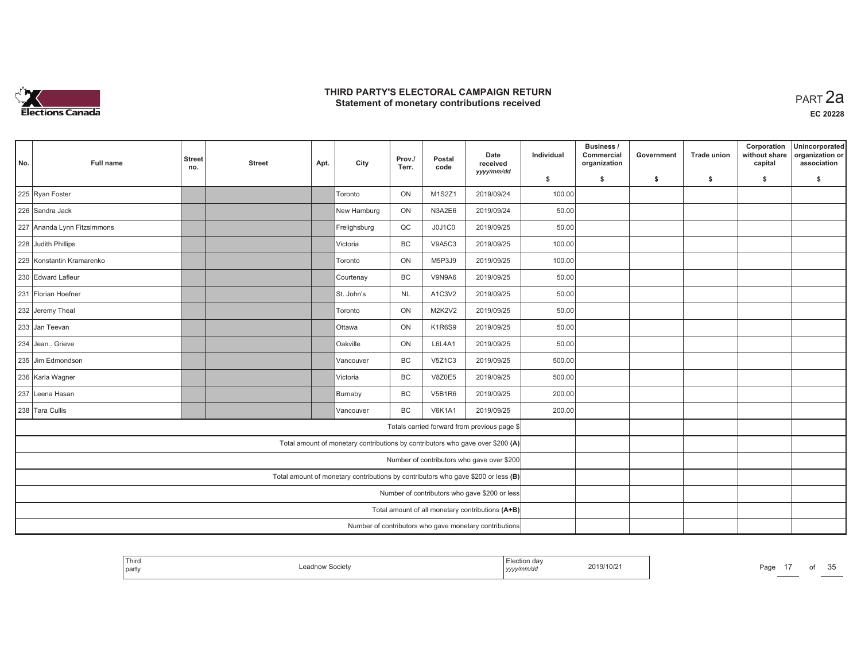

**EC 20228**

| No.                                           | <b>Full name</b>                                 | <b>Street</b><br>no. | <b>Street</b> | Apt. | City                                                                              | Prov./<br>Terr. | Postal<br>code | Date<br>received<br>yyyy/mm/dd               | Individual | Business /<br>Commercial<br>organization | Government | <b>Trade union</b> | Corporation<br>without share<br>capital | Unincorporated<br>organization or<br>association |
|-----------------------------------------------|--------------------------------------------------|----------------------|---------------|------|-----------------------------------------------------------------------------------|-----------------|----------------|----------------------------------------------|------------|------------------------------------------|------------|--------------------|-----------------------------------------|--------------------------------------------------|
|                                               |                                                  |                      |               |      |                                                                                   |                 |                |                                              | \$         | S.                                       | -\$        | -\$                | \$                                      | s.                                               |
|                                               | 225 Ryan Foster                                  |                      |               |      | Toronto                                                                           | ON              | M1S2Z1         | 2019/09/24                                   | 100.00     |                                          |            |                    |                                         |                                                  |
|                                               | 226 Sandra Jack                                  |                      |               |      | New Hamburg                                                                       | ON              | N3A2E6         | 2019/09/24                                   | 50.00      |                                          |            |                    |                                         |                                                  |
|                                               | 227 Ananda Lynn Fitzsimmons                      |                      |               |      | Frelighsburg                                                                      | QC              | J0J1C0         | 2019/09/25                                   | 50.00      |                                          |            |                    |                                         |                                                  |
|                                               | 228 Judith Phillips                              |                      |               |      | <u>IVictoria</u>                                                                  | <b>BC</b>       | <b>V9A5C3</b>  | 2019/09/25                                   | 100.00     |                                          |            |                    |                                         |                                                  |
|                                               | 229 Konstantin Kramarenko                        |                      |               |      | <b>Toronto</b>                                                                    | ON              | M5P3J9         | 2019/09/25                                   | 100.00     |                                          |            |                    |                                         |                                                  |
|                                               | 230 Edward Lafleur                               |                      |               |      | Courtenay                                                                         | <b>BC</b>       | V9N9A6         | 2019/09/25                                   | 50.00      |                                          |            |                    |                                         |                                                  |
|                                               | 231 Florian Hoefner                              |                      |               |      | St. John's                                                                        | <b>NL</b>       | A1C3V2         | 2019/09/25                                   | 50.00      |                                          |            |                    |                                         |                                                  |
|                                               | 232 Jeremy Theal                                 |                      |               |      | Toronto                                                                           | ON              | <b>M2K2V2</b>  | 2019/09/25                                   | 50.00      |                                          |            |                    |                                         |                                                  |
|                                               | 233 Jan Teevan                                   |                      |               |      | lOttawa                                                                           | ON              | <b>K1R6S9</b>  | 2019/09/25                                   | 50.00      |                                          |            |                    |                                         |                                                  |
|                                               | 234 Jean Grieve                                  |                      |               |      | <b>Oakville</b>                                                                   | ON              | L6L4A1         | 2019/09/25                                   | 50.00      |                                          |            |                    |                                         |                                                  |
|                                               | 235 Jim Edmondson                                |                      |               |      | Vancouver                                                                         | <b>BC</b>       | V5Z1C3         | 2019/09/25                                   | 500.00     |                                          |            |                    |                                         |                                                  |
|                                               | 236 Karla Wagner                                 |                      |               |      | Victoria                                                                          | <b>BC</b>       | <b>V8Z0E5</b>  | 2019/09/25                                   | 500.00     |                                          |            |                    |                                         |                                                  |
|                                               | 237 Leena Hasan                                  |                      |               |      | Burnaby                                                                           | BC              | <b>V5B1R6</b>  | 2019/09/25                                   | 200.00     |                                          |            |                    |                                         |                                                  |
|                                               | 238 Tara Cullis                                  |                      |               |      | Vancouver                                                                         | <b>BC</b>       | <b>V6K1A1</b>  | 2019/09/25                                   | 200.00     |                                          |            |                    |                                         |                                                  |
|                                               |                                                  |                      |               |      |                                                                                   |                 |                | Totals carried forward from previous page \$ |            |                                          |            |                    |                                         |                                                  |
|                                               |                                                  |                      |               |      | Total amount of monetary contributions by contributors who gave over \$200 (A)    |                 |                |                                              |            |                                          |            |                    |                                         |                                                  |
|                                               |                                                  |                      |               |      |                                                                                   |                 |                | Number of contributors who gave over \$200   |            |                                          |            |                    |                                         |                                                  |
|                                               |                                                  |                      |               |      | Total amount of monetary contributions by contributors who gave \$200 or less (B) |                 |                |                                              |            |                                          |            |                    |                                         |                                                  |
| Number of contributors who gave \$200 or less |                                                  |                      |               |      |                                                                                   |                 |                |                                              |            |                                          |            |                    |                                         |                                                  |
|                                               | Total amount of all monetary contributions (A+B) |                      |               |      |                                                                                   |                 |                |                                              |            |                                          |            |                    |                                         |                                                  |
|                                               |                                                  |                      |               |      |                                                                                   |                 |                |                                              |            |                                          |            |                    |                                         |                                                  |

| All researches and<br>⊺ nira<br>  party | eadnow Societv- | ∟lection dav<br>2019/10/21<br>.<br>yyyy/mm/dd<br>. | $D^{\sim}$<br>ʻd( |
|-----------------------------------------|-----------------|----------------------------------------------------|-------------------|
|-----------------------------------------|-----------------|----------------------------------------------------|-------------------|

ge 17 of 35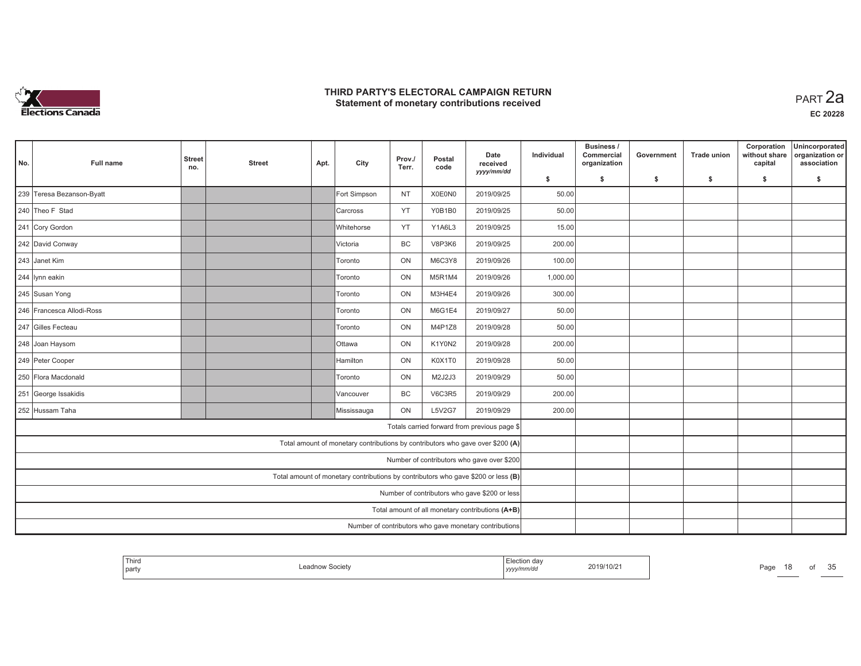

| No.                                           | <b>Full name</b>          | <b>Street</b><br>no. | <b>Street</b> | Apt. | City                                                                              | Prov./<br>Terr. | Postal<br>code | Date<br>received<br>yyyy/mm/dd                   | Individual | Business /<br>Commercial<br>organization | Government | <b>Trade union</b> | Corporation<br>without share<br>capital | Unincorporated<br>organization or<br>association |
|-----------------------------------------------|---------------------------|----------------------|---------------|------|-----------------------------------------------------------------------------------|-----------------|----------------|--------------------------------------------------|------------|------------------------------------------|------------|--------------------|-----------------------------------------|--------------------------------------------------|
|                                               |                           |                      |               |      |                                                                                   |                 |                |                                                  | \$         | S.                                       | -\$        | -\$                | \$                                      | \$                                               |
|                                               | 239 Teresa Bezanson-Byatt |                      |               |      | Fort Simpson                                                                      | <b>NT</b>       | X0E0N0         | 2019/09/25                                       | 50.00      |                                          |            |                    |                                         |                                                  |
|                                               | 240 Theo F Stad           |                      |               |      | Carcross                                                                          | YT              | Y0B1B0         | 2019/09/25                                       | 50.00      |                                          |            |                    |                                         |                                                  |
|                                               | 241 Cory Gordon           |                      |               |      | <b>Whitehorse</b>                                                                 | YT              | Y1A6L3         | 2019/09/25                                       | 15.00      |                                          |            |                    |                                         |                                                  |
|                                               | 242 David Conway          |                      |               |      | <u>IVictoria</u>                                                                  | <b>BC</b>       | V8P3K6         | 2019/09/25                                       | 200.00     |                                          |            |                    |                                         |                                                  |
|                                               | 243 Janet Kim             |                      |               |      | <b>Toronto</b>                                                                    | ON              | M6C3Y8         | 2019/09/26                                       | 100.00     |                                          |            |                    |                                         |                                                  |
|                                               | 244   lynn eakin          |                      |               |      | Toronto                                                                           | ON              | M5R1M4         | 2019/09/26                                       | 1,000.00   |                                          |            |                    |                                         |                                                  |
|                                               | 245 Susan Yong            |                      |               |      | Toronto                                                                           | ON              | M3H4E4         | 2019/09/26                                       | 300.00     |                                          |            |                    |                                         |                                                  |
|                                               | 246 Francesca Allodi-Ross |                      |               |      | Toronto                                                                           | ON              | M6G1E4         | 2019/09/27                                       | 50.00      |                                          |            |                    |                                         |                                                  |
|                                               | 247 Gilles Fecteau        |                      |               |      | <b>Toronto</b>                                                                    | ON              | M4P1Z8         | 2019/09/28                                       | 50.00      |                                          |            |                    |                                         |                                                  |
|                                               | 248 Joan Haysom           |                      |               |      | <b>Ottawa</b>                                                                     | ON              | K1Y0N2         | 2019/09/28                                       | 200.00     |                                          |            |                    |                                         |                                                  |
|                                               | 249 Peter Cooper          |                      |               |      | <b>Hamilton</b>                                                                   | ON              | K0X1T0         | 2019/09/28                                       | 50.00      |                                          |            |                    |                                         |                                                  |
|                                               | 250 Flora Macdonald       |                      |               |      | Toronto                                                                           | ON              | M2J2J3         | 2019/09/29                                       | 50.00      |                                          |            |                    |                                         |                                                  |
|                                               | 251 George Issakidis      |                      |               |      | Vancouver                                                                         | BC              | <b>V6C3R5</b>  | 2019/09/29                                       | 200.00     |                                          |            |                    |                                         |                                                  |
|                                               | 252 Hussam Taha           |                      |               |      | Mississauga                                                                       | ON              | <b>L5V2G7</b>  | 2019/09/29                                       | 200.00     |                                          |            |                    |                                         |                                                  |
|                                               |                           |                      |               |      |                                                                                   |                 |                | Totals carried forward from previous page \$     |            |                                          |            |                    |                                         |                                                  |
|                                               |                           |                      |               |      | Total amount of monetary contributions by contributors who gave over \$200 (A)    |                 |                |                                                  |            |                                          |            |                    |                                         |                                                  |
|                                               |                           |                      |               |      |                                                                                   |                 |                | Number of contributors who gave over \$200       |            |                                          |            |                    |                                         |                                                  |
|                                               |                           |                      |               |      | Total amount of monetary contributions by contributors who gave \$200 or less (B) |                 |                |                                                  |            |                                          |            |                    |                                         |                                                  |
| Number of contributors who gave \$200 or less |                           |                      |               |      |                                                                                   |                 |                |                                                  |            |                                          |            |                    |                                         |                                                  |
|                                               |                           |                      |               |      |                                                                                   |                 |                | Total amount of all monetary contributions (A+B) |            |                                          |            |                    |                                         |                                                  |
|                                               |                           |                      |               |      |                                                                                   |                 |                |                                                  |            |                                          |            |                    |                                         |                                                  |

| Society<br>Page<br>от<br>`part\<br>, уууулттий |  | Third | l'ection<br>ua<br>2019/10/2 |  |  | $\sim$ $\sim$<br>. |
|------------------------------------------------|--|-------|-----------------------------|--|--|--------------------|
|------------------------------------------------|--|-------|-----------------------------|--|--|--------------------|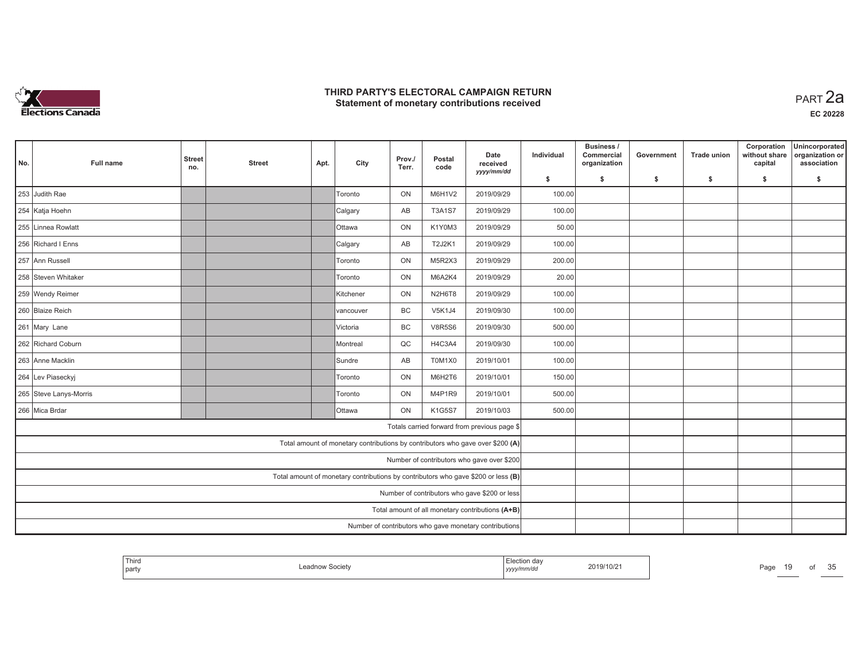

| No.                                           | <b>Full name</b>       | <b>Street</b><br>no. | <b>Street</b> | Apt. | City                                                                              | Prov./<br>Terr. | Postal<br>code | Date<br>received<br>yyyy/mm/dd                   | Individual | Business /<br>Commercial<br>organization | Government | <b>Trade union</b> | Corporation<br>without share<br>capital | Unincorporated<br>organization or<br>association |
|-----------------------------------------------|------------------------|----------------------|---------------|------|-----------------------------------------------------------------------------------|-----------------|----------------|--------------------------------------------------|------------|------------------------------------------|------------|--------------------|-----------------------------------------|--------------------------------------------------|
|                                               |                        |                      |               |      |                                                                                   |                 |                |                                                  | \$         | s.                                       | -\$        | -\$                | \$                                      | \$                                               |
|                                               | 253 Judith Rae         |                      |               |      | Toronto                                                                           | ON              | M6H1V2         | 2019/09/29                                       | 100.00     |                                          |            |                    |                                         |                                                  |
|                                               | 254 Katja Hoehn        |                      |               |      | Calgary                                                                           | AB              | <b>T3A1S7</b>  | 2019/09/29                                       | 100.00     |                                          |            |                    |                                         |                                                  |
|                                               | 255 Linnea Rowlatt     |                      |               |      | <b>Ottawa</b>                                                                     | ON              | K1Y0M3         | 2019/09/29                                       | 50.00      |                                          |            |                    |                                         |                                                  |
|                                               | 256 Richard I Enns     |                      |               |      | Calgary                                                                           | AB              | T2J2K1         | 2019/09/29                                       | 100.00     |                                          |            |                    |                                         |                                                  |
|                                               | 257 Ann Russell        |                      |               |      | Toronto                                                                           | ON              | M5R2X3         | 2019/09/29                                       | 200.00     |                                          |            |                    |                                         |                                                  |
|                                               | 258 Steven Whitaker    |                      |               |      | Toronto                                                                           | ON              | M6A2K4         | 2019/09/29                                       | 20.00      |                                          |            |                    |                                         |                                                  |
|                                               | 259 Wendy Reimer       |                      |               |      | <b>Kitchener</b>                                                                  | ON              | N2H6T8         | 2019/09/29                                       | 100.00     |                                          |            |                    |                                         |                                                  |
|                                               | 260 Blaize Reich       |                      |               |      | vancouver                                                                         | BC              | <b>V5K1J4</b>  | 2019/09/30                                       | 100.00     |                                          |            |                    |                                         |                                                  |
|                                               | 261 Mary Lane          |                      |               |      | IVictoria                                                                         | <b>BC</b>       | <b>V8R5S6</b>  | 2019/09/30                                       | 500.00     |                                          |            |                    |                                         |                                                  |
|                                               | 262 Richard Coburn     |                      |               |      | Montreal                                                                          | QC              | H4C3A4         | 2019/09/30                                       | 100.00     |                                          |            |                    |                                         |                                                  |
|                                               | 263 Anne Macklin       |                      |               |      | Sundre                                                                            | AB              | T0M1X0         | 2019/10/01                                       | 100.00     |                                          |            |                    |                                         |                                                  |
|                                               | 264 Lev Piaseckyj      |                      |               |      | Toronto                                                                           | ON              | M6H2T6         | 2019/10/01                                       | 150.00     |                                          |            |                    |                                         |                                                  |
|                                               | 265 Steve Lanys-Morris |                      |               |      | Toronto                                                                           | ON              | M4P1R9         | 2019/10/01                                       | 500.00     |                                          |            |                    |                                         |                                                  |
|                                               | 266 Mica Brdar         |                      |               |      | <b>Ottawa</b>                                                                     | ON              | <b>K1G5S7</b>  | 2019/10/03                                       | 500.00     |                                          |            |                    |                                         |                                                  |
|                                               |                        |                      |               |      |                                                                                   |                 |                | Totals carried forward from previous page \$     |            |                                          |            |                    |                                         |                                                  |
|                                               |                        |                      |               |      | Total amount of monetary contributions by contributors who gave over \$200 (A)    |                 |                |                                                  |            |                                          |            |                    |                                         |                                                  |
|                                               |                        |                      |               |      |                                                                                   |                 |                | Number of contributors who gave over \$200       |            |                                          |            |                    |                                         |                                                  |
|                                               |                        |                      |               |      | Total amount of monetary contributions by contributors who gave \$200 or less (B) |                 |                |                                                  |            |                                          |            |                    |                                         |                                                  |
| Number of contributors who gave \$200 or less |                        |                      |               |      |                                                                                   |                 |                |                                                  |            |                                          |            |                    |                                         |                                                  |
|                                               |                        |                      |               |      |                                                                                   |                 |                | Total amount of all monetary contributions (A+B) |            |                                          |            |                    |                                         |                                                  |
|                                               |                        |                      |               |      |                                                                                   |                 |                |                                                  |            |                                          |            |                    |                                         |                                                  |

| Third<br>ı dav<br>2019/10/2<br>l ead<br>now Society<br>Page<br>.<br>party<br>nmrai<br><br>  ソソソソ |  |  | $\sim$ $\sim$<br>of<br>u |
|--------------------------------------------------------------------------------------------------|--|--|--------------------------|
|--------------------------------------------------------------------------------------------------|--|--|--------------------------|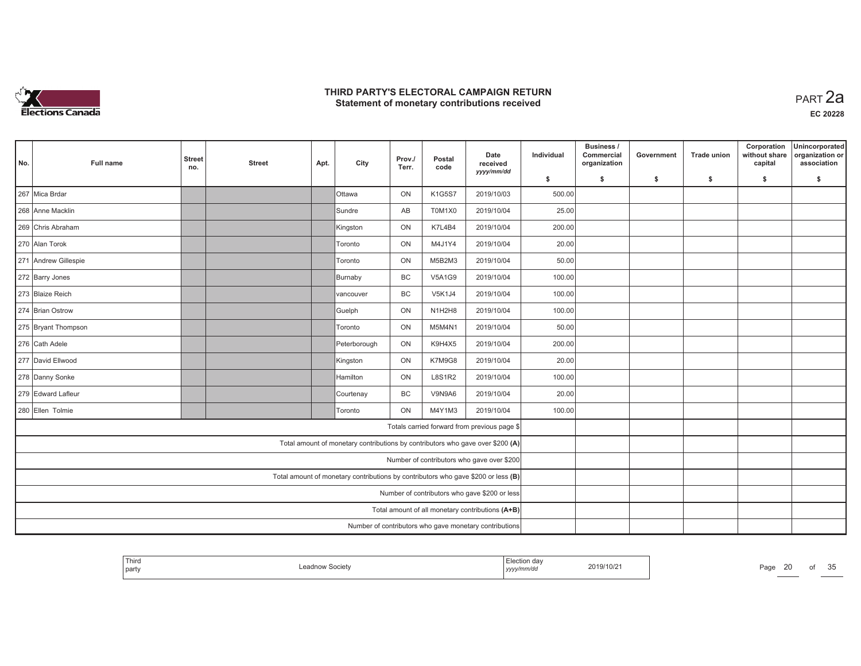

| No.                                           | <b>Full name</b>     | <b>Street</b><br>no. | <b>Street</b> | Apt. | City                                                                              | Prov./<br>Terr. | Postal<br>code | Date<br>received<br>yyyy/mm/dd                   | Individual | Business /<br>Commercial<br>organization | Government | <b>Trade union</b> | Corporation<br>without share<br>capital | Unincorporated<br>organization or<br>association |
|-----------------------------------------------|----------------------|----------------------|---------------|------|-----------------------------------------------------------------------------------|-----------------|----------------|--------------------------------------------------|------------|------------------------------------------|------------|--------------------|-----------------------------------------|--------------------------------------------------|
|                                               |                      |                      |               |      |                                                                                   |                 |                |                                                  | \$         | s.                                       | -\$        | -\$                | \$                                      | \$                                               |
|                                               | 267 Mica Brdar       |                      |               |      | <b>O</b> ttawa                                                                    | ON              | K1G5S7         | 2019/10/03                                       | 500.00     |                                          |            |                    |                                         |                                                  |
|                                               | 268 Anne Macklin     |                      |               |      | <b>Sundre</b>                                                                     | AB              | T0M1X0         | 2019/10/04                                       | 25.00      |                                          |            |                    |                                         |                                                  |
|                                               | 269 Chris Abraham    |                      |               |      | Kingston                                                                          | ON              | K7L4B4         | 2019/10/04                                       | 200.00     |                                          |            |                    |                                         |                                                  |
|                                               | 270 Alan Torok       |                      |               |      | Toronto                                                                           | ON              | M4J1Y4         | 2019/10/04                                       | 20.00      |                                          |            |                    |                                         |                                                  |
|                                               | 271 Andrew Gillespie |                      |               |      | Toronto                                                                           | ON              | M5B2M3         | 2019/10/04                                       | 50.00      |                                          |            |                    |                                         |                                                  |
|                                               | 272 Barry Jones      |                      |               |      | Burnaby                                                                           | BC              | <b>V5A1G9</b>  | 2019/10/04                                       | 100.00     |                                          |            |                    |                                         |                                                  |
|                                               | 273 Blaize Reich     |                      |               |      | vancouver                                                                         | <b>BC</b>       | <b>V5K1J4</b>  | 2019/10/04                                       | 100.00     |                                          |            |                    |                                         |                                                  |
|                                               | 274 Brian Ostrow     |                      |               |      | Guelph                                                                            | ON              | N1H2H8         | 2019/10/04                                       | 100.00     |                                          |            |                    |                                         |                                                  |
|                                               | 275 Bryant Thompson  |                      |               |      | <b>Toronto</b>                                                                    | ON              | M5M4N1         | 2019/10/04                                       | 50.00      |                                          |            |                    |                                         |                                                  |
|                                               | 276 Cath Adele       |                      |               |      | Peterborough                                                                      | ON              | K9H4X5         | 2019/10/04                                       | 200.00     |                                          |            |                    |                                         |                                                  |
|                                               | 277 David Ellwood    |                      |               |      | Kingston                                                                          | ON              | K7M9G8         | 2019/10/04                                       | 20.00      |                                          |            |                    |                                         |                                                  |
|                                               | 278 Danny Sonke      |                      |               |      | Hamilton                                                                          | ON              | <b>L8S1R2</b>  | 2019/10/04                                       | 100.00     |                                          |            |                    |                                         |                                                  |
|                                               | 279 Edward Lafleur   |                      |               |      | Courtenay                                                                         | BC              | V9N9A6         | 2019/10/04                                       | 20.00      |                                          |            |                    |                                         |                                                  |
|                                               | 280 Ellen Tolmie     |                      |               |      | <b>Toronto</b>                                                                    | ON              | M4Y1M3         | 2019/10/04                                       | 100.00     |                                          |            |                    |                                         |                                                  |
|                                               |                      |                      |               |      |                                                                                   |                 |                | Totals carried forward from previous page \$     |            |                                          |            |                    |                                         |                                                  |
|                                               |                      |                      |               |      | Total amount of monetary contributions by contributors who gave over \$200 (A)    |                 |                |                                                  |            |                                          |            |                    |                                         |                                                  |
|                                               |                      |                      |               |      |                                                                                   |                 |                | Number of contributors who gave over \$200       |            |                                          |            |                    |                                         |                                                  |
|                                               |                      |                      |               |      | Total amount of monetary contributions by contributors who gave \$200 or less (B) |                 |                |                                                  |            |                                          |            |                    |                                         |                                                  |
| Number of contributors who gave \$200 or less |                      |                      |               |      |                                                                                   |                 |                |                                                  |            |                                          |            |                    |                                         |                                                  |
|                                               |                      |                      |               |      |                                                                                   |                 |                | Total amount of all monetary contributions (A+B) |            |                                          |            |                    |                                         |                                                  |
|                                               |                      |                      |               |      |                                                                                   |                 |                |                                                  |            |                                          |            |                    |                                         |                                                  |

| ' Third<br>' party | 019/10/2<br>,,,,, | Page<br>∼ | $\sim$ | $\sim$ $\sim$<br>. |
|--------------------|-------------------|-----------|--------|--------------------|
|--------------------|-------------------|-----------|--------|--------------------|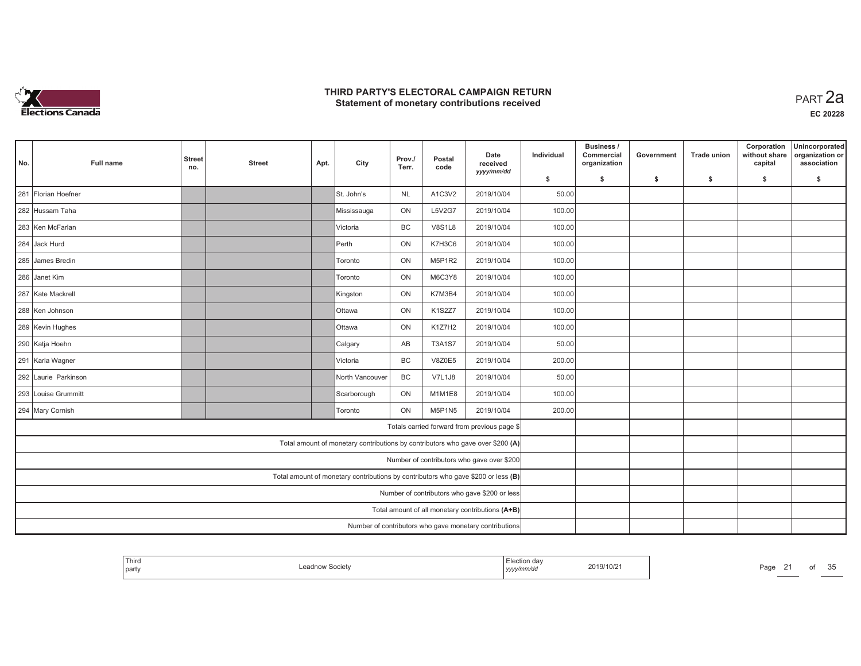

| No. | <b>Full name</b>                              | <b>Street</b><br>no. | <b>Street</b> | Apt. | City                                                                              | Prov./<br>Terr. | Postal<br>code | Date<br>received<br>yyyy/mm/dd                   | Individual | Business /<br>Commercial<br>organization | Government | <b>Trade union</b> | Corporation<br>without share<br>capital | Unincorporated<br>organization or<br>association |
|-----|-----------------------------------------------|----------------------|---------------|------|-----------------------------------------------------------------------------------|-----------------|----------------|--------------------------------------------------|------------|------------------------------------------|------------|--------------------|-----------------------------------------|--------------------------------------------------|
|     |                                               |                      |               |      |                                                                                   |                 |                |                                                  | \$         | s.                                       | -\$        | -\$                | \$                                      | \$                                               |
|     | 281 Florian Hoefner                           |                      |               |      | St. John's                                                                        | <b>NL</b>       | A1C3V2         | 2019/10/04                                       | 50.00      |                                          |            |                    |                                         |                                                  |
|     | 282 Hussam Taha                               |                      |               |      | Mississauga                                                                       | ON              | <b>L5V2G7</b>  | 2019/10/04                                       | 100.00     |                                          |            |                    |                                         |                                                  |
|     | 283 Ken McFarlan                              |                      |               |      | Victoria                                                                          | <b>BC</b>       | <b>V8S1L8</b>  | 2019/10/04                                       | 100.00     |                                          |            |                    |                                         |                                                  |
|     | 284 Jack Hurd                                 |                      |               |      | Perth                                                                             | ON              | K7H3C6         | 2019/10/04                                       | 100.00     |                                          |            |                    |                                         |                                                  |
|     | 285 James Bredin                              |                      |               |      | Toronto                                                                           | ON              | M5P1R2         | 2019/10/04                                       | 100.00     |                                          |            |                    |                                         |                                                  |
|     | 286 Janet Kim                                 |                      |               |      | Toronto                                                                           | ON              | M6C3Y8         | 2019/10/04                                       | 100.00     |                                          |            |                    |                                         |                                                  |
|     | 287 Kate Mackrell                             |                      |               |      | Kingston                                                                          | ON              | K7M3B4         | 2019/10/04                                       | 100.00     |                                          |            |                    |                                         |                                                  |
|     | 288 Ken Johnson                               |                      |               |      | <b>Ottawa</b>                                                                     | ON              | <b>K1S2Z7</b>  | 2019/10/04                                       | 100.00     |                                          |            |                    |                                         |                                                  |
|     | 289 Kevin Hughes                              |                      |               |      | lOttawa                                                                           | ON              | K1Z7H2         | 2019/10/04                                       | 100.00     |                                          |            |                    |                                         |                                                  |
|     | 290 Katja Hoehn                               |                      |               |      | Calgary                                                                           | AB              | <b>T3A1S7</b>  | 2019/10/04                                       | 50.00      |                                          |            |                    |                                         |                                                  |
|     | 291 Karla Wagner                              |                      |               |      | Victoria                                                                          | BC              | <b>V8Z0E5</b>  | 2019/10/04                                       | 200.00     |                                          |            |                    |                                         |                                                  |
|     | 292 Laurie Parkinson                          |                      |               |      | North Vancouver                                                                   | BC              | V7L1J8         | 2019/10/04                                       | 50.00      |                                          |            |                    |                                         |                                                  |
|     | 293 Louise Grummitt                           |                      |               |      | Scarborough                                                                       | ON              | M1M1E8         | 2019/10/04                                       | 100.00     |                                          |            |                    |                                         |                                                  |
|     | 294 Mary Cornish                              |                      |               |      | <b>Toronto</b>                                                                    | ON              | <b>M5P1N5</b>  | 2019/10/04                                       | 200.00     |                                          |            |                    |                                         |                                                  |
|     |                                               |                      |               |      |                                                                                   |                 |                | Totals carried forward from previous page \$     |            |                                          |            |                    |                                         |                                                  |
|     |                                               |                      |               |      | Total amount of monetary contributions by contributors who gave over \$200 (A)    |                 |                |                                                  |            |                                          |            |                    |                                         |                                                  |
|     |                                               |                      |               |      |                                                                                   |                 |                | Number of contributors who gave over \$200       |            |                                          |            |                    |                                         |                                                  |
|     |                                               |                      |               |      | Total amount of monetary contributions by contributors who gave \$200 or less (B) |                 |                |                                                  |            |                                          |            |                    |                                         |                                                  |
|     | Number of contributors who gave \$200 or less |                      |               |      |                                                                                   |                 |                |                                                  |            |                                          |            |                    |                                         |                                                  |
|     |                                               |                      |               |      |                                                                                   |                 |                | Total amount of all monetary contributions (A+B) |            |                                          |            |                    |                                         |                                                  |
|     |                                               |                      |               |      |                                                                                   |                 |                |                                                  |            |                                          |            |                    |                                         |                                                  |

| Third<br>l party | eac<br><b>Hnow Society</b> | <sub>i</sub> yyyy/mm/aa | 2019/10/2 | Page | ОT | 25<br>ັບປ |
|------------------|----------------------------|-------------------------|-----------|------|----|-----------|
|                  |                            |                         |           |      |    |           |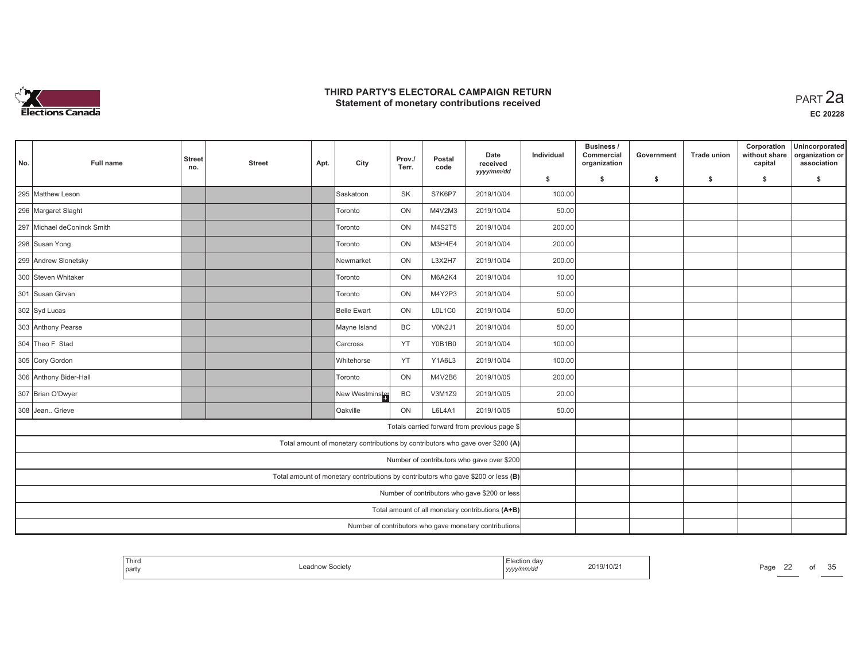

| No. | <b>Full name</b>                              | <b>Street</b><br>no. | <b>Street</b> | Apt. | City                                                                              | Prov./<br>Terr. | Postal<br>code | Date<br>received<br>yyyy/mm/dd                   | Individual | Business /<br>Commercial<br>organization | Government | <b>Trade union</b> | Corporation<br>without share<br>capital | Unincorporated<br>organization or<br>association |
|-----|-----------------------------------------------|----------------------|---------------|------|-----------------------------------------------------------------------------------|-----------------|----------------|--------------------------------------------------|------------|------------------------------------------|------------|--------------------|-----------------------------------------|--------------------------------------------------|
|     |                                               |                      |               |      |                                                                                   |                 |                |                                                  | \$         | s.                                       | -\$        | -\$                | \$                                      | \$                                               |
|     | 295 Matthew Leson                             |                      |               |      | <b>Saskatoon</b>                                                                  | <b>SK</b>       | S7K6P7         | 2019/10/04                                       | 100.00     |                                          |            |                    |                                         |                                                  |
|     | 296 Margaret Slaght                           |                      |               |      | <b>Toronto</b>                                                                    | ON              | M4V2M3         | 2019/10/04                                       | 50.00      |                                          |            |                    |                                         |                                                  |
|     | 297 Michael deConinck Smith                   |                      |               |      | Toronto                                                                           | ON              | M4S2T5         | 2019/10/04                                       | 200.00     |                                          |            |                    |                                         |                                                  |
|     | 298 Susan Yong                                |                      |               |      | Toronto                                                                           | ON              | M3H4E4         | 2019/10/04                                       | 200.00     |                                          |            |                    |                                         |                                                  |
|     | 299 Andrew Slonetsky                          |                      |               |      | <b>Newmarket</b>                                                                  | ON              | L3X2H7         | 2019/10/04                                       | 200.00     |                                          |            |                    |                                         |                                                  |
|     | 300 Steven Whitaker                           |                      |               |      | Toronto                                                                           | ON              | M6A2K4         | 2019/10/04                                       | 10.00      |                                          |            |                    |                                         |                                                  |
|     | 301 Susan Girvan                              |                      |               |      | <b>Toronto</b>                                                                    | ON              | M4Y2P3         | 2019/10/04                                       | 50.00      |                                          |            |                    |                                         |                                                  |
|     | 302 Syd Lucas                                 |                      |               |      | Belle Ewart                                                                       | ON              | L0L1C0         | 2019/10/04                                       | 50.00      |                                          |            |                    |                                         |                                                  |
|     | 303 Anthony Pearse                            |                      |               |      | Mayne Island                                                                      | <b>BC</b>       | V0N2J1         | 2019/10/04                                       | 50.00      |                                          |            |                    |                                         |                                                  |
|     | 304 Theo F Stad                               |                      |               |      | Carcross                                                                          | YT              | <b>Y0B1B0</b>  | 2019/10/04                                       | 100.00     |                                          |            |                    |                                         |                                                  |
|     | 305 Cory Gordon                               |                      |               |      | Whitehorse                                                                        | YT              | Y1A6L3         | 2019/10/04                                       | 100.00     |                                          |            |                    |                                         |                                                  |
|     | 306 Anthony Bider-Hall                        |                      |               |      | Toronto                                                                           | ON              | M4V2B6         | 2019/10/05                                       | 200.00     |                                          |            |                    |                                         |                                                  |
|     | 307 Brian O'Dwyer                             |                      |               |      | New Westminster                                                                   | BC              | V3M1Z9         | 2019/10/05                                       | 20.00      |                                          |            |                    |                                         |                                                  |
|     | 308 Jean Grieve                               |                      |               |      | <b>Oakville</b>                                                                   | ON              | L6L4A1         | 2019/10/05                                       | 50.00      |                                          |            |                    |                                         |                                                  |
|     |                                               |                      |               |      |                                                                                   |                 |                | Totals carried forward from previous page \$     |            |                                          |            |                    |                                         |                                                  |
|     |                                               |                      |               |      | Total amount of monetary contributions by contributors who gave over \$200 (A)    |                 |                |                                                  |            |                                          |            |                    |                                         |                                                  |
|     |                                               |                      |               |      |                                                                                   |                 |                | Number of contributors who gave over \$200       |            |                                          |            |                    |                                         |                                                  |
|     |                                               |                      |               |      | Total amount of monetary contributions by contributors who gave \$200 or less (B) |                 |                |                                                  |            |                                          |            |                    |                                         |                                                  |
|     | Number of contributors who gave \$200 or less |                      |               |      |                                                                                   |                 |                |                                                  |            |                                          |            |                    |                                         |                                                  |
|     |                                               |                      |               |      |                                                                                   |                 |                | Total amount of all monetary contributions (A+B) |            |                                          |            |                    |                                         |                                                  |
|     |                                               |                      |               |      |                                                                                   |                 |                |                                                  |            |                                          |            |                    |                                         |                                                  |

| l party | Third | ∵aa∖<br>2019/10/2<br>.<br>, yyyy/mm/<br>. | Page<br>__ | О | 25<br>سد |
|---------|-------|-------------------------------------------|------------|---|----------|
|---------|-------|-------------------------------------------|------------|---|----------|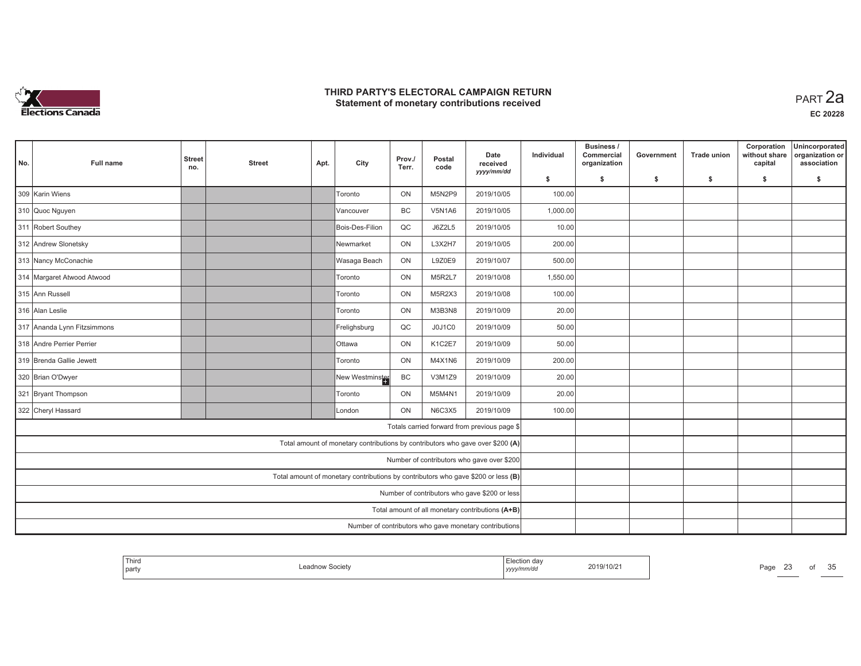

| No. | <b>Full name</b>                                                                  | <b>Street</b><br>no.                                      | <b>Street</b>                                          | Apt. | City                                                                           | Prov./<br>Terr. | Postal<br>code | Date<br>received<br>yyyy/mm/dd               | Individual | Business /<br>Commercial<br>organization | Government | <b>Trade union</b> | Corporation<br>without share<br>capital | Unincorporated<br>organization or<br>association |
|-----|-----------------------------------------------------------------------------------|-----------------------------------------------------------|--------------------------------------------------------|------|--------------------------------------------------------------------------------|-----------------|----------------|----------------------------------------------|------------|------------------------------------------|------------|--------------------|-----------------------------------------|--------------------------------------------------|
|     |                                                                                   |                                                           |                                                        |      |                                                                                |                 |                |                                              | \$         | s.                                       | -\$        | -\$                | \$                                      | \$                                               |
|     | 309 Karin Wiens                                                                   |                                                           |                                                        |      | Toronto                                                                        | ON              | M5N2P9         | 2019/10/05                                   | 100.00     |                                          |            |                    |                                         |                                                  |
|     | 310 Quoc Nguyen                                                                   |                                                           |                                                        |      | Vancouver                                                                      | <b>BC</b>       | <b>V5N1A6</b>  | 2019/10/05                                   | 1,000.00   |                                          |            |                    |                                         |                                                  |
|     | 311 Robert Southey                                                                |                                                           |                                                        |      |                                                                                | QC              | J6Z2L5         | 2019/10/05                                   | 10.00      |                                          |            |                    |                                         |                                                  |
|     | 312 Andrew Slonetsky                                                              |                                                           |                                                        |      | <b>Newmarket</b>                                                               | ON              | L3X2H7         | 2019/10/05                                   | 200.00     |                                          |            |                    |                                         |                                                  |
|     | 313 Nancy McConachie                                                              |                                                           |                                                        |      | Wasaga Beach                                                                   | ON              | L9Z0E9         | 2019/10/07                                   | 500.00     |                                          |            |                    |                                         |                                                  |
|     | 314 Margaret Atwood Atwood                                                        |                                                           |                                                        |      | Toronto                                                                        | ON              | M5R2L7         | 2019/10/08                                   | 1,550.00   |                                          |            |                    |                                         |                                                  |
|     | 315 Ann Russell                                                                   | ON<br>M5R2X3<br><b>Toronto</b><br>ON<br>M3B3N8<br>Toronto |                                                        |      |                                                                                |                 |                |                                              |            |                                          |            |                    |                                         |                                                  |
|     | 316 Alan Leslie                                                                   | 2019/10/08<br>2019/10/09<br>QC<br>J0J1C0<br>Frelighsburg  |                                                        |      |                                                                                |                 |                |                                              | 20.00      |                                          |            |                    |                                         |                                                  |
|     | 317 Ananda Lynn Fitzsimmons                                                       |                                                           |                                                        |      |                                                                                |                 |                | 2019/10/09                                   | 50.00      |                                          |            |                    |                                         |                                                  |
|     | 318 Andre Perrier Perrier                                                         |                                                           |                                                        |      | <b>Ottawa</b>                                                                  | ON              | K1C2E7         | 2019/10/09                                   | 50.00      |                                          |            |                    |                                         |                                                  |
|     | 319 Brenda Gallie Jewett                                                          |                                                           | Toronto                                                | ON   | M4X1N6                                                                         | 2019/10/09      | 200.00         |                                              |            |                                          |            |                    |                                         |                                                  |
|     | 320 Brian O'Dwyer                                                                 |                                                           |                                                        |      | New Westminster                                                                | BC              | V3M1Z9         | 2019/10/09                                   | 20.00      |                                          |            |                    |                                         |                                                  |
|     | 321 Bryant Thompson                                                               |                                                           |                                                        |      | Toronto                                                                        | ON              | M5M4N1         | 2019/10/09                                   | 20.00      |                                          |            |                    |                                         |                                                  |
|     | 322 Cheryl Hassard                                                                |                                                           |                                                        |      | London                                                                         | ON              | N6C3X5         | 2019/10/09                                   | 100.00     |                                          |            |                    |                                         |                                                  |
|     |                                                                                   |                                                           |                                                        |      |                                                                                |                 |                | Totals carried forward from previous page \$ |            |                                          |            |                    |                                         |                                                  |
|     |                                                                                   |                                                           |                                                        |      | Total amount of monetary contributions by contributors who gave over \$200 (A) |                 |                |                                              |            |                                          |            |                    |                                         |                                                  |
|     | Number of contributors who gave over \$200                                        |                                                           |                                                        |      |                                                                                |                 |                |                                              |            |                                          |            |                    |                                         |                                                  |
|     | Total amount of monetary contributions by contributors who gave \$200 or less (B) |                                                           |                                                        |      |                                                                                |                 |                |                                              |            |                                          |            |                    |                                         |                                                  |
|     | Number of contributors who gave \$200 or less                                     |                                                           |                                                        |      |                                                                                |                 |                |                                              |            |                                          |            |                    |                                         |                                                  |
|     |                                                                                   | Total amount of all monetary contributions (A+B)          |                                                        |      |                                                                                |                 |                |                                              |            |                                          |            |                    |                                         |                                                  |
|     |                                                                                   |                                                           | Number of contributors who gave monetary contributions |      |                                                                                |                 |                |                                              |            |                                          |            |                    |                                         |                                                  |

| Thira<br>party | aunow Society. | .<br>,,,,,,,,<br>  УУУУ | 2019/10/21<br>the contract of the contract of the contract of the contract of the contract of | Page<br>∸∽ | ОI | 25<br>ັບ |
|----------------|----------------|-------------------------|-----------------------------------------------------------------------------------------------|------------|----|----------|
|----------------|----------------|-------------------------|-----------------------------------------------------------------------------------------------|------------|----|----------|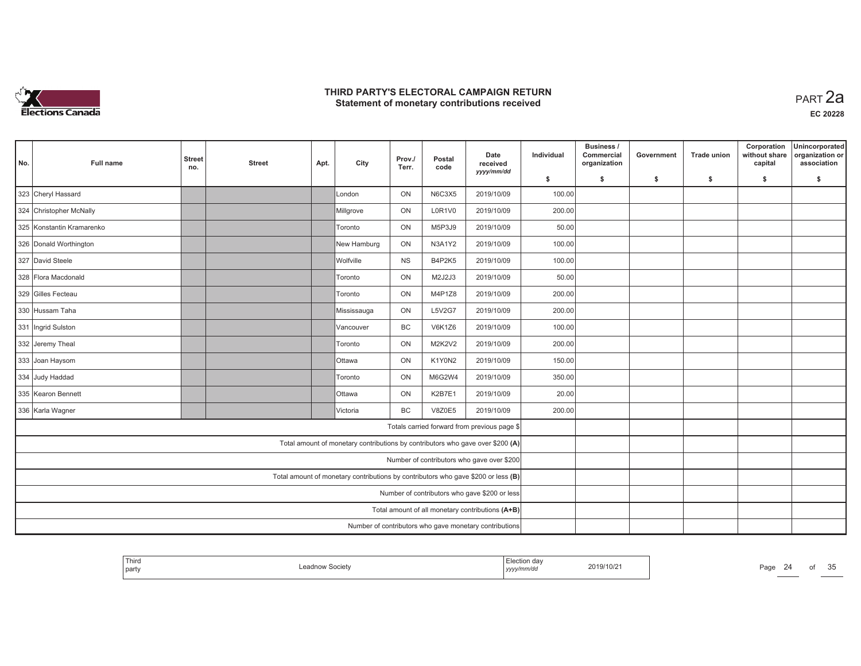

| No. | Full name                                                                         | <b>Street</b><br>no.                                                                                                                 | <b>Street</b>                                          | Apt.        | City       | Prov./<br>Terr. | Postal<br>code | Date<br>received                                                               | Individual | Business /<br>Commercial<br>organization | Government | <b>Trade union</b> | Corporation<br>without share<br>capital | Unincorporated<br>organization or<br>association |
|-----|-----------------------------------------------------------------------------------|--------------------------------------------------------------------------------------------------------------------------------------|--------------------------------------------------------|-------------|------------|-----------------|----------------|--------------------------------------------------------------------------------|------------|------------------------------------------|------------|--------------------|-----------------------------------------|--------------------------------------------------|
|     |                                                                                   |                                                                                                                                      |                                                        |             |            |                 |                | yyyy/mm/dd                                                                     | \$         | s.                                       | \$         | -S                 | \$                                      | \$                                               |
|     | 323 Cheryl Hassard                                                                |                                                                                                                                      |                                                        |             | London     | ON              | <b>N6C3X5</b>  | 2019/10/09                                                                     | 100.00     |                                          |            |                    |                                         |                                                  |
|     | 324 Christopher McNally                                                           |                                                                                                                                      |                                                        |             | Millgrove  | ON              | L0R1V0         | 2019/10/09                                                                     | 200.00     |                                          |            |                    |                                         |                                                  |
|     | 325 Konstantin Kramarenko                                                         |                                                                                                                                      |                                                        |             | Toronto    | ON              | M5P3J9         | 2019/10/09                                                                     | 50.00      |                                          |            |                    |                                         |                                                  |
|     | 326 Donald Worthington                                                            |                                                                                                                                      |                                                        | New Hamburg | ON         | N3A1Y2          | 2019/10/09     | 100.00                                                                         |            |                                          |            |                    |                                         |                                                  |
|     | 327 David Steele                                                                  | Wolfville                                                                                                                            | <b>NS</b>                                              | B4P2K5      | 2019/10/09 | 100.00          |                |                                                                                |            |                                          |            |                    |                                         |                                                  |
|     | 328 Flora Macdonald                                                               |                                                                                                                                      |                                                        |             | Toronto    | ON              | M2J2J3         | 2019/10/09                                                                     | 50.00      |                                          |            |                    |                                         |                                                  |
|     | 329 Gilles Fecteau                                                                | ON<br>M4P1Z8<br>2019/10/09<br>Toronto<br>ON<br><b>L5V2G7</b><br>2019/10/09<br>Mississauga<br><b>BC</b><br><b>V6K1Z6</b><br>Vancouver |                                                        |             |            |                 |                |                                                                                | 200.00     |                                          |            |                    |                                         |                                                  |
|     | 330 Hussam Taha                                                                   | <b>ON</b><br><b>M2K2V2</b><br>Toronto                                                                                                |                                                        |             |            |                 |                |                                                                                | 200.00     |                                          |            |                    |                                         |                                                  |
|     | 331 Ingrid Sulston                                                                |                                                                                                                                      |                                                        |             |            |                 |                | 2019/10/09                                                                     | 100.00     |                                          |            |                    |                                         |                                                  |
|     | 332 Jeremy Theal                                                                  |                                                                                                                                      |                                                        |             |            |                 |                | 2019/10/09                                                                     | 200.00     |                                          |            |                    |                                         |                                                  |
|     | 333 Joan Haysom                                                                   |                                                                                                                                      |                                                        |             | Ottawa     | ON              | K1Y0N2         | 2019/10/09                                                                     | 150.00     |                                          |            |                    |                                         |                                                  |
|     | 334 Judy Haddad                                                                   |                                                                                                                                      |                                                        |             | Toronto    | ON              | M6G2W4         | 2019/10/09                                                                     | 350.00     |                                          |            |                    |                                         |                                                  |
|     | 335 Kearon Bennett                                                                |                                                                                                                                      |                                                        |             | Ottawa     | ON              | K2B7E1         | 2019/10/09                                                                     | 20.00      |                                          |            |                    |                                         |                                                  |
|     | 336 Karla Wagner                                                                  |                                                                                                                                      |                                                        |             | Victoria   | <b>BC</b>       | <b>V8Z0E5</b>  | 2019/10/09                                                                     | 200.00     |                                          |            |                    |                                         |                                                  |
|     |                                                                                   |                                                                                                                                      |                                                        |             |            |                 |                | Totals carried forward from previous page \$                                   |            |                                          |            |                    |                                         |                                                  |
|     |                                                                                   |                                                                                                                                      |                                                        |             |            |                 |                | Total amount of monetary contributions by contributors who gave over \$200 (A) |            |                                          |            |                    |                                         |                                                  |
|     | Number of contributors who gave over \$200                                        |                                                                                                                                      |                                                        |             |            |                 |                |                                                                                |            |                                          |            |                    |                                         |                                                  |
|     | Total amount of monetary contributions by contributors who gave \$200 or less (B) |                                                                                                                                      |                                                        |             |            |                 |                |                                                                                |            |                                          |            |                    |                                         |                                                  |
|     | Number of contributors who gave \$200 or less                                     |                                                                                                                                      |                                                        |             |            |                 |                |                                                                                |            |                                          |            |                    |                                         |                                                  |
|     |                                                                                   | Total amount of all monetary contributions (A+B)                                                                                     |                                                        |             |            |                 |                |                                                                                |            |                                          |            |                    |                                         |                                                  |
|     |                                                                                   |                                                                                                                                      | Number of contributors who gave monetary contributions |             |            |                 |                |                                                                                |            |                                          |            |                    |                                         |                                                  |

| Thira<br>par | ,,,, | 019/10/2 |  | u |
|--------------|------|----------|--|---|
|              |      |          |  |   |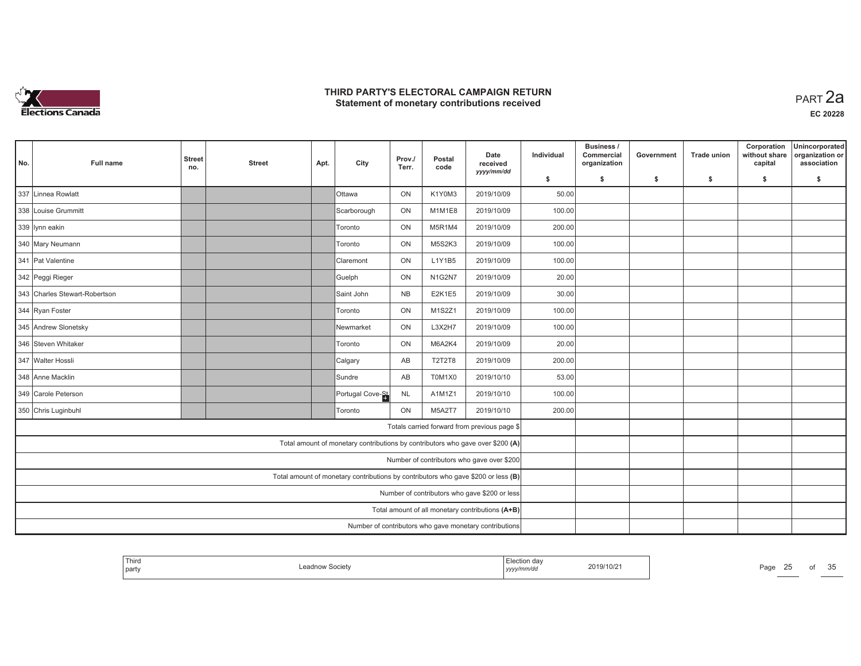

| No. | <b>Full name</b>                                                                                 | <b>Street</b><br>no.                                                                                                                                                                          | <b>Street</b>                                          | Apt. | City             | Prov./<br>Terr. | Postal<br>code | Date<br>received<br>yyyy/mm/dd               | Individual | Business /<br>Commercial<br>organization | Government | <b>Trade union</b> | Corporation<br>without share<br>capital | Unincorporated<br>organization or<br>association |
|-----|--------------------------------------------------------------------------------------------------|-----------------------------------------------------------------------------------------------------------------------------------------------------------------------------------------------|--------------------------------------------------------|------|------------------|-----------------|----------------|----------------------------------------------|------------|------------------------------------------|------------|--------------------|-----------------------------------------|--------------------------------------------------|
|     |                                                                                                  |                                                                                                                                                                                               |                                                        |      |                  |                 |                |                                              | \$         | s.                                       | -\$        | -\$                | \$                                      | \$                                               |
|     | 337 Linnea Rowlatt                                                                               | <b>O</b> ttawa<br>Toronto<br>Toronto<br>Guelph<br>Toronto<br>Toronto<br>Calgary<br>Sundre<br><b>Toronto</b><br>Total amount of monetary contributions by contributors who gave over \$200 (A) |                                                        |      | ON               | K1Y0M3          | 2019/10/09     | 50.00                                        |            |                                          |            |                    |                                         |                                                  |
|     | 338 Louise Grummitt<br>343 Charles Stewart-Robertson                                             |                                                                                                                                                                                               |                                                        |      | Scarborough      | ON              | M1M1E8         | 2019/10/09                                   | 100.00     |                                          |            |                    |                                         |                                                  |
|     | 339 lynn eakin                                                                                   |                                                                                                                                                                                               |                                                        |      |                  | ON              | M5R1M4         | 2019/10/09                                   | 200.00     |                                          |            |                    |                                         |                                                  |
|     | 340 Mary Neumann                                                                                 |                                                                                                                                                                                               |                                                        |      |                  | ON              | M5S2K3         | 2019/10/09                                   | 100.00     |                                          |            |                    |                                         |                                                  |
|     | 341 Pat Valentine                                                                                |                                                                                                                                                                                               |                                                        |      | Claremont        | ON              | L1Y1B5         | 2019/10/09                                   | 100.00     |                                          |            |                    |                                         |                                                  |
|     | 342 Peggi Rieger                                                                                 |                                                                                                                                                                                               |                                                        |      |                  | ON              | N1G2N7         | 2019/10/09                                   | 20.00      |                                          |            |                    |                                         |                                                  |
|     | Saint John<br><b>NB</b><br><b>E2K1E5</b><br>2019/10/09<br>ON<br>M1S2Z1<br>ON<br><b>Newmarket</b> |                                                                                                                                                                                               |                                                        |      |                  |                 |                |                                              | 30.00      |                                          |            |                    |                                         |                                                  |
|     | 344 Ryan Foster                                                                                  | L3X2H7<br>ON<br>M6A2K4                                                                                                                                                                        |                                                        |      |                  |                 |                |                                              | 100.00     |                                          |            |                    |                                         |                                                  |
|     | 345 Andrew Slonetsky                                                                             | 2019/10/09                                                                                                                                                                                    |                                                        |      |                  |                 | 2019/10/09     | 100.00                                       |            |                                          |            |                    |                                         |                                                  |
|     |                                                                                                  |                                                                                                                                                                                               |                                                        |      |                  |                 |                | 2019/10/09                                   | 20.00      |                                          |            |                    |                                         |                                                  |
|     | 346 Steven Whitaker<br>347 Walter Hossli<br>AB<br><b>T2T2T8</b>                                  |                                                                                                                                                                                               |                                                        |      |                  |                 |                | 2019/10/09                                   | 200.00     |                                          |            |                    |                                         |                                                  |
|     | 348 Anne Macklin                                                                                 | AB<br>2019/10/10<br>T0M1X0                                                                                                                                                                    |                                                        |      |                  |                 |                |                                              |            | 53.00                                    |            |                    |                                         |                                                  |
|     | 349 Carole Peterson                                                                              |                                                                                                                                                                                               |                                                        |      | Portugal Cove-St | NL              | A1M1Z1         | 2019/10/10                                   | 100.00     |                                          |            |                    |                                         |                                                  |
|     | 350 Chris Luginbuhl                                                                              |                                                                                                                                                                                               |                                                        |      |                  | ON              | M5A2T7         | 2019/10/10                                   | 200.00     |                                          |            |                    |                                         |                                                  |
|     |                                                                                                  |                                                                                                                                                                                               |                                                        |      |                  |                 |                | Totals carried forward from previous page \$ |            |                                          |            |                    |                                         |                                                  |
|     |                                                                                                  |                                                                                                                                                                                               |                                                        |      |                  |                 |                |                                              |            |                                          |            |                    |                                         |                                                  |
|     | Number of contributors who gave over \$200                                                       |                                                                                                                                                                                               |                                                        |      |                  |                 |                |                                              |            |                                          |            |                    |                                         |                                                  |
|     | Total amount of monetary contributions by contributors who gave \$200 or less (B)                |                                                                                                                                                                                               |                                                        |      |                  |                 |                |                                              |            |                                          |            |                    |                                         |                                                  |
|     | Number of contributors who gave \$200 or less                                                    |                                                                                                                                                                                               |                                                        |      |                  |                 |                |                                              |            |                                          |            |                    |                                         |                                                  |
|     |                                                                                                  | Total amount of all monetary contributions (A+B)                                                                                                                                              |                                                        |      |                  |                 |                |                                              |            |                                          |            |                    |                                         |                                                  |
|     |                                                                                                  |                                                                                                                                                                                               | Number of contributors who gave monetary contributions |      |                  |                 |                |                                              |            |                                          |            |                    |                                         |                                                  |

|  | Thira<br>  party | Leadnow Societv | ,,,,, | 2019/10/21 | Page | _ |  | $\sim$ $\sim$<br>. .<br>u |
|--|------------------|-----------------|-------|------------|------|---|--|---------------------------|
|--|------------------|-----------------|-------|------------|------|---|--|---------------------------|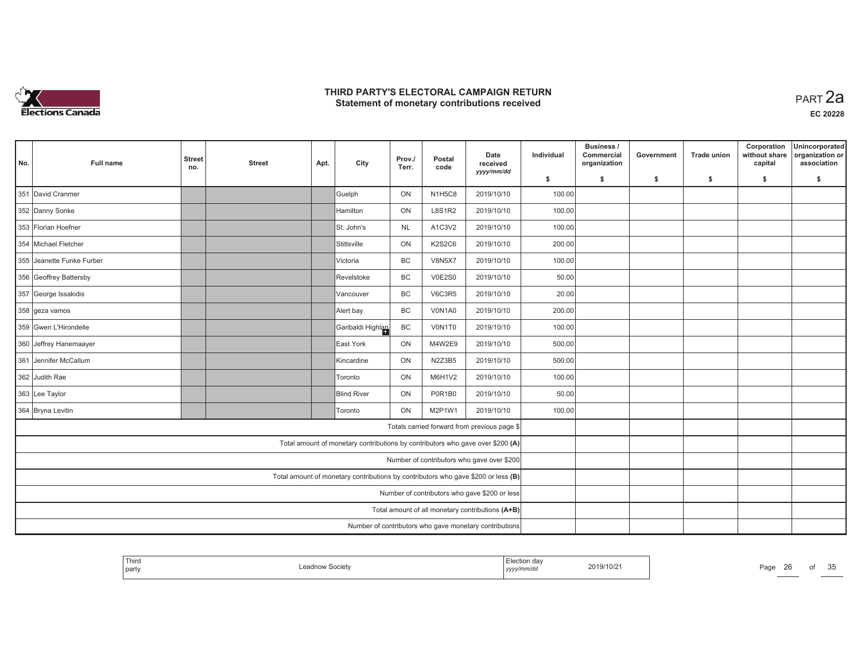

| No.                                           | <b>Full name</b>                                                                                                                                                                                                                                                                                                              | <b>Street</b><br>no.                             | <b>Street</b>                                          | Apt. | City   | Prov./<br>Terr. | Postal<br>code | Date<br>received<br>yyyy/mm/dd               | Individual | Business /<br>Commercial<br>organization | Government | <b>Trade union</b> | Corporation<br>without share<br>capital | Unincorporated<br>organization or<br>association |
|-----------------------------------------------|-------------------------------------------------------------------------------------------------------------------------------------------------------------------------------------------------------------------------------------------------------------------------------------------------------------------------------|--------------------------------------------------|--------------------------------------------------------|------|--------|-----------------|----------------|----------------------------------------------|------------|------------------------------------------|------------|--------------------|-----------------------------------------|--------------------------------------------------|
|                                               |                                                                                                                                                                                                                                                                                                                               |                                                  |                                                        |      |        |                 |                |                                              | \$         | s.                                       | -\$        | -\$                | \$                                      | \$                                               |
|                                               | 351 David Cranmer                                                                                                                                                                                                                                                                                                             |                                                  |                                                        |      | Guelph | ON              | N1H5C8         | 2019/10/10                                   | 100.00     |                                          |            |                    |                                         |                                                  |
|                                               | <b>Hamilton</b><br>St. John's<br>Stittsville<br>Victoria<br>lVancouver<br>Alert bay<br>East York<br>Kincardine<br>Toronto<br><b>Blind River</b><br><b>Toronto</b><br>Total amount of monetary contributions by contributors who gave over \$200 (A)                                                                           |                                                  |                                                        |      |        | ON              | <b>L8S1R2</b>  | 2019/10/10                                   | 100.00     |                                          |            |                    |                                         |                                                  |
|                                               | 352 Danny Sonke<br>353 Florian Hoefner<br><b>NL</b><br>A1C3V2<br>ON<br><b>K2S2C6</b><br><b>BC</b><br><b>V8N5X7</b><br>BC<br>V0E2S0<br>Revelstoke<br><b>BC</b><br>357 George Issakidis<br><b>V6C3R5</b><br>BC<br>V0N1A0<br>BC<br>Garibaldi Highlan<br>V0N1T0<br>ON<br>M4W2E9<br>ON<br>N2Z3B5<br>362 Judith Rae<br>ON<br>M6H1V2 |                                                  |                                                        |      |        |                 |                | 2019/10/10                                   | 100.00     |                                          |            |                    |                                         |                                                  |
|                                               | 354 Michael Fletcher                                                                                                                                                                                                                                                                                                          |                                                  |                                                        |      |        |                 |                | 2019/10/10                                   | 200.00     |                                          |            |                    |                                         |                                                  |
|                                               | 355 Jeanette Funke Furber                                                                                                                                                                                                                                                                                                     |                                                  |                                                        |      |        |                 |                | 2019/10/10                                   | 100.00     |                                          |            |                    |                                         |                                                  |
|                                               | 356 Geoffrey Battersby                                                                                                                                                                                                                                                                                                        |                                                  |                                                        |      |        |                 |                | 2019/10/10                                   | 50.00      |                                          |            |                    |                                         |                                                  |
|                                               |                                                                                                                                                                                                                                                                                                                               |                                                  |                                                        |      |        |                 |                |                                              | 20.00      |                                          |            |                    |                                         |                                                  |
|                                               | 358 geza vamos                                                                                                                                                                                                                                                                                                                | 2019/10/10                                       |                                                        |      |        |                 |                |                                              |            |                                          |            |                    |                                         |                                                  |
|                                               | 359 Gwen L'Hirondelle                                                                                                                                                                                                                                                                                                         | 2019/10/10                                       |                                                        |      |        |                 | 2019/10/10     | 100.00                                       |            |                                          |            |                    |                                         |                                                  |
|                                               | 360 Jeffrey Hanemaayer                                                                                                                                                                                                                                                                                                        |                                                  |                                                        |      |        |                 |                | 2019/10/10                                   | 500.00     |                                          |            |                    |                                         |                                                  |
|                                               | 361 Jennifer McCallum                                                                                                                                                                                                                                                                                                         | 2019/10/10                                       |                                                        |      |        |                 |                |                                              | 500.00     |                                          |            |                    |                                         |                                                  |
|                                               | 2019/10/10                                                                                                                                                                                                                                                                                                                    |                                                  |                                                        |      |        |                 |                |                                              | 100.00     |                                          |            |                    |                                         |                                                  |
|                                               | 363 Lee Taylor                                                                                                                                                                                                                                                                                                                |                                                  |                                                        |      |        | ON              | P0R1B0         | 2019/10/10                                   | 50.00      |                                          |            |                    |                                         |                                                  |
|                                               | 364 Bryna Levitin                                                                                                                                                                                                                                                                                                             |                                                  |                                                        |      |        | ON              | M2P1W1         | 2019/10/10                                   | 100.00     |                                          |            |                    |                                         |                                                  |
|                                               |                                                                                                                                                                                                                                                                                                                               |                                                  |                                                        |      |        |                 |                | Totals carried forward from previous page \$ |            |                                          |            |                    |                                         |                                                  |
|                                               |                                                                                                                                                                                                                                                                                                                               |                                                  |                                                        |      |        |                 |                |                                              |            |                                          |            |                    |                                         |                                                  |
|                                               | Number of contributors who gave over \$200                                                                                                                                                                                                                                                                                    |                                                  |                                                        |      |        |                 |                |                                              |            |                                          |            |                    |                                         |                                                  |
|                                               | Total amount of monetary contributions by contributors who gave \$200 or less (B)                                                                                                                                                                                                                                             |                                                  |                                                        |      |        |                 |                |                                              |            |                                          |            |                    |                                         |                                                  |
| Number of contributors who gave \$200 or less |                                                                                                                                                                                                                                                                                                                               |                                                  |                                                        |      |        |                 |                |                                              |            |                                          |            |                    |                                         |                                                  |
|                                               |                                                                                                                                                                                                                                                                                                                               | Total amount of all monetary contributions (A+B) |                                                        |      |        |                 |                |                                              |            |                                          |            |                    |                                         |                                                  |
|                                               |                                                                                                                                                                                                                                                                                                                               |                                                  | Number of contributors who gave monetary contributions |      |        |                 |                |                                              |            |                                          |            |                    |                                         |                                                  |

|  | ' Third<br>party | Societ, | יהו הר<br>יות ונ<br>v/mm/c<br>, , , , , , | 2019/10/21 | Page | ∠o |  | 25<br>ັບ |
|--|------------------|---------|-------------------------------------------|------------|------|----|--|----------|
|--|------------------|---------|-------------------------------------------|------------|------|----|--|----------|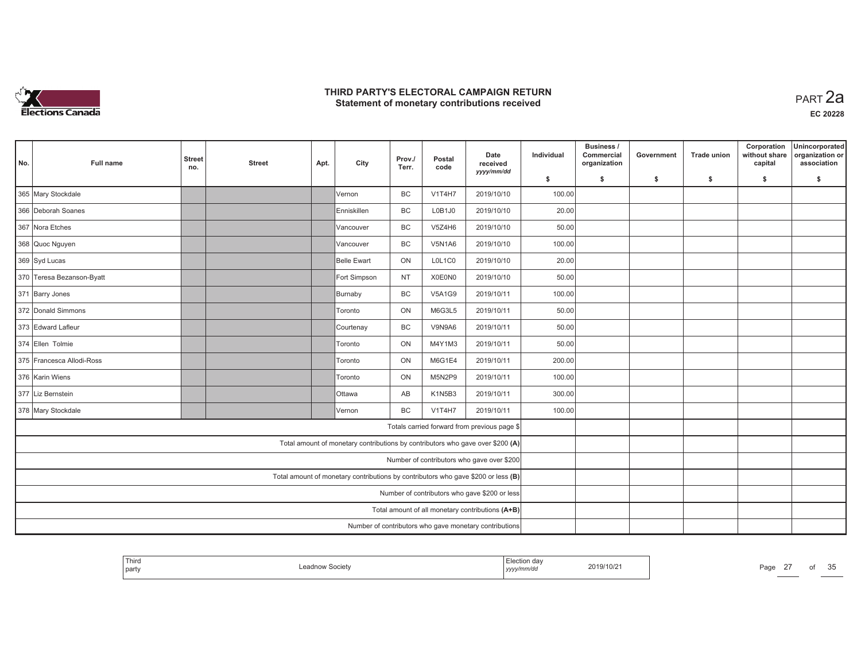

| No. | <b>Full name</b>                                                                                                                       | <b>Street</b><br>no.                                                                                                                                                                                                                                                                                                                                    | <b>Street</b>                                          | Apt. | City     | Prov./<br>Terr. | Postal<br>code | Date<br>received<br>yyyy/mm/dd               | Individual | Business /<br>Commercial<br>organization | Government | <b>Trade union</b> | Corporation<br>without share<br>capital | Unincorporated<br>organization or<br>association |
|-----|----------------------------------------------------------------------------------------------------------------------------------------|---------------------------------------------------------------------------------------------------------------------------------------------------------------------------------------------------------------------------------------------------------------------------------------------------------------------------------------------------------|--------------------------------------------------------|------|----------|-----------------|----------------|----------------------------------------------|------------|------------------------------------------|------------|--------------------|-----------------------------------------|--------------------------------------------------|
|     |                                                                                                                                        |                                                                                                                                                                                                                                                                                                                                                         |                                                        |      |          |                 |                |                                              | \$         | s.                                       | -\$        | -\$                | \$                                      | \$                                               |
|     | 365 Mary Stockdale                                                                                                                     |                                                                                                                                                                                                                                                                                                                                                         |                                                        |      | lVernon. | <b>BC</b>       | <b>V1T4H7</b>  | 2019/10/10                                   | 100.00     |                                          |            |                    |                                         |                                                  |
|     | 366 Deborah Soanes                                                                                                                     | <b>BC</b><br><b>Enniskillen</b><br><b>BC</b><br>Vancouver<br>BC<br>Vancouver<br>Belle Ewart<br>Fort Simpson<br><b>NT</b><br><b>BC</b><br>Burnaby<br>Toronto<br><b>BC</b><br>Courtenay<br>Toronto<br>Toronto<br>Toronto<br>AB<br><b>Ottawa</b><br><b>BC</b><br>lVernon<br>Total amount of monetary contributions by contributors who gave over \$200 (A) |                                                        |      |          | L0B1J0          | 2019/10/10     | 20.00                                        |            |                                          |            |                    |                                         |                                                  |
|     | 367 Nora Etches<br><b>V5Z4H6</b><br><b>V5N1A6</b><br>ON<br>L0L1C0<br>X0E0N0<br><b>V5A1G9</b><br>ON<br>M6G3L5<br>V9N9A6<br>ON<br>M4Y1M3 |                                                                                                                                                                                                                                                                                                                                                         |                                                        |      |          |                 | 2019/10/10     | 50.00                                        |            |                                          |            |                    |                                         |                                                  |
|     | 368 Quoc Nguyen                                                                                                                        |                                                                                                                                                                                                                                                                                                                                                         |                                                        |      |          |                 |                | 2019/10/10                                   | 100.00     |                                          |            |                    |                                         |                                                  |
|     | 369 Syd Lucas                                                                                                                          |                                                                                                                                                                                                                                                                                                                                                         |                                                        |      |          |                 |                | 2019/10/10                                   | 20.00      |                                          |            |                    |                                         |                                                  |
|     | 370 Teresa Bezanson-Byatt                                                                                                              |                                                                                                                                                                                                                                                                                                                                                         |                                                        |      |          |                 |                | 2019/10/10                                   | 50.00      |                                          |            |                    |                                         |                                                  |
|     | 371 Barry Jones                                                                                                                        |                                                                                                                                                                                                                                                                                                                                                         |                                                        |      |          |                 |                |                                              |            |                                          |            |                    |                                         |                                                  |
|     | 372 Donald Simmons                                                                                                                     | 2019/10/11<br>2019/10/11                                                                                                                                                                                                                                                                                                                                |                                                        |      |          |                 |                |                                              | 50.00      |                                          |            |                    |                                         |                                                  |
|     | 373 Edward Lafleur                                                                                                                     |                                                                                                                                                                                                                                                                                                                                                         |                                                        |      |          |                 |                | 2019/10/11                                   | 50.00      |                                          |            |                    |                                         |                                                  |
|     | 374 Ellen Tolmie                                                                                                                       |                                                                                                                                                                                                                                                                                                                                                         |                                                        |      |          |                 |                | 2019/10/11                                   | 50.00      |                                          |            |                    |                                         |                                                  |
|     | 375 Francesca Allodi-Ross                                                                                                              | ON<br>M6G1E4<br>2019/10/11                                                                                                                                                                                                                                                                                                                              |                                                        |      |          |                 |                |                                              | 200.00     |                                          |            |                    |                                         |                                                  |
|     | 376 Karin Wiens                                                                                                                        | ON<br>M5N2P9<br>2019/10/11                                                                                                                                                                                                                                                                                                                              |                                                        |      |          |                 |                |                                              |            |                                          |            |                    |                                         |                                                  |
|     | 377 Liz Bernstein                                                                                                                      |                                                                                                                                                                                                                                                                                                                                                         |                                                        |      |          |                 | K1N5B3         | 2019/10/11                                   | 300.00     |                                          |            |                    |                                         |                                                  |
|     | 378 Mary Stockdale                                                                                                                     |                                                                                                                                                                                                                                                                                                                                                         |                                                        |      |          |                 | <b>V1T4H7</b>  | 2019/10/11                                   | 100.00     |                                          |            |                    |                                         |                                                  |
|     |                                                                                                                                        |                                                                                                                                                                                                                                                                                                                                                         |                                                        |      |          |                 |                | Totals carried forward from previous page \$ |            |                                          |            |                    |                                         |                                                  |
|     |                                                                                                                                        |                                                                                                                                                                                                                                                                                                                                                         |                                                        |      |          |                 |                |                                              |            |                                          |            |                    |                                         |                                                  |
|     | Number of contributors who gave over \$200                                                                                             |                                                                                                                                                                                                                                                                                                                                                         |                                                        |      |          |                 |                |                                              |            |                                          |            |                    |                                         |                                                  |
|     | Total amount of monetary contributions by contributors who gave \$200 or less (B)                                                      |                                                                                                                                                                                                                                                                                                                                                         |                                                        |      |          |                 |                |                                              |            |                                          |            |                    |                                         |                                                  |
|     | Number of contributors who gave \$200 or less                                                                                          |                                                                                                                                                                                                                                                                                                                                                         |                                                        |      |          |                 |                |                                              |            |                                          |            |                    |                                         |                                                  |
|     |                                                                                                                                        | Total amount of all monetary contributions (A+B)                                                                                                                                                                                                                                                                                                        |                                                        |      |          |                 |                |                                              |            |                                          |            |                    |                                         |                                                  |
|     |                                                                                                                                        |                                                                                                                                                                                                                                                                                                                                                         | Number of contributors who gave monetary contributions |      |          |                 |                |                                              |            |                                          |            |                    |                                         |                                                  |

| $\frac{1}{2} \left( \frac{1}{2} \right) \left( \frac{1}{2} \right) \left( \frac{1}{2} \right) \left( \frac{1}{2} \right) \left( \frac{1}{2} \right) \left( \frac{1}{2} \right) \left( \frac{1}{2} \right) \left( \frac{1}{2} \right) \left( \frac{1}{2} \right) \left( \frac{1}{2} \right) \left( \frac{1}{2} \right) \left( \frac{1}{2} \right) \left( \frac{1}{2} \right) \left( \frac{1}{2} \right) \left( \frac{1}{2} \right) \left( \frac{1}{2} \right) \left( \frac$<br>Third<br>part | Leadnow Societv | <b>Contract Contract</b><br>Election day<br>yyyy/mm/dd | 2019/10/21 | Page | $\sim$ $-$ | 0t | 25<br>ັບ |
|---------------------------------------------------------------------------------------------------------------------------------------------------------------------------------------------------------------------------------------------------------------------------------------------------------------------------------------------------------------------------------------------------------------------------------------------------------------------------------------------|-----------------|--------------------------------------------------------|------------|------|------------|----|----------|
|                                                                                                                                                                                                                                                                                                                                                                                                                                                                                             |                 |                                                        |            |      |            |    |          |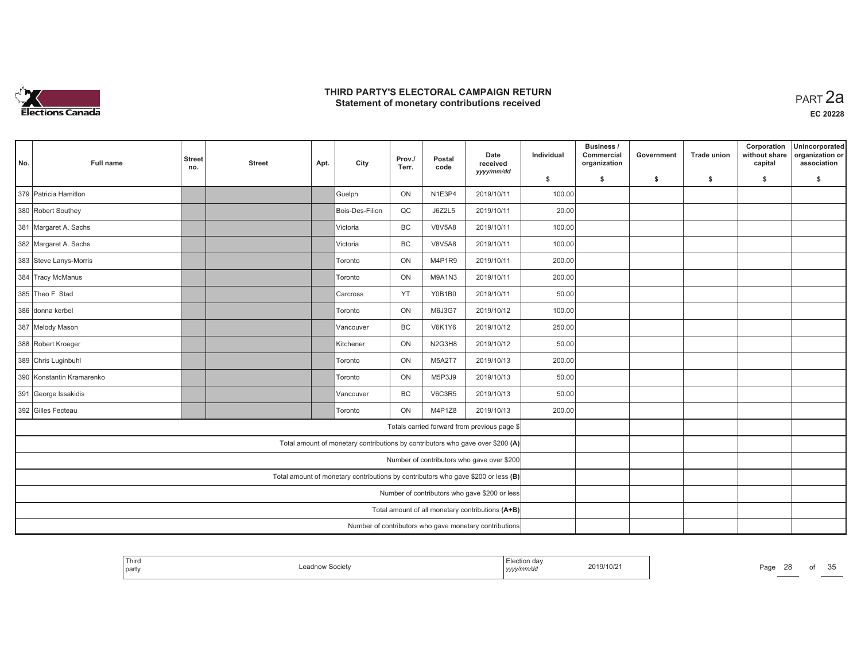

| No. | <b>Full name</b>                                                                                                                                                                                                                                                                                         | <b>Street</b><br>no.                                | <b>Street</b>                                          | Apt. | City                                                                           | Prov./<br>Terr. | Postal<br>code | Date<br>received<br>yyyy/mm/dd               | Individual | Business /<br>Commercial<br>organization | Government | <b>Trade union</b> | Corporation<br>without share<br>capital | Unincorporated<br>organization or<br>association |
|-----|----------------------------------------------------------------------------------------------------------------------------------------------------------------------------------------------------------------------------------------------------------------------------------------------------------|-----------------------------------------------------|--------------------------------------------------------|------|--------------------------------------------------------------------------------|-----------------|----------------|----------------------------------------------|------------|------------------------------------------|------------|--------------------|-----------------------------------------|--------------------------------------------------|
|     |                                                                                                                                                                                                                                                                                                          |                                                     |                                                        |      |                                                                                |                 |                |                                              | \$         | s.                                       | -\$        | -\$                | \$                                      | s.                                               |
|     | 379 Patricia Hamitlon                                                                                                                                                                                                                                                                                    |                                                     |                                                        |      | Guelph                                                                         | ON              | N1E3P4         | 2019/10/11                                   | 100.00     |                                          |            |                    |                                         |                                                  |
|     | 380 Robert Southey<br>Bois-Des-Filion<br>QC<br><b>BC</b><br>Victoria<br><b>BC</b><br><u>IVictoria</u><br>ON<br><b>Toronto</b><br>ON<br>Toronto<br>YT<br><b>Carcross</b><br>ON<br>Toronto<br><b>BC</b><br><b>Vancouver</b><br>ON<br>Kitchener<br>ON<br>Toronto<br>ON<br>Toronto<br>BC<br><b>Vancouver</b> |                                                     |                                                        |      |                                                                                | J6Z2L5          | 2019/10/11     | 20.00                                        |            |                                          |            |                    |                                         |                                                  |
|     | 381 Margaret A. Sachs                                                                                                                                                                                                                                                                                    |                                                     |                                                        |      |                                                                                |                 | <b>V8V5A8</b>  | 2019/10/11                                   | 100.00     |                                          |            |                    |                                         |                                                  |
|     | 382 Margaret A. Sachs                                                                                                                                                                                                                                                                                    |                                                     |                                                        |      |                                                                                |                 | <b>V8V5A8</b>  | 2019/10/11                                   | 100.00     |                                          |            |                    |                                         |                                                  |
|     | 383 Steve Lanys-Morris                                                                                                                                                                                                                                                                                   |                                                     |                                                        |      |                                                                                |                 | M4P1R9         | 2019/10/11                                   | 200.00     |                                          |            |                    |                                         |                                                  |
|     | 384 Tracy McManus                                                                                                                                                                                                                                                                                        |                                                     |                                                        |      |                                                                                |                 | M9A1N3         | 2019/10/11                                   | 200.00     |                                          |            |                    |                                         |                                                  |
|     | 385 Theo F Stad                                                                                                                                                                                                                                                                                          | 2019/10/11<br><b>Y0B1B0</b><br>M6J3G7<br>2019/10/12 |                                                        |      |                                                                                |                 |                |                                              |            |                                          |            |                    |                                         |                                                  |
|     | 386 donna kerbel                                                                                                                                                                                                                                                                                         | <b>V6K1Y6</b>                                       |                                                        |      |                                                                                |                 |                |                                              | 100.00     |                                          |            |                    |                                         |                                                  |
|     | 387 Melody Mason                                                                                                                                                                                                                                                                                         |                                                     |                                                        |      |                                                                                |                 |                | 2019/10/12                                   | 250.00     |                                          |            |                    |                                         |                                                  |
|     | 388 Robert Kroeger                                                                                                                                                                                                                                                                                       |                                                     |                                                        |      |                                                                                |                 | N2G3H8         | 2019/10/12                                   | 50.00      |                                          |            |                    |                                         |                                                  |
|     | 389 Chris Luginbuhl                                                                                                                                                                                                                                                                                      | M5A2T7<br>2019/10/13                                |                                                        |      |                                                                                |                 |                |                                              | 200.00     |                                          |            |                    |                                         |                                                  |
|     | 390 Konstantin Kramarenko                                                                                                                                                                                                                                                                                |                                                     |                                                        |      |                                                                                |                 | M5P3J9         | 2019/10/13                                   | 50.00      |                                          |            |                    |                                         |                                                  |
|     | 391 George Issakidis                                                                                                                                                                                                                                                                                     |                                                     |                                                        |      |                                                                                |                 | <b>V6C3R5</b>  | 2019/10/13                                   | 50.00      |                                          |            |                    |                                         |                                                  |
|     | 392 Gilles Fecteau                                                                                                                                                                                                                                                                                       |                                                     |                                                        |      | Toronto                                                                        | ON              | M4P1Z8         | 2019/10/13                                   | 200.00     |                                          |            |                    |                                         |                                                  |
|     |                                                                                                                                                                                                                                                                                                          |                                                     |                                                        |      |                                                                                |                 |                | Totals carried forward from previous page \$ |            |                                          |            |                    |                                         |                                                  |
|     |                                                                                                                                                                                                                                                                                                          |                                                     |                                                        |      | Total amount of monetary contributions by contributors who gave over \$200 (A) |                 |                |                                              |            |                                          |            |                    |                                         |                                                  |
|     | Number of contributors who gave over \$200                                                                                                                                                                                                                                                               |                                                     |                                                        |      |                                                                                |                 |                |                                              |            |                                          |            |                    |                                         |                                                  |
|     | Total amount of monetary contributions by contributors who gave \$200 or less (B)                                                                                                                                                                                                                        |                                                     |                                                        |      |                                                                                |                 |                |                                              |            |                                          |            |                    |                                         |                                                  |
|     | Number of contributors who gave \$200 or less                                                                                                                                                                                                                                                            |                                                     |                                                        |      |                                                                                |                 |                |                                              |            |                                          |            |                    |                                         |                                                  |
|     |                                                                                                                                                                                                                                                                                                          | Total amount of all monetary contributions (A+B)    |                                                        |      |                                                                                |                 |                |                                              |            |                                          |            |                    |                                         |                                                  |
|     |                                                                                                                                                                                                                                                                                                          |                                                     | Number of contributors who gave monetary contributions |      |                                                                                |                 |                |                                              |            |                                          |            |                    |                                         |                                                  |

| <sup>1</sup> Third<br>l party |  | ∵aa∖<br>2019/10/2<br>.<br>, yyyy/mm/ | Page<br>20 | ΟI | 25<br>ັບ |
|-------------------------------|--|--------------------------------------|------------|----|----------|
|-------------------------------|--|--------------------------------------|------------|----|----------|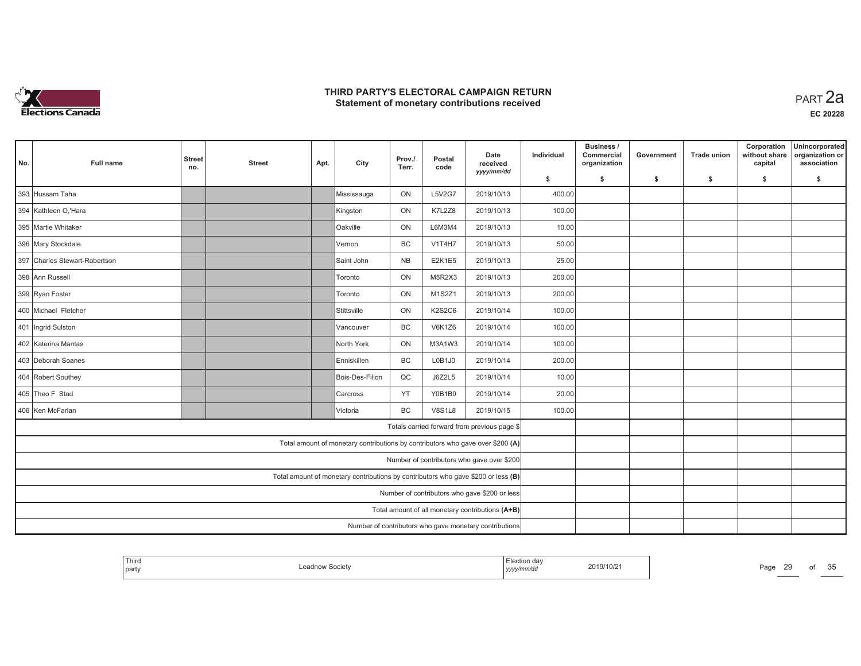

| No. | <b>Full name</b>              | <b>Street</b><br>no. | <b>Street</b> | Apt. | City                                                                              | Prov./<br>Terr. | Postal<br>code | Date<br>received<br>yyyy/mm/dd                         | Individual | Business /<br>Commercial<br>organization | Government | <b>Trade union</b> | Corporation<br>without share<br>capital | Unincorporated<br>organization or<br>association |
|-----|-------------------------------|----------------------|---------------|------|-----------------------------------------------------------------------------------|-----------------|----------------|--------------------------------------------------------|------------|------------------------------------------|------------|--------------------|-----------------------------------------|--------------------------------------------------|
|     |                               |                      |               |      |                                                                                   |                 |                |                                                        | \$         | s.                                       | -\$        | -\$                | \$                                      | \$                                               |
|     | 393 Hussam Taha               |                      |               |      | Mississauga                                                                       | ON              | <b>L5V2G7</b>  | 2019/10/13                                             | 400.00     |                                          |            |                    |                                         |                                                  |
|     | 394 Kathleen O, 'Hara         |                      |               |      | Kingston                                                                          | ON              | <b>K7L2Z8</b>  | 2019/10/13                                             | 100.00     |                                          |            |                    |                                         |                                                  |
|     | 395 Martie Whitaker           |                      |               |      | <b>Oakville</b>                                                                   | ON              | L6M3M4         | 2019/10/13                                             | 10.00      |                                          |            |                    |                                         |                                                  |
|     | 396 Mary Stockdale            |                      |               |      | Vernon                                                                            | BC              | <b>V1T4H7</b>  | 2019/10/13                                             | 50.00      |                                          |            |                    |                                         |                                                  |
|     | 397 Charles Stewart-Robertson |                      |               |      | Saint John                                                                        | <b>NB</b>       | <b>E2K1E5</b>  | 2019/10/13                                             | 25.00      |                                          |            |                    |                                         |                                                  |
|     | 398 Ann Russell               |                      |               |      | Toronto                                                                           | ON              | M5R2X3         | 2019/10/13                                             | 200.00     |                                          |            |                    |                                         |                                                  |
|     | 399 Ryan Foster               |                      |               |      | <b>Toronto</b>                                                                    | ON              | M1S2Z1         | 2019/10/13                                             | 200.00     |                                          |            |                    |                                         |                                                  |
|     | 400 Michael Fletcher          |                      |               |      | Stittsville                                                                       | ON              | <b>K2S2C6</b>  | 2019/10/14                                             | 100.00     |                                          |            |                    |                                         |                                                  |
|     | 401 Ingrid Sulston            |                      |               |      | Vancouver                                                                         | <b>BC</b>       | <b>V6K1Z6</b>  | 2019/10/14                                             | 100.00     |                                          |            |                    |                                         |                                                  |
|     | 402 Katerina Mantas           |                      |               |      | North York                                                                        | ON              | M3A1W3         | 2019/10/14                                             | 100.00     |                                          |            |                    |                                         |                                                  |
|     | 403 Deborah Soanes            |                      |               |      | Enniskillen                                                                       | BC              | L0B1J0         | 2019/10/14                                             | 200.00     |                                          |            |                    |                                         |                                                  |
|     | 404 Robert Southey            |                      |               |      | Bois-Des-Filion                                                                   | QC              | J6Z2L5         | 2019/10/14                                             | 10.00      |                                          |            |                    |                                         |                                                  |
|     | 405 Theo F Stad               |                      |               |      | Carcross                                                                          | YT              | Y0B1B0         | 2019/10/14                                             | 20.00      |                                          |            |                    |                                         |                                                  |
|     | 406 Ken McFarlan              |                      |               |      | Victoria                                                                          | <b>BC</b>       | <b>V8S1L8</b>  | 2019/10/15                                             | 100.00     |                                          |            |                    |                                         |                                                  |
|     |                               |                      |               |      |                                                                                   |                 |                | Totals carried forward from previous page \$           |            |                                          |            |                    |                                         |                                                  |
|     |                               |                      |               |      | Total amount of monetary contributions by contributors who gave over \$200 (A)    |                 |                |                                                        |            |                                          |            |                    |                                         |                                                  |
|     |                               |                      |               |      |                                                                                   |                 |                | Number of contributors who gave over \$200             |            |                                          |            |                    |                                         |                                                  |
|     |                               |                      |               |      | Total amount of monetary contributions by contributors who gave \$200 or less (B) |                 |                |                                                        |            |                                          |            |                    |                                         |                                                  |
|     |                               |                      |               |      |                                                                                   |                 |                | Number of contributors who gave \$200 or less          |            |                                          |            |                    |                                         |                                                  |
|     |                               |                      |               |      |                                                                                   |                 |                | Total amount of all monetary contributions (A+B)       |            |                                          |            |                    |                                         |                                                  |
|     |                               |                      |               |      |                                                                                   |                 |                | Number of contributors who gave monetary contributions |            |                                          |            |                    |                                         |                                                  |

|  | Third<br>party | _eadnow Society | ำ dav<br>yyyy/mm/dd | 2019/10/21<br>the contract of the contract of the contract of the contract of the contract of | Page | -- |  | 25<br>ັບ |
|--|----------------|-----------------|---------------------|-----------------------------------------------------------------------------------------------|------|----|--|----------|
|--|----------------|-----------------|---------------------|-----------------------------------------------------------------------------------------------|------|----|--|----------|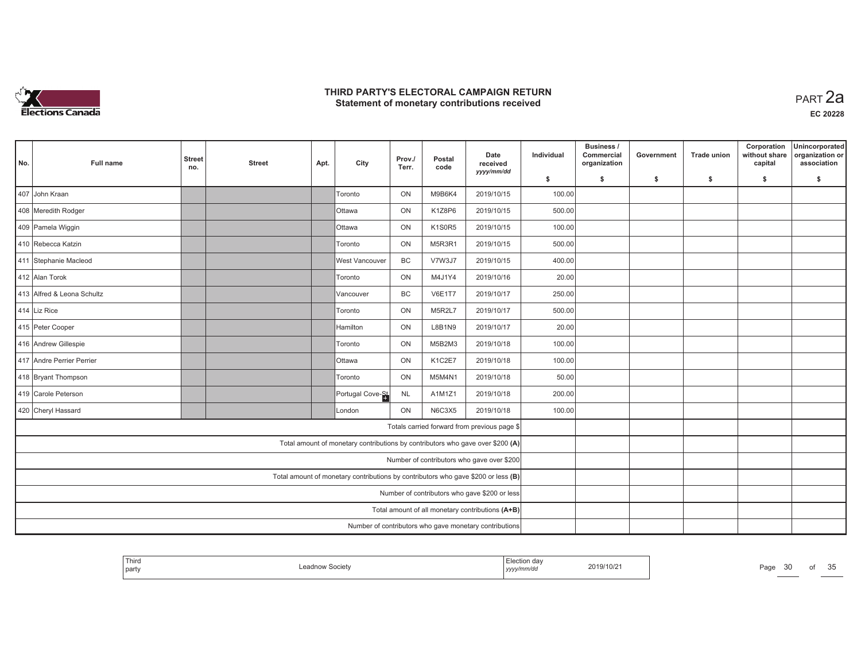

| No. | <b>Full name</b>           | <b>Street</b><br>no. | <b>Street</b> | Apt. | City                                                                              | Prov./<br>Terr. | Postal<br>code | Date<br>received<br>yyyy/mm/dd                         | Individual | Business /<br>Commercial<br>organization | Government | <b>Trade union</b> | Corporation<br>without share<br>capital | Unincorporated<br>organization or<br>association |
|-----|----------------------------|----------------------|---------------|------|-----------------------------------------------------------------------------------|-----------------|----------------|--------------------------------------------------------|------------|------------------------------------------|------------|--------------------|-----------------------------------------|--------------------------------------------------|
|     |                            |                      |               |      |                                                                                   |                 |                |                                                        | \$         | s.                                       | -\$        | -\$                | \$                                      | \$                                               |
|     | 407 John Kraan             |                      |               |      | Toronto                                                                           | ON              | M9B6K4         | 2019/10/15                                             | 100.00     |                                          |            |                    |                                         |                                                  |
|     | 408 Meredith Rodger        |                      |               |      | <b>O</b> ttawa                                                                    | ON              | K1Z8P6         | 2019/10/15                                             | 500.00     |                                          |            |                    |                                         |                                                  |
|     | 409 Pamela Wiggin          |                      |               |      | <b>Ottawa</b>                                                                     | ON              | <b>K1S0R5</b>  | 2019/10/15                                             | 100.00     |                                          |            |                    |                                         |                                                  |
|     | 410 Rebecca Katzin         |                      |               |      | Toronto                                                                           | ON              | M5R3R1         | 2019/10/15                                             | 500.00     |                                          |            |                    |                                         |                                                  |
|     | 411 Stephanie Macleod      |                      |               |      | West Vancouver                                                                    | BC              | V7W3J7         | 2019/10/15                                             | 400.00     |                                          |            |                    |                                         |                                                  |
|     | 412 Alan Torok             |                      |               |      | Toronto                                                                           | ON              | M4J1Y4         | 2019/10/16                                             | 20.00      |                                          |            |                    |                                         |                                                  |
|     | 413 Alfred & Leona Schultz |                      |               |      | lVancouver                                                                        | <b>BC</b>       | <b>V6E1T7</b>  | 2019/10/17                                             | 250.00     |                                          |            |                    |                                         |                                                  |
|     | 414 Liz Rice               |                      |               |      | Toronto                                                                           | ON              | M5R2L7         | 2019/10/17                                             | 500.00     |                                          |            |                    |                                         |                                                  |
|     | 415 Peter Cooper           |                      |               |      | <b>Hamilton</b>                                                                   | ON              | L8B1N9         | 2019/10/17                                             | 20.00      |                                          |            |                    |                                         |                                                  |
|     | 416 Andrew Gillespie       |                      |               |      | Toronto                                                                           | ON              | M5B2M3         | 2019/10/18                                             | 100.00     |                                          |            |                    |                                         |                                                  |
|     | 417 Andre Perrier Perrier  |                      |               |      | <b>Ottawa</b>                                                                     | ON              | K1C2E7         | 2019/10/18                                             | 100.00     |                                          |            |                    |                                         |                                                  |
|     | 418 Bryant Thompson        |                      |               |      | Toronto                                                                           | ON              | M5M4N1         | 2019/10/18                                             | 50.00      |                                          |            |                    |                                         |                                                  |
|     | 419 Carole Peterson        |                      |               |      | Portugal Cove-St                                                                  | NL              | A1M1Z1         | 2019/10/18                                             | 200.00     |                                          |            |                    |                                         |                                                  |
|     | 420 Cheryl Hassard         |                      |               |      | lLondon                                                                           | ON              | N6C3X5         | 2019/10/18                                             | 100.00     |                                          |            |                    |                                         |                                                  |
|     |                            |                      |               |      |                                                                                   |                 |                | Totals carried forward from previous page \$           |            |                                          |            |                    |                                         |                                                  |
|     |                            |                      |               |      | Total amount of monetary contributions by contributors who gave over \$200 (A)    |                 |                |                                                        |            |                                          |            |                    |                                         |                                                  |
|     |                            |                      |               |      |                                                                                   |                 |                | Number of contributors who gave over \$200             |            |                                          |            |                    |                                         |                                                  |
|     |                            |                      |               |      | Total amount of monetary contributions by contributors who gave \$200 or less (B) |                 |                |                                                        |            |                                          |            |                    |                                         |                                                  |
|     |                            |                      |               |      |                                                                                   |                 |                | Number of contributors who gave \$200 or less          |            |                                          |            |                    |                                         |                                                  |
|     |                            |                      |               |      |                                                                                   |                 |                | Total amount of all monetary contributions (A+B)       |            |                                          |            |                    |                                         |                                                  |
|     |                            |                      |               |      |                                                                                   |                 |                | Number of contributors who gave monetary contributions |            |                                          |            |                    |                                         |                                                  |

|  | Thira<br>  party | Leadnow Societv | ,,,,, | 2019/10/21 | Paɑe |  |  | $\Omega$<br>$\sim$ 1<br>ັບ |
|--|------------------|-----------------|-------|------------|------|--|--|----------------------------|
|--|------------------|-----------------|-------|------------|------|--|--|----------------------------|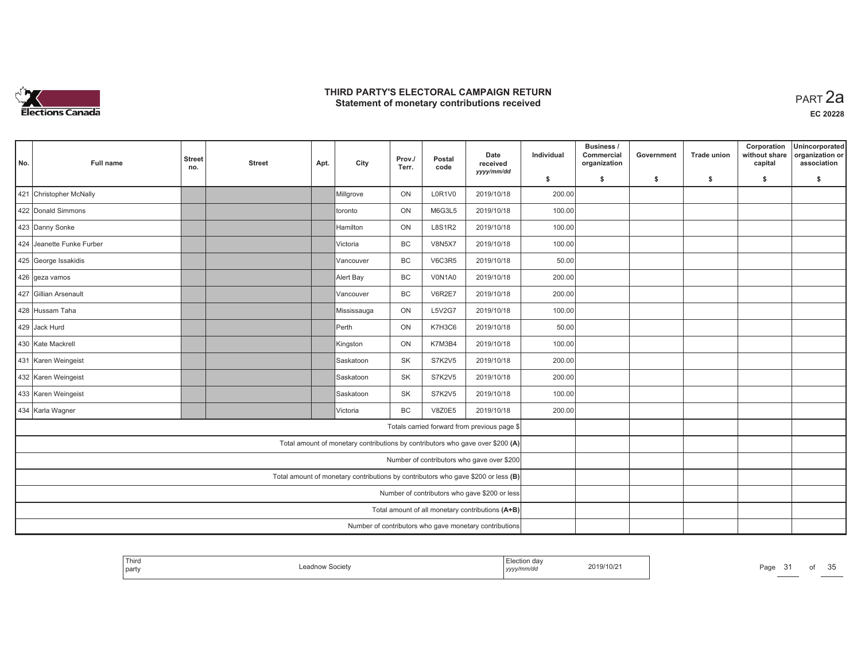

| No. | <b>Full name</b>          | <b>Street</b><br>no. | <b>Street</b> | Apt. | City                                                                              | Prov./<br>Terr. | Postal<br>code | Date<br>received<br>yyyy/mm/dd                         | Individual | Business /<br>Commercial<br>organization | Government | <b>Trade union</b> | Corporation<br>without share<br>capital | Unincorporated<br>organization or<br>association |
|-----|---------------------------|----------------------|---------------|------|-----------------------------------------------------------------------------------|-----------------|----------------|--------------------------------------------------------|------------|------------------------------------------|------------|--------------------|-----------------------------------------|--------------------------------------------------|
|     |                           |                      |               |      |                                                                                   |                 |                |                                                        | \$         | s.                                       | -\$        | -\$                | \$                                      | \$                                               |
|     | 421 Christopher McNally   |                      |               |      | Millgrove                                                                         | ON              | L0R1V0         | 2019/10/18                                             | 200.00     |                                          |            |                    |                                         |                                                  |
|     | 422 Donald Simmons        |                      |               |      | Itoronto                                                                          | ON              | M6G3L5         | 2019/10/18                                             | 100.00     |                                          |            |                    |                                         |                                                  |
|     | 423 Danny Sonke           |                      |               |      | <b>Hamilton</b>                                                                   | ON              | <b>L8S1R2</b>  | 2019/10/18                                             | 100.00     |                                          |            |                    |                                         |                                                  |
|     | 424 Jeanette Funke Furber |                      |               |      | Victoria                                                                          | BC              | <b>V8N5X7</b>  | 2019/10/18                                             | 100.00     |                                          |            |                    |                                         |                                                  |
|     | 425 George Issakidis      |                      |               |      | Vancouver                                                                         | BC              | <b>V6C3R5</b>  | 2019/10/18                                             | 50.00      |                                          |            |                    |                                         |                                                  |
|     | 426 geza vamos            |                      |               |      | Alert Bay                                                                         | BC              | V0N1A0         | 2019/10/18                                             | 200.00     |                                          |            |                    |                                         |                                                  |
|     | 427 Gillian Arsenault     |                      |               |      | IVancouver                                                                        | <b>BC</b>       | <b>V6R2E7</b>  | 2019/10/18                                             | 200.00     |                                          |            |                    |                                         |                                                  |
|     | 428 Hussam Taha           |                      |               |      | Mississauga                                                                       | ON              | <b>L5V2G7</b>  | 2019/10/18                                             | 100.00     |                                          |            |                    |                                         |                                                  |
|     | 429 Jack Hurd             |                      |               |      | <b>Perth</b>                                                                      | ON              | K7H3C6         | 2019/10/18                                             | 50.00      |                                          |            |                    |                                         |                                                  |
|     | 430 Kate Mackrell         |                      |               |      | Kingston                                                                          | ON              | K7M3B4         | 2019/10/18                                             | 100.00     |                                          |            |                    |                                         |                                                  |
|     | 431 Karen Weingeist       |                      |               |      | Saskatoon                                                                         | SK              | <b>S7K2V5</b>  | 2019/10/18                                             | 200.00     |                                          |            |                    |                                         |                                                  |
|     | 432 Karen Weingeist       |                      |               |      | Saskatoon                                                                         | <b>SK</b>       | <b>S7K2V5</b>  | 2019/10/18                                             | 200.00     |                                          |            |                    |                                         |                                                  |
|     | 433 Karen Weingeist       |                      |               |      | Saskatoon                                                                         | SK              | <b>S7K2V5</b>  | 2019/10/18                                             | 100.00     |                                          |            |                    |                                         |                                                  |
|     | 434 Karla Wagner          |                      |               |      | Victoria                                                                          | <b>BC</b>       | <b>V8Z0E5</b>  | 2019/10/18                                             | 200.00     |                                          |            |                    |                                         |                                                  |
|     |                           |                      |               |      |                                                                                   |                 |                | Totals carried forward from previous page \$           |            |                                          |            |                    |                                         |                                                  |
|     |                           |                      |               |      | Total amount of monetary contributions by contributors who gave over \$200 (A)    |                 |                |                                                        |            |                                          |            |                    |                                         |                                                  |
|     |                           |                      |               |      |                                                                                   |                 |                | Number of contributors who gave over \$200             |            |                                          |            |                    |                                         |                                                  |
|     |                           |                      |               |      | Total amount of monetary contributions by contributors who gave \$200 or less (B) |                 |                |                                                        |            |                                          |            |                    |                                         |                                                  |
|     |                           |                      |               |      |                                                                                   |                 |                | Number of contributors who gave \$200 or less          |            |                                          |            |                    |                                         |                                                  |
|     |                           |                      |               |      |                                                                                   |                 |                | Total amount of all monetary contributions (A+B)       |            |                                          |            |                    |                                         |                                                  |
|     |                           |                      |               |      |                                                                                   |                 |                | Number of contributors who gave monetary contributions |            |                                          |            |                    |                                         |                                                  |

| l Thira<br>  party | Leadnow Societ | yyyy/mm/aa | 2019/10/2 | Page<br>. . | OI | 25<br>ັບປ |
|--------------------|----------------|------------|-----------|-------------|----|-----------|
|                    |                |            |           |             |    |           |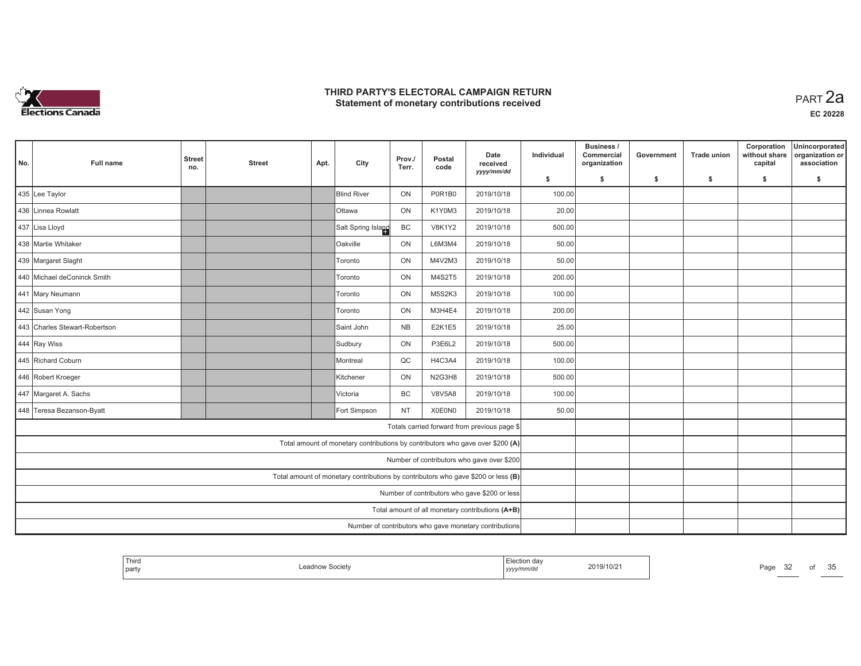

| No. | <b>Full name</b>              | <b>Street</b><br>no. | <b>Street</b> | Apt. | City                                                                              | Prov./<br>Terr. | Postal<br>code | Date<br>received<br>yyyy/mm/dd                         | Individual | Business /<br>Commercial<br>organization | Government | <b>Trade union</b> | Corporation<br>without share<br>capital | Unincorporated<br>organization or<br>association |
|-----|-------------------------------|----------------------|---------------|------|-----------------------------------------------------------------------------------|-----------------|----------------|--------------------------------------------------------|------------|------------------------------------------|------------|--------------------|-----------------------------------------|--------------------------------------------------|
|     |                               |                      |               |      |                                                                                   |                 |                |                                                        | \$         | s.                                       | -\$        | -\$                | \$                                      | \$                                               |
|     | 435 Lee Taylor                |                      |               |      | <b>Blind River</b>                                                                | ON              | P0R1B0         | 2019/10/18                                             | 100.00     |                                          |            |                    |                                         |                                                  |
|     | 436 Linnea Rowlatt            |                      |               |      | <b>O</b> ttawa                                                                    | ON              | K1Y0M3         | 2019/10/18                                             | 20.00      |                                          |            |                    |                                         |                                                  |
|     | 437 Lisa Lloyd                |                      |               |      | Salt Spring Island                                                                | BC              | <b>V8K1Y2</b>  | 2019/10/18                                             | 500.00     |                                          |            |                    |                                         |                                                  |
|     | 438 Martie Whitaker           |                      |               |      | Oakville                                                                          | ON              | L6M3M4         | 2019/10/18                                             | 50.00      |                                          |            |                    |                                         |                                                  |
|     | 439 Margaret Slaght           |                      |               |      | Toronto                                                                           | ON              | M4V2M3         | 2019/10/18                                             | 50.00      |                                          |            |                    |                                         |                                                  |
|     | 440 Michael deConinck Smith   |                      |               |      | Toronto                                                                           | ON              | M4S2T5         | 2019/10/18                                             | 200.00     |                                          |            |                    |                                         |                                                  |
|     | 441 Mary Neumann              |                      |               |      | <b>Toronto</b>                                                                    | ON              | <b>M5S2K3</b>  | 2019/10/18                                             | 100.00     |                                          |            |                    |                                         |                                                  |
|     | 442 Susan Yong                |                      |               |      | Toronto                                                                           | ON              | M3H4E4         | 2019/10/18                                             | 200.00     |                                          |            |                    |                                         |                                                  |
|     | 443 Charles Stewart-Robertson |                      |               |      | Saint John                                                                        | <b>NB</b>       | <b>E2K1E5</b>  | 2019/10/18                                             | 25.00      |                                          |            |                    |                                         |                                                  |
|     | 444 Ray Wiss                  |                      |               |      | Sudbury                                                                           | ON              | P3E6L2         | 2019/10/18                                             | 500.00     |                                          |            |                    |                                         |                                                  |
|     | 445 Richard Coburn            |                      |               |      | Montreal                                                                          | QC              | H4C3A4         | 2019/10/18                                             | 100.00     |                                          |            |                    |                                         |                                                  |
|     | 446 Robert Kroeger            |                      |               |      | Kitchener                                                                         | ON              | N2G3H8         | 2019/10/18                                             | 500.00     |                                          |            |                    |                                         |                                                  |
|     | 447 Margaret A. Sachs         |                      |               |      | Victoria                                                                          | BC              | <b>V8V5A8</b>  | 2019/10/18                                             | 100.00     |                                          |            |                    |                                         |                                                  |
|     | 448 Teresa Bezanson-Byatt     |                      |               |      | Fort Simpson                                                                      | <b>NT</b>       | X0E0N0         | 2019/10/18                                             | 50.00      |                                          |            |                    |                                         |                                                  |
|     |                               |                      |               |      |                                                                                   |                 |                | Totals carried forward from previous page \$           |            |                                          |            |                    |                                         |                                                  |
|     |                               |                      |               |      | Total amount of monetary contributions by contributors who gave over \$200 (A)    |                 |                |                                                        |            |                                          |            |                    |                                         |                                                  |
|     |                               |                      |               |      |                                                                                   |                 |                | Number of contributors who gave over \$200             |            |                                          |            |                    |                                         |                                                  |
|     |                               |                      |               |      | Total amount of monetary contributions by contributors who gave \$200 or less (B) |                 |                |                                                        |            |                                          |            |                    |                                         |                                                  |
|     |                               |                      |               |      |                                                                                   |                 |                | Number of contributors who gave \$200 or less          |            |                                          |            |                    |                                         |                                                  |
|     |                               |                      |               |      |                                                                                   |                 |                | Total amount of all monetary contributions (A+B)       |            |                                          |            |                    |                                         |                                                  |
|     |                               |                      |               |      |                                                                                   |                 |                | Number of contributors who gave monetary contributions |            |                                          |            |                    |                                         |                                                  |

| Thira<br>party | auriow Society. | 2019/10/21<br>.<br>the contract of the contract of the contract of the contract of the contract of<br>,,,,,,,,,<br>  ソソソソ | Page<br>ັ | ОI | 25<br>ັບ |
|----------------|-----------------|---------------------------------------------------------------------------------------------------------------------------|-----------|----|----------|
|----------------|-----------------|---------------------------------------------------------------------------------------------------------------------------|-----------|----|----------|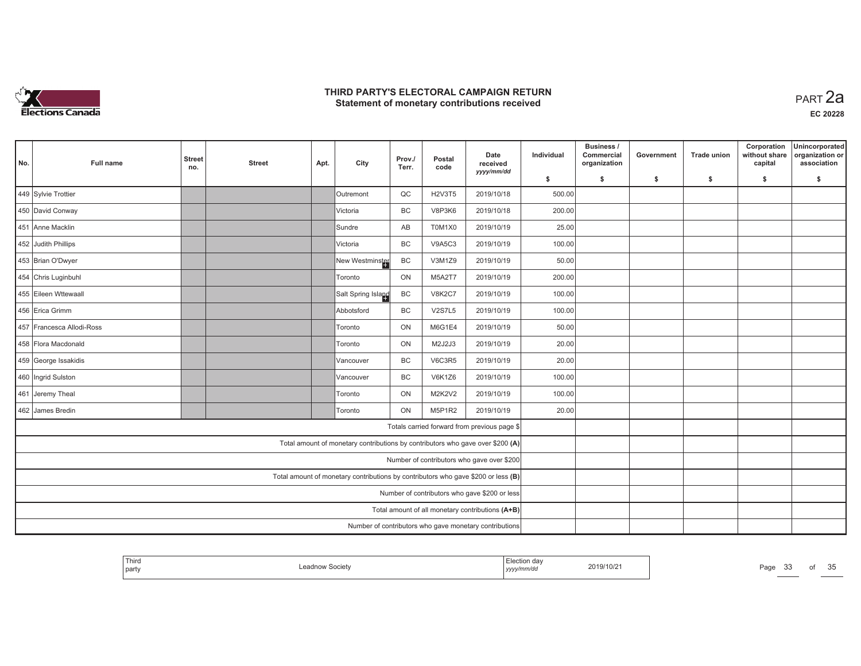

| No. | Full name                 | <b>Street</b><br>no. | <b>Street</b> | Apt. | City                                                                           | Prov./<br>Terr. | Postal<br>code | Date<br>received<br>yyyy/mm/dd                                                    | Individual | <b>Business /</b><br>Commercial<br>organization | Government | <b>Trade union</b> | Corporation<br>without share<br>capital | Unincorporated<br>organization or<br>association |
|-----|---------------------------|----------------------|---------------|------|--------------------------------------------------------------------------------|-----------------|----------------|-----------------------------------------------------------------------------------|------------|-------------------------------------------------|------------|--------------------|-----------------------------------------|--------------------------------------------------|
|     |                           |                      |               |      |                                                                                |                 |                |                                                                                   | \$         | \$                                              | \$         | -\$                | \$                                      | \$                                               |
|     | 449 Sylvie Trottier       |                      |               |      | Outremont                                                                      | QC              | <b>H2V3T5</b>  | 2019/10/18                                                                        | 500.00     |                                                 |            |                    |                                         |                                                  |
|     | 450 David Conway          |                      |               |      | Victoria                                                                       | BC              | <b>V8P3K6</b>  | 2019/10/18                                                                        | 200.00     |                                                 |            |                    |                                         |                                                  |
|     | 451 Anne Macklin          |                      |               |      | İSundre                                                                        | AB              | T0M1X0         | 2019/10/19                                                                        | 25.00      |                                                 |            |                    |                                         |                                                  |
|     | 452 Judith Phillips       |                      |               |      | Victoria                                                                       | <b>BC</b>       | <b>V9A5C3</b>  | 2019/10/19                                                                        | 100.00     |                                                 |            |                    |                                         |                                                  |
|     | 453 Brian O'Dwyer         |                      |               |      | New Westminster                                                                | BC              | V3M1Z9         | 2019/10/19                                                                        | 50.00      |                                                 |            |                    |                                         |                                                  |
|     | 454 Chris Luginbuhl       |                      |               |      | Toronto                                                                        | ON              | <b>M5A2T7</b>  | 2019/10/19                                                                        | 200.00     |                                                 |            |                    |                                         |                                                  |
|     | 455 Eileen Wttewaall      |                      |               |      | Salt Spring Island                                                             | BC              | <b>V8K2C7</b>  | 2019/10/19                                                                        | 100.00     |                                                 |            |                    |                                         |                                                  |
|     | 456 Erica Grimm           |                      |               |      | Abbotsford                                                                     | BC              | <b>V2S7L5</b>  | 2019/10/19                                                                        | 100.00     |                                                 |            |                    |                                         |                                                  |
|     | 457 Francesca Allodi-Ross |                      |               |      | Toronto                                                                        | ON              | M6G1E4         | 2019/10/19                                                                        | 50.00      |                                                 |            |                    |                                         |                                                  |
|     | 458 Flora Macdonald       |                      |               |      | Toronto                                                                        | ON              | M2J2J3         | 2019/10/19                                                                        | 20.00      |                                                 |            |                    |                                         |                                                  |
|     | 459 George Issakidis      |                      |               |      | Vancouver                                                                      | BC              | <b>V6C3R5</b>  | 2019/10/19                                                                        | 20.00      |                                                 |            |                    |                                         |                                                  |
|     | 460 Ingrid Sulston        |                      |               |      | Vancouver                                                                      | BC              | <b>V6K1Z6</b>  | 2019/10/19                                                                        | 100.00     |                                                 |            |                    |                                         |                                                  |
|     | 461 Jeremy Theal          |                      |               |      | Toronto                                                                        | ON              | <b>M2K2V2</b>  | 2019/10/19                                                                        | 100.00     |                                                 |            |                    |                                         |                                                  |
|     | 462 James Bredin          |                      |               |      | Toronto                                                                        | <b>ON</b>       | M5P1R2         | 2019/10/19                                                                        | 20.00      |                                                 |            |                    |                                         |                                                  |
|     |                           |                      |               |      |                                                                                |                 |                | Totals carried forward from previous page \$                                      |            |                                                 |            |                    |                                         |                                                  |
|     |                           |                      |               |      | Total amount of monetary contributions by contributors who gave over \$200 (A) |                 |                |                                                                                   |            |                                                 |            |                    |                                         |                                                  |
|     |                           |                      |               |      |                                                                                |                 |                | Number of contributors who gave over \$200                                        |            |                                                 |            |                    |                                         |                                                  |
|     |                           |                      |               |      |                                                                                |                 |                | Total amount of monetary contributions by contributors who gave \$200 or less (B) |            |                                                 |            |                    |                                         |                                                  |
|     |                           |                      |               |      |                                                                                |                 |                | Number of contributors who gave \$200 or less                                     |            |                                                 |            |                    |                                         |                                                  |
|     |                           |                      |               |      |                                                                                |                 |                | Total amount of all monetary contributions (A+B)                                  |            |                                                 |            |                    |                                         |                                                  |
|     |                           |                      |               |      |                                                                                |                 |                | Number of contributors who gave monetary contributions                            |            |                                                 |            |                    |                                         |                                                  |

| Third<br>  party | eadnow Societ <sup>,</sup> | ╶╹┍<br>'ion da<br>2019/10/21<br>.<br>yyyy/mm/dd | Page | ОI | 25<br>ັບ |
|------------------|----------------------------|-------------------------------------------------|------|----|----------|
|------------------|----------------------------|-------------------------------------------------|------|----|----------|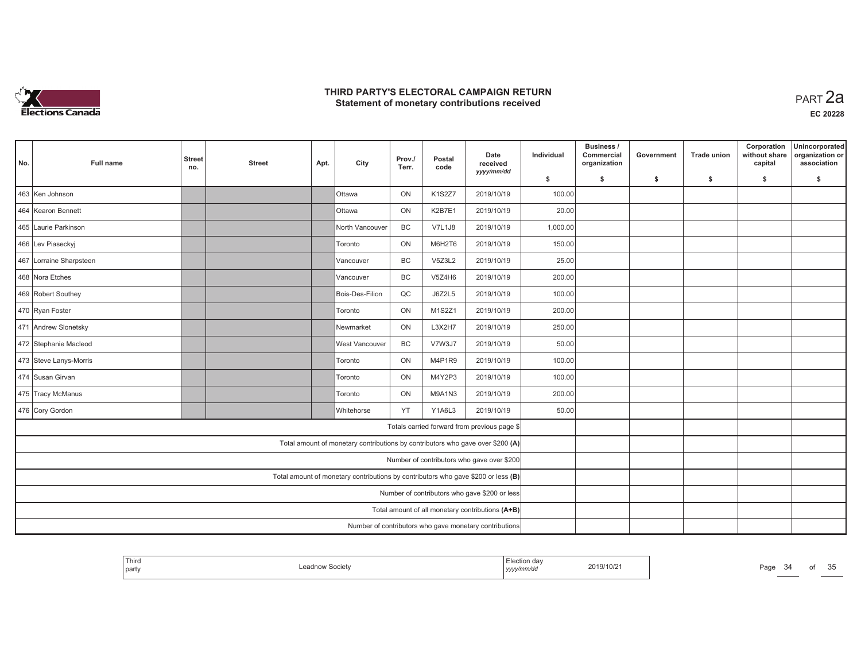

| No. | <b>Full name</b>        | <b>Street</b><br>no. | <b>Street</b> | Apt. | City                                                                              | Prov./<br>Terr. | Postal<br>code | Date<br>received<br>yyyy/mm/dd                         | Individual | Business /<br>Commercial<br>organization | Government | <b>Trade union</b> | Corporation<br>without share<br>capital | Unincorporated<br>organization or<br>association |
|-----|-------------------------|----------------------|---------------|------|-----------------------------------------------------------------------------------|-----------------|----------------|--------------------------------------------------------|------------|------------------------------------------|------------|--------------------|-----------------------------------------|--------------------------------------------------|
|     |                         |                      |               |      |                                                                                   |                 |                |                                                        | \$         | s.                                       | -\$        | -\$                | \$                                      | \$                                               |
|     | 463 Ken Johnson         |                      |               |      | <b>O</b> ttawa                                                                    | ON              | <b>K1S2Z7</b>  | 2019/10/19                                             | 100.00     |                                          |            |                    |                                         |                                                  |
|     | 464 Kearon Bennett      |                      |               |      | <b>Ottawa</b>                                                                     | ON              | K2B7E1         | 2019/10/19                                             | 20.00      |                                          |            |                    |                                         |                                                  |
|     | 465 Laurie Parkinson    |                      |               |      | North Vancouver                                                                   | <b>BC</b>       | <b>V7L1J8</b>  | 2019/10/19                                             | 1,000.00   |                                          |            |                    |                                         |                                                  |
|     | 466 Lev Piaseckyj       |                      |               |      | Toronto                                                                           | ON              | M6H2T6         | 2019/10/19                                             | 150.00     |                                          |            |                    |                                         |                                                  |
|     | 467 Lorraine Sharpsteen |                      |               |      | Vancouver                                                                         | BC              | V5Z3L2         | 2019/10/19                                             | 25.00      |                                          |            |                    |                                         |                                                  |
|     | 468 Nora Etches         |                      |               |      | Vancouver                                                                         | <b>BC</b>       | V5Z4H6         | 2019/10/19                                             | 200.00     |                                          |            |                    |                                         |                                                  |
|     | 469 Robert Southey      |                      |               |      | Bois-Des-Filion                                                                   | QC              | J6Z2L5         | 2019/10/19                                             | 100.00     |                                          |            |                    |                                         |                                                  |
|     | 470 Ryan Foster         |                      |               |      | Toronto                                                                           | ON              | M1S2Z1         | 2019/10/19                                             | 200.00     |                                          |            |                    |                                         |                                                  |
|     | 471 Andrew Slonetsky    |                      |               |      | <b>Newmarket</b>                                                                  | ON              | L3X2H7         | 2019/10/19                                             | 250.00     |                                          |            |                    |                                         |                                                  |
|     | 472 Stephanie Macleod   |                      |               |      | West Vancouver                                                                    | BC              | V7W3J7         | 2019/10/19                                             | 50.00      |                                          |            |                    |                                         |                                                  |
|     | 473 Steve Lanys-Morris  |                      |               |      | Toronto                                                                           | ON              | M4P1R9         | 2019/10/19                                             | 100.00     |                                          |            |                    |                                         |                                                  |
|     | 474 Susan Girvan        |                      |               |      | Toronto                                                                           | ON              | M4Y2P3         | 2019/10/19                                             | 100.00     |                                          |            |                    |                                         |                                                  |
|     | 475 Tracy McManus       |                      |               |      | Toronto                                                                           | ON              | M9A1N3         | 2019/10/19                                             | 200.00     |                                          |            |                    |                                         |                                                  |
|     | 476 Cory Gordon         |                      |               |      | Whitehorse                                                                        | YT              | Y1A6L3         | 2019/10/19                                             | 50.00      |                                          |            |                    |                                         |                                                  |
|     |                         |                      |               |      |                                                                                   |                 |                | Totals carried forward from previous page \$           |            |                                          |            |                    |                                         |                                                  |
|     |                         |                      |               |      | Total amount of monetary contributions by contributors who gave over \$200 (A)    |                 |                |                                                        |            |                                          |            |                    |                                         |                                                  |
|     |                         |                      |               |      |                                                                                   |                 |                | Number of contributors who gave over \$200             |            |                                          |            |                    |                                         |                                                  |
|     |                         |                      |               |      | Total amount of monetary contributions by contributors who gave \$200 or less (B) |                 |                |                                                        |            |                                          |            |                    |                                         |                                                  |
|     |                         |                      |               |      |                                                                                   |                 |                | Number of contributors who gave \$200 or less          |            |                                          |            |                    |                                         |                                                  |
|     |                         |                      |               |      |                                                                                   |                 |                | Total amount of all monetary contributions (A+B)       |            |                                          |            |                    |                                         |                                                  |
|     |                         |                      |               |      |                                                                                   |                 |                | Number of contributors who gave monetary contributions |            |                                          |            |                    |                                         |                                                  |

| ' Third<br>  party | Leadnow Societ | 019/10/2<br>.<br>, уууултт | Page | OI |
|--------------------|----------------|----------------------------|------|----|
|--------------------|----------------|----------------------------|------|----|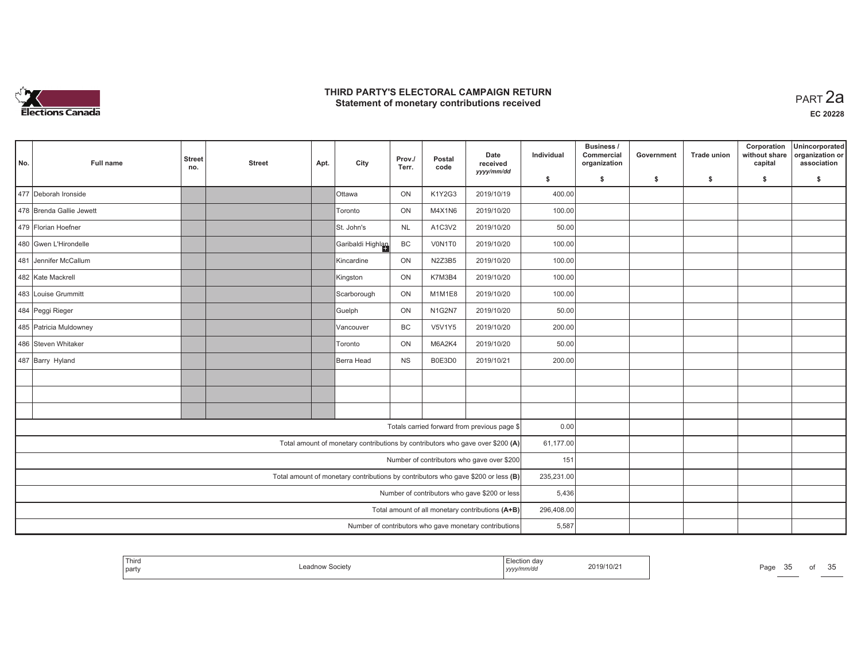

| No.                                                                               | <b>Full name</b>         | <b>Street</b><br>no. | <b>Street</b> | Apt. | City              | Prov./<br>Terr. | Postal<br>code | Date<br>received<br>yyyy/mm/dd | Individual | Business /<br>Commercial<br>organization | Government | <b>Trade union</b> | Corporation<br>without share<br>capital | Unincorporated<br>organization or<br>association |
|-----------------------------------------------------------------------------------|--------------------------|----------------------|---------------|------|-------------------|-----------------|----------------|--------------------------------|------------|------------------------------------------|------------|--------------------|-----------------------------------------|--------------------------------------------------|
|                                                                                   |                          |                      |               |      |                   |                 |                |                                | \$         | S.                                       | -\$        | -\$                | \$                                      | s.                                               |
|                                                                                   | 477 Deborah Ironside     |                      |               |      | <b>Ottawa</b>     | ON              | K1Y2G3         | 2019/10/19                     | 400.00     |                                          |            |                    |                                         |                                                  |
|                                                                                   | 478 Brenda Gallie Jewett |                      |               |      | Toronto           | ON              | M4X1N6         | 2019/10/20                     | 100.00     |                                          |            |                    |                                         |                                                  |
|                                                                                   | 479 Florian Hoefner      |                      |               |      | St. John's        | <b>NL</b>       | A1C3V2         | 2019/10/20                     | 50.00      |                                          |            |                    |                                         |                                                  |
|                                                                                   | 480 Gwen L'Hirondelle    |                      |               |      | Garibaldi Highlan | BC              | V0N1T0         | 2019/10/20                     | 100.00     |                                          |            |                    |                                         |                                                  |
|                                                                                   | 481 Jennifer McCallum    |                      |               |      | Kincardine        | ON              | <b>N2Z3B5</b>  | 2019/10/20                     | 100.00     |                                          |            |                    |                                         |                                                  |
|                                                                                   | 482 Kate Mackrell        |                      |               |      | Kingston          | ON              | K7M3B4         | 2019/10/20                     | 100.00     |                                          |            |                    |                                         |                                                  |
|                                                                                   | 483 Louise Grummitt      |                      |               |      | Scarborough       | ON              | M1M1E8         | 2019/10/20                     | 100.00     |                                          |            |                    |                                         |                                                  |
|                                                                                   | 484 Peggi Rieger         |                      |               |      | Guelph            | ON              | N1G2N7         | 2019/10/20                     | 50.00      |                                          |            |                    |                                         |                                                  |
|                                                                                   | 485 Patricia Muldowney   |                      |               |      | <b>Vancouver</b>  | <b>BC</b>       | <b>V5V1Y5</b>  | 2019/10/20                     | 200.00     |                                          |            |                    |                                         |                                                  |
|                                                                                   | 486 Steven Whitaker      |                      |               |      | <b>Toronto</b>    | ON              | M6A2K4         | 2019/10/20                     | 50.00      |                                          |            |                    |                                         |                                                  |
|                                                                                   | 487 Barry Hyland         |                      |               |      | Berra Head        | <b>NS</b>       | B0E3D0         | 2019/10/21                     | 200.00     |                                          |            |                    |                                         |                                                  |
|                                                                                   |                          |                      |               |      |                   |                 |                |                                |            |                                          |            |                    |                                         |                                                  |
|                                                                                   |                          |                      |               |      |                   |                 |                |                                |            |                                          |            |                    |                                         |                                                  |
|                                                                                   |                          |                      |               |      |                   |                 |                |                                |            |                                          |            |                    |                                         |                                                  |
| Totals carried forward from previous page \$                                      |                          |                      |               |      |                   |                 |                | 0.00                           |            |                                          |            |                    |                                         |                                                  |
| Total amount of monetary contributions by contributors who gave over \$200 (A)    |                          |                      |               |      |                   |                 | 61,177.00      |                                |            |                                          |            |                    |                                         |                                                  |
| Number of contributors who gave over \$200                                        |                          |                      |               |      |                   |                 | 151            |                                |            |                                          |            |                    |                                         |                                                  |
| Total amount of monetary contributions by contributors who gave \$200 or less (B) |                          |                      |               |      |                   |                 | 235,231.00     |                                |            |                                          |            |                    |                                         |                                                  |
| Number of contributors who gave \$200 or less                                     |                          |                      |               |      |                   |                 | 5,436          |                                |            |                                          |            |                    |                                         |                                                  |
| Total amount of all monetary contributions (A+B)                                  |                          |                      |               |      |                   |                 | 296,408.00     |                                |            |                                          |            |                    |                                         |                                                  |
| Number of contributors who gave monetary contributions                            |                          |                      |               |      |                   |                 |                | 5,587                          |            |                                          |            |                    |                                         |                                                  |

|  | Third<br>party | ∵ocietv | .<br>,,,,,<br>$-1$ | 2019/10/2 | Page |  |  | $\sim$ $\sim$<br>ື |
|--|----------------|---------|--------------------|-----------|------|--|--|--------------------|
|--|----------------|---------|--------------------|-----------|------|--|--|--------------------|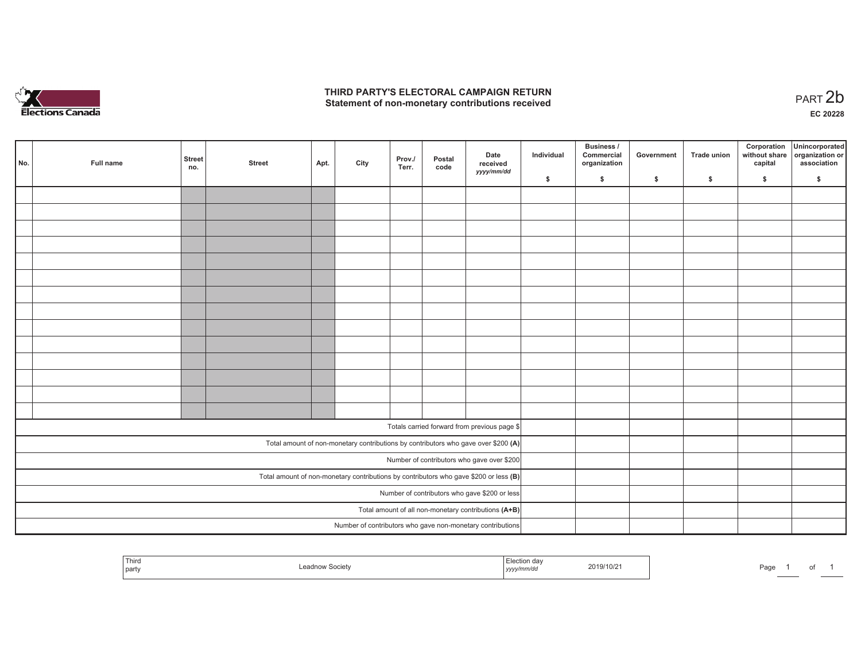

#### **THIRD PARTY'S ELECTORAL CAMPAIGN RETURN**  THIRD PARTY'S ELECTORAL CAMPAIGN RETURN<br>Statement of non-monetary contributions received<br> **PART 2b**

of 1

| No. | Full name | <b>Street</b><br>no. | <b>Street</b> | Apt. | City | Prov./<br>Terr. | Postal<br>code | Date<br>received<br>yyyy/mm/dd                                                          | Individual | <b>Business /</b><br>Commercial<br>organization | Government   | Trade union  | Corporation<br>without share<br>capital | Unincorporated<br>organization or<br>association |
|-----|-----------|----------------------|---------------|------|------|-----------------|----------------|-----------------------------------------------------------------------------------------|------------|-------------------------------------------------|--------------|--------------|-----------------------------------------|--------------------------------------------------|
|     |           |                      |               |      |      |                 |                |                                                                                         | \$         | \$                                              | $\mathsf{s}$ | $\mathbf{s}$ | \$                                      | \$                                               |
|     |           |                      |               |      |      |                 |                |                                                                                         |            |                                                 |              |              |                                         |                                                  |
|     |           |                      |               |      |      |                 |                |                                                                                         |            |                                                 |              |              |                                         |                                                  |
|     |           |                      |               |      |      |                 |                |                                                                                         |            |                                                 |              |              |                                         |                                                  |
|     |           |                      |               |      |      |                 |                |                                                                                         |            |                                                 |              |              |                                         |                                                  |
|     |           |                      |               |      |      |                 |                |                                                                                         |            |                                                 |              |              |                                         |                                                  |
|     |           |                      |               |      |      |                 |                |                                                                                         |            |                                                 |              |              |                                         |                                                  |
|     |           |                      |               |      |      |                 |                |                                                                                         |            |                                                 |              |              |                                         |                                                  |
|     |           |                      |               |      |      |                 |                |                                                                                         |            |                                                 |              |              |                                         |                                                  |
|     |           |                      |               |      |      |                 |                |                                                                                         |            |                                                 |              |              |                                         |                                                  |
|     |           |                      |               |      |      |                 |                |                                                                                         |            |                                                 |              |              |                                         |                                                  |
|     |           |                      |               |      |      |                 |                |                                                                                         |            |                                                 |              |              |                                         |                                                  |
|     |           |                      |               |      |      |                 |                |                                                                                         |            |                                                 |              |              |                                         |                                                  |
|     |           |                      |               |      |      |                 |                |                                                                                         |            |                                                 |              |              |                                         |                                                  |
|     |           |                      |               |      |      |                 |                |                                                                                         |            |                                                 |              |              |                                         |                                                  |
|     |           |                      |               |      |      |                 |                |                                                                                         |            |                                                 |              |              |                                         |                                                  |
|     |           |                      |               |      |      |                 |                | Totals carried forward from previous page \$                                            |            |                                                 |              |              |                                         |                                                  |
|     |           |                      |               |      |      |                 |                | Total amount of non-monetary contributions by contributors who gave over \$200 (A)      |            |                                                 |              |              |                                         |                                                  |
|     |           |                      |               |      |      |                 |                | Number of contributors who gave over \$200                                              |            |                                                 |              |              |                                         |                                                  |
|     |           |                      |               |      |      |                 |                | Total amount of non-monetary contributions by contributors who gave \$200 or less $(B)$ |            |                                                 |              |              |                                         |                                                  |
|     |           |                      |               |      |      |                 |                | Number of contributors who gave \$200 or less                                           |            |                                                 |              |              |                                         |                                                  |
|     |           |                      |               |      |      |                 |                | Total amount of all non-monetary contributions (A+B)                                    |            |                                                 |              |              |                                         |                                                  |
|     |           |                      |               |      |      |                 |                | Number of contributors who gave non-monetary contributions                              |            |                                                 |              |              |                                         |                                                  |
|     |           |                      |               |      |      |                 |                |                                                                                         |            |                                                 |              |              |                                         |                                                  |

| Third<br>party | AM Societ<br><b>LEQUITOM OPPICIAL</b> | da1<br>$\overline{ }$<br>.<br>mwac<br>,,,, | 2019/10/21 | Page | ____ |
|----------------|---------------------------------------|--------------------------------------------|------------|------|------|
|----------------|---------------------------------------|--------------------------------------------|------------|------|------|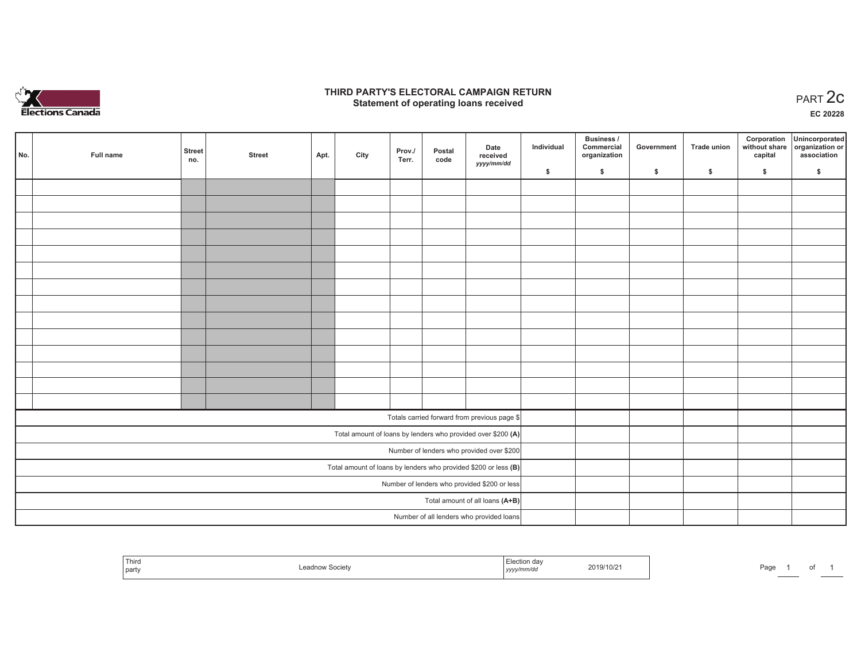

#### **THIRD PARTY'S ELECTORAL CAMPAIGN RETURN STATE:** PARTY'S ELECTORAL CAMPAIGN RETURN<br>
Statement of operating loans received

**EC 20228**

| No. | Full name | <b>Street</b><br>no. | <b>Street</b> | Apt. | City | Prov./<br>Terr. | Postal<br>code | Date<br>received                                                  | Individual | Business /<br>Commercial<br>organization | Government | Trade union | Corporation<br>capital | Unincorporated<br>without share organization or<br>association |
|-----|-----------|----------------------|---------------|------|------|-----------------|----------------|-------------------------------------------------------------------|------------|------------------------------------------|------------|-------------|------------------------|----------------------------------------------------------------|
|     |           |                      |               |      |      |                 |                | yyyy/mm/dd                                                        | \$         | \$                                       | \$         | \$          | \$                     | \$                                                             |
|     |           |                      |               |      |      |                 |                |                                                                   |            |                                          |            |             |                        |                                                                |
|     |           |                      |               |      |      |                 |                |                                                                   |            |                                          |            |             |                        |                                                                |
|     |           |                      |               |      |      |                 |                |                                                                   |            |                                          |            |             |                        |                                                                |
|     |           |                      |               |      |      |                 |                |                                                                   |            |                                          |            |             |                        |                                                                |
|     |           |                      |               |      |      |                 |                |                                                                   |            |                                          |            |             |                        |                                                                |
|     |           |                      |               |      |      |                 |                |                                                                   |            |                                          |            |             |                        |                                                                |
|     |           |                      |               |      |      |                 |                |                                                                   |            |                                          |            |             |                        |                                                                |
|     |           |                      |               |      |      |                 |                |                                                                   |            |                                          |            |             |                        |                                                                |
|     |           |                      |               |      |      |                 |                |                                                                   |            |                                          |            |             |                        |                                                                |
|     |           |                      |               |      |      |                 |                |                                                                   |            |                                          |            |             |                        |                                                                |
|     |           |                      |               |      |      |                 |                |                                                                   |            |                                          |            |             |                        |                                                                |
|     |           |                      |               |      |      |                 |                |                                                                   |            |                                          |            |             |                        |                                                                |
|     |           |                      |               |      |      |                 |                |                                                                   |            |                                          |            |             |                        |                                                                |
|     |           |                      |               |      |      |                 |                |                                                                   |            |                                          |            |             |                        |                                                                |
|     |           |                      |               |      |      |                 |                | Totals carried forward from previous page \$                      |            |                                          |            |             |                        |                                                                |
|     |           |                      |               |      |      |                 |                | Total amount of loans by lenders who provided over \$200 (A)      |            |                                          |            |             |                        |                                                                |
|     |           |                      |               |      |      |                 |                | Number of lenders who provided over \$200                         |            |                                          |            |             |                        |                                                                |
|     |           |                      |               |      |      |                 |                | Total amount of loans by lenders who provided \$200 or less $(B)$ |            |                                          |            |             |                        |                                                                |
|     |           |                      |               |      |      |                 |                | Number of lenders who provided \$200 or less                      |            |                                          |            |             |                        |                                                                |
|     |           |                      |               |      |      |                 |                | Total amount of all loans (A+B)                                   |            |                                          |            |             |                        |                                                                |
|     |           |                      |               |      |      |                 |                | Number of all lenders who provided loans                          |            |                                          |            |             |                        |                                                                |

| Third<br>party | Leadnow Society | Election dav<br>, yyyy/mm/dr' | 2019/10/21 | Do o<br>aqı' |  |
|----------------|-----------------|-------------------------------|------------|--------------|--|
|----------------|-----------------|-------------------------------|------------|--------------|--|

of 1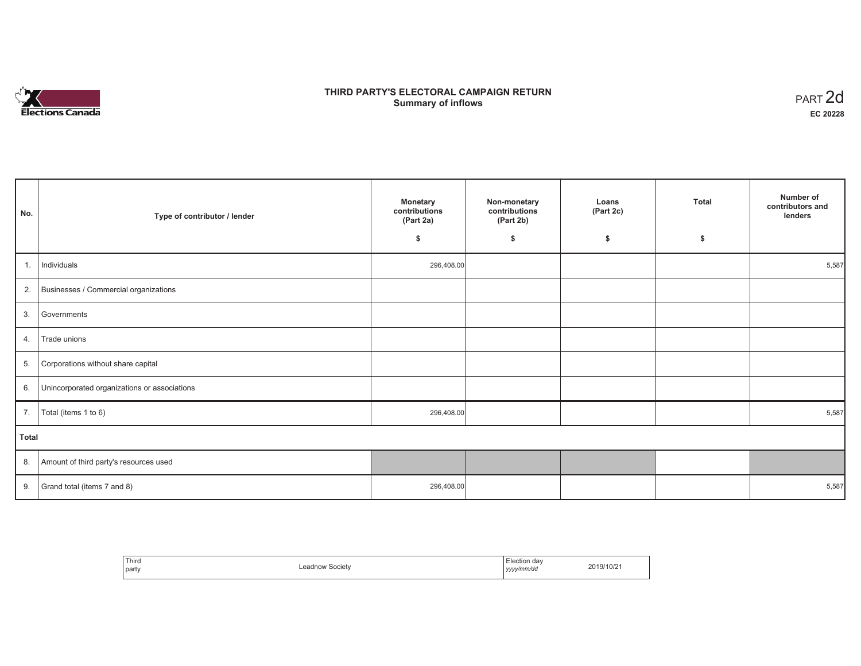

#### **THIRD PARTY'S ELECTORAL CAMPAIGN RETURN Summary of inflows** PART 2d

| No.          | Type of contributor / lender                    | <b>Monetary</b><br>contributions<br>(Part 2a)<br>\$ | Non-monetary<br>contributions<br>(Part 2b)<br>\$ | Loans<br>(Part 2c)<br>S. | <b>Total</b><br>\$ | Number of<br>contributors and<br>lenders |
|--------------|-------------------------------------------------|-----------------------------------------------------|--------------------------------------------------|--------------------------|--------------------|------------------------------------------|
|              |                                                 |                                                     |                                                  |                          |                    |                                          |
| 1.           | Individuals                                     | 296,408.00                                          |                                                  |                          |                    | 5,587                                    |
|              | 2. Businesses / Commercial organizations        |                                                     |                                                  |                          |                    |                                          |
|              | 3. Governments                                  |                                                     |                                                  |                          |                    |                                          |
| 4.           | Trade unions                                    |                                                     |                                                  |                          |                    |                                          |
|              | 5. Corporations without share capital           |                                                     |                                                  |                          |                    |                                          |
|              | 6. Unincorporated organizations or associations |                                                     |                                                  |                          |                    |                                          |
| 7.           | Total (items 1 to 6)                            | 296,408.00                                          |                                                  |                          |                    | 5,587                                    |
| <b>Total</b> |                                                 |                                                     |                                                  |                          |                    |                                          |
|              | 8. Amount of third party's resources used       |                                                     |                                                  |                          |                    |                                          |
| 9.           | Grand total (items 7 and 8)                     | 296,408.00                                          |                                                  |                          |                    | 5,587                                    |

| Third<br>party | Leadnow Society<br>. | Election dav<br>.<br>yyyy/mm/dd<br>,,,, | 2019/10/21 |
|----------------|----------------------|-----------------------------------------|------------|
|----------------|----------------------|-----------------------------------------|------------|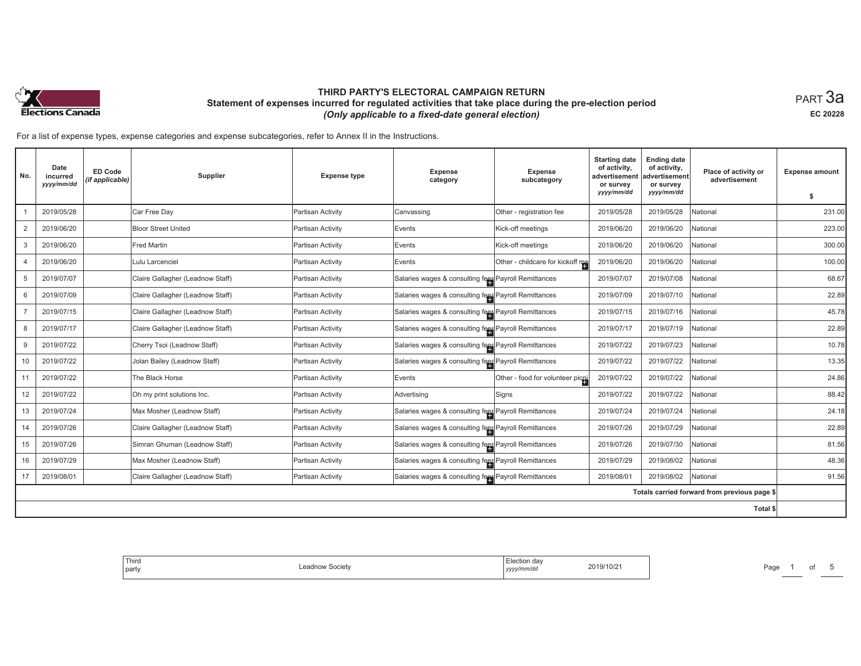

 $_{\sf PART}$ 3a **EC 20228**

| No.            | Date<br>incurred<br>yyyy/mm/dd | <b>ED Code</b><br>(if applicable) | Supplier                         | <b>Expense type</b> | <b>Expense</b><br>category                           | Expense<br>subcategory           | <b>Starting date</b><br>of activity,<br>advertisement<br>or survey<br>yyyy/mm/dd | <b>Ending date</b><br>of activity,<br>advertisement<br>or survey<br>yyyy/mm/dd | Place of activity or<br>advertisement        | <b>Expense amount</b><br>\$ |
|----------------|--------------------------------|-----------------------------------|----------------------------------|---------------------|------------------------------------------------------|----------------------------------|----------------------------------------------------------------------------------|--------------------------------------------------------------------------------|----------------------------------------------|-----------------------------|
|                | 2019/05/28                     |                                   | Car Free Day                     | Partisan Activity   | Canvassing                                           | Other - registration fee         | 2019/05/28                                                                       | 2019/05/28                                                                     | National                                     | 231.00                      |
| $\overline{2}$ | 2019/06/20                     |                                   | <b>Bloor Street United</b>       | Partisan Activity   |                                                      | Kick-off meetings                | 2019/06/20                                                                       | 2019/06/20                                                                     | National                                     | 223.00                      |
|                |                                |                                   |                                  |                     | Events                                               |                                  |                                                                                  |                                                                                |                                              |                             |
| 3              | 2019/06/20                     |                                   | Fred Martin                      | Partisan Activity   | Events                                               | Kick-off meetings                | 2019/06/20                                                                       | 2019/06/20                                                                     | National                                     | 300.00                      |
| $\overline{4}$ | 2019/06/20                     |                                   | Lulu Larcenciel                  | Partisan Activity   | Events                                               | Other - childcare for kickoff me | 2019/06/20                                                                       | 2019/06/20                                                                     | National                                     | 100.00                      |
| 5              | 2019/07/07                     |                                   | Claire Gallagher (Leadnow Staff) | Partisan Activity   | Salaries wages & consulting fees Payroll Remittances |                                  | 2019/07/07                                                                       | 2019/07/08                                                                     | National                                     | 68.67                       |
| 6              | 2019/07/09                     |                                   | Claire Gallagher (Leadnow Staff) | Partisan Activity   | Salaries wages & consulting fees Payroll Remittances |                                  | 2019/07/09                                                                       | 2019/07/10                                                                     | National                                     | 22.89                       |
| $\overline{7}$ | 2019/07/15                     |                                   | Claire Gallagher (Leadnow Staff) | Partisan Activity   | Salaries wages & consulting fees Payroll Remittances |                                  | 2019/07/15                                                                       | 2019/07/16                                                                     | National                                     | 45.78                       |
| 8              | 2019/07/17                     |                                   | Claire Gallagher (Leadnow Staff) | Partisan Activity   | Salaries wages & consulting fees Payroll Remittances |                                  | 2019/07/17                                                                       | 2019/07/19                                                                     | National                                     | 22.89                       |
| 9              | 2019/07/22                     |                                   | Cherry Tsoi (Leadnow Staff)      | Partisan Activity   | Salaries wages & consulting fees Payroll Remittances |                                  | 2019/07/22                                                                       | 2019/07/23                                                                     | National                                     | 10.78                       |
| 10             | 2019/07/22                     |                                   | Jolan Bailey (Leadnow Staff)     | Partisan Activity   | Salaries wages & consulting fees Payroll Remittances |                                  | 2019/07/22                                                                       | 2019/07/22                                                                     | National                                     | 13.35                       |
| 11             | 2019/07/22                     |                                   | The Black Horse                  | Partisan Activity   | Events                                               | Other - food for volunteer picni | 2019/07/22                                                                       | 2019/07/22                                                                     | National                                     | 24.86                       |
| 12             | 2019/07/22                     |                                   | Oh my print solutions Inc.       | Partisan Activity   | Advertising                                          | Signs                            | 2019/07/22                                                                       | 2019/07/22                                                                     | National                                     | 88.42                       |
| 13             | 2019/07/24                     |                                   | Max Mosher (Leadnow Staff)       | Partisan Activity   | Salaries wages & consulting fees Payroll Remittances |                                  | 2019/07/24                                                                       | 2019/07/24                                                                     | National                                     | 24.18                       |
| 14             | 2019/07/26                     |                                   | Claire Gallagher (Leadnow Staff) | Partisan Activity   | Salaries wages & consulting fees Payroll Remittances |                                  | 2019/07/26                                                                       | 2019/07/29                                                                     | National                                     | 22.89                       |
| 15             | 2019/07/26                     |                                   | Simran Ghuman (Leadnow Staff)    | Partisan Activity   | Salaries wages & consulting fees Payroll Remittances |                                  | 2019/07/26                                                                       | 2019/07/30                                                                     | National                                     | 81.56                       |
| 16             | 2019/07/29                     |                                   | Max Mosher (Leadnow Staff)       | Partisan Activity   | Salaries wages & consulting fees Payroll Remittances |                                  | 2019/07/29                                                                       | 2019/08/02                                                                     | National                                     | 48.36                       |
| 17             | 2019/08/01                     |                                   | Claire Gallagher (Leadnow Staff) | Partisan Activity   | Salaries wages & consulting fees Payroll Remittances |                                  | 2019/08/01                                                                       | 2019/08/02                                                                     | National                                     | 91.56                       |
|                |                                |                                   |                                  |                     |                                                      |                                  |                                                                                  |                                                                                | Totals carried forward from previous page \$ |                             |
|                |                                |                                   |                                  |                     |                                                      |                                  |                                                                                  |                                                                                | Total \$                                     |                             |

| $-1$<br>Third<br>2019/10/2<br>Page<br>$\sim$ 00<br>party<br>yyyy/mnwuu |
|------------------------------------------------------------------------|
|------------------------------------------------------------------------|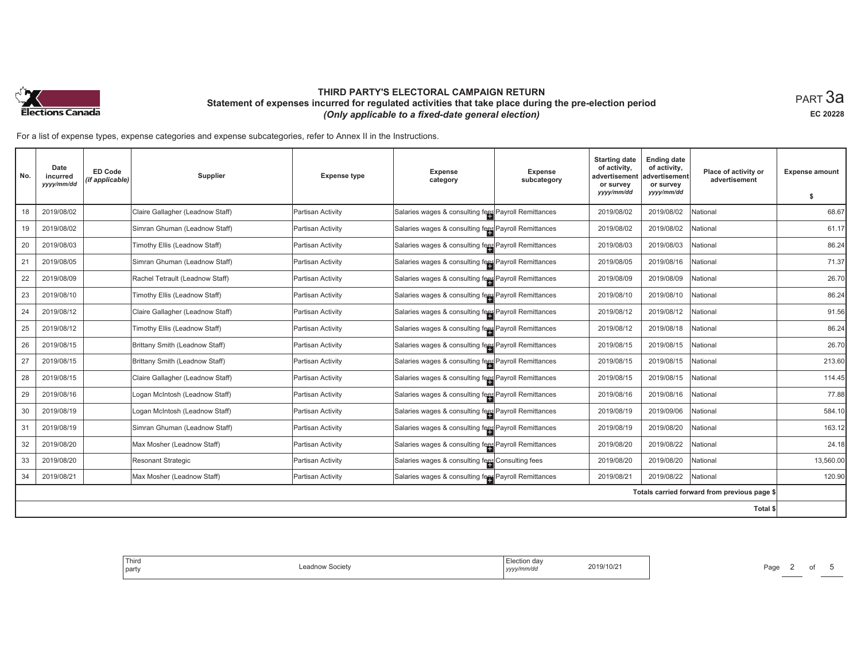

 $_{\sf PART}$ 3a **EC 20228**

| No. | Date<br>incurred<br>yyyy/mm/dd | <b>ED Code</b><br>(if applicable) | Supplier                         | <b>Expense type</b> | <b>Expense</b><br>category                           | Expense<br>subcategory | <b>Starting date</b><br>of activity,<br>advertisement<br>or survey<br>yyyy/mm/dd | <b>Ending date</b><br>of activity,<br>advertisement<br>or survey<br>yyyy/mm/dd | Place of activity or<br>advertisement        | <b>Expense amount</b><br>\$ |
|-----|--------------------------------|-----------------------------------|----------------------------------|---------------------|------------------------------------------------------|------------------------|----------------------------------------------------------------------------------|--------------------------------------------------------------------------------|----------------------------------------------|-----------------------------|
| 18  | 2019/08/02                     |                                   | Claire Gallagher (Leadnow Staff) | Partisan Activity   | Salaries wages & consulting fees Payroll Remittances |                        | 2019/08/02                                                                       | 2019/08/02                                                                     | National                                     | 68.67                       |
| 19  | 2019/08/02                     |                                   | Simran Ghuman (Leadnow Staff)    | Partisan Activity   | Salaries wages & consulting fees Payroll Remittances |                        | 2019/08/02                                                                       | 2019/08/02                                                                     | National                                     | 61.17                       |
| 20  | 2019/08/03                     |                                   | Timothy Ellis (Leadnow Staff)    | Partisan Activity   | Salaries wages & consulting fees Payroll Remittances |                        | 2019/08/03                                                                       | 2019/08/03                                                                     | National                                     | 86.24                       |
| 21  | 2019/08/05                     |                                   | Simran Ghuman (Leadnow Staff)    | Partisan Activity   | Salaries wages & consulting fees Payroll Remittances |                        | 2019/08/05                                                                       | 2019/08/16                                                                     | National                                     | 71.37                       |
| 22  | 2019/08/09                     |                                   | Rachel Tetrault (Leadnow Staff)  | Partisan Activity   | Salaries wages & consulting fees Payroll Remittances |                        | 2019/08/09                                                                       | 2019/08/09                                                                     | National                                     | 26.70                       |
| 23  | 2019/08/10                     |                                   | Timothy Ellis (Leadnow Staff)    | Partisan Activity   | Salaries wages & consulting fees Payroll Remittances |                        | 2019/08/10                                                                       | 2019/08/10                                                                     | National                                     | 86.24                       |
| 24  | 2019/08/12                     |                                   | Claire Gallagher (Leadnow Staff) | Partisan Activity   | Salaries wages & consulting fees Payroll Remittances |                        | 2019/08/12                                                                       | 2019/08/12                                                                     | National                                     | 91.56                       |
| 25  | 2019/08/12                     |                                   | Timothy Ellis (Leadnow Staff)    | Partisan Activity   | Salaries wages & consulting fees Payroll Remittances |                        | 2019/08/12                                                                       | 2019/08/18                                                                     | National                                     | 86.24                       |
| 26  | 2019/08/15                     |                                   | Brittany Smith (Leadnow Staff)   | Partisan Activity   | Salaries wages & consulting fees Payroll Remittances |                        | 2019/08/15                                                                       | 2019/08/15                                                                     | National                                     | 26.70                       |
| 27  | 2019/08/15                     |                                   | Brittany Smith (Leadnow Staff)   | Partisan Activity   | Salaries wages & consulting fees Payroll Remittances |                        | 2019/08/15                                                                       | 2019/08/15                                                                     | National                                     | 213.60                      |
| 28  | 2019/08/15                     |                                   | Claire Gallagher (Leadnow Staff) | Partisan Activity   | Salaries wages & consulting fees Payroll Remittances |                        | 2019/08/15                                                                       | 2019/08/15                                                                     | National                                     | 114.45                      |
| 29  | 2019/08/16                     |                                   | Logan McIntosh (Leadnow Staff)   | Partisan Activity   | Salaries wages & consulting fees Payroll Remittances |                        | 2019/08/16                                                                       | 2019/08/16                                                                     | National                                     | 77.88                       |
| 30  | 2019/08/19                     |                                   | Logan McIntosh (Leadnow Staff)   | Partisan Activity   | Salaries wages & consulting fees Payroll Remittances |                        | 2019/08/19                                                                       | 2019/09/06                                                                     | National                                     | 584.10                      |
| 31  | 2019/08/19                     |                                   | Simran Ghuman (Leadnow Staff)    | Partisan Activity   | Salaries wages & consulting fees Payroll Remittances |                        | 2019/08/19                                                                       | 2019/08/20                                                                     | National                                     | 163.12                      |
| 32  | 2019/08/20                     |                                   | Max Mosher (Leadnow Staff)       | Partisan Activity   | Salaries wages & consulting fees Payroll Remittances |                        | 2019/08/20                                                                       | 2019/08/22                                                                     | National                                     | 24.18                       |
| 33  | 2019/08/20                     |                                   | <b>Resonant Strategic</b>        | Partisan Activity   | Salaries wages & consulting fees Consulting fees     |                        | 2019/08/20                                                                       | 2019/08/20                                                                     | National                                     | 13,560.00                   |
| 34  | 2019/08/21                     |                                   | Max Mosher (Leadnow Staff)       | Partisan Activity   | Salaries wages & consulting fees Payroll Remittances |                        | 2019/08/21                                                                       | 2019/08/22                                                                     | National                                     | 120.90                      |
|     |                                |                                   |                                  |                     |                                                      |                        |                                                                                  |                                                                                | Totals carried forward from previous page \$ |                             |
|     |                                |                                   |                                  |                     |                                                      |                        |                                                                                  |                                                                                | Total \$                                     |                             |

| Third<br>  party | Leadnow Societv | Election day<br>2019/10/21<br>, yyyy/mm/dd<br>the contract of the contract of the contract of the contract of the contract of | Page |
|------------------|-----------------|-------------------------------------------------------------------------------------------------------------------------------|------|
|------------------|-----------------|-------------------------------------------------------------------------------------------------------------------------------|------|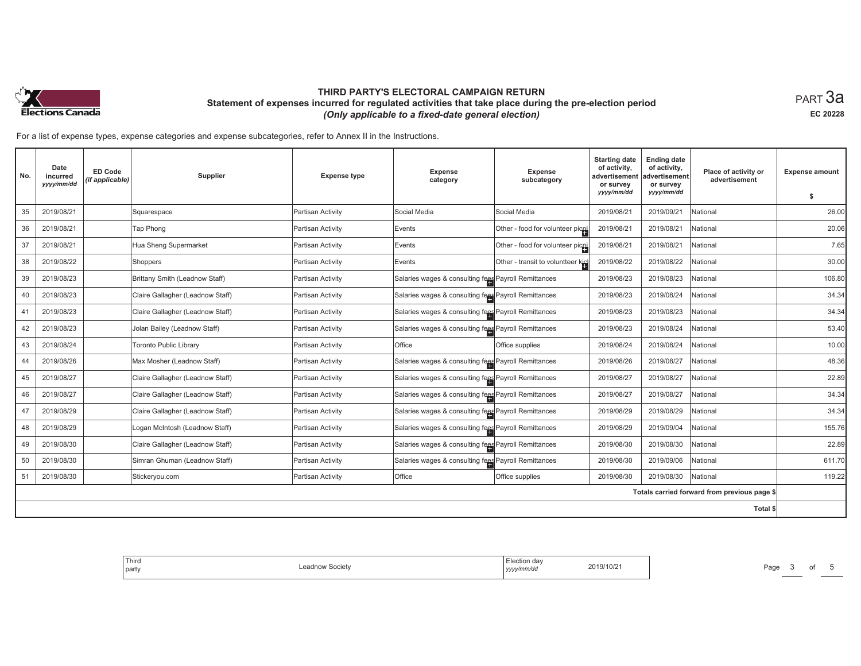

 $_{\sf PART}$ 3a **EC 20228**

| No. | Date<br>incurred<br>yyyy/mm/dd | ED Code<br>(if applicable) | Supplier                         | <b>Expense type</b> | <b>Expense</b><br>category                           | Expense<br>subcategory             | <b>Starting date</b><br>of activity,<br>advertisement<br>or survey<br>yyyy/mm/dd | <b>Ending date</b><br>of activity,<br>advertisement<br>or survey<br>yyyy/mm/dd | Place of activity or<br>advertisement        | <b>Expense amount</b> |
|-----|--------------------------------|----------------------------|----------------------------------|---------------------|------------------------------------------------------|------------------------------------|----------------------------------------------------------------------------------|--------------------------------------------------------------------------------|----------------------------------------------|-----------------------|
|     |                                |                            |                                  |                     |                                                      |                                    |                                                                                  |                                                                                |                                              | S.                    |
| 35  | 2019/08/21                     |                            | Squarespace                      | Partisan Activity   | Social Media                                         | Social Media                       | 2019/08/21                                                                       | 2019/09/21                                                                     | National                                     | 26.00                 |
| 36  | 2019/08/21                     |                            | Tap Phong                        | Partisan Activity   | Events                                               | Other - food for volunteer picni   | 2019/08/21                                                                       | 2019/08/21                                                                     | National                                     | 20.06                 |
| 37  | 2019/08/21                     |                            | Hua Sheng Supermarket            | Partisan Activity   | Events                                               | Other - food for volunteer picni   | 2019/08/21                                                                       | 2019/08/21                                                                     | National                                     | 7.65                  |
| 38  | 2019/08/22                     |                            | Shoppers                         | Partisan Activity   | Events                                               | Other - transit to voluntteer kich | 2019/08/22                                                                       | 2019/08/22                                                                     | National                                     | 30.00                 |
| 39  | 2019/08/23                     |                            | Brittany Smith (Leadnow Staff)   | Partisan Activity   | Salaries wages & consulting fees Payroll Remittances |                                    | 2019/08/23                                                                       | 2019/08/23                                                                     | National                                     | 106.80                |
| 40  | 2019/08/23                     |                            | Claire Gallagher (Leadnow Staff) | Partisan Activity   | Salaries wages & consulting fees Payroll Remittances |                                    | 2019/08/23                                                                       | 2019/08/24                                                                     | National                                     | 34.34                 |
| 41  | 2019/08/23                     |                            | Claire Gallagher (Leadnow Staff) | Partisan Activity   | Salaries wages & consulting fees Payroll Remittances |                                    | 2019/08/23                                                                       | 2019/08/23                                                                     | National                                     | 34.34                 |
| 42  | 2019/08/23                     |                            | Jolan Bailey (Leadnow Staff)     | Partisan Activity   | Salaries wages & consulting fees Payroll Remittances |                                    | 2019/08/23                                                                       | 2019/08/24                                                                     | National                                     | 53.40                 |
| 43  | 2019/08/24                     |                            | <b>Toronto Public Library</b>    | Partisan Activity   | Office                                               | Office supplies                    | 2019/08/24                                                                       | 2019/08/24                                                                     | National                                     | 10.00                 |
| 44  | 2019/08/26                     |                            | Max Mosher (Leadnow Staff)       | Partisan Activity   | Salaries wages & consulting fees Payroll Remittances |                                    | 2019/08/26                                                                       | 2019/08/27                                                                     | National                                     | 48.36                 |
| 45  | 2019/08/27                     |                            | Claire Gallagher (Leadnow Staff) | Partisan Activity   | Salaries wages & consulting fees Payroll Remittances |                                    | 2019/08/27                                                                       | 2019/08/27                                                                     | National                                     | 22.89                 |
| 46  | 2019/08/27                     |                            | Claire Gallagher (Leadnow Staff) | Partisan Activity   | Salaries wages & consulting fees Payroll Remittances |                                    | 2019/08/27                                                                       | 2019/08/27                                                                     | National                                     | 34.34                 |
| 47  | 2019/08/29                     |                            | Claire Gallagher (Leadnow Staff) | Partisan Activity   | Salaries wages & consulting fees Payroll Remittances |                                    | 2019/08/29                                                                       | 2019/08/29                                                                     | National                                     | 34.34                 |
| 48  | 2019/08/29                     |                            | Logan McIntosh (Leadnow Staff)   | Partisan Activity   | Salaries wages & consulting fees Payroll Remittances |                                    | 2019/08/29                                                                       | 2019/09/04                                                                     | National                                     | 155.76                |
| 49  | 2019/08/30                     |                            | Claire Gallagher (Leadnow Staff) | Partisan Activity   | Salaries wages & consulting fees Payroll Remittances |                                    | 2019/08/30                                                                       | 2019/08/30                                                                     | National                                     | 22.89                 |
| 50  | 2019/08/30                     |                            | Simran Ghuman (Leadnow Staff)    | Partisan Activity   | Salaries wages & consulting fees Payroll Remittances |                                    | 2019/08/30                                                                       | 2019/09/06                                                                     | National                                     | 611.70                |
| 51  | 2019/08/30                     |                            | Stickeryou.com                   | Partisan Activity   | Office                                               | Office supplies                    | 2019/08/30                                                                       | 2019/08/30                                                                     | National                                     | 119.22                |
|     |                                |                            |                                  |                     |                                                      |                                    |                                                                                  |                                                                                | Totals carried forward from previous page \$ |                       |
|     |                                |                            |                                  |                     |                                                      |                                    |                                                                                  |                                                                                | Total \$                                     |                       |

| Third<br>∟eadnow Societv<br>  party | Election dav<br>2019/10/21<br>, yyyy/mm/dd | Page |
|-------------------------------------|--------------------------------------------|------|
|-------------------------------------|--------------------------------------------|------|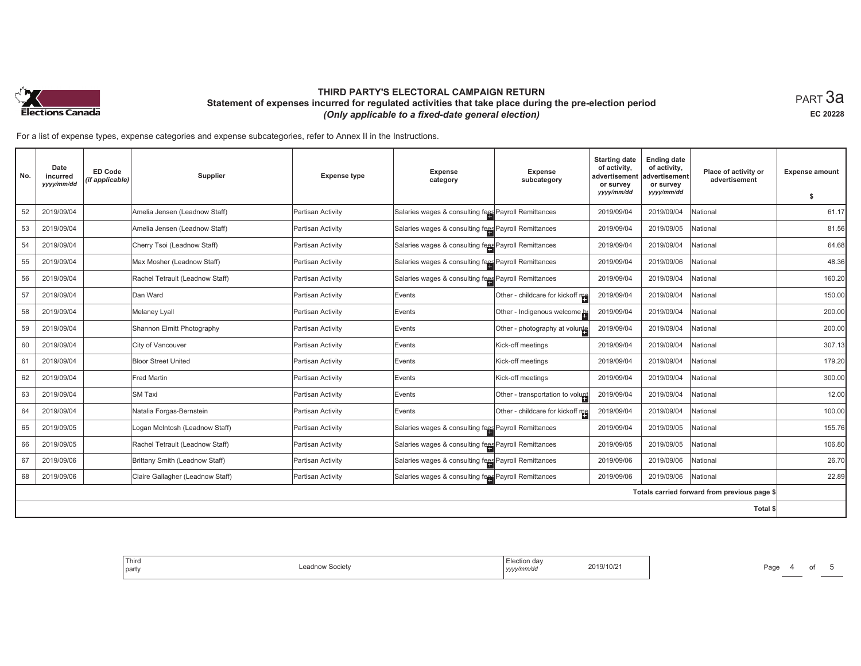

 $_{\sf PART}$ 3a **EC 20228**

| No. | Date<br>incurred<br>yyyy/mm/dd | <b>ED Code</b><br>(if applicable) | <b>Supplier</b>                  | <b>Expense type</b> | <b>Expense</b><br>category                           | Expense<br>subcategory           | <b>Starting date</b><br>of activity,<br>advertisement<br>or survey<br>yyyy/mm/dd | <b>Ending date</b><br>of activity,<br>advertisement<br>or survey<br>yyyy/mm/dd | Place of activity or<br>advertisement        | <b>Expense amount</b><br>-\$ |
|-----|--------------------------------|-----------------------------------|----------------------------------|---------------------|------------------------------------------------------|----------------------------------|----------------------------------------------------------------------------------|--------------------------------------------------------------------------------|----------------------------------------------|------------------------------|
| 52  | 2019/09/04                     |                                   | Amelia Jensen (Leadnow Staff)    | Partisan Activity   | Salaries wages & consulting fees Payroll Remittances |                                  | 2019/09/04                                                                       | 2019/09/04                                                                     | National                                     | 61.17                        |
| 53  | 2019/09/04                     |                                   | Amelia Jensen (Leadnow Staff)    | Partisan Activity   | Salaries wages & consulting fees Payroll Remittances |                                  | 2019/09/04                                                                       | 2019/09/05                                                                     | National                                     | 81.56                        |
| 54  | 2019/09/04                     |                                   | Cherry Tsoi (Leadnow Staff)      | Partisan Activity   | Salaries wages & consulting fees Payroll Remittances |                                  | 2019/09/04                                                                       | 2019/09/04                                                                     | National                                     | 64.68                        |
| 55  | 2019/09/04                     |                                   | Max Mosher (Leadnow Staff)       | Partisan Activity   | Salaries wages & consulting fees Payroll Remittances |                                  | 2019/09/04                                                                       | 2019/09/06                                                                     | National                                     | 48.36                        |
| 56  | 2019/09/04                     |                                   | Rachel Tetrault (Leadnow Staff)  | Partisan Activity   | Salaries wages & consulting fees Payroll Remittances |                                  | 2019/09/04                                                                       | 2019/09/04                                                                     | National                                     | 160.20                       |
| 57  | 2019/09/04                     |                                   | Dan Ward                         | Partisan Activity   | Events                                               | Other - childcare for kickoff me | 2019/09/04                                                                       | 2019/09/04                                                                     | National                                     | 150.00                       |
| 58  | 2019/09/04                     |                                   | Melaney Lyall                    | Partisan Activity   | Events                                               | Other - Indigenous welcome he    | 2019/09/04                                                                       | 2019/09/04                                                                     | National                                     | 200.00                       |
| 59  | 2019/09/04                     |                                   | Shannon Elmitt Photography       | Partisan Activity   | Events                                               | Other - photography at volunte   | 2019/09/04                                                                       | 2019/09/04                                                                     | National                                     | 200.00                       |
| 60  | 2019/09/04                     |                                   | City of Vancouver                | Partisan Activity   | Events                                               | Kick-off meetings                | 2019/09/04                                                                       | 2019/09/04                                                                     | National                                     | 307.13                       |
| 61  | 2019/09/04                     |                                   | <b>Bloor Street United</b>       | Partisan Activity   | Events                                               | Kick-off meetings                | 2019/09/04                                                                       | 2019/09/04                                                                     | National                                     | 179.20                       |
| 62  | 2019/09/04                     |                                   | Fred Martin                      | Partisan Activity   | Events                                               | Kick-off meetings                | 2019/09/04                                                                       | 2019/09/04                                                                     | National                                     | 300.00                       |
| 63  | 2019/09/04                     |                                   | SM Taxi                          | Partisan Activity   | Events                                               | Other - transportation to volunt | 2019/09/04                                                                       | 2019/09/04                                                                     | National                                     | 12.00                        |
| 64  | 2019/09/04                     |                                   | Natalia Forgas-Bernstein         | Partisan Activity   | Events                                               | Other - childcare for kickoff me | 2019/09/04                                                                       | 2019/09/04                                                                     | National                                     | 100.00                       |
| 65  | 2019/09/05                     |                                   | Logan McIntosh (Leadnow Staff)   | Partisan Activity   | Salaries wages & consulting fees Payroll Remittances |                                  | 2019/09/04                                                                       | 2019/09/05                                                                     | National                                     | 155.76                       |
| 66  | 2019/09/05                     |                                   | Rachel Tetrault (Leadnow Staff)  | Partisan Activity   | Salaries wages & consulting fees Payroll Remittances |                                  | 2019/09/05                                                                       | 2019/09/05                                                                     | National                                     | 106.80                       |
| 67  | 2019/09/06                     |                                   | Brittany Smith (Leadnow Staff)   | Partisan Activity   | Salaries wages & consulting fees Payroll Remittances |                                  | 2019/09/06                                                                       | 2019/09/06                                                                     | National                                     | 26.70                        |
| 68  | 2019/09/06                     |                                   | Claire Gallagher (Leadnow Staff) | Partisan Activity   | Salaries wages & consulting fees Payroll Remittances |                                  | 2019/09/06                                                                       | 2019/09/06                                                                     | National                                     | 22.89                        |
|     |                                |                                   |                                  |                     |                                                      |                                  |                                                                                  |                                                                                | Totals carried forward from previous page \$ |                              |
|     |                                |                                   |                                  |                     |                                                      |                                  |                                                                                  |                                                                                | Total \$                                     |                              |

| <sup>1</sup> Third<br>party | ∟eadnow Societ∖ | ∃lection dav<br>2019/10/2<br>yyyymmaa | Page |
|-----------------------------|-----------------|---------------------------------------|------|
|-----------------------------|-----------------|---------------------------------------|------|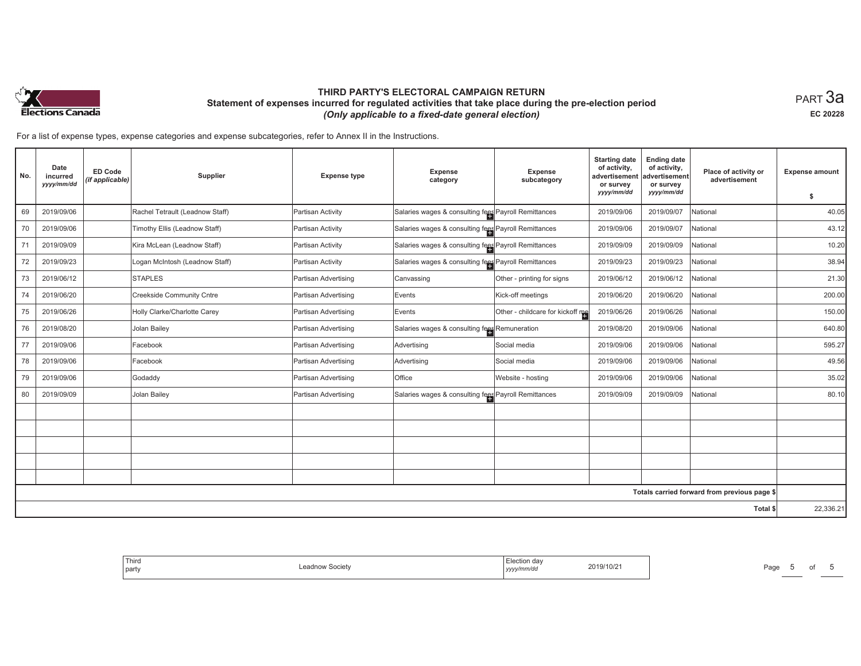

 $_{\sf PART}$ 3a **EC 20228**

| Rachel Tetrault (Leadnow Staff)<br>Salaries wages & consulting fees Payroll Remittances<br>69<br>2019/09/06<br>Partisan Activity<br>2019/09/06<br>2019/09/07<br>National<br>Salaries wages & consulting fees Payroll Remittances<br>70<br>2019/09/06<br>Timothy Ellis (Leadnow Staff)<br>Partisan Activity<br>2019/09/06<br>2019/09/07<br>National<br>71<br>2019/09/09<br>Kira McLean (Leadnow Staff)<br>Salaries wages & consulting fees Payroll Remittances<br>2019/09/09<br>2019/09/09<br>Partisan Activity<br>National<br>72<br>2019/09/23<br>2019/09/23<br>2019/09/23<br>Logan McIntosh (Leadnow Staff)<br>Partisan Activity<br>Salaries wages & consulting fees Payroll Remittances<br>National<br>73<br>2019/06/12<br><b>STAPLES</b><br>2019/06/12<br>2019/06/12<br>Partisan Advertising<br>Other - printing for signs<br>National<br>Canvassing<br><b>Creekside Community Cntre</b><br>74<br>2019/06/20<br>Partisan Advertising<br>Kick-off meetings<br>2019/06/20<br>2019/06/20<br>National<br>Events<br>Holly Clarke/Charlotte Carey<br>Other - childcare for kickoff me<br>2019/06/26<br>2019/06/26<br>75<br>2019/06/26<br>Partisan Advertising<br>Events<br>National<br>76<br>Jolan Bailey<br>2019/08/20<br>2019/09/06<br>2019/08/20<br>Partisan Advertising<br>Salaries wages & consulting fees Remuneration<br>National<br>77<br>2019/09/06<br>Partisan Advertising<br>Advertising<br>Social media<br>2019/09/06<br>2019/09/06<br>National<br>Facebook<br>78<br>2019/09/06<br>2019/09/06<br>2019/09/06<br>Partisan Advertising<br>Advertising<br>Social media<br>National<br>Facebook<br>79<br>Office<br>2019/09/06<br>Partisan Advertising<br>2019/09/06<br>2019/09/06<br>Godaddy<br>Website - hosting<br>National<br>80<br>2019/09/09<br>Jolan Bailey<br>Partisan Advertising<br>Salaries wages & consulting fees Payroll Remittances<br>2019/09/09<br>2019/09/09<br>National | <b>Expense amount</b><br>\$ |
|-----------------------------------------------------------------------------------------------------------------------------------------------------------------------------------------------------------------------------------------------------------------------------------------------------------------------------------------------------------------------------------------------------------------------------------------------------------------------------------------------------------------------------------------------------------------------------------------------------------------------------------------------------------------------------------------------------------------------------------------------------------------------------------------------------------------------------------------------------------------------------------------------------------------------------------------------------------------------------------------------------------------------------------------------------------------------------------------------------------------------------------------------------------------------------------------------------------------------------------------------------------------------------------------------------------------------------------------------------------------------------------------------------------------------------------------------------------------------------------------------------------------------------------------------------------------------------------------------------------------------------------------------------------------------------------------------------------------------------------------------------------------------------------------------------------------------------------------------------------------------------------------------|-----------------------------|
|                                                                                                                                                                                                                                                                                                                                                                                                                                                                                                                                                                                                                                                                                                                                                                                                                                                                                                                                                                                                                                                                                                                                                                                                                                                                                                                                                                                                                                                                                                                                                                                                                                                                                                                                                                                                                                                                                               | 40.05                       |
|                                                                                                                                                                                                                                                                                                                                                                                                                                                                                                                                                                                                                                                                                                                                                                                                                                                                                                                                                                                                                                                                                                                                                                                                                                                                                                                                                                                                                                                                                                                                                                                                                                                                                                                                                                                                                                                                                               |                             |
|                                                                                                                                                                                                                                                                                                                                                                                                                                                                                                                                                                                                                                                                                                                                                                                                                                                                                                                                                                                                                                                                                                                                                                                                                                                                                                                                                                                                                                                                                                                                                                                                                                                                                                                                                                                                                                                                                               | 43.12                       |
|                                                                                                                                                                                                                                                                                                                                                                                                                                                                                                                                                                                                                                                                                                                                                                                                                                                                                                                                                                                                                                                                                                                                                                                                                                                                                                                                                                                                                                                                                                                                                                                                                                                                                                                                                                                                                                                                                               | 10.20                       |
|                                                                                                                                                                                                                                                                                                                                                                                                                                                                                                                                                                                                                                                                                                                                                                                                                                                                                                                                                                                                                                                                                                                                                                                                                                                                                                                                                                                                                                                                                                                                                                                                                                                                                                                                                                                                                                                                                               | 38.94                       |
|                                                                                                                                                                                                                                                                                                                                                                                                                                                                                                                                                                                                                                                                                                                                                                                                                                                                                                                                                                                                                                                                                                                                                                                                                                                                                                                                                                                                                                                                                                                                                                                                                                                                                                                                                                                                                                                                                               | 21.30                       |
|                                                                                                                                                                                                                                                                                                                                                                                                                                                                                                                                                                                                                                                                                                                                                                                                                                                                                                                                                                                                                                                                                                                                                                                                                                                                                                                                                                                                                                                                                                                                                                                                                                                                                                                                                                                                                                                                                               | 200.00                      |
|                                                                                                                                                                                                                                                                                                                                                                                                                                                                                                                                                                                                                                                                                                                                                                                                                                                                                                                                                                                                                                                                                                                                                                                                                                                                                                                                                                                                                                                                                                                                                                                                                                                                                                                                                                                                                                                                                               | 150.00                      |
|                                                                                                                                                                                                                                                                                                                                                                                                                                                                                                                                                                                                                                                                                                                                                                                                                                                                                                                                                                                                                                                                                                                                                                                                                                                                                                                                                                                                                                                                                                                                                                                                                                                                                                                                                                                                                                                                                               | 640.80                      |
|                                                                                                                                                                                                                                                                                                                                                                                                                                                                                                                                                                                                                                                                                                                                                                                                                                                                                                                                                                                                                                                                                                                                                                                                                                                                                                                                                                                                                                                                                                                                                                                                                                                                                                                                                                                                                                                                                               | 595.27                      |
|                                                                                                                                                                                                                                                                                                                                                                                                                                                                                                                                                                                                                                                                                                                                                                                                                                                                                                                                                                                                                                                                                                                                                                                                                                                                                                                                                                                                                                                                                                                                                                                                                                                                                                                                                                                                                                                                                               | 49.56                       |
|                                                                                                                                                                                                                                                                                                                                                                                                                                                                                                                                                                                                                                                                                                                                                                                                                                                                                                                                                                                                                                                                                                                                                                                                                                                                                                                                                                                                                                                                                                                                                                                                                                                                                                                                                                                                                                                                                               | 35.02                       |
|                                                                                                                                                                                                                                                                                                                                                                                                                                                                                                                                                                                                                                                                                                                                                                                                                                                                                                                                                                                                                                                                                                                                                                                                                                                                                                                                                                                                                                                                                                                                                                                                                                                                                                                                                                                                                                                                                               | 80.10                       |
|                                                                                                                                                                                                                                                                                                                                                                                                                                                                                                                                                                                                                                                                                                                                                                                                                                                                                                                                                                                                                                                                                                                                                                                                                                                                                                                                                                                                                                                                                                                                                                                                                                                                                                                                                                                                                                                                                               |                             |
|                                                                                                                                                                                                                                                                                                                                                                                                                                                                                                                                                                                                                                                                                                                                                                                                                                                                                                                                                                                                                                                                                                                                                                                                                                                                                                                                                                                                                                                                                                                                                                                                                                                                                                                                                                                                                                                                                               |                             |
|                                                                                                                                                                                                                                                                                                                                                                                                                                                                                                                                                                                                                                                                                                                                                                                                                                                                                                                                                                                                                                                                                                                                                                                                                                                                                                                                                                                                                                                                                                                                                                                                                                                                                                                                                                                                                                                                                               |                             |
|                                                                                                                                                                                                                                                                                                                                                                                                                                                                                                                                                                                                                                                                                                                                                                                                                                                                                                                                                                                                                                                                                                                                                                                                                                                                                                                                                                                                                                                                                                                                                                                                                                                                                                                                                                                                                                                                                               |                             |
|                                                                                                                                                                                                                                                                                                                                                                                                                                                                                                                                                                                                                                                                                                                                                                                                                                                                                                                                                                                                                                                                                                                                                                                                                                                                                                                                                                                                                                                                                                                                                                                                                                                                                                                                                                                                                                                                                               |                             |
| Totals carried forward from previous page \$                                                                                                                                                                                                                                                                                                                                                                                                                                                                                                                                                                                                                                                                                                                                                                                                                                                                                                                                                                                                                                                                                                                                                                                                                                                                                                                                                                                                                                                                                                                                                                                                                                                                                                                                                                                                                                                  |                             |
| Total \$                                                                                                                                                                                                                                                                                                                                                                                                                                                                                                                                                                                                                                                                                                                                                                                                                                                                                                                                                                                                                                                                                                                                                                                                                                                                                                                                                                                                                                                                                                                                                                                                                                                                                                                                                                                                                                                                                      | 22,336.21                   |

| Third<br>Society<br>party | 3/10/2<br>,,,,, | Page |
|---------------------------|-----------------|------|
|---------------------------|-----------------|------|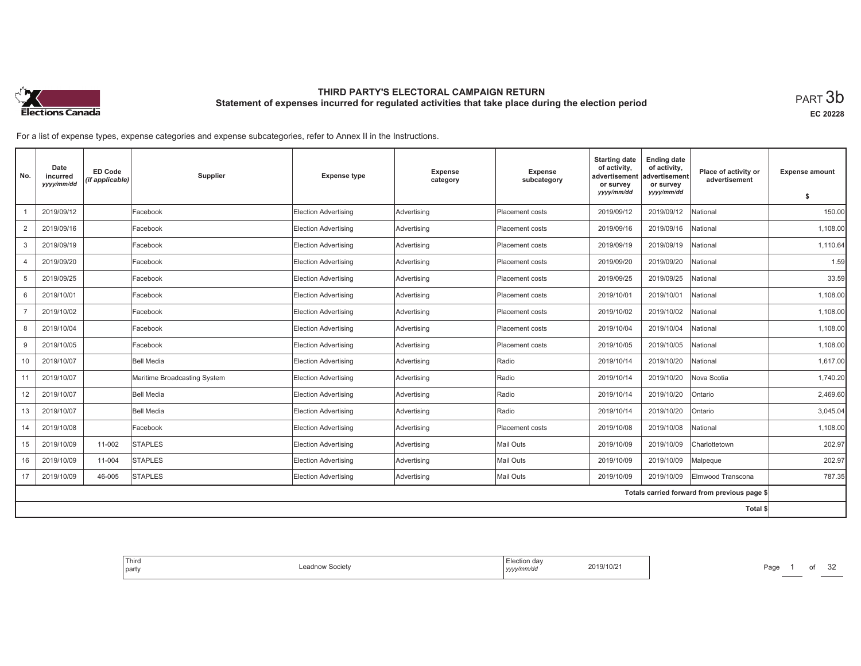

**EC 20228**

For a list of expense types, expense categories and expense subcategories, refer to Annex II in the Instructions.

| No.            | Date<br>incurred<br>yyyy/mm/dd | <b>ED Code</b><br>(if applicable) | Supplier                     | <b>Expense type</b>         | <b>Expense</b><br>category | Expense<br>subcategory | <b>Starting date</b><br>of activity,<br>advertisement<br>or survey | <b>Ending date</b><br>of activity,<br>advertisement<br>or survey | Place of activity or<br>advertisement        | <b>Expense amount</b> |
|----------------|--------------------------------|-----------------------------------|------------------------------|-----------------------------|----------------------------|------------------------|--------------------------------------------------------------------|------------------------------------------------------------------|----------------------------------------------|-----------------------|
|                |                                |                                   |                              |                             |                            |                        | yyyy/mm/dd                                                         | yyyy/mm/dd                                                       |                                              | \$                    |
|                | 2019/09/12                     |                                   | Facebook                     | <b>Election Advertising</b> | Advertising                | Placement costs        | 2019/09/12                                                         | 2019/09/12                                                       | National                                     | 150.00                |
| 2              | 2019/09/16                     |                                   | Facebook                     | <b>Election Advertising</b> | Advertising                | Placement costs        | 2019/09/16                                                         | 2019/09/16                                                       | National                                     | 1,108.00              |
| 3              | 2019/09/19                     |                                   | Facebook                     | <b>Election Advertising</b> | Advertising                | Placement costs        | 2019/09/19                                                         | 2019/09/19                                                       | National                                     | 1,110.64              |
| 4              | 2019/09/20                     |                                   | Facebook                     | Election Advertising        | Advertising                | Placement costs        | 2019/09/20                                                         | 2019/09/20                                                       | National                                     | 1.59                  |
| 5              | 2019/09/25                     |                                   | Facebook                     | <b>Election Advertising</b> | Advertising                | Placement costs        | 2019/09/25                                                         | 2019/09/25                                                       | National                                     | 33.59                 |
| 6              | 2019/10/01                     |                                   | Facebook                     | <b>Election Advertising</b> | Advertising                | Placement costs        | 2019/10/01                                                         | 2019/10/01                                                       | National                                     | 1,108.00              |
| $\overline{7}$ | 2019/10/02                     |                                   | Facebook                     | Election Advertising        | Advertisina                | Placement costs        | 2019/10/02                                                         | 2019/10/02                                                       | National                                     | 1.108.00              |
| 8              | 2019/10/04                     |                                   | Facebook                     | <b>Election Advertising</b> | Advertising                | Placement costs        | 2019/10/04                                                         | 2019/10/04                                                       | National                                     | 1,108.00              |
| 9              | 2019/10/05                     |                                   | Facebook                     | <b>Election Advertising</b> | Advertising                | Placement costs        | 2019/10/05                                                         | 2019/10/05                                                       | National                                     | 1,108.00              |
| 10             | 2019/10/07                     |                                   | Bell Media                   | <b>Election Advertising</b> | Advertising                | Radio                  | 2019/10/14                                                         | 2019/10/20                                                       | National                                     | 1,617.00              |
| 11             | 2019/10/07                     |                                   | Maritime Broadcasting System | <b>Election Advertising</b> | Advertising                | Radio                  | 2019/10/14                                                         | 2019/10/20                                                       | Nova Scotia                                  | 1,740.20              |
| 12             | 2019/10/07                     |                                   | <b>Bell Media</b>            | <b>Election Advertising</b> | Advertising                | Radio                  | 2019/10/14                                                         | 2019/10/20                                                       | Ontario                                      | 2,469.60              |
| 13             | 2019/10/07                     |                                   | <b>Bell Media</b>            | <b>Election Advertising</b> | Advertising                | Radio                  | 2019/10/14                                                         | 2019/10/20                                                       | Ontario                                      | 3,045.04              |
| 14             | 2019/10/08                     |                                   | Facebook                     | <b>Election Advertising</b> | Advertising                | Placement costs        | 2019/10/08                                                         | 2019/10/08                                                       | National                                     | 1,108.00              |
| 15             | 2019/10/09                     | 11-002                            | <b>STAPLES</b>               | <b>Election Advertising</b> | Advertising                | Mail Outs              | 2019/10/09                                                         | 2019/10/09                                                       | Charlottetown                                | 202.97                |
| 16             | 2019/10/09                     | 11-004                            | <b>STAPLES</b>               | <b>Election Advertising</b> | Advertising                | Mail Outs              | 2019/10/09                                                         | 2019/10/09                                                       | Malpeque                                     | 202.97                |
| 17             | 2019/10/09                     | 46-005                            | <b>STAPLES</b>               | Election Advertising        | Advertising                | <b>Mail Outs</b>       | 2019/10/09                                                         | 2019/10/09                                                       | Elmwood Transcona                            | 787.35                |
|                |                                |                                   |                              |                             |                            |                        |                                                                    |                                                                  | Totals carried forward from previous page \$ |                       |
|                |                                |                                   |                              |                             |                            |                        |                                                                    |                                                                  | Total \$                                     |                       |

| Election<br>ı dav<br>?019/10/21<br>.<br>, yyy/mm/dd | ead<br>ow Society | Third<br>  party |
|-----------------------------------------------------|-------------------|------------------|
|-----------------------------------------------------|-------------------|------------------|

Page 1 of 32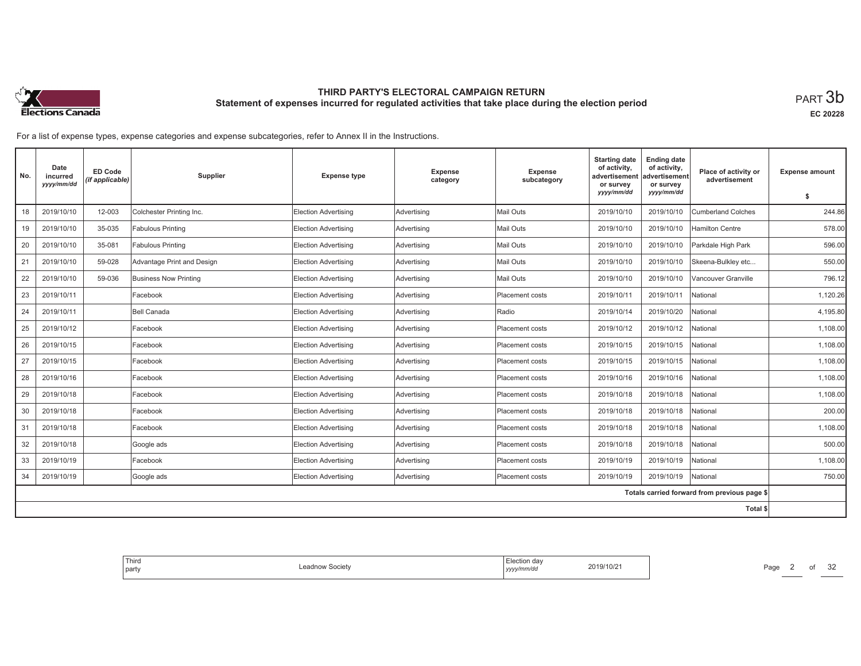

**EC 20228**

For a list of expense types, expense categories and expense subcategories, refer to Annex II in the Instructions.

| No. | Date<br>incurred<br>yyyy/mm/dd | ED Code<br>(if applicable) | <b>Supplier</b>              | <b>Expense type</b>         | Expense<br>category | <b>Expense</b><br>subcategory | <b>Starting date</b><br>of activity,<br>advertisement<br>or survey<br>yyyy/mm/dd | <b>Ending date</b><br>of activity,<br>advertisement<br>or survey<br>yyyy/mm/dd | Place of activity or<br>advertisement        | <b>Expense amount</b><br>\$ |
|-----|--------------------------------|----------------------------|------------------------------|-----------------------------|---------------------|-------------------------------|----------------------------------------------------------------------------------|--------------------------------------------------------------------------------|----------------------------------------------|-----------------------------|
| 18  | 2019/10/10                     | 12-003                     | Colchester Printing Inc.     | Election Advertising        | Advertising         | Mail Outs                     | 2019/10/10                                                                       | 2019/10/10                                                                     | <b>Cumberland Colches</b>                    | 244.86                      |
| 19  | 2019/10/10                     | 35-035                     | <b>Fabulous Printing</b>     | <b>Election Advertising</b> | Advertising         | Mail Outs                     | 2019/10/10                                                                       | 2019/10/10                                                                     | Hamilton Centre                              | 578.00                      |
| 20  | 2019/10/10                     | 35-081                     | <b>Fabulous Printing</b>     | Election Advertising        | Advertising         | Mail Outs                     | 2019/10/10                                                                       | 2019/10/10                                                                     | Parkdale High Park                           | 596.00                      |
| 21  | 2019/10/10                     | 59-028                     | Advantage Print and Design   | Election Advertising        | Advertising         | <b>Mail Outs</b>              | 2019/10/10                                                                       | 2019/10/10                                                                     | Skeena-Bulkley etc                           | 550.00                      |
| 22  | 2019/10/10                     | 59-036                     | <b>Business Now Printing</b> | Election Advertising        | Advertising         | <b>Mail Outs</b>              | 2019/10/10                                                                       | 2019/10/10                                                                     | Vancouver Granville                          | 796.12                      |
| 23  | 2019/10/11                     |                            | Facebook                     | Election Advertising        | Advertising         | Placement costs               | 2019/10/11                                                                       | 2019/10/11                                                                     | National                                     | 1,120.26                    |
| 24  | 2019/10/11                     |                            | Bell Canada                  | Election Advertising        | Advertising         | Radio                         | 2019/10/14                                                                       | 2019/10/20                                                                     | National                                     | 4,195.80                    |
| 25  | 2019/10/12                     |                            | Facebook                     | Election Advertising        | Advertising         | Placement costs               | 2019/10/12                                                                       | 2019/10/12                                                                     | Vational                                     | 1,108.00                    |
| 26  | 2019/10/15                     |                            | Facebook                     | Election Advertising        | Advertising         | Placement costs               | 2019/10/15                                                                       | 2019/10/15                                                                     | <b>National</b>                              | 1,108.00                    |
| 27  | 2019/10/15                     |                            | Facebook                     | Election Advertising        | Advertising         | Placement costs               | 2019/10/15                                                                       | 2019/10/15                                                                     | <b>National</b>                              | 1,108.00                    |
| 28  | 2019/10/16                     |                            | Facebook                     | Election Advertising        | Advertising         | Placement costs               | 2019/10/16                                                                       | 2019/10/16                                                                     | <b>National</b>                              | 1,108.00                    |
| 29  | 2019/10/18                     |                            | Facebook                     | Election Advertising        | Advertising         | Placement costs               | 2019/10/18                                                                       | 2019/10/18                                                                     | <b>National</b>                              | 1,108.00                    |
| 30  | 2019/10/18                     |                            | Facebook                     | Election Advertising        | Advertising         | Placement costs               | 2019/10/18                                                                       | 2019/10/18                                                                     | National                                     | 200.00                      |
| 31  | 2019/10/18                     |                            | Facebook                     | Election Advertising        | Advertising         | Placement costs               | 2019/10/18                                                                       | 2019/10/18                                                                     | <b>National</b>                              | 1,108.00                    |
| 32  | 2019/10/18                     |                            | Google ads                   | Election Advertising        | Advertising         | Placement costs               | 2019/10/18                                                                       | 2019/10/18                                                                     | National                                     | 500.00                      |
| 33  | 2019/10/19                     |                            | Facebook                     | Election Advertising        | Advertising         | <b>Placement costs</b>        | 2019/10/19                                                                       | 2019/10/19                                                                     | National                                     | 1,108.00                    |
| 34  | 2019/10/19                     |                            | Google ads                   | Election Advertising        | Advertising         | Placement costs               | 2019/10/19                                                                       | 2019/10/19                                                                     | National                                     | 750.00                      |
|     |                                |                            |                              |                             |                     |                               |                                                                                  |                                                                                | Totals carried forward from previous page \$ |                             |
|     |                                |                            |                              |                             |                     |                               |                                                                                  |                                                                                | Total \$                                     |                             |

| Election dav<br>2019/10/21<br>eadnow Society.<br>yyyy/mm/dd |  |
|-------------------------------------------------------------|--|
|-------------------------------------------------------------|--|

Page 2 of 32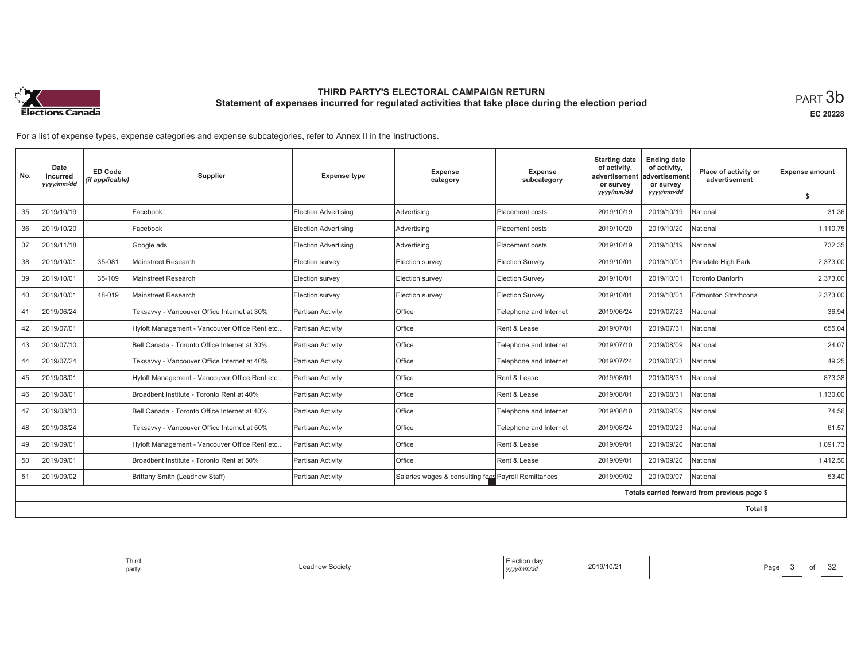

**EC 20228**

For a list of expense types, expense categories and expense subcategories, refer to Annex II in the Instructions.

| No. | Date<br>incurred<br>yyyy/mm/dd | <b>ED Code</b><br>(if applicable) | Supplier                                      | <b>Expense type</b>         | <b>Expense</b><br>category                           | <b>Expense</b><br>subcategory | <b>Starting date</b><br>of activity,<br>advertisement<br>or survey | <b>Ending date</b><br>of activity,<br>advertisement<br>or survey | Place of activity or<br>advertisement        | <b>Expense amount</b> |
|-----|--------------------------------|-----------------------------------|-----------------------------------------------|-----------------------------|------------------------------------------------------|-------------------------------|--------------------------------------------------------------------|------------------------------------------------------------------|----------------------------------------------|-----------------------|
|     |                                |                                   |                                               |                             |                                                      |                               | yyyy/mm/dd                                                         | yyyy/mm/dd                                                       |                                              | \$                    |
| 35  | 2019/10/19                     |                                   | Facebook                                      | <b>Election Advertising</b> | Advertising                                          | Placement costs               | 2019/10/19                                                         | 2019/10/19                                                       | National                                     | 31.36                 |
| 36  | 2019/10/20                     |                                   | Facebook                                      | <b>Election Advertising</b> | Advertising                                          | Placement costs               | 2019/10/20                                                         | 2019/10/20                                                       | National                                     | 1,110.75              |
| 37  | 2019/11/18                     |                                   | Google ads                                    | <b>Election Advertising</b> | Advertising                                          | Placement costs               | 2019/10/19                                                         | 2019/10/19                                                       | National                                     | 732.35                |
| 38  | 2019/10/01                     | 35-081                            | <b>Mainstreet Research</b>                    | Election survey             | Election survey                                      | <b>Election Survey</b>        | 2019/10/01                                                         | 2019/10/01                                                       | Parkdale High Park                           | 2.373.00              |
| 39  | 2019/10/01                     | 35-109                            | Mainstreet Research                           | <b>Election survey</b>      | Election survey                                      | <b>Election Survey</b>        | 2019/10/01                                                         | 2019/10/01                                                       | <b>Toronto Danforth</b>                      | 2,373.00              |
| 40  | 2019/10/01                     | 48-019                            | Mainstreet Research                           | Election survey             | Election survey                                      | <b>Election Survey</b>        | 2019/10/01                                                         | 2019/10/01                                                       | <b>Edmonton Strathcona</b>                   | 2.373.00              |
| 41  | 2019/06/24                     |                                   | Teksavvy - Vancouver Office Internet at 30%   | Partisan Activity           | Office                                               | Telephone and Internet        | 2019/06/24                                                         | 2019/07/23                                                       | National                                     | 36.94                 |
| 42  | 2019/07/01                     |                                   | Hyloft Management - Vancouver Office Rent etc | Partisan Activity           | Office                                               | Rent & Lease                  | 2019/07/01                                                         | 2019/07/31                                                       | National                                     | 655.04                |
| 43  | 2019/07/10                     |                                   | Bell Canada - Toronto Office Internet at 30%  | Partisan Activity           | Office                                               | Telephone and Internet        | 2019/07/10                                                         | 2019/08/09                                                       | National                                     | 24.07                 |
| 44  | 2019/07/24                     |                                   | Teksavvy - Vancouver Office Internet at 40%   | Partisan Activity           | Office                                               | Telephone and Internet        | 2019/07/24                                                         | 2019/08/23                                                       | National                                     | 49.25                 |
| 45  | 2019/08/01                     |                                   | Hyloft Management - Vancouver Office Rent etc | Partisan Activity           | Office                                               | Rent & Lease                  | 2019/08/01                                                         | 2019/08/31                                                       | National                                     | 873.38                |
| 46  | 2019/08/01                     |                                   | Broadbent Institute - Toronto Rent at 40%     | Partisan Activity           | Office                                               | Rent & Lease                  | 2019/08/01                                                         | 2019/08/31                                                       | National                                     | 1,130.00              |
| 47  | 2019/08/10                     |                                   | Bell Canada - Toronto Office Internet at 40%  | Partisan Activity           | Office                                               | Telephone and Internet        | 2019/08/10                                                         | 2019/09/09                                                       | National                                     | 74.56                 |
| 48  | 2019/08/24                     |                                   | Teksavvy - Vancouver Office Internet at 50%   | Partisan Activity           | Office                                               | Telephone and Internet        | 2019/08/24                                                         | 2019/09/23                                                       | National                                     | 61.57                 |
| 49  | 2019/09/01                     |                                   | Hyloft Management - Vancouver Office Rent etc | Partisan Activity           | Office                                               | Rent & Lease                  | 2019/09/01                                                         | 2019/09/20                                                       | National                                     | 1,091.73              |
| 50  | 2019/09/01                     |                                   | Broadbent Institute - Toronto Rent at 50%     | Partisan Activity           | Office                                               | Rent & Lease                  | 2019/09/01                                                         | 2019/09/20                                                       | National                                     | 1,412.50              |
| 51  | 2019/09/02                     |                                   | Brittany Smith (Leadnow Staff)                | Partisan Activity           | Salaries wages & consulting fees Payroll Remittances |                               | 2019/09/02                                                         | 2019/09/07                                                       | National                                     | 53.40                 |
|     |                                |                                   |                                               |                             |                                                      |                               |                                                                    |                                                                  | Totals carried forward from previous page \$ |                       |
|     |                                |                                   |                                               |                             |                                                      |                               |                                                                    |                                                                  | Total \$                                     |                       |

| 2019/10/21 | ection dav.<br>  yyyy/mm/dd | ∟eadnow Society<br>. | Third<br>party |
|------------|-----------------------------|----------------------|----------------|
|------------|-----------------------------|----------------------|----------------|

Page 3 of 32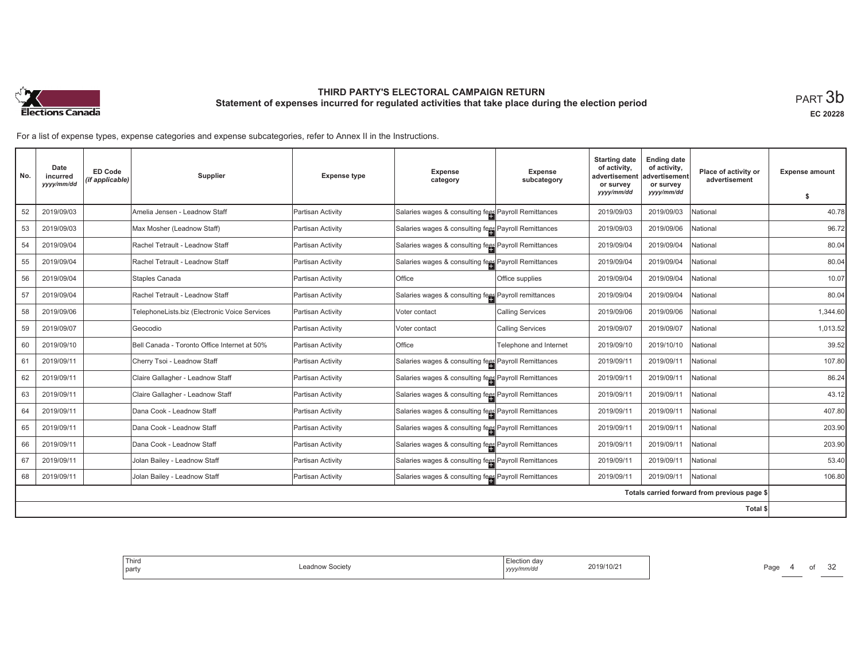

**EC 20228**

Page 4 of 32

| No. | Date<br>incurred<br>yyyy/mm/dd | <b>ED Code</b><br>(if applicable) | Supplier                                      | <b>Expense type</b> | <b>Expense</b><br>category                           | <b>Expense</b><br>subcategory | <b>Starting date</b><br>of activity,<br>advertisement<br>or survey | <b>Ending date</b><br>of activity,<br>advertisement<br>or survey | Place of activity or<br>advertisement        | <b>Expense amount</b> |
|-----|--------------------------------|-----------------------------------|-----------------------------------------------|---------------------|------------------------------------------------------|-------------------------------|--------------------------------------------------------------------|------------------------------------------------------------------|----------------------------------------------|-----------------------|
|     |                                |                                   |                                               |                     |                                                      |                               | yyyy/mm/dd                                                         | yyyy/mm/dd                                                       |                                              | \$                    |
| 52  | 2019/09/03                     |                                   | Amelia Jensen - Leadnow Staff                 | Partisan Activity   | Salaries wages & consulting fees Payroll Remittances |                               | 2019/09/03                                                         | 2019/09/03                                                       | National                                     | 40.78                 |
| 53  | 2019/09/03                     |                                   | Max Mosher (Leadnow Staff)                    | Partisan Activity   | Salaries wages & consulting fees Payroll Remittances |                               | 2019/09/03                                                         | 2019/09/06                                                       | National                                     | 96.72                 |
| 54  | 2019/09/04                     |                                   | Rachel Tetrault - Leadnow Staff               | Partisan Activity   | Salaries wages & consulting fees Payroll Remittances |                               | 2019/09/04                                                         | 2019/09/04                                                       | National                                     | 80.04                 |
| 55  | 2019/09/04                     |                                   | Rachel Tetrault - Leadnow Staff               | Partisan Activity   | Salaries wages & consulting fees Payroll Remittances |                               | 2019/09/04                                                         | 2019/09/04                                                       | National                                     | 80.04                 |
| 56  | 2019/09/04                     |                                   | Staples Canada                                | Partisan Activity   | <b>Office</b>                                        | Office supplies               | 2019/09/04                                                         | 2019/09/04                                                       | National                                     | 10.07                 |
| 57  | 2019/09/04                     |                                   | Rachel Tetrault - Leadnow Staff               | Partisan Activity   | Salaries wages & consulting fees Payroll remittances |                               | 2019/09/04                                                         | 2019/09/04                                                       | National                                     | 80.04                 |
| 58  | 2019/09/06                     |                                   | TelephoneLists.biz (Electronic Voice Services | Partisan Activity   | Voter contact                                        | Calling Services              | 2019/09/06                                                         | 2019/09/06                                                       | National                                     | 1,344.60              |
| 59  | 2019/09/07                     |                                   | Geocodio                                      | Partisan Activity   | Voter contact                                        | Calling Services              | 2019/09/07                                                         | 2019/09/07                                                       | National                                     | 1,013.52              |
| 60  | 2019/09/10                     |                                   | Bell Canada - Toronto Office Internet at 50%  | Partisan Activity   | <b>Office</b>                                        | Telephone and Internet        | 2019/09/10                                                         | 2019/10/10                                                       | National                                     | 39.52                 |
| 61  | 2019/09/11                     |                                   | Cherry Tsoi - Leadnow Staff                   | Partisan Activity   | Salaries wages & consulting fees Payroll Remittances |                               | 2019/09/11                                                         | 2019/09/11                                                       | National                                     | 107.80                |
| 62  | 2019/09/11                     |                                   | Claire Gallagher - Leadnow Staff              | Partisan Activity   | Salaries wages & consulting fees Payroll Remittances |                               | 2019/09/11                                                         | 2019/09/11                                                       | National                                     | 86.24                 |
| 63  | 2019/09/11                     |                                   | Claire Gallagher - Leadnow Staff              | Partisan Activity   | Salaries wages & consulting fees Payroll Remittances |                               | 2019/09/11                                                         | 2019/09/11                                                       | National                                     | 43.12                 |
| 64  | 2019/09/11                     |                                   | Dana Cook - Leadnow Staff                     | Partisan Activity   | Salaries wages & consulting fees Payroll Remittances |                               | 2019/09/11                                                         | 2019/09/11                                                       | National                                     | 407.80                |
| 65  | 2019/09/11                     |                                   | Dana Cook - Leadnow Staff                     | Partisan Activity   | Salaries wages & consulting fees Payroll Remittances |                               | 2019/09/11                                                         | 2019/09/11                                                       | National                                     | 203.90                |
| 66  | 2019/09/11                     |                                   | Dana Cook - Leadnow Staff                     | Partisan Activity   | Salaries wages & consulting fees Payroll Remittances |                               | 2019/09/11                                                         | 2019/09/11                                                       | National                                     | 203.90                |
| 67  | 2019/09/11                     |                                   | Jolan Bailey - Leadnow Staff                  | Partisan Activity   | Salaries wages & consulting fees Payroll Remittances |                               | 2019/09/11                                                         | 2019/09/11                                                       | National                                     | 53.40                 |
| 68  | 2019/09/11                     |                                   | Jolan Bailey - Leadnow Staff                  | Partisan Activity   | Salaries wages & consulting fees Payroll Remittances |                               | 2019/09/11                                                         | 2019/09/11                                                       | National                                     | 106.80                |
|     |                                |                                   |                                               |                     |                                                      |                               |                                                                    |                                                                  | Totals carried forward from previous page \$ |                       |
|     |                                |                                   |                                               |                     |                                                      |                               |                                                                    |                                                                  | Total \$                                     |                       |

| 'ection dav<br>2019/10/21<br><b>SOCIET</b><br>/mm/do<br>,,,,, |  |
|---------------------------------------------------------------|--|
|---------------------------------------------------------------|--|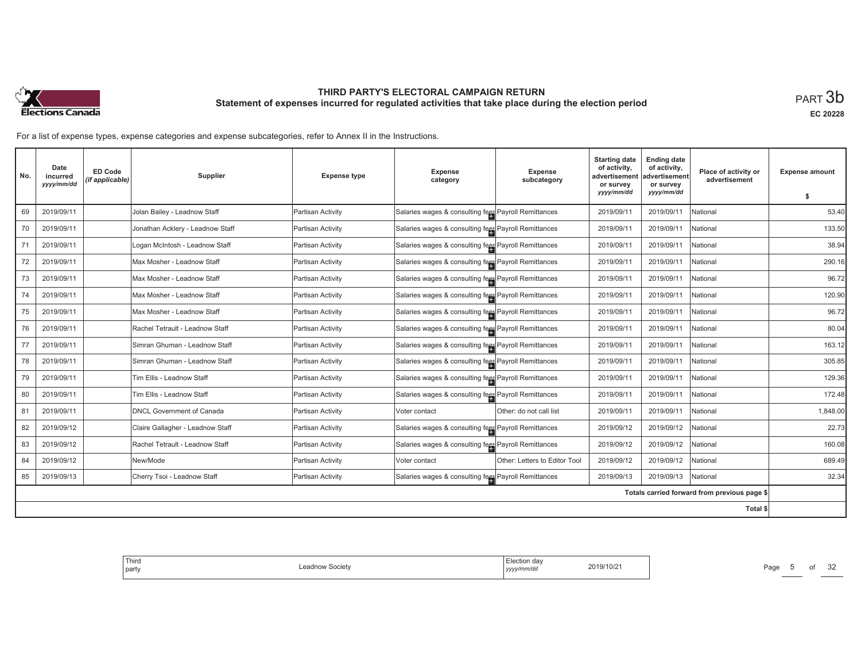

**EC 20228**

For a list of expense types, expense categories and expense subcategories, refer to Annex II in the Instructions.

| No. | Date<br>incurred<br>yyyy/mm/dd | <b>ED Code</b><br>(if applicable) | Supplier                         | <b>Expense type</b> | Expense<br>category                                  | Expense<br>subcategory        | <b>Starting date</b><br>of activity,<br>advertisemen<br>or survey | <b>Ending date</b><br>of activity,<br>advertisement<br>or survey | Place of activity or<br>advertisement        | <b>Expense amount</b> |
|-----|--------------------------------|-----------------------------------|----------------------------------|---------------------|------------------------------------------------------|-------------------------------|-------------------------------------------------------------------|------------------------------------------------------------------|----------------------------------------------|-----------------------|
|     |                                |                                   |                                  |                     |                                                      |                               | yyyy/mm/dd                                                        | yyyy/mm/dd                                                       |                                              | \$                    |
| 69  | 2019/09/11                     |                                   | Jolan Bailey - Leadnow Staff     | Partisan Activity   | Salaries wages & consulting fees Payroll Remittances |                               | 2019/09/11                                                        | 2019/09/1                                                        | National                                     | 53.40                 |
| 70  | 2019/09/11                     |                                   | Jonathan Acklery - Leadnow Staff | Partisan Activity   | Salaries wages & consulting fees Payroll Remittances |                               | 2019/09/11                                                        | 2019/09/11                                                       | National                                     | 133.50                |
| 71  | 2019/09/11                     |                                   | Logan McIntosh - Leadnow Staff   | Partisan Activity   | Salaries wages & consulting fees Payroll Remittances |                               | 2019/09/11                                                        | 2019/09/1                                                        | National                                     | 38.94                 |
| 72  | 2019/09/11                     |                                   | Max Mosher - Leadnow Staff       | Partisan Activity   | Salaries wages & consulting fees Payroll Remittances |                               | 2019/09/11                                                        | 2019/09/1                                                        | National                                     | 290.16                |
| 73  | 2019/09/11                     |                                   | Max Mosher - Leadnow Staff       | Partisan Activity   | Salaries wages & consulting fees Payroll Remittances |                               | 2019/09/11                                                        | 2019/09/1                                                        | National                                     | 96.72                 |
| 74  | 2019/09/11                     |                                   | Max Mosher - Leadnow Staff       | Partisan Activity   | Salaries wages & consulting fees Payroll Remittances |                               | 2019/09/11                                                        | 2019/09/1                                                        | National                                     | 120.90                |
| 75  | 2019/09/11                     |                                   | Max Mosher - Leadnow Staff       | Partisan Activity   | Salaries wages & consulting fees Payroll Remittances |                               | 2019/09/11                                                        | 2019/09/1                                                        | National                                     | 96.72                 |
| 76  | 2019/09/11                     |                                   | Rachel Tetrault - Leadnow Staff  | Partisan Activity   | Salaries wages & consulting fees Payroll Remittances |                               | 2019/09/11                                                        | 2019/09/1                                                        | National                                     | 80.04                 |
| 77  | 2019/09/11                     |                                   | Simran Ghuman - Leadnow Staff    | Partisan Activity   | Salaries wages & consulting fees Payroll Remittances |                               | 2019/09/11                                                        | 2019/09/1                                                        | National                                     | 163.12                |
| 78  | 2019/09/11                     |                                   | Simran Ghuman - Leadnow Staff    | Partisan Activity   | Salaries wages & consulting fees Payroll Remittances |                               | 2019/09/11                                                        | 2019/09/1                                                        | National                                     | 305.85                |
| 79  | 2019/09/11                     |                                   | Tim Ellis - Leadnow Staff        | Partisan Activity   | Salaries wages & consulting fees Payroll Remittances |                               | 2019/09/11                                                        | 2019/09/1                                                        | National                                     | 129.36                |
| 80  | 2019/09/11                     |                                   | Tim Ellis - Leadnow Staff        | Partisan Activity   | Salaries wages & consulting fees Payroll Remittances |                               | 2019/09/11                                                        | 2019/09/1                                                        | National                                     | 172.48                |
| 81  | 2019/09/11                     |                                   | <b>DNCL Government of Canada</b> | Partisan Activity   | Voter contact                                        | Other: do not call list       | 2019/09/11                                                        | 2019/09/1                                                        | National                                     | 1,848.00              |
| 82  | 2019/09/12                     |                                   | Claire Gallagher - Leadnow Staff | Partisan Activity   | Salaries wages & consulting fees Payroll Remittances |                               | 2019/09/12                                                        | 2019/09/12                                                       | National                                     | 22.73                 |
| 83  | 2019/09/12                     |                                   | Rachel Tetrault - Leadnow Staff  | Partisan Activity   | Salaries wages & consulting fees Payroll Remittances |                               | 2019/09/12                                                        | 2019/09/12                                                       | National                                     | 160.08                |
| 84  | 2019/09/12                     |                                   | New/Mode                         | Partisan Activity   | Voter contact                                        | Other: Letters to Editor Tool | 2019/09/12                                                        | 2019/09/12                                                       | National                                     | 689.49                |
| 85  | 2019/09/13                     |                                   | Cherry Tsoi - Leadnow Staff      | Partisan Activity   | Salaries wages & consulting fees Payroll Remittances |                               | 2019/09/13                                                        | 2019/09/13                                                       | National                                     | 32.34                 |
|     |                                |                                   |                                  |                     |                                                      |                               |                                                                   |                                                                  | Totals carried forward from previous page \$ |                       |
|     |                                |                                   |                                  |                     |                                                      |                               |                                                                   |                                                                  | Total \$                                     |                       |

|--|

Page 5 of 32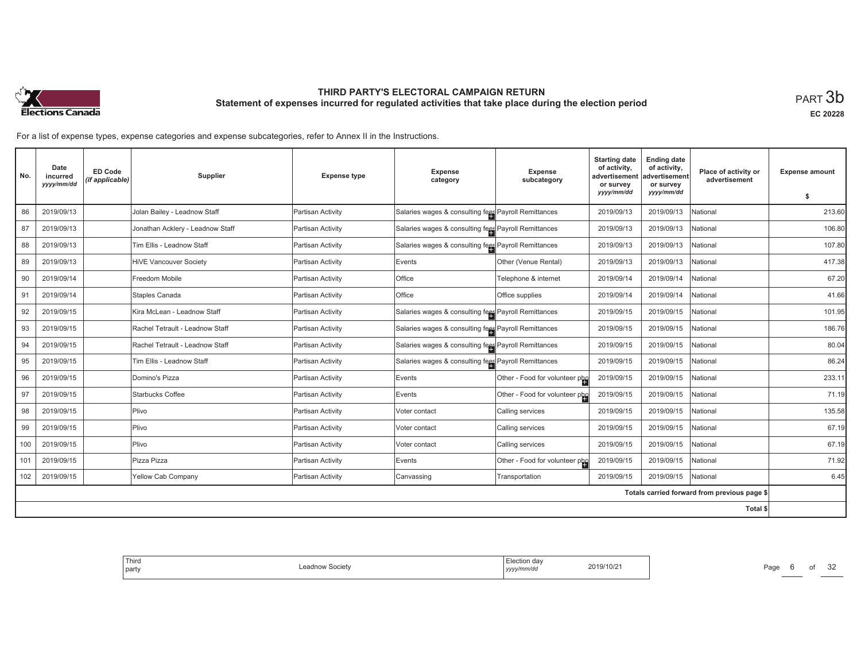

**EC 20228**

For a list of expense types, expense categories and expense subcategories, refer to Annex II in the Instructions.

| No. | Date<br>incurred<br>yyyy/mm/dd | <b>ED Code</b><br>(if applicable) | <b>Supplier</b>                  | <b>Expense type</b> | Expense<br>category                                  | <b>Expense</b><br>subcategory  | <b>Starting date</b><br>of activity,<br>advertisement<br>or survey | <b>Ending date</b><br>of activity,<br>advertisement<br>or survey | Place of activity or<br>advertisement        | <b>Expense amount</b> |
|-----|--------------------------------|-----------------------------------|----------------------------------|---------------------|------------------------------------------------------|--------------------------------|--------------------------------------------------------------------|------------------------------------------------------------------|----------------------------------------------|-----------------------|
|     |                                |                                   |                                  |                     |                                                      |                                | yyyy/mm/dd                                                         | yyyy/mm/dd                                                       |                                              | -S                    |
| 86  | 2019/09/13                     |                                   | Jolan Bailey - Leadnow Staff     | Partisan Activity   | Salaries wages & consulting fees Payroll Remittances |                                | 2019/09/13                                                         | 2019/09/13                                                       | National                                     | 213.60                |
| 87  | 2019/09/13                     |                                   | Jonathan Acklery - Leadnow Staff | Partisan Activity   | Salaries wages & consulting fees Payroll Remittances |                                | 2019/09/13                                                         | 2019/09/13                                                       | National                                     | 106.80                |
| 88  | 2019/09/13                     |                                   | Tim Ellis - Leadnow Staff        | Partisan Activity   | Salaries wages & consulting fees Payroll Remittances |                                | 2019/09/13                                                         | 2019/09/13                                                       | Vational                                     | 107.80                |
| 89  | 2019/09/13                     |                                   | HiVE Vancouver Society           | Partisan Activity   | Events                                               | Other (Venue Rental)           | 2019/09/13                                                         | 2019/09/13                                                       | National                                     | 417.38                |
| 90  | 2019/09/14                     |                                   | Freedom Mobile                   | Partisan Activity   | Office                                               | Telephone & internet           | 2019/09/14                                                         | 2019/09/14                                                       | National                                     | 67.20                 |
| 91  | 2019/09/14                     |                                   | Staples Canada                   | Partisan Activity   | Office                                               | Office supplies                | 2019/09/14                                                         | 2019/09/14                                                       | National                                     | 41.66                 |
| 92  | 2019/09/15                     |                                   | Kira McLean - Leadnow Staff      | Partisan Activity   | Salaries wages & consulting fees Payroll Remittances |                                | 2019/09/15                                                         | 2019/09/15                                                       | National                                     | 101.95                |
| 93  | 2019/09/15                     |                                   | Rachel Tetrault - Leadnow Staff  | Partisan Activity   | Salaries wages & consulting fees Payroll Remittances |                                | 2019/09/15                                                         | 2019/09/15                                                       | National                                     | 186.76                |
| 94  | 2019/09/15                     |                                   | Rachel Tetrault - Leadnow Staff  | Partisan Activity   | Salaries wages & consulting fees Payroll Remittances |                                | 2019/09/15                                                         | 2019/09/15                                                       | National                                     | 80.04                 |
| 95  | 2019/09/15                     |                                   | Tim Ellis - Leadnow Staff        | Partisan Activity   | Salaries wages & consulting fees Payroll Remittances |                                | 2019/09/15                                                         | 2019/09/15                                                       | National                                     | 86.24                 |
| 96  | 2019/09/15                     |                                   | Domino's Pizza                   | Partisan Activity   | Events                                               | Other - Food for volunteer pho | 2019/09/15                                                         | 2019/09/15                                                       | National                                     | 233.11                |
| 97  | 2019/09/15                     |                                   | Starbucks Coffee                 | Partisan Activity   | Events                                               | Other - Food for volunteer pho | 2019/09/15                                                         | 2019/09/15                                                       | National                                     | 71.19                 |
| 98  | 2019/09/15                     |                                   | Plivo                            | Partisan Activity   | Voter contact                                        | Calling services               | 2019/09/15                                                         | 2019/09/15                                                       | National                                     | 135.58                |
| 99  | 2019/09/15                     |                                   | Plivo                            | Partisan Activity   | Voter contact                                        | Calling services               | 2019/09/15                                                         | 2019/09/15                                                       | National                                     | 67.19                 |
| 100 | 2019/09/15                     |                                   | Plivo                            | Partisan Activity   | Voter contact                                        | Calling services               | 2019/09/15                                                         | 2019/09/15                                                       | National                                     | 67.19                 |
| 101 | 2019/09/15                     |                                   | Pizza Pizza                      | Partisan Activity   | Events                                               | Other - Food for volunteer phe | 2019/09/15                                                         | 2019/09/15                                                       | National                                     | 71.92                 |
| 102 | 2019/09/15                     |                                   | Yellow Cab Company               | Partisan Activity   | Canvassing                                           | Transportation                 | 2019/09/15                                                         | 2019/09/15                                                       | National                                     | 6.45                  |
|     |                                |                                   |                                  |                     |                                                      |                                |                                                                    |                                                                  | Totals carried forward from previous page \$ |                       |
|     |                                |                                   |                                  |                     |                                                      |                                |                                                                    |                                                                  | Total \$                                     |                       |

| <sup>'</sup> Third<br>party | _eadnow Society<br>. | Election dav<br>  yyyy/mm/dd | 2019/10/21 |
|-----------------------------|----------------------|------------------------------|------------|
|                             |                      |                              |            |

Page 6 of 32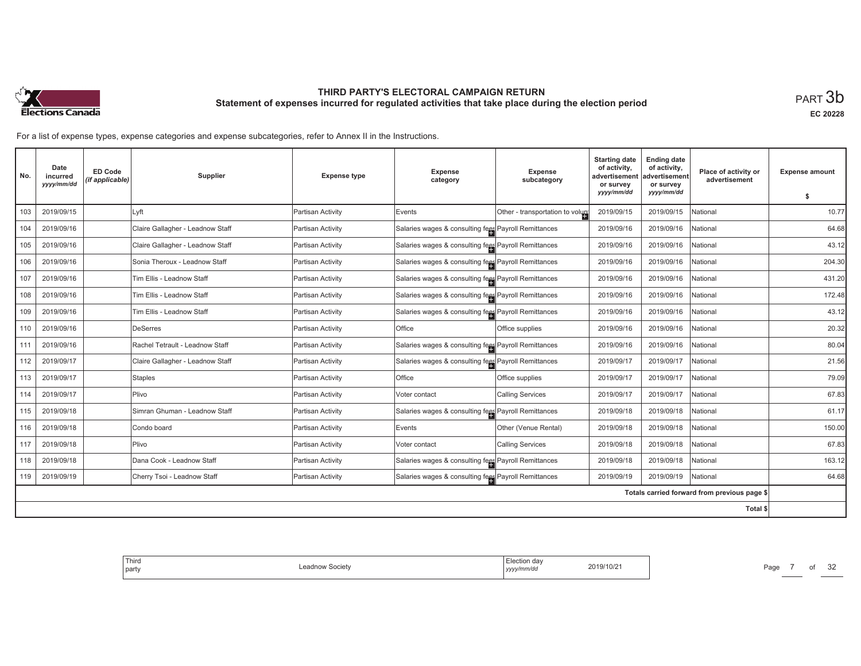

**EC 20228**

| No. | Date<br>incurred<br>yyyy/mm/dd | <b>ED Code</b><br>(if applicable) | Supplier                         | <b>Expense type</b> | Expense<br>category                                  | <b>Expense</b><br>subcategory   | <b>Starting date</b><br>of activity,<br>advertisement<br>or survey | <b>Ending date</b><br>of activity,<br>advertisement<br>or survey | Place of activity or<br>advertisement        | <b>Expense amount</b> |
|-----|--------------------------------|-----------------------------------|----------------------------------|---------------------|------------------------------------------------------|---------------------------------|--------------------------------------------------------------------|------------------------------------------------------------------|----------------------------------------------|-----------------------|
|     |                                |                                   |                                  |                     |                                                      |                                 | yyyy/mm/dd                                                         | yyyy/mm/dd                                                       |                                              | s.                    |
| 103 | 2019/09/15                     |                                   | Lyft                             | Partisan Activity   | Events                                               | Other - transportation to volum | 2019/09/15                                                         | 2019/09/15                                                       | National                                     | 10.77                 |
| 104 | 2019/09/16                     |                                   | Claire Gallagher - Leadnow Staff | Partisan Activity   | Salaries wages & consulting fees Payroll Remittances |                                 | 2019/09/16                                                         | 2019/09/16                                                       | National                                     | 64.68                 |
| 105 | 2019/09/16                     |                                   | Claire Gallagher - Leadnow Staff | Partisan Activity   | Salaries wages & consulting fees Payroll Remittances |                                 | 2019/09/16                                                         | 2019/09/16                                                       | <b>National</b>                              | 43.12                 |
| 106 | 2019/09/16                     |                                   | Sonia Theroux - Leadnow Staff    | Partisan Activity   | Salaries wages & consulting fees Payroll Remittances |                                 | 2019/09/16                                                         | 2019/09/16                                                       | National                                     | 204.30                |
| 107 | 2019/09/16                     |                                   | Tim Ellis - Leadnow Staff        | Partisan Activity   | Salaries wages & consulting fees Payroll Remittances |                                 | 2019/09/16                                                         | 2019/09/16                                                       | National                                     | 431.20                |
| 108 | 2019/09/16                     |                                   | Tim Ellis - Leadnow Staff        | Partisan Activity   | Salaries wages & consulting fees Payroll Remittances |                                 | 2019/09/16                                                         | 2019/09/16                                                       | National                                     | 172.48                |
| 109 | 2019/09/16                     |                                   | Tim Ellis - Leadnow Staff        | Partisan Activity   | Salaries wages & consulting fees Payroll Remittances |                                 | 2019/09/16                                                         | 2019/09/16                                                       | National                                     | 43.12                 |
| 110 | 2019/09/16                     |                                   | <b>DeSerres</b>                  | Partisan Activity   | <b>Office</b>                                        | Office supplies                 | 2019/09/16                                                         | 2019/09/16                                                       | National                                     | 20.32                 |
| 111 | 2019/09/16                     |                                   | Rachel Tetrault - Leadnow Staff  | Partisan Activity   | Salaries wages & consulting fees Payroll Remittances |                                 | 2019/09/16                                                         | 2019/09/16                                                       | National                                     | 80.04                 |
| 112 | 2019/09/17                     |                                   | Claire Gallagher - Leadnow Staff | Partisan Activity   | Salaries wages & consulting fees Payroll Remittances |                                 | 2019/09/17                                                         | 2019/09/17                                                       | National                                     | 21.56                 |
| 113 | 2019/09/17                     |                                   | <b>Staples</b>                   | Partisan Activity   | <b>Office</b>                                        | Office supplies                 | 2019/09/17                                                         | 2019/09/17                                                       | National                                     | 79.09                 |
| 114 | 2019/09/17                     |                                   | Plivo                            | Partisan Activity   | Voter contact                                        | <b>Calling Services</b>         | 2019/09/17                                                         | 2019/09/17                                                       | National                                     | 67.83                 |
| 115 | 2019/09/18                     |                                   | Simran Ghuman - Leadnow Staff    | Partisan Activity   | Salaries wages & consulting fees Payroll Remittances |                                 | 2019/09/18                                                         | 2019/09/18                                                       | National                                     | 61.17                 |
| 116 | 2019/09/18                     |                                   | Condo board                      | Partisan Activity   | Events                                               | Other (Venue Rental)            | 2019/09/18                                                         | 2019/09/18                                                       | National                                     | 150.00                |
| 117 | 2019/09/18                     |                                   | Plivo                            | Partisan Activity   | Voter contact                                        | Calling Services                | 2019/09/18                                                         | 2019/09/18                                                       | National                                     | 67.83                 |
| 118 | 2019/09/18                     |                                   | Dana Cook - Leadnow Staff        | Partisan Activity   | Salaries wages & consulting fees Payroll Remittances |                                 | 2019/09/18                                                         | 2019/09/18                                                       | National                                     | 163.12                |
| 119 | 2019/09/19                     |                                   | Cherry Tsoi - Leadnow Staff      | Partisan Activity   | Salaries wages & consulting fees Payroll Remittances |                                 | 2019/09/19                                                         | 2019/09/19                                                       | National                                     | 64.68                 |
|     |                                |                                   |                                  |                     |                                                      |                                 |                                                                    |                                                                  | Totals carried forward from previous page \$ |                       |
|     |                                |                                   |                                  |                     |                                                      |                                 |                                                                    |                                                                  | <b>Total \$</b>                              |                       |

| Election day<br>2019/10/21<br>Leadnow Society<br>vyy/mm/da<br>,,,,, |
|---------------------------------------------------------------------|
|---------------------------------------------------------------------|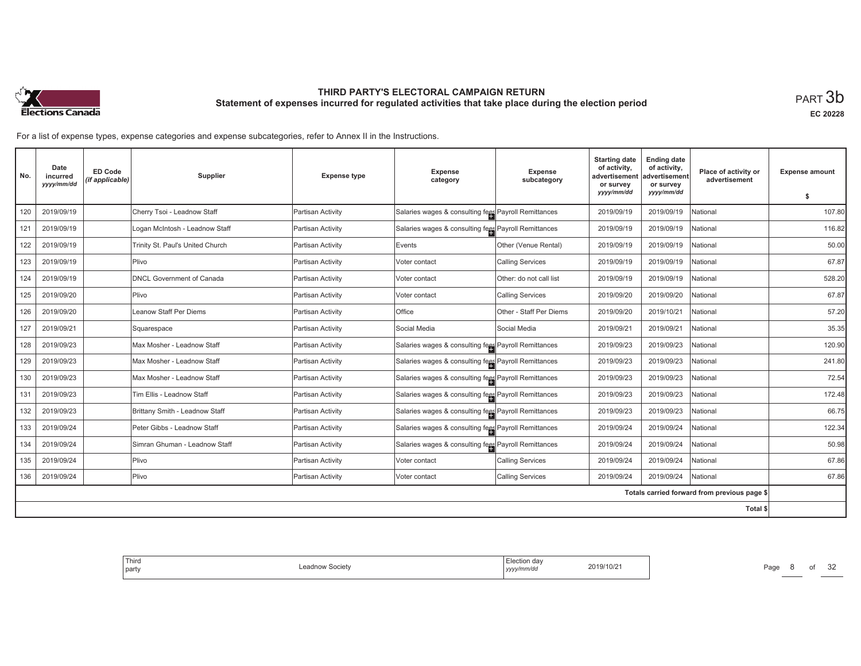

**EC 20228**

For a list of expense types, expense categories and expense subcategories, refer to Annex II in the Instructions.

| No. | Date<br>incurred<br>yyyy/mm/dd | ED Code<br>(if applicable) | Supplier                         | <b>Expense type</b> | <b>Expense</b><br>category                           | <b>Expense</b><br>subcategory | <b>Starting date</b><br>of activity,<br>advertisement<br>or survey | <b>Ending date</b><br>of activity,<br>advertisement<br>or survey | Place of activity or<br>advertisement        | <b>Expense amount</b> |
|-----|--------------------------------|----------------------------|----------------------------------|---------------------|------------------------------------------------------|-------------------------------|--------------------------------------------------------------------|------------------------------------------------------------------|----------------------------------------------|-----------------------|
|     |                                |                            |                                  |                     |                                                      |                               | yyyy/mm/dd                                                         | yyyy/mm/dd                                                       |                                              | s.                    |
| 120 | 2019/09/19                     |                            | Cherry Tsoi - Leadnow Staff      | Partisan Activity   | Salaries wages & consulting fees Payroll Remittances |                               | 2019/09/19                                                         | 2019/09/19                                                       | Vational                                     | 107.80                |
| 121 | 2019/09/19                     |                            | Logan McIntosh - Leadnow Staff   | Partisan Activity   | Salaries wages & consulting fees Payroll Remittances |                               | 2019/09/19                                                         | 2019/09/19                                                       | National                                     | 116.82                |
| 122 | 2019/09/19                     |                            | Trinity St. Paul's United Church | Partisan Activity   | Events                                               | Other (Venue Rental)          | 2019/09/19                                                         | 2019/09/19                                                       | Vational                                     | 50.00                 |
| 123 | 2019/09/19                     |                            | Plivo                            | Partisan Activity   | Voter contact                                        | <b>Calling Services</b>       | 2019/09/19                                                         | 2019/09/19                                                       | National                                     | 67.87                 |
| 124 | 2019/09/19                     |                            | <b>DNCL Government of Canada</b> | Partisan Activity   | Voter contact                                        | Other: do not call list       | 2019/09/19                                                         | 2019/09/19                                                       | National                                     | 528.20                |
| 125 | 2019/09/20                     |                            | Plivo                            | Partisan Activity   | Voter contact                                        | <b>Calling Services</b>       | 2019/09/20                                                         | 2019/09/20                                                       | National                                     | 67.87                 |
| 126 | 2019/09/20                     |                            | Leanow Staff Per Diems           | Partisan Activity   | Office                                               | Other - Staff Per Diems       | 2019/09/20                                                         | 2019/10/21                                                       | National                                     | 57.20                 |
| 127 | 2019/09/21                     |                            | Squarespace                      | Partisan Activity   | Social Media                                         | Social Media                  | 2019/09/21                                                         | 2019/09/21                                                       | National                                     | 35.35                 |
| 128 | 2019/09/23                     |                            | Max Mosher - Leadnow Staff       | Partisan Activity   | Salaries wages & consulting fees Payroll Remittances |                               | 2019/09/23                                                         | 2019/09/23                                                       | Vational                                     | 120.90                |
| 129 | 2019/09/23                     |                            | Max Mosher - Leadnow Staff       | Partisan Activity   | Salaries wages & consulting fees Payroll Remittances |                               | 2019/09/23                                                         | 2019/09/23                                                       | National                                     | 241.80                |
| 130 | 2019/09/23                     |                            | Max Mosher - Leadnow Staff       | Partisan Activity   | Salaries wages & consulting fees Payroll Remittances |                               | 2019/09/23                                                         | 2019/09/23                                                       | Vational                                     | 72.54                 |
| 131 | 2019/09/23                     |                            | Tim Ellis - Leadnow Staff        | Partisan Activity   | Salaries wages & consulting fees Payroll Remittances |                               | 2019/09/23                                                         | 2019/09/23                                                       | Vational                                     | 172.48                |
| 132 | 2019/09/23                     |                            | Brittany Smith - Leadnow Staff   | Partisan Activity   | Salaries wages & consulting fees Payroll Remittances |                               | 2019/09/23                                                         | 2019/09/23                                                       | National                                     | 66.75                 |
| 133 | 2019/09/24                     |                            | Peter Gibbs - Leadnow Staff      | Partisan Activity   | Salaries wages & consulting fees Payroll Remittances |                               | 2019/09/24                                                         | 2019/09/24                                                       | National                                     | 122.34                |
| 134 | 2019/09/24                     |                            | Simran Ghuman - Leadnow Staff    | Partisan Activity   | Salaries wages & consulting fees Payroll Remittances |                               | 2019/09/24                                                         | 2019/09/24                                                       | Vational                                     | 50.98                 |
| 135 | 2019/09/24                     |                            | Plivo                            | Partisan Activity   | Voter contact                                        | <b>Calling Services</b>       | 2019/09/24                                                         | 2019/09/24                                                       | National                                     | 67.86                 |
| 136 | 2019/09/24                     |                            | Plivo                            | Partisan Activity   | Voter contact                                        | <b>Calling Services</b>       | 2019/09/24                                                         | 2019/09/24                                                       | National                                     | 67.86                 |
|     |                                |                            |                                  |                     |                                                      |                               |                                                                    |                                                                  | Totals carried forward from previous page \$ |                       |
|     |                                |                            |                                  |                     |                                                      |                               |                                                                    |                                                                  | Total \$                                     |                       |

| <b>Third</b><br>∃lection daγ<br>2019/10/21<br>Leadnow Societv<br>  party<br>yyyy/mm/dd |
|----------------------------------------------------------------------------------------|
|----------------------------------------------------------------------------------------|

Page 8 of 32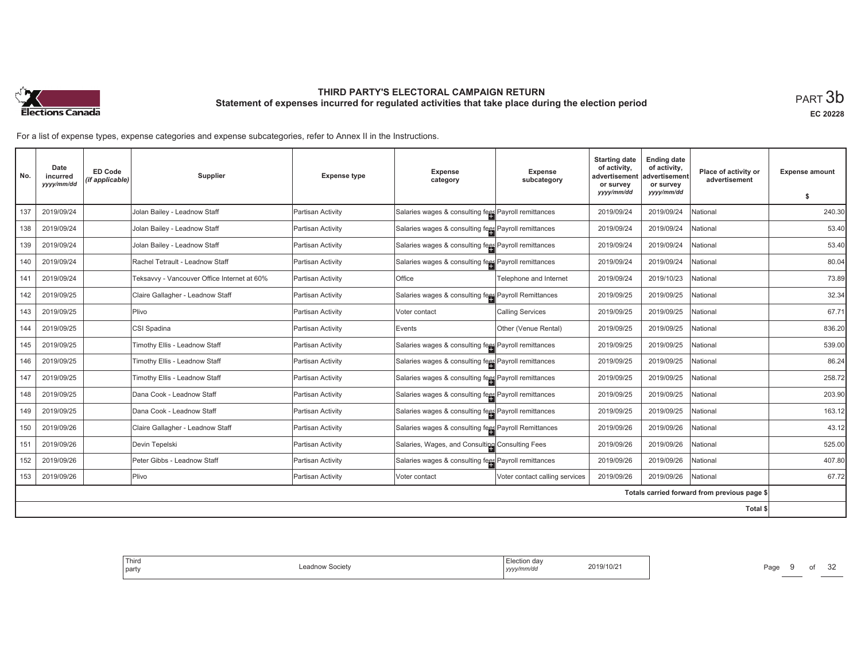

**EC 20228**

For a list of expense types, expense categories and expense subcategories, refer to Annex II in the Instructions.

| No. | Date<br>incurred<br>yyyy/mm/dd | ED Code<br>(if applicable) | Supplier                                    | <b>Expense type</b> | <b>Expense</b><br>category                           | Expense<br>subcategory         | <b>Starting date</b><br>of activity,<br>advertisement<br>or survey | <b>Ending date</b><br>of activity,<br>advertisement<br>or survey | Place of activity or<br>advertisement        | <b>Expense amount</b> |
|-----|--------------------------------|----------------------------|---------------------------------------------|---------------------|------------------------------------------------------|--------------------------------|--------------------------------------------------------------------|------------------------------------------------------------------|----------------------------------------------|-----------------------|
|     |                                |                            |                                             |                     |                                                      |                                | yyyy/mm/dd                                                         | yyyy/mm/dd                                                       |                                              | \$                    |
| 137 | 2019/09/24                     |                            | Jolan Bailey - Leadnow Staff                | Partisan Activity   | Salaries wages & consulting fees Payroll remittances |                                | 2019/09/24                                                         | 2019/09/24                                                       | National                                     | 240.30                |
| 138 | 2019/09/24                     |                            | Jolan Bailey - Leadnow Staff                | Partisan Activity   | Salaries wages & consulting fees Payroll remittances |                                | 2019/09/24                                                         | 2019/09/24                                                       | National                                     | 53.40                 |
| 139 | 2019/09/24                     |                            | Jolan Bailey - Leadnow Staff                | Partisan Activity   | Salaries wages & consulting fees Payroll remittances |                                | 2019/09/24                                                         | 2019/09/24                                                       | National                                     | 53.40                 |
| 140 | 2019/09/24                     |                            | Rachel Tetrault - Leadnow Staff             | Partisan Activity   | Salaries wages & consulting fees Payroll remittances |                                | 2019/09/24                                                         | 2019/09/24                                                       | National                                     | 80.04                 |
| 141 | 2019/09/24                     |                            | Teksavvy - Vancouver Office Internet at 60% | Partisan Activity   | Office                                               | Telephone and Internet         | 2019/09/24                                                         | 2019/10/23                                                       | National                                     | 73.89                 |
| 142 | 2019/09/25                     |                            | Claire Gallagher - Leadnow Staff            | Partisan Activity   | Salaries wages & consulting fees Payroll Remittances |                                | 2019/09/25                                                         | 2019/09/25                                                       | National                                     | 32.34                 |
| 143 | 2019/09/25                     |                            | Plivo                                       | Partisan Activity   | Voter contact                                        | <b>Calling Services</b>        | 2019/09/25                                                         | 2019/09/25                                                       | National                                     | 67.71                 |
| 144 | 2019/09/25                     |                            | CSI Spadina                                 | Partisan Activity   | Events                                               | Other (Venue Rental)           | 2019/09/25                                                         | 2019/09/25                                                       | National                                     | 836.20                |
| 145 | 2019/09/25                     |                            | Timothy Ellis - Leadnow Staff               | Partisan Activity   | Salaries wages & consulting fees Payroll remittances |                                | 2019/09/25                                                         | 2019/09/25                                                       | National                                     | 539.00                |
| 146 | 2019/09/25                     |                            | Timothy Ellis - Leadnow Staff               | Partisan Activity   | Salaries wages & consulting fees Payroll remittances |                                | 2019/09/25                                                         | 2019/09/25                                                       | National                                     | 86.24                 |
| 147 | 2019/09/25                     |                            | Timothy Ellis - Leadnow Staff               | Partisan Activity   | Salaries wages & consulting fees Payroll remittances |                                | 2019/09/25                                                         | 2019/09/25                                                       | National                                     | 258.72                |
| 148 | 2019/09/25                     |                            | Dana Cook - Leadnow Staff                   | Partisan Activity   | Salaries wages & consulting fees Payroll remittances |                                | 2019/09/25                                                         | 2019/09/25                                                       | National                                     | 203.90                |
| 149 | 2019/09/25                     |                            | Dana Cook - Leadnow Staff                   | Partisan Activity   | Salaries wages & consulting fees Payroll remittances |                                | 2019/09/25                                                         | 2019/09/25                                                       | National                                     | 163.12                |
| 150 | 2019/09/26                     |                            | Claire Gallagher - Leadnow Staff            | Partisan Activity   | Salaries wages & consulting fees Payroll Remittances |                                | 2019/09/26                                                         | 2019/09/26                                                       | National                                     | 43.12                 |
| 151 | 2019/09/26                     |                            | Devin Tepelski                              | Partisan Activity   | Salaries, Wages, and Consulting Consulting Fees      |                                | 2019/09/26                                                         | 2019/09/26                                                       | National                                     | 525.00                |
| 152 | 2019/09/26                     |                            | Peter Gibbs - Leadnow Staff                 | Partisan Activity   | Salaries wages & consulting fees Payroll remittances |                                | 2019/09/26                                                         | 2019/09/26                                                       | National                                     | 407.80                |
| 153 | 2019/09/26                     |                            | Plivo                                       | Partisan Activity   | Voter contact                                        | Voter contact calling services | 2019/09/26                                                         | 2019/09/26                                                       | National                                     | 67.72                 |
|     |                                |                            |                                             |                     |                                                      |                                |                                                                    |                                                                  | Totals carried forward from previous page \$ |                       |
|     |                                |                            |                                             |                     |                                                      |                                |                                                                    |                                                                  | <b>Total \$</b>                              |                       |

| 2019/10/21 |
|------------|
|------------|

Page 9 of 32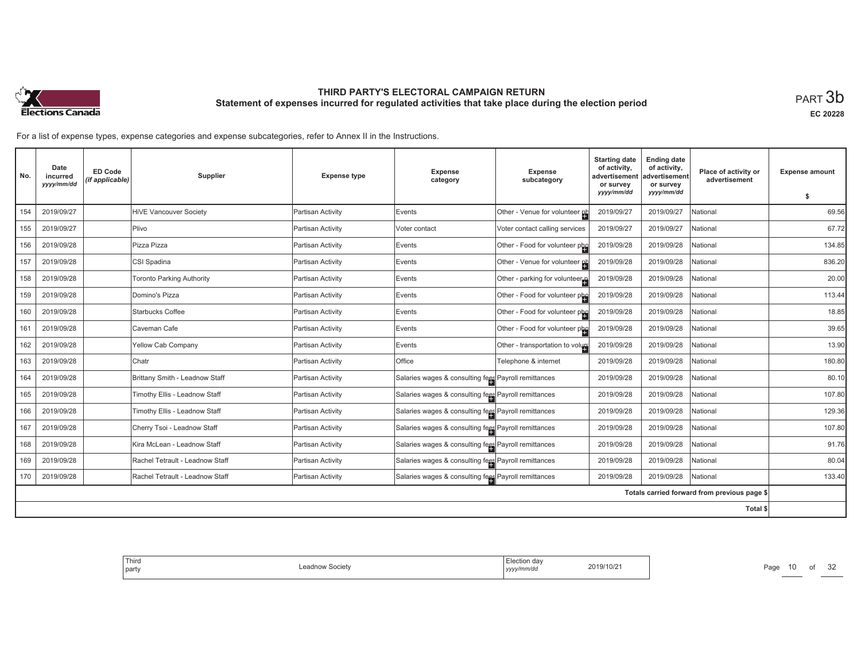

**EC 20228**

| No. | Date<br>incurred<br>yyyy/mm/dd | <b>ED Code</b><br>(if applicable) | Supplier                         | <b>Expense type</b> | <b>Expense</b><br>category                           | <b>Expense</b><br>subcategory   | <b>Starting date</b><br>of activity,<br>advertisement<br>or survey | <b>Ending date</b><br>of activity,<br>advertisement<br>or survey | Place of activity or<br>advertisement        | <b>Expense amount</b> |
|-----|--------------------------------|-----------------------------------|----------------------------------|---------------------|------------------------------------------------------|---------------------------------|--------------------------------------------------------------------|------------------------------------------------------------------|----------------------------------------------|-----------------------|
|     |                                |                                   |                                  |                     |                                                      |                                 | yyyy/mm/dd                                                         | yyyy/mm/dd                                                       |                                              | \$                    |
| 154 | 2019/09/27                     |                                   | <b>HIVE Vancouver Society</b>    | Partisan Activity   | Events                                               | Other - Venue for volunteer ph  | 2019/09/27                                                         | 2019/09/27                                                       | National                                     | 69.56                 |
| 155 | 2019/09/27                     |                                   | Plivo                            | Partisan Activity   | Voter contact                                        | Voter contact calling services  | 2019/09/27                                                         | 2019/09/27                                                       | National                                     | 67.72                 |
| 156 | 2019/09/28                     |                                   | Pizza Pizza                      | Partisan Activity   | Events                                               | Other - Food for volunteer pho  | 2019/09/28                                                         | 2019/09/28                                                       | National                                     | 134.85                |
| 157 | 2019/09/28                     |                                   | CSI Spadina                      | Partisan Activity   | Events                                               | Other - Venue for volunteer ph  | 2019/09/28                                                         | 2019/09/28                                                       | National                                     | 836.20                |
| 158 | 2019/09/28                     |                                   | <b>Toronto Parking Authority</b> | Partisan Activity   | Events                                               | Other - parking for volunteer   | 2019/09/28                                                         | 2019/09/28                                                       | National                                     | 20.00                 |
| 159 | 2019/09/28                     |                                   | Domino's Pizza                   | Partisan Activity   | Events                                               | Other - Food for volunteer pho  | 2019/09/28                                                         | 2019/09/28                                                       | National                                     | 113.44                |
| 160 | 2019/09/28                     |                                   | Starbucks Coffee                 | Partisan Activity   | Events                                               | Other - Food for volunteer pho  | 2019/09/28                                                         | 2019/09/28                                                       | National                                     | 18.85                 |
| 161 | 2019/09/28                     |                                   | Caveman Cafe                     | Partisan Activity   | Events                                               | Other - Food for volunteer phe  | 2019/09/28                                                         | 2019/09/28                                                       | National                                     | 39.65                 |
| 162 | 2019/09/28                     |                                   | <b>Yellow Cab Company</b>        | Partisan Activity   | Events                                               | Other - transportation to volum | 2019/09/28                                                         | 2019/09/28                                                       | National                                     | 13.90                 |
| 163 | 2019/09/28                     |                                   | Chatr                            | Partisan Activity   | Office                                               | Telephone & internet            | 2019/09/28                                                         | 2019/09/28                                                       | National                                     | 180.80                |
| 164 | 2019/09/28                     |                                   | Brittany Smith - Leadnow Staff   | Partisan Activity   | Salaries wages & consulting fees Payroll remittances |                                 | 2019/09/28                                                         | 2019/09/28                                                       | National                                     | 80.10                 |
| 165 | 2019/09/28                     |                                   | Timothy Ellis - Leadnow Staff    | Partisan Activity   | Salaries wages & consulting fees Payroll remittances |                                 | 2019/09/28                                                         | 2019/09/28                                                       | National                                     | 107.80                |
| 166 | 2019/09/28                     |                                   | Timothy Ellis - Leadnow Staff    | Partisan Activity   | Salaries wages & consulting fees Payroll remittances |                                 | 2019/09/28                                                         | 2019/09/28                                                       | National                                     | 129.36                |
| 167 | 2019/09/28                     |                                   | Cherry Tsoi - Leadnow Staff      | Partisan Activity   | Salaries wages & consulting fees Payroll remittances |                                 | 2019/09/28                                                         | 2019/09/28                                                       | National                                     | 107.80                |
| 168 | 2019/09/28                     |                                   | Kira McLean - Leadnow Staff      | Partisan Activity   | Salaries wages & consulting fees Payroll remittances |                                 | 2019/09/28                                                         | 2019/09/28                                                       | National                                     | 91.76                 |
| 169 | 2019/09/28                     |                                   | Rachel Tetrault - Leadnow Staff  | Partisan Activity   | Salaries wages & consulting fees Payroll remittances |                                 | 2019/09/28                                                         | 2019/09/28                                                       | National                                     | 80.04                 |
| 170 | 2019/09/28                     |                                   | Rachel Tetrault - Leadnow Staff  | Partisan Activity   | Salaries wages & consulting fees Payroll remittances |                                 | 2019/09/28                                                         | 2019/09/28                                                       | National                                     | 133.40                |
|     |                                |                                   |                                  |                     |                                                      |                                 |                                                                    |                                                                  | Totals carried forward from previous page \$ |                       |
|     |                                |                                   |                                  |                     |                                                      |                                 |                                                                    |                                                                  | Total \$                                     |                       |

| ion dav<br>2019/10/21<br>.<br>. | . |
|---------------------------------|---|
|---------------------------------|---|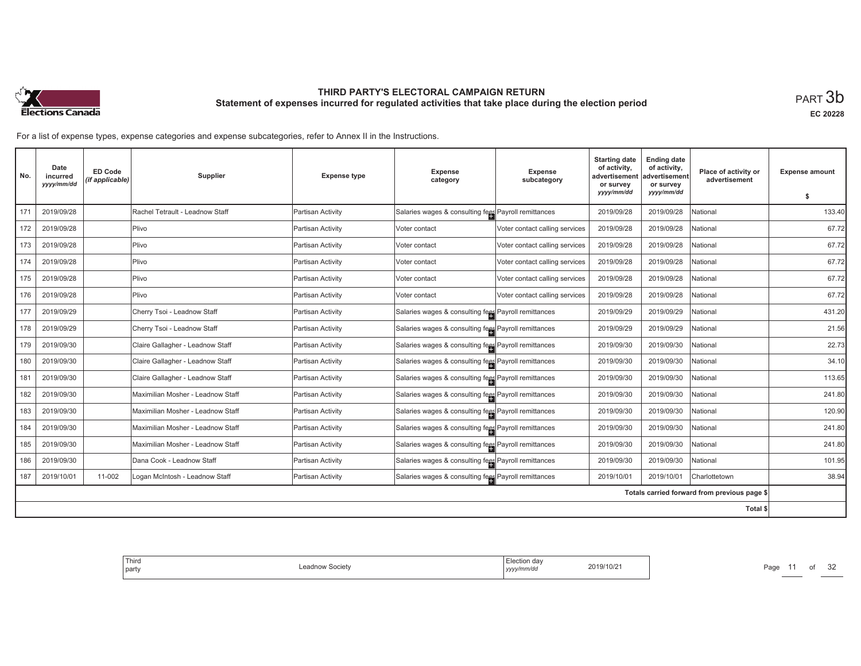

**EC 20228**

For a list of expense types, expense categories and expense subcategories, refer to Annex II in the Instructions.

| No. | Date<br>incurred<br>yyyy/mm/dd | ED Code<br>(if applicable) | Supplier                          | <b>Expense type</b> | <b>Expense</b><br>category                           | <b>Expense</b><br>subcategory  | <b>Starting date</b><br>of activity,<br>advertisement<br>or survey | <b>Ending date</b><br>of activity,<br>advertisement<br>or survey | Place of activity or<br>advertisement        | <b>Expense amount</b> |
|-----|--------------------------------|----------------------------|-----------------------------------|---------------------|------------------------------------------------------|--------------------------------|--------------------------------------------------------------------|------------------------------------------------------------------|----------------------------------------------|-----------------------|
|     |                                |                            |                                   |                     |                                                      |                                | yyyy/mm/dd                                                         | yyyy/mm/dd                                                       |                                              | \$                    |
| 171 | 2019/09/28                     |                            | Rachel Tetrault - Leadnow Staff   | Partisan Activity   | Salaries wages & consulting fees Payroll remittances |                                | 2019/09/28                                                         | 2019/09/28                                                       | National                                     | 133.40                |
| 172 | 2019/09/28                     |                            | Plivo                             | Partisan Activity   | Voter contact                                        | Voter contact calling services | 2019/09/28                                                         | 2019/09/28                                                       | National                                     | 67.72                 |
| 173 | 2019/09/28                     |                            | Plivo                             | Partisan Activity   | Voter contact                                        | Voter contact calling services | 2019/09/28                                                         | 2019/09/28                                                       | National                                     | 67.72                 |
| 174 | 2019/09/28                     |                            | Plivo                             | Partisan Activity   | Voter contact                                        | Voter contact calling services | 2019/09/28                                                         | 2019/09/28                                                       | National                                     | 67.72                 |
| 175 | 2019/09/28                     |                            | Plivo                             | Partisan Activity   | Voter contact                                        | Voter contact calling services | 2019/09/28                                                         | 2019/09/28                                                       | National                                     | 67.72                 |
| 176 | 2019/09/28                     |                            | Plivo                             | Partisan Activity   | Voter contact                                        | Voter contact calling services | 2019/09/28                                                         | 2019/09/28                                                       | National                                     | 67.72                 |
| 177 | 2019/09/29                     |                            | Cherry Tsoi - Leadnow Staff       | Partisan Activity   | Salaries wages & consulting fees Payroll remittances |                                | 2019/09/29                                                         | 2019/09/29                                                       | National                                     | 431.20                |
| 178 | 2019/09/29                     |                            | Cherry Tsoi - Leadnow Staff       | Partisan Activity   | Salaries wages & consulting fees Payroll remittances |                                | 2019/09/29                                                         | 2019/09/29                                                       | National                                     | 21.56                 |
| 179 | 2019/09/30                     |                            | Claire Gallagher - Leadnow Staff  | Partisan Activity   | Salaries wages & consulting fees Payroll remittances |                                | 2019/09/30                                                         | 2019/09/30                                                       | National                                     | 22.73                 |
| 180 | 2019/09/30                     |                            | Claire Gallagher - Leadnow Staff  | Partisan Activity   | Salaries wages & consulting fees Payroll remittances |                                | 2019/09/30                                                         | 2019/09/30                                                       | National                                     | 34.10                 |
| 181 | 2019/09/30                     |                            | Claire Gallagher - Leadnow Staff  | Partisan Activity   | Salaries wages & consulting fees Payroll remittances |                                | 2019/09/30                                                         | 2019/09/30                                                       | National                                     | 113.65                |
| 182 | 2019/09/30                     |                            | Maximilian Mosher - Leadnow Staff | Partisan Activity   | Salaries wages & consulting fees Payroll remittances |                                | 2019/09/30                                                         | 2019/09/30                                                       | National                                     | 241.80                |
| 183 | 2019/09/30                     |                            | Maximilian Mosher - Leadnow Staff | Partisan Activity   | Salaries wages & consulting fees Payroll remittances |                                | 2019/09/30                                                         | 2019/09/30                                                       | National                                     | 120.90                |
| 184 | 2019/09/30                     |                            | Maximilian Mosher - Leadnow Staff | Partisan Activity   | Salaries wages & consulting fees Payroll remittances |                                | 2019/09/30                                                         | 2019/09/30                                                       | National                                     | 241.80                |
| 185 | 2019/09/30                     |                            | Maximilian Mosher - Leadnow Staff | Partisan Activity   | Salaries wages & consulting fees Payroll remittances |                                | 2019/09/30                                                         | 2019/09/30                                                       | National                                     | 241.80                |
| 186 | 2019/09/30                     |                            | Dana Cook - Leadnow Staff         | Partisan Activity   | Salaries wages & consulting fees Payroll remittances |                                | 2019/09/30                                                         | 2019/09/30                                                       | National                                     | 101.95                |
| 187 | 2019/10/01                     | 11-002                     | Logan McIntosh - Leadnow Staff    | Partisan Activity   | Salaries wages & consulting fees Payroll remittances |                                | 2019/10/01                                                         | 2019/10/01                                                       | Charlottetown                                | 38.94                 |
|     |                                |                            |                                   |                     |                                                      |                                |                                                                    |                                                                  | Totals carried forward from previous page \$ |                       |
|     |                                |                            |                                   |                     |                                                      |                                |                                                                    |                                                                  | <b>Total \$</b>                              |                       |

| Hection day<br>2019/10/21<br>.<br>, yyyy/mm/dd | Third<br>dnow Societv<br>party |
|------------------------------------------------|--------------------------------|
|------------------------------------------------|--------------------------------|

Page 11 of 32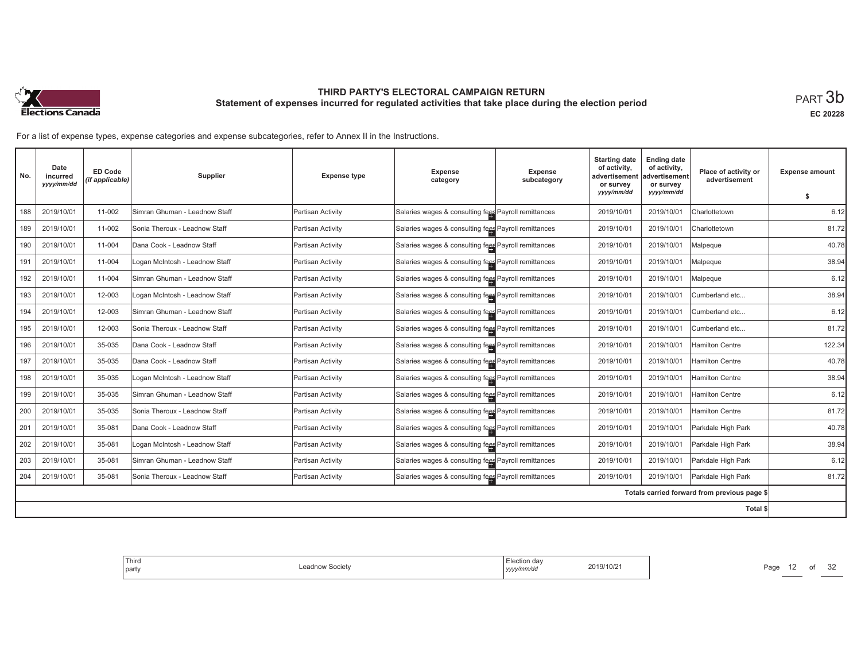

**EC 20228**

For a list of expense types, expense categories and expense subcategories, refer to Annex II in the Instructions.

| No. | Date<br>incurred<br>yyyy/mm/dd | ED Code<br>(if applicable) | Supplier                       | <b>Expense type</b> | <b>Expense</b><br>category                           | <b>Expense</b><br>subcategory | <b>Starting date</b><br>of activity,<br>advertisement<br>or survey | <b>Ending date</b><br>of activity,<br>advertisement<br>or survey | Place of activity or<br>advertisement        | <b>Expense amount</b> |
|-----|--------------------------------|----------------------------|--------------------------------|---------------------|------------------------------------------------------|-------------------------------|--------------------------------------------------------------------|------------------------------------------------------------------|----------------------------------------------|-----------------------|
|     |                                |                            |                                |                     |                                                      |                               | yyyy/mm/dd                                                         | yyyy/mm/dd                                                       |                                              | \$                    |
| 188 | 2019/10/01                     | 11-002                     | Simran Ghuman - Leadnow Staff  | Partisan Activity   | Salaries wages & consulting fees Payroll remittances |                               | 2019/10/01                                                         | 2019/10/01                                                       | Charlottetown                                | 6.12                  |
| 189 | 2019/10/01                     | 11-002                     | Sonia Theroux - Leadnow Staff  | Partisan Activity   | Salaries wages & consulting fees Payroll remittances |                               | 2019/10/01                                                         | 2019/10/01                                                       | Charlottetown                                | 81.72                 |
| 190 | 2019/10/01                     | 11-004                     | Dana Cook - Leadnow Staff      | Partisan Activity   | Salaries wages & consulting fees Payroll remittances |                               | 2019/10/01                                                         | 2019/10/01                                                       | Malpeque                                     | 40.78                 |
| 191 | 2019/10/01                     | 11-004                     | Logan McIntosh - Leadnow Staff | Partisan Activity   | Salaries wages & consulting fees Payroll remittances |                               | 2019/10/01                                                         | 2019/10/01                                                       | Malpeque                                     | 38.94                 |
| 192 | 2019/10/01                     | 11-004                     | Simran Ghuman - Leadnow Staff  | Partisan Activity   | Salaries wages & consulting fees Payroll remittances |                               | 2019/10/01                                                         | 2019/10/01                                                       | Malpeque                                     | 6.12                  |
| 193 | 2019/10/01                     | 12-003                     | Logan McIntosh - Leadnow Staff | Partisan Activity   | Salaries wages & consulting fees Payroll remittances |                               | 2019/10/01                                                         | 2019/10/01                                                       | Cumberland etc                               | 38.94                 |
| 194 | 2019/10/01                     | 12-003                     | Simran Ghuman - Leadnow Staff  | Partisan Activity   | Salaries wages & consulting fees Payroll remittances |                               | 2019/10/01                                                         | 2019/10/01                                                       | Cumberland etc                               | 6.12                  |
| 195 | 2019/10/01                     | 12-003                     | Sonia Theroux - Leadnow Staff  | Partisan Activity   | Salaries wages & consulting fees Payroll remittances |                               | 2019/10/01                                                         | 2019/10/01                                                       | Cumberland etc                               | 81.72                 |
| 196 | 2019/10/01                     | 35-035                     | Dana Cook - Leadnow Staff      | Partisan Activity   | Salaries wages & consulting fees Payroll remittances |                               | 2019/10/01                                                         | 2019/10/01                                                       | <b>Hamilton Centre</b>                       | 122.34                |
| 197 | 2019/10/01                     | 35-035                     | Dana Cook - Leadnow Staff      | Partisan Activity   | Salaries wages & consulting fees Payroll remittances |                               | 2019/10/01                                                         | 2019/10/01                                                       | <b>Hamilton Centre</b>                       | 40.78                 |
| 198 | 2019/10/01                     | 35-035                     | Logan McIntosh - Leadnow Staff | Partisan Activity   | Salaries wages & consulting fees Payroll remittances |                               | 2019/10/01                                                         | 2019/10/01                                                       | <b>Hamilton Centre</b>                       | 38.94                 |
| 199 | 2019/10/01                     | 35-035                     | Simran Ghuman - Leadnow Staff  | Partisan Activity   | Salaries wages & consulting fees Payroll remittances |                               | 2019/10/01                                                         | 2019/10/01                                                       | Hamilton Centre                              | 6.12                  |
| 200 | 2019/10/01                     | 35-035                     | Sonia Theroux - Leadnow Staff  | Partisan Activity   | Salaries wages & consulting fees Payroll remittances |                               | 2019/10/01                                                         | 2019/10/01                                                       | Hamilton Centre                              | 81.72                 |
| 201 | 2019/10/01                     | 35-081                     | Dana Cook - Leadnow Staff      | Partisan Activity   | Salaries wages & consulting fees Payroll remittances |                               | 2019/10/01                                                         | 2019/10/01                                                       | Parkdale High Park                           | 40.78                 |
| 202 | 2019/10/01                     | 35-081                     | Logan McIntosh - Leadnow Staff | Partisan Activity   | Salaries wages & consulting fees Payroll remittances |                               | 2019/10/01                                                         | 2019/10/01                                                       | Parkdale High Park                           | 38.94                 |
| 203 | 2019/10/01                     | 35-081                     | Simran Ghuman - Leadnow Staff  | Partisan Activity   | Salaries wages & consulting fees Payroll remittances |                               | 2019/10/01                                                         | 2019/10/01                                                       | Parkdale High Park                           | 6.12                  |
| 204 | 2019/10/01                     | 35-081                     | Sonia Theroux - Leadnow Staff  | Partisan Activity   | Salaries wages & consulting fees Payroll remittances |                               | 2019/10/01                                                         | 2019/10/01                                                       | Parkdale High Park                           | 81.72                 |
|     |                                |                            |                                |                     |                                                      |                               |                                                                    |                                                                  | Totals carried forward from previous page \$ |                       |
|     |                                |                            |                                |                     |                                                      |                               |                                                                    |                                                                  | <b>Total \$</b>                              |                       |

| Election day<br>2019/10/2<br>.<br>Society<br>.<br>yyyy/mm/dd<br>,,,,, | Third<br>party |  |
|-----------------------------------------------------------------------|----------------|--|
|-----------------------------------------------------------------------|----------------|--|

Page 12 of 32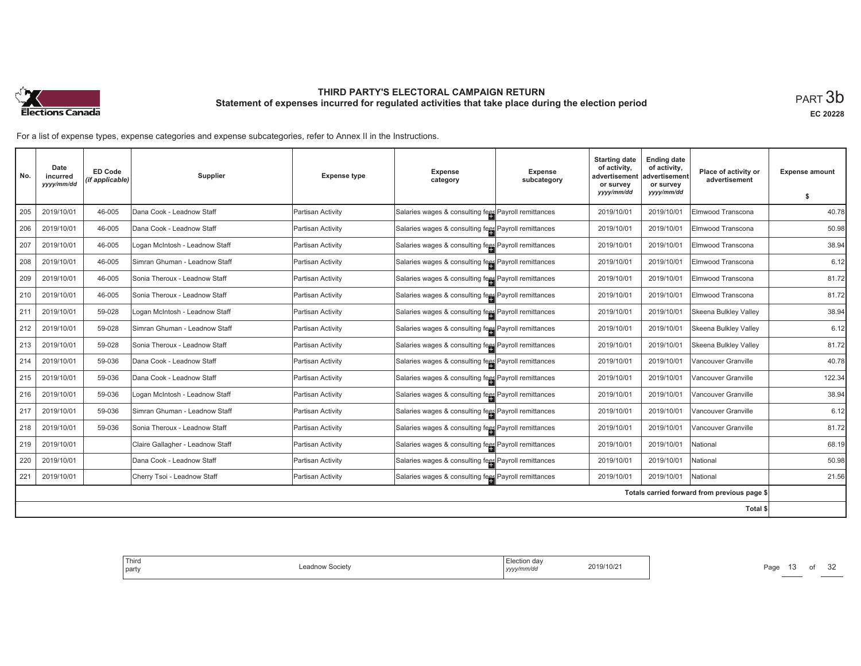

**EC 20228**

For a list of expense types, expense categories and expense subcategories, refer to Annex II in the Instructions.

| No. | Date<br>incurred<br>yyyy/mm/dd | ED Code<br>(if applicable) | Supplier                         | <b>Expense type</b> | <b>Expense</b><br>category                           | <b>Expense</b><br>subcategory | <b>Starting date</b><br>of activity,<br>advertisemen<br>or survey | <b>Ending date</b><br>of activity,<br>advertisement<br>or survey | Place of activity or<br>advertisement        | <b>Expense amount</b> |
|-----|--------------------------------|----------------------------|----------------------------------|---------------------|------------------------------------------------------|-------------------------------|-------------------------------------------------------------------|------------------------------------------------------------------|----------------------------------------------|-----------------------|
|     |                                |                            |                                  |                     |                                                      |                               | yyyy/mm/dd                                                        | yyyy/mm/dd                                                       |                                              | \$                    |
| 205 | 2019/10/01                     | 46-005                     | Dana Cook - Leadnow Staff        | Partisan Activity   | Salaries wages & consulting fees Payroll remittances |                               | 2019/10/01                                                        | 2019/10/01                                                       | Elmwood Transcona                            | 40.78                 |
| 206 | 2019/10/01                     | 46-005                     | Dana Cook - Leadnow Staff        | Partisan Activity   | Salaries wages & consulting fees Payroll remittances |                               | 2019/10/01                                                        | 2019/10/01                                                       | Elmwood Transcona                            | 50.98                 |
| 207 | 2019/10/01                     | 46-005                     | Logan McIntosh - Leadnow Staff   | Partisan Activity   | Salaries wages & consulting fees Payroll remittances |                               | 2019/10/01                                                        | 2019/10/01                                                       | Elmwood Transcona                            | 38.94                 |
| 208 | 2019/10/01                     | 46-005                     | Simran Ghuman - Leadnow Staff    | Partisan Activity   | Salaries wages & consulting fees Payroll remittances |                               | 2019/10/01                                                        | 2019/10/01                                                       | Elmwood Transcona                            | 6.12                  |
| 209 | 2019/10/01                     | 46-005                     | Sonia Theroux - Leadnow Staff    | Partisan Activity   | Salaries wages & consulting fees Payroll remittances |                               | 2019/10/01                                                        | 2019/10/01                                                       | Elmwood Transcona                            | 81.72                 |
| 210 | 2019/10/01                     | 46-005                     | Sonia Theroux - Leadnow Staff    | Partisan Activity   | Salaries wages & consulting fees Payroll remittances |                               | 2019/10/01                                                        | 2019/10/01                                                       | Elmwood Transcona                            | 81.72                 |
| 211 | 2019/10/01                     | 59-028                     | Logan McIntosh - Leadnow Staff   | Partisan Activity   | Salaries wages & consulting fees Payroll remittances |                               | 2019/10/01                                                        | 2019/10/01                                                       | Skeena Bulkley Valley                        | 38.94                 |
| 212 | 2019/10/01                     | 59-028                     | Simran Ghuman - Leadnow Staff    | Partisan Activity   | Salaries wages & consulting fees Payroll remittances |                               | 2019/10/01                                                        | 2019/10/01                                                       | Skeena Bulkley Valley                        | 6.12                  |
| 213 | 2019/10/01                     | 59-028                     | Sonia Theroux - Leadnow Staff    | Partisan Activity   | Salaries wages & consulting fees Payroll remittances |                               | 2019/10/01                                                        | 2019/10/01                                                       | Skeena Bulkley Valley                        | 81.72                 |
| 214 | 2019/10/01                     | 59-036                     | Dana Cook - Leadnow Staff        | Partisan Activity   | Salaries wages & consulting fees Payroll remittances |                               | 2019/10/01                                                        | 2019/10/01                                                       | Vancouver Granville                          | 40.78                 |
| 215 | 2019/10/01                     | 59-036                     | Dana Cook - Leadnow Staff        | Partisan Activity   | Salaries wages & consulting fees Payroll remittances |                               | 2019/10/01                                                        | 2019/10/01                                                       | Vancouver Granville                          | 122.34                |
| 216 | 2019/10/01                     | 59-036                     | Logan McIntosh - Leadnow Staff   | Partisan Activity   | Salaries wages & consulting fees Payroll remittances |                               | 2019/10/01                                                        | 2019/10/01                                                       | Vancouver Granville                          | 38.94                 |
| 217 | 2019/10/01                     | 59-036                     | Simran Ghuman - Leadnow Staff    | Partisan Activity   | Salaries wages & consulting fees Payroll remittances |                               | 2019/10/01                                                        | 2019/10/01                                                       | Vancouver Granville                          | 6.12                  |
| 218 | 2019/10/01                     | 59-036                     | Sonia Theroux - Leadnow Staff    | Partisan Activity   | Salaries wages & consulting fees Payroll remittances |                               | 2019/10/01                                                        | 2019/10/01                                                       | Vancouver Granville                          | 81.72                 |
| 219 | 2019/10/01                     |                            | Claire Gallagher - Leadnow Staff | Partisan Activity   | Salaries wages & consulting fees Payroll remittances |                               | 2019/10/01                                                        | 2019/10/01                                                       | National                                     | 68.19                 |
| 220 | 2019/10/01                     |                            | Dana Cook - Leadnow Staff        | Partisan Activity   | Salaries wages & consulting fees Payroll remittances |                               | 2019/10/01                                                        | 2019/10/01                                                       | National                                     | 50.98                 |
| 221 | 2019/10/01                     |                            | Cherry Tsoi - Leadnow Staff      | Partisan Activity   | Salaries wages & consulting fees Payroll remittances |                               | 2019/10/01                                                        | 2019/10/01                                                       | National                                     | 21.56                 |
|     |                                |                            |                                  |                     |                                                      |                               |                                                                   |                                                                  | Totals carried forward from previous page \$ |                       |
|     |                                |                            |                                  |                     |                                                      |                               |                                                                   |                                                                  | <b>Total \$</b>                              |                       |

| Election dav<br>2019/10/21<br>Leadnow Society<br>, yyyy/mm/dd | Third<br>party |  |
|---------------------------------------------------------------|----------------|--|
|---------------------------------------------------------------|----------------|--|

Page 13 of 32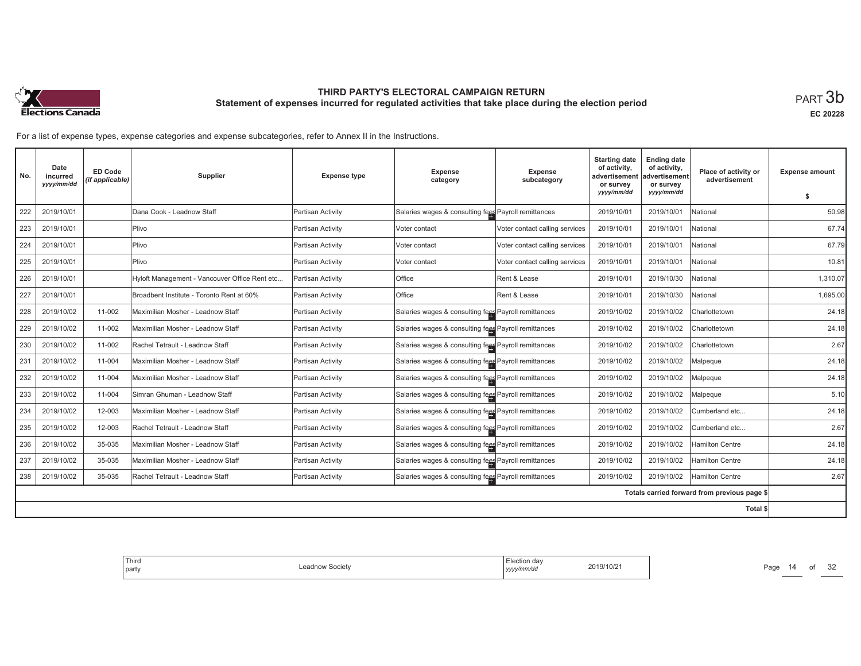

**EC 20228**

For a list of expense types, expense categories and expense subcategories, refer to Annex II in the Instructions.

| No. | Date<br>incurred<br>yyyy/mm/dd | <b>ED Code</b><br>(if applicable) | Supplier                                      | <b>Expense type</b> | <b>Expense</b><br>category                           | <b>Expense</b><br>subcategory  | <b>Starting date</b><br>of activity,<br>advertisemen<br>or survey | <b>Ending date</b><br>of activity,<br>advertisement<br>or survey | Place of activity or<br>advertisement        | <b>Expense amount</b> |
|-----|--------------------------------|-----------------------------------|-----------------------------------------------|---------------------|------------------------------------------------------|--------------------------------|-------------------------------------------------------------------|------------------------------------------------------------------|----------------------------------------------|-----------------------|
|     |                                |                                   |                                               |                     |                                                      |                                | yyyy/mm/dd                                                        | yyyy/mm/dd                                                       |                                              | -S                    |
| 222 | 2019/10/01                     |                                   | Dana Cook - Leadnow Staff                     | Partisan Activity   | Salaries wages & consulting fees Payroll remittances |                                | 2019/10/01                                                        | 2019/10/01                                                       | National                                     | 50.98                 |
| 223 | 2019/10/01                     |                                   | Plivo                                         | Partisan Activity   | Voter contact                                        | Voter contact calling services | 2019/10/01                                                        | 2019/10/01                                                       | National                                     | 67.74                 |
| 224 | 2019/10/01                     |                                   | Plivo                                         | Partisan Activity   | Voter contact                                        | Voter contact calling services | 2019/10/01                                                        | 2019/10/01                                                       | National                                     | 67.79                 |
| 225 | 2019/10/01                     |                                   | Plivo                                         | Partisan Activity   | Voter contact                                        | Voter contact calling services | 2019/10/01                                                        | 2019/10/01                                                       | National                                     | 10.81                 |
| 226 | 2019/10/01                     |                                   | Hyloft Management - Vancouver Office Rent etc | Partisan Activity   | Office                                               | Rent & Lease                   | 2019/10/01                                                        | 2019/10/30                                                       | National                                     | 1.310.07              |
| 227 | 2019/10/01                     |                                   | Broadbent Institute - Toronto Rent at 60%     | Partisan Activity   | Office                                               | Rent & Lease                   | 2019/10/01                                                        | 2019/10/30                                                       | National                                     | 1,695.00              |
| 228 | 2019/10/02                     | 11-002                            | Maximilian Mosher - Leadnow Staff             | Partisan Activity   | Salaries wages & consulting fees Payroll remittances |                                | 2019/10/02                                                        | 2019/10/02                                                       | Charlottetown                                | 24.18                 |
| 229 | 2019/10/02                     | 11-002                            | Maximilian Mosher - Leadnow Staff             | Partisan Activity   | Salaries wages & consulting fees Payroll remittances |                                | 2019/10/02                                                        | 2019/10/02                                                       | Charlottetown                                | 24.18                 |
| 230 | 2019/10/02                     | 11-002                            | Rachel Tetrault - Leadnow Staff               | Partisan Activity   | Salaries wages & consulting fees Payroll remittances |                                | 2019/10/02                                                        | 2019/10/02                                                       | Charlottetown                                | 2.67                  |
| 231 | 2019/10/02                     | 11-004                            | Maximilian Mosher - Leadnow Staff             | Partisan Activity   | Salaries wages & consulting fees Payroll remittances |                                | 2019/10/02                                                        | 2019/10/02                                                       | Malpeque                                     | 24.18                 |
| 232 | 2019/10/02                     | 11-004                            | Maximilian Mosher - Leadnow Staff             | Partisan Activity   | Salaries wages & consulting fees Payroll remittances |                                | 2019/10/02                                                        | 2019/10/02                                                       | Malpeque                                     | 24.18                 |
| 233 | 2019/10/02                     | 11-004                            | Simran Ghuman - Leadnow Staff                 | Partisan Activity   | Salaries wages & consulting fees Payroll remittances |                                | 2019/10/02                                                        | 2019/10/02                                                       | Malpeque                                     | 5.10                  |
| 234 | 2019/10/02                     | 12-003                            | Maximilian Mosher - Leadnow Staff             | Partisan Activity   | Salaries wages & consulting fees Payroll remittances |                                | 2019/10/02                                                        | 2019/10/02                                                       | Cumberland etc                               | 24.18                 |
| 235 | 2019/10/02                     | 12-003                            | Rachel Tetrault - Leadnow Staff               | Partisan Activity   | Salaries wages & consulting fees Payroll remittances |                                | 2019/10/02                                                        | 2019/10/02                                                       | Cumberland etc                               | 2.67                  |
| 236 | 2019/10/02                     | 35-035                            | Maximilian Mosher - Leadnow Staff             | Partisan Activity   | Salaries wages & consulting fees Payroll remittances |                                | 2019/10/02                                                        | 2019/10/02                                                       | Hamilton Centre                              | 24.18                 |
| 237 | 2019/10/02                     | 35-035                            | Maximilian Mosher - Leadnow Staff             | Partisan Activity   | Salaries wages & consulting fees Payroll remittances |                                | 2019/10/02                                                        | 2019/10/02                                                       | Hamilton Centre                              | 24.18                 |
| 238 | 2019/10/02                     | 35-035                            | Rachel Tetrault - Leadnow Staff               | Partisan Activity   | Salaries wages & consulting fees Payroll remittances |                                | 2019/10/02                                                        | 2019/10/02                                                       | Hamilton Centre                              | 2.67                  |
|     |                                |                                   |                                               |                     |                                                      |                                |                                                                   |                                                                  | Totals carried forward from previous page \$ |                       |
|     |                                |                                   |                                               |                     |                                                      |                                |                                                                   |                                                                  | Total \$                                     |                       |

| Hection day<br>2019/10/21<br>.<br>, yyyy/mm/dd | Third<br>dnow Societv<br>party |
|------------------------------------------------|--------------------------------|
|------------------------------------------------|--------------------------------|

Page 14 of 32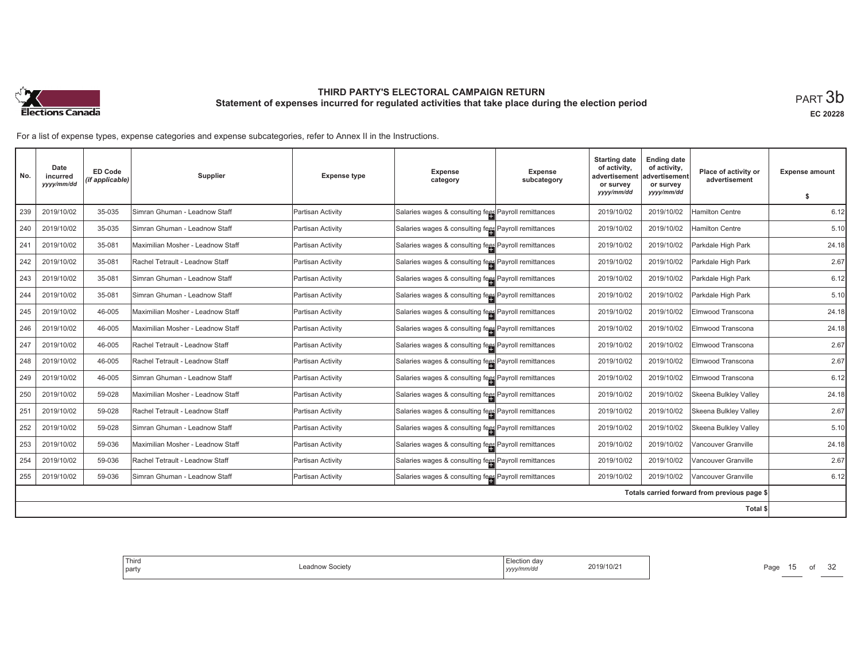

**EC 20228**

| No. | Date<br>incurred<br>yyyy/mm/dd | <b>ED Code</b><br>(if applicable) | Supplier                          | <b>Expense type</b> | Expense<br>category                                  | <b>Expense</b><br>subcategory | <b>Starting date</b><br>of activity,<br>advertisemen<br>or survey<br>yyyy/mm/dd | <b>Ending date</b><br>of activity,<br>advertisement<br>or survey<br>yyyy/mm/dd | Place of activity or<br>advertisement        | <b>Expense amount</b><br>-S |
|-----|--------------------------------|-----------------------------------|-----------------------------------|---------------------|------------------------------------------------------|-------------------------------|---------------------------------------------------------------------------------|--------------------------------------------------------------------------------|----------------------------------------------|-----------------------------|
| 239 | 2019/10/02                     | 35-035                            | Simran Ghuman - Leadnow Staff     | Partisan Activity   | Salaries wages & consulting fees Payroll remittances |                               | 2019/10/02                                                                      | 2019/10/02                                                                     | <b>Hamilton Centre</b>                       | 6.12                        |
| 240 | 2019/10/02                     | 35-035                            | Simran Ghuman - Leadnow Staff     | Partisan Activity   | Salaries wages & consulting fees Payroll remittances |                               | 2019/10/02                                                                      | 2019/10/02                                                                     | <b>Hamilton Centre</b>                       | 5.10                        |
| 241 | 2019/10/02                     | 35-081                            | Maximilian Mosher - Leadnow Staff | Partisan Activity   | Salaries wages & consulting fees Payroll remittances |                               | 2019/10/02                                                                      | 2019/10/02                                                                     | Parkdale High Park                           | 24.18                       |
| 242 | 2019/10/02                     | 35-081                            | Rachel Tetrault - Leadnow Staff   | Partisan Activity   | Salaries wages & consulting fees Payroll remittances |                               | 2019/10/02                                                                      | 2019/10/02                                                                     | Parkdale High Park                           | 2.67                        |
| 243 | 2019/10/02                     | 35-081                            | Simran Ghuman - Leadnow Staff     | Partisan Activity   | Salaries wages & consulting fees Payroll remittances |                               | 2019/10/02                                                                      | 2019/10/02                                                                     | Parkdale High Park                           | 6.12                        |
| 244 | 2019/10/02                     | 35-081                            | Simran Ghuman - Leadnow Staff     | Partisan Activity   | Salaries wages & consulting fees Payroll remittances |                               | 2019/10/02                                                                      | 2019/10/02                                                                     | Parkdale High Park                           | 5.10                        |
| 245 | 2019/10/02                     | 46-005                            | Maximilian Mosher - Leadnow Staff | Partisan Activity   | Salaries wages & consulting fees Payroll remittances |                               | 2019/10/02                                                                      | 2019/10/02                                                                     | Elmwood Transcona                            | 24.18                       |
| 246 | 2019/10/02                     | 46-005                            | Maximilian Mosher - Leadnow Staff | Partisan Activity   | Salaries wages & consulting fees Payroll remittances |                               | 2019/10/02                                                                      | 2019/10/02                                                                     | Elmwood Transcona                            | 24.18                       |
| 247 | 2019/10/02                     | 46-005                            | Rachel Tetrault - Leadnow Staff   | Partisan Activity   | Salaries wages & consulting fees Payroll remittances |                               | 2019/10/02                                                                      | 2019/10/02                                                                     | Elmwood Transcona                            | 2.67                        |
| 248 | 2019/10/02                     | 46-005                            | Rachel Tetrault - Leadnow Staff   | Partisan Activity   | Salaries wages & consulting fees Payroll remittances |                               | 2019/10/02                                                                      | 2019/10/02                                                                     | Elmwood Transcona                            | 2.67                        |
| 249 | 2019/10/02                     | 46-005                            | Simran Ghuman - Leadnow Staff     | Partisan Activity   | Salaries wages & consulting fees Payroll remittances |                               | 2019/10/02                                                                      | 2019/10/02                                                                     | Elmwood Transcona                            | 6.12                        |
| 250 | 2019/10/02                     | 59-028                            | Maximilian Mosher - Leadnow Staff | Partisan Activity   | Salaries wages & consulting fees Payroll remittances |                               | 2019/10/02                                                                      | 2019/10/02                                                                     | Skeena Bulkley Valley                        | 24.18                       |
| 251 | 2019/10/02                     | 59-028                            | Rachel Tetrault - Leadnow Staff   | Partisan Activity   | Salaries wages & consulting fees Payroll remittances |                               | 2019/10/02                                                                      | 2019/10/02                                                                     | Skeena Bulkley Valley                        | 2.67                        |
| 252 | 2019/10/02                     | 59-028                            | Simran Ghuman - Leadnow Staff     | Partisan Activity   | Salaries wages & consulting fees Payroll remittances |                               | 2019/10/02                                                                      | 2019/10/02                                                                     | Skeena Bulkley Valley                        | 5.10                        |
| 253 | 2019/10/02                     | 59-036                            | Maximilian Mosher - Leadnow Staff | Partisan Activity   | Salaries wages & consulting fees Payroll remittances |                               | 2019/10/02                                                                      | 2019/10/02                                                                     | Vancouver Granville                          | 24.18                       |
| 254 | 2019/10/02                     | 59-036                            | Rachel Tetrault - Leadnow Staff   | Partisan Activity   | Salaries wages & consulting fees Payroll remittances |                               | 2019/10/02                                                                      | 2019/10/02                                                                     | Vancouver Granville                          | 2.67                        |
| 255 | 2019/10/02                     | 59-036                            | ISimran Ghuman - Leadnow Staff    | Partisan Activity   | Salaries wages & consulting fees Payroll remittances |                               | 2019/10/02                                                                      | 2019/10/02                                                                     | Vancouver Granville                          | 6.12                        |
|     |                                |                                   |                                   |                     |                                                      |                               |                                                                                 |                                                                                | Totals carried forward from previous page \$ |                             |
|     |                                |                                   |                                   |                     |                                                      |                               |                                                                                 |                                                                                | Total \$                                     |                             |

|--|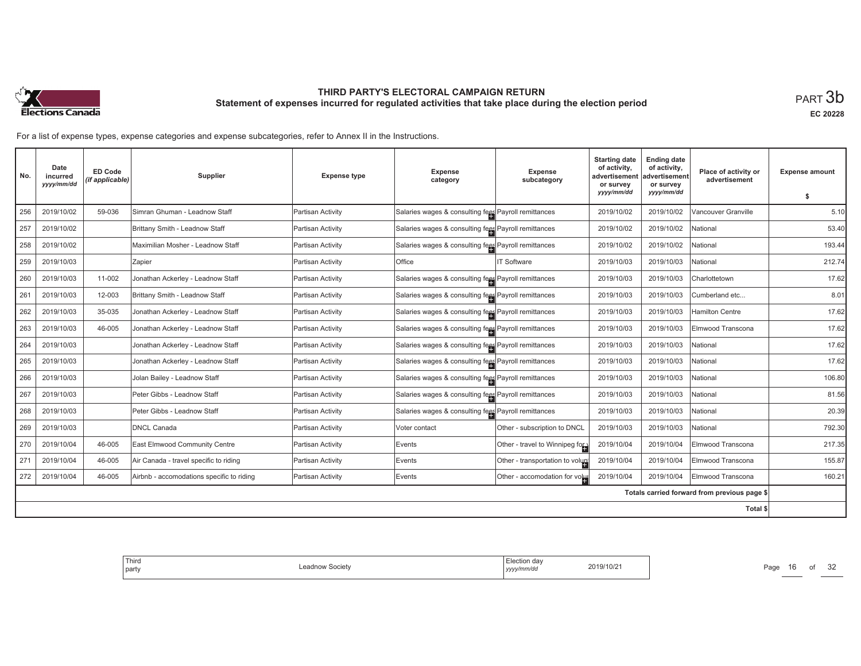

**EC 20228**

| No. | Date<br>incurred<br>yyyy/mm/dd | <b>ED Code</b><br>(if applicable) | Supplier                                  | <b>Expense type</b> | <b>Expense</b><br>category                           | Expense<br>subcategory          | <b>Starting date</b><br>of activity,<br>advertisemen<br>or survev<br>yyyy/mm/dd | <b>Ending date</b><br>of activity,<br>advertisement<br>or survey<br>yyyy/mm/dd | Place of activity or<br>advertisement        | <b>Expense amount</b><br>Ŝ. |
|-----|--------------------------------|-----------------------------------|-------------------------------------------|---------------------|------------------------------------------------------|---------------------------------|---------------------------------------------------------------------------------|--------------------------------------------------------------------------------|----------------------------------------------|-----------------------------|
| 256 | 2019/10/02                     | 59-036                            | Simran Ghuman - Leadnow Staff             | Partisan Activity   | Salaries wages & consulting fees Payroll remittances |                                 | 2019/10/02                                                                      | 2019/10/02                                                                     | Vancouver Granville                          | 5.10                        |
| 257 | 2019/10/02                     |                                   | Brittany Smith - Leadnow Staff            | Partisan Activity   | Salaries wages & consulting fees Payroll remittances |                                 | 2019/10/02                                                                      | 2019/10/02                                                                     | National                                     | 53.40                       |
| 258 | 2019/10/02                     |                                   | Maximilian Mosher - Leadnow Staff         | Partisan Activity   | Salaries wages & consulting fees Payroll remittances |                                 | 2019/10/02                                                                      | 2019/10/02                                                                     | National                                     | 193.44                      |
| 259 | 2019/10/03                     |                                   | Zapier                                    | Partisan Activity   | Office                                               | T Software                      | 2019/10/03                                                                      | 2019/10/03                                                                     | National                                     | 212.74                      |
| 260 | 2019/10/03                     | 11-002                            | Jonathan Ackerley - Leadnow Staff         | Partisan Activity   | Salaries wages & consulting fees Payroll remittances |                                 | 2019/10/03                                                                      | 2019/10/03                                                                     | Charlottetown                                | 17.62                       |
| 261 | 2019/10/03                     | 12-003                            | Brittany Smith - Leadnow Staff            | Partisan Activity   | Salaries wages & consulting fees Payroll remittances |                                 | 2019/10/03                                                                      | 2019/10/03                                                                     | Cumberland etc                               | 8.01                        |
| 262 | 2019/10/03                     | 35-035                            | Jonathan Ackerley - Leadnow Staff         | Partisan Activity   | Salaries wages & consulting fees Payroll remittances |                                 | 2019/10/03                                                                      | 2019/10/03                                                                     | <b>Hamilton Centre</b>                       | 17.62                       |
| 263 | 2019/10/03                     | 46-005                            | Jonathan Ackerley - Leadnow Staff         | Partisan Activity   | Salaries wages & consulting fees Payroll remittances |                                 | 2019/10/03                                                                      | 2019/10/03                                                                     | Elmwood Transcona                            | 17.62                       |
| 264 | 2019/10/03                     |                                   | Jonathan Ackerley - Leadnow Staff         | Partisan Activity   | Salaries wages & consulting fees Payroll remittances |                                 | 2019/10/03                                                                      | 2019/10/03                                                                     | National                                     | 17.62                       |
| 265 | 2019/10/03                     |                                   | Jonathan Ackerley - Leadnow Staff         | Partisan Activity   | Salaries wages & consulting fees Payroll remittances |                                 | 2019/10/03                                                                      | 2019/10/03                                                                     | National                                     | 17.62                       |
| 266 | 2019/10/03                     |                                   | Jolan Bailey - Leadnow Staff              | Partisan Activity   | Salaries wages & consulting fees Payroll remittances |                                 | 2019/10/03                                                                      | 2019/10/03                                                                     | National                                     | 106.80                      |
| 267 | 2019/10/03                     |                                   | Peter Gibbs - Leadnow Staff               | Partisan Activity   | Salaries wages & consulting fees Payroll remittances |                                 | 2019/10/03                                                                      | 2019/10/03                                                                     | National                                     | 81.56                       |
| 268 | 2019/10/03                     |                                   | Peter Gibbs - Leadnow Staff               | Partisan Activity   | Salaries wages & consulting fees Payroll remittances |                                 | 2019/10/03                                                                      | 2019/10/03                                                                     | National                                     | 20.39                       |
| 269 | 2019/10/03                     |                                   | <b>DNCL Canada</b>                        | Partisan Activity   | Voter contact                                        | Other - subscription to DNCL    | 2019/10/03                                                                      | 2019/10/03                                                                     | National                                     | 792.30                      |
| 270 | 2019/10/04                     | 46-005                            | East Elmwood Community Centre             | Partisan Activity   | Events                                               | Other - travel to Winnipeg for  | 2019/10/04                                                                      | 2019/10/04                                                                     | Elmwood Transcona                            | 217.35                      |
| 271 | 2019/10/04                     | 46-005                            | Air Canada - travel specific to riding    | Partisan Activity   | Events                                               | Other - transportation to volum | 2019/10/04                                                                      | 2019/10/04                                                                     | Elmwood Transcona                            | 155.87                      |
| 272 | 2019/10/04                     | 46-005                            | Airbnb - accomodations specific to riding | Partisan Activity   | Events                                               | Other - accomodation for volut  | 2019/10/04                                                                      | 2019/10/04                                                                     | Elmwood Transcona                            | 160.21                      |
|     |                                |                                   |                                           |                     |                                                      |                                 |                                                                                 |                                                                                | Totals carried forward from previous page \$ |                             |
|     |                                |                                   |                                           |                     |                                                      |                                 |                                                                                 |                                                                                | Total \$                                     |                             |

| Third<br>. Election dav<br>2019/10/2<br>Society<br>eadnow<br>  party<br>yyyy/mm/dd<br>. |
|-----------------------------------------------------------------------------------------|
|-----------------------------------------------------------------------------------------|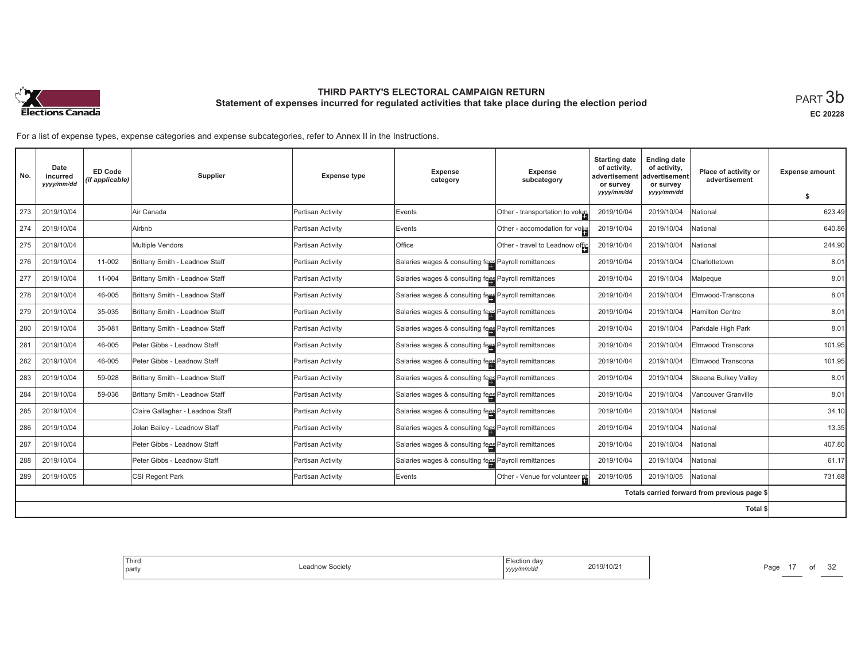

**EC 20228**

| No. | Date<br>incurred<br>yyyy/mm/dd | <b>ED Code</b><br>(if applicable) | Supplier                         | <b>Expense type</b>      | Expense<br>category                                  | <b>Expense</b><br>subcategory   | <b>Starting date</b><br>of activity.<br>advertisemen<br>or survey | <b>Ending date</b><br>of activity,<br>advertisement<br>or survey | Place of activity or<br>advertisement        | <b>Expense amount</b> |
|-----|--------------------------------|-----------------------------------|----------------------------------|--------------------------|------------------------------------------------------|---------------------------------|-------------------------------------------------------------------|------------------------------------------------------------------|----------------------------------------------|-----------------------|
|     |                                |                                   |                                  |                          |                                                      |                                 | yyyy/mm/dd                                                        | yyyy/mm/dd                                                       |                                              | \$                    |
| 273 | 2019/10/04                     |                                   | Air Canada                       | Partisan Activity        | Events                                               | Other - transportation to volum | 2019/10/04                                                        | 2019/10/04                                                       | National                                     | 623.49                |
| 274 | 2019/10/04                     |                                   | Airbnb                           | <b>Partisan Activity</b> | Events                                               | Other - accomodation for volui  | 2019/10/04                                                        | 2019/10/04                                                       | National                                     | 640.86                |
| 275 | 2019/10/04                     |                                   | Multiple Vendors                 | Partisan Activity        | Office                                               | Other - travel to Leadnow offic | 2019/10/04                                                        | 2019/10/04                                                       | National                                     | 244.90                |
| 276 | 2019/10/04                     | 11-002                            | Brittany Smith - Leadnow Staff   | Partisan Activity        | Salaries wages & consulting fees Payroll remittances |                                 | 2019/10/04                                                        | 2019/10/04                                                       | Charlottetown                                | 8.01                  |
| 277 | 2019/10/04                     | 11-004                            | Brittany Smith - Leadnow Staff   | Partisan Activity        | Salaries wages & consulting fees Payroll remittances |                                 | 2019/10/04                                                        | 2019/10/04                                                       | Malpeque                                     | 8.01                  |
| 278 | 2019/10/04                     | 46-005                            | Brittany Smith - Leadnow Staff   | Partisan Activity        | Salaries wages & consulting fees Payroll remittances |                                 | 2019/10/04                                                        | 2019/10/04                                                       | Elmwood-Transcona                            | 8.01                  |
| 279 | 2019/10/04                     | 35-035                            | Brittany Smith - Leadnow Staff   | Partisan Activity        | Salaries wages & consulting fees Payroll remittances |                                 | 2019/10/04                                                        | 2019/10/04                                                       | <b>Hamilton Centre</b>                       | 8.01                  |
| 280 | 2019/10/04                     | 35-081                            | Brittany Smith - Leadnow Staff   | Partisan Activity        | Salaries wages & consulting fees Payroll remittances |                                 | 2019/10/04                                                        | 2019/10/04                                                       | Parkdale High Park                           | 8.01                  |
| 281 | 2019/10/04                     | 46-005                            | Peter Gibbs - Leadnow Staff      | Partisan Activity        | Salaries wages & consulting fees Payroll remittances |                                 | 2019/10/04                                                        | 2019/10/04                                                       | Elmwood Transcona                            | 101.95                |
| 282 | 2019/10/04                     | 46-005                            | Peter Gibbs - Leadnow Staff      | Partisan Activity        | Salaries wages & consulting fees Payroll remittances |                                 | 2019/10/04                                                        | 2019/10/04                                                       | Elmwood Transcona                            | 101.95                |
| 283 | 2019/10/04                     | 59-028                            | Brittany Smith - Leadnow Staff   | Partisan Activity        | Salaries wages & consulting fees Payroll remittances |                                 | 2019/10/04                                                        | 2019/10/04                                                       | Skeena Bulkey Valley                         | 8.01                  |
| 284 | 2019/10/04                     | 59-036                            | Brittany Smith - Leadnow Staff   | Partisan Activity        | Salaries wages & consulting fees Payroll remittances |                                 | 2019/10/04                                                        | 2019/10/04                                                       | Vancouver Granville                          | 8.01                  |
| 285 | 2019/10/04                     |                                   | Claire Gallagher - Leadnow Staff | Partisan Activity        | Salaries wages & consulting fees Payroll remittances |                                 | 2019/10/04                                                        | 2019/10/04                                                       | National                                     | 34.10                 |
| 286 | 2019/10/04                     |                                   | Jolan Bailey - Leadnow Staff     | Partisan Activity        | Salaries wages & consulting fees Payroll remittances |                                 | 2019/10/04                                                        | 2019/10/04                                                       | National                                     | 13.35                 |
| 287 | 2019/10/04                     |                                   | Peter Gibbs - Leadnow Staff      | Partisan Activity        | Salaries wages & consulting fees Payroll remittances |                                 | 2019/10/04                                                        | 2019/10/04                                                       | National                                     | 407.80                |
| 288 | 2019/10/04                     |                                   | Peter Gibbs - Leadnow Staff      | Partisan Activity        | Salaries wages & consulting fees Payroll remittances |                                 | 2019/10/04                                                        | 2019/10/04                                                       | National                                     | 61.17                 |
| 289 | 2019/10/05                     |                                   | CSI Regent Park                  | Partisan Activity        | Events                                               | Other - Venue for volunteer ph  | 2019/10/05                                                        | 2019/10/05                                                       | National                                     | 731.68                |
|     |                                |                                   |                                  |                          |                                                      |                                 |                                                                   |                                                                  | Totals carried forward from previous page \$ |                       |
|     |                                |                                   |                                  |                          |                                                      |                                 |                                                                   |                                                                  | <b>Total \$</b>                              |                       |

|--|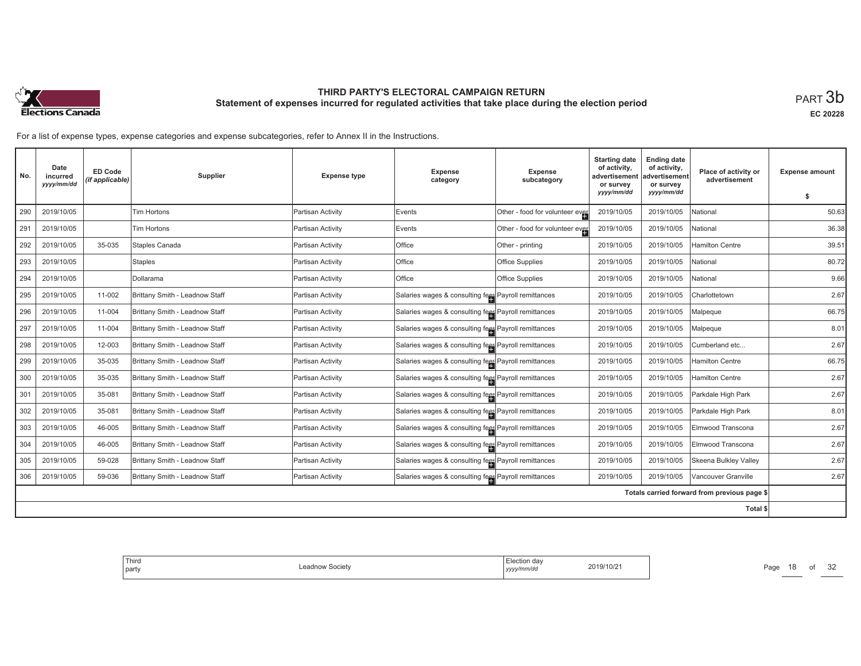

**EC 20228**

For a list of expense types, expense categories and expense subcategories, refer to Annex II in the Instructions.

| No. | Date<br>incurred<br>yyyy/mm/dd | <b>ED Code</b><br>(if applicable) | Supplier                       | <b>Expense type</b> | Expense<br>category                                  | Expense<br>subcategory          | <b>Starting date</b><br>of activity,<br>advertisement<br>or survey | <b>Ending date</b><br>of activity,<br>advertisement<br>or survey | Place of activity or<br>advertisement        | <b>Expense amount</b> |
|-----|--------------------------------|-----------------------------------|--------------------------------|---------------------|------------------------------------------------------|---------------------------------|--------------------------------------------------------------------|------------------------------------------------------------------|----------------------------------------------|-----------------------|
|     |                                |                                   |                                |                     |                                                      |                                 | yyyy/mm/dd                                                         | yyyy/mm/dd                                                       |                                              | s.                    |
| 290 | 2019/10/05                     |                                   | Tim Hortons                    | Partisan Activity   | Events                                               | Other - food for volunteer ever | 2019/10/05                                                         | 2019/10/05                                                       | Vational                                     | 50.63                 |
| 291 | 2019/10/05                     |                                   | Tim Hortons                    | Partisan Activity   | Events                                               | Other - food for volunteer ever | 2019/10/05                                                         | 2019/10/05                                                       | National                                     | 36.38                 |
| 292 | 2019/10/05                     | 35-035                            | Staples Canada                 | Partisan Activity   | Office                                               | Other - printing                | 2019/10/05                                                         | 2019/10/05                                                       | <b>Hamilton Centre</b>                       | 39.51                 |
| 293 | 2019/10/05                     |                                   | Staples                        | Partisan Activity   | Office                                               | <b>Office Supplies</b>          | 2019/10/05                                                         | 2019/10/05                                                       | National                                     | 80.72                 |
| 294 | 2019/10/05                     |                                   | Dollarama                      | Partisan Activity   | Office                                               | <b>Office Supplies</b>          | 2019/10/05                                                         | 2019/10/05                                                       | National                                     | 9.66                  |
| 295 | 2019/10/05                     | 11-002                            | Brittany Smith - Leadnow Staff | Partisan Activity   | Salaries wages & consulting fees Payroll remittances |                                 | 2019/10/05                                                         | 2019/10/05                                                       | Charlottetown                                | 2.67                  |
| 296 | 2019/10/05                     | 11-004                            | Brittany Smith - Leadnow Staff | Partisan Activity   | Salaries wages & consulting fees Payroll remittances |                                 | 2019/10/05                                                         | 2019/10/05                                                       | Malpeque                                     | 66.75                 |
| 297 | 2019/10/05                     | 11-004                            | Brittany Smith - Leadnow Staff | Partisan Activity   | Salaries wages & consulting fees Payroll remittances |                                 | 2019/10/05                                                         | 2019/10/05                                                       | Malpeque                                     | 8.01                  |
| 298 | 2019/10/05                     | 12-003                            | Brittany Smith - Leadnow Staff | Partisan Activity   | Salaries wages & consulting fees Payroll remittances |                                 | 2019/10/05                                                         | 2019/10/05                                                       | Cumberland etc                               | 2.67                  |
| 299 | 2019/10/05                     | 35-035                            | Brittany Smith - Leadnow Staff | Partisan Activity   | Salaries wages & consulting fees Payroll remittances |                                 | 2019/10/05                                                         | 2019/10/05                                                       | Hamilton Centre                              | 66.75                 |
| 300 | 2019/10/05                     | 35-035                            | Brittany Smith - Leadnow Staff | Partisan Activity   | Salaries wages & consulting fees Payroll remittances |                                 | 2019/10/05                                                         | 2019/10/05                                                       | <b>Hamilton Centre</b>                       | 2.67                  |
| 301 | 2019/10/05                     | 35-081                            | Brittany Smith - Leadnow Staff | Partisan Activity   | Salaries wages & consulting fees Payroll remittances |                                 | 2019/10/05                                                         | 2019/10/05                                                       | Parkdale High Park                           | 2.67                  |
| 302 | 2019/10/05                     | 35-081                            | Brittany Smith - Leadnow Staff | Partisan Activity   | Salaries wages & consulting fees Payroll remittances |                                 | 2019/10/05                                                         | 2019/10/05                                                       | Parkdale High Park                           | 8.01                  |
| 303 | 2019/10/05                     | 46-005                            | Brittany Smith - Leadnow Staff | Partisan Activity   | Salaries wages & consulting fees Payroll remittances |                                 | 2019/10/05                                                         | 2019/10/05                                                       | Elmwood Transcona                            | 2.67                  |
| 304 | 2019/10/05                     | 46-005                            | Brittany Smith - Leadnow Staff | Partisan Activity   | Salaries wages & consulting fees Payroll remittances |                                 | 2019/10/05                                                         | 2019/10/05                                                       | Elmwood Transcona                            | 2.67                  |
| 305 | 2019/10/05                     | 59-028                            | Brittany Smith - Leadnow Staff | Partisan Activity   | Salaries wages & consulting fees Payroll remittances |                                 | 2019/10/05                                                         | 2019/10/05                                                       | Skeena Bulkley Valley                        | 2.67                  |
| 306 | 2019/10/05                     | 59-036                            | Brittany Smith - Leadnow Staff | Partisan Activity   | Salaries wages & consulting fees Payroll remittances |                                 | 2019/10/05                                                         | 2019/10/05                                                       | Vancouver Granville                          | 2.67                  |
|     |                                |                                   |                                |                     |                                                      |                                 |                                                                    |                                                                  | Totals carried forward from previous page \$ |                       |
|     |                                |                                   |                                |                     |                                                      |                                 |                                                                    |                                                                  | Total \$                                     |                       |

| Election day<br>2019/10/21<br>dnow Societv<br>yyyy/mm/dd | ' Third<br>party |  |
|----------------------------------------------------------|------------------|--|
|----------------------------------------------------------|------------------|--|

Page 18 of 32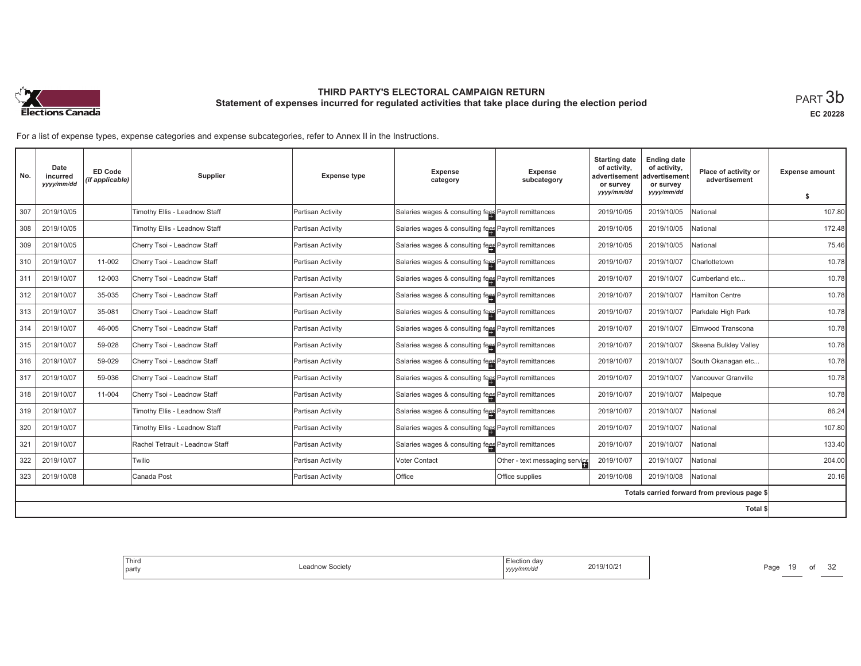

**EC 20228**

For a list of expense types, expense categories and expense subcategories, refer to Annex II in the Instructions.

| No. | Date<br>incurred<br>yyyy/mm/dd | <b>ED Code</b><br>(if applicable) | Supplier                        | <b>Expense type</b> | <b>Expense</b><br>category                           | <b>Expense</b><br>subcategory  | <b>Starting date</b><br>of activity,<br>advertisement<br>or survey | <b>Ending date</b><br>of activity,<br>advertisement<br>or survev | Place of activity or<br>advertisement        | <b>Expense amount</b> |
|-----|--------------------------------|-----------------------------------|---------------------------------|---------------------|------------------------------------------------------|--------------------------------|--------------------------------------------------------------------|------------------------------------------------------------------|----------------------------------------------|-----------------------|
|     |                                |                                   |                                 |                     |                                                      |                                | yyyy/mm/dd                                                         | yyyy/mm/dd                                                       |                                              | \$                    |
| 307 | 2019/10/05                     |                                   | Timothy Ellis - Leadnow Staff   | Partisan Activity   | Salaries wages & consulting fees Payroll remittances |                                | 2019/10/05                                                         | 2019/10/05                                                       | National                                     | 107.80                |
| 308 | 2019/10/05                     |                                   | Timothy Ellis - Leadnow Staff   | Partisan Activity   | Salaries wages & consulting fees Payroll remittances |                                | 2019/10/05                                                         | 2019/10/05                                                       | National                                     | 172.48                |
| 309 | 2019/10/05                     |                                   | Cherry Tsoi - Leadnow Staff     | Partisan Activity   | Salaries wages & consulting fees Payroll remittances |                                | 2019/10/05                                                         | 2019/10/05                                                       | National                                     | 75.46                 |
| 310 | 2019/10/07                     | 11-002                            | Cherry Tsoi - Leadnow Staff     | Partisan Activity   | Salaries wages & consulting fees Payroll remittances |                                | 2019/10/07                                                         | 2019/10/07                                                       | Charlottetown                                | 10.78                 |
| 311 | 2019/10/07                     | 12-003                            | Cherry Tsoi - Leadnow Staff     | Partisan Activity   | Salaries wages & consulting fees Payroll remittances |                                | 2019/10/07                                                         | 2019/10/07                                                       | Cumberland etc                               | 10.78                 |
| 312 | 2019/10/07                     | 35-035                            | Cherry Tsoi - Leadnow Staff     | Partisan Activity   | Salaries wages & consulting fees Payroll remittances |                                | 2019/10/07                                                         | 2019/10/07                                                       | <b>Hamilton Centre</b>                       | 10.78                 |
| 313 | 2019/10/07                     | 35-081                            | Cherry Tsoi - Leadnow Staff     | Partisan Activity   | Salaries wages & consulting fees Payroll remittances |                                | 2019/10/07                                                         | 2019/10/07                                                       | Parkdale High Park                           | 10.78                 |
| 314 | 2019/10/07                     | 46-005                            | Cherry Tsoi - Leadnow Staff     | Partisan Activity   | Salaries wages & consulting fees Payroll remittances |                                | 2019/10/07                                                         | 2019/10/07                                                       | Elmwood Transcona                            | 10.78                 |
| 315 | 2019/10/07                     | 59-028                            | Cherry Tsoi - Leadnow Staff     | Partisan Activity   | Salaries wages & consulting fees Payroll remittances |                                | 2019/10/07                                                         | 2019/10/07                                                       | Skeena Bulkley Valley                        | 10.78                 |
| 316 | 2019/10/07                     | 59-029                            | Cherry Tsoi - Leadnow Staff     | Partisan Activity   | Salaries wages & consulting fees Payroll remittances |                                | 2019/10/07                                                         | 2019/10/07                                                       | South Okanagan etc                           | 10.78                 |
| 317 | 2019/10/07                     | 59-036                            | Cherry Tsoi - Leadnow Staff     | Partisan Activity   | Salaries wages & consulting fees Payroll remittances |                                | 2019/10/07                                                         | 2019/10/07                                                       | Vancouver Granville                          | 10.78                 |
| 318 | 2019/10/07                     | 11-004                            | Cherry Tsoi - Leadnow Staff     | Partisan Activity   | Salaries wages & consulting fees Payroll remittances |                                | 2019/10/07                                                         | 2019/10/07                                                       | Malpeque                                     | 10.78                 |
| 319 | 2019/10/07                     |                                   | Timothy Ellis - Leadnow Staff   | Partisan Activity   | Salaries wages & consulting fees Payroll remittances |                                | 2019/10/07                                                         | 2019/10/07                                                       | National                                     | 86.24                 |
| 320 | 2019/10/07                     |                                   | Timothy Ellis - Leadnow Staff   | Partisan Activity   | Salaries wages & consulting fees Payroll remittances |                                | 2019/10/07                                                         | 2019/10/07                                                       | National                                     | 107.80                |
| 321 | 2019/10/07                     |                                   | Rachel Tetrault - Leadnow Staff | Partisan Activity   | Salaries wages & consulting fees Payroll remittances |                                | 2019/10/07                                                         | 2019/10/07                                                       | National                                     | 133.40                |
| 322 | 2019/10/07                     |                                   | Twilio                          | Partisan Activity   | Voter Contact                                        | Other - text messaging service | 2019/10/07                                                         | 2019/10/07                                                       | National                                     | 204.00                |
| 323 | 2019/10/08                     |                                   | Canada Post                     | Partisan Activity   | Office                                               | Office supplies                | 2019/10/08                                                         | 2019/10/08                                                       | National                                     | 20.16                 |
|     |                                |                                   |                                 |                     |                                                      |                                |                                                                    |                                                                  | Totals carried forward from previous page \$ |                       |
|     |                                |                                   |                                 |                     |                                                      |                                |                                                                    |                                                                  | <b>Total \$</b>                              |                       |

| Third<br>Election dav<br>2019/10/21<br>∟eadnow Societv<br>party<br>yyyy/mm/dd<br>$\cdot$ $\cdot$ $-$ |
|------------------------------------------------------------------------------------------------------|
|------------------------------------------------------------------------------------------------------|

Page 19 of 32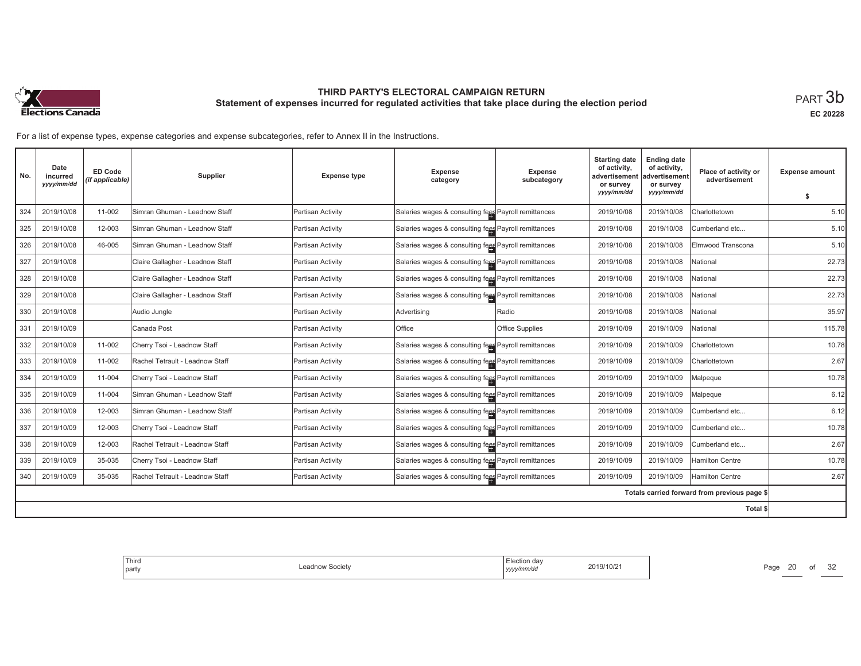

**EC 20228**

For a list of expense types, expense categories and expense subcategories, refer to Annex II in the Instructions.

| No. | Date<br>incurred<br>yyyy/mm/dd | <b>ED Code</b><br>(if applicable) | Supplier                         | <b>Expense type</b> | Expense<br>category                                  | Expense<br>subcategory | <b>Starting date</b><br>of activity,<br>advertisement<br>or survey | <b>Ending date</b><br>of activity,<br>advertisement<br>or survey | Place of activity or<br>advertisement        | <b>Expense amount</b> |
|-----|--------------------------------|-----------------------------------|----------------------------------|---------------------|------------------------------------------------------|------------------------|--------------------------------------------------------------------|------------------------------------------------------------------|----------------------------------------------|-----------------------|
|     |                                |                                   |                                  |                     |                                                      |                        | yyyy/mm/dd                                                         | yyyy/mm/dd                                                       |                                              | \$                    |
| 324 | 2019/10/08                     | 11-002                            | Simran Ghuman - Leadnow Staff    | Partisan Activity   | Salaries wages & consulting fees Payroll remittances |                        | 2019/10/08                                                         | 2019/10/08                                                       | Charlottetown                                | 5.10                  |
| 325 | 2019/10/08                     | 12-003                            | Simran Ghuman - Leadnow Staff    | Partisan Activity   | Salaries wages & consulting fees Payroll remittances |                        | 2019/10/08                                                         | 2019/10/08                                                       | Cumberland etc                               | 5.10                  |
| 326 | 2019/10/08                     | 46-005                            | Simran Ghuman - Leadnow Staff    | Partisan Activity   | Salaries wages & consulting fees Payroll remittances |                        | 2019/10/08                                                         | 2019/10/08                                                       | Elmwood Transcona                            | 5.10                  |
| 327 | 2019/10/08                     |                                   | Claire Gallagher - Leadnow Staff | Partisan Activity   | Salaries wages & consulting fees Payroll remittances |                        | 2019/10/08                                                         | 2019/10/08                                                       | National                                     | 22.73                 |
| 328 | 2019/10/08                     |                                   | Claire Gallagher - Leadnow Staff | Partisan Activity   | Salaries wages & consulting fees Payroll remittances |                        | 2019/10/08                                                         | 2019/10/08                                                       | National                                     | 22.73                 |
| 329 | 2019/10/08                     |                                   | Claire Gallagher - Leadnow Staff | Partisan Activity   | Salaries wages & consulting fees Payroll remittances |                        | 2019/10/08                                                         | 2019/10/08                                                       | National                                     | 22.73                 |
| 330 | 2019/10/08                     |                                   | Audio Jungle                     | Partisan Activity   | Advertising                                          | Radio                  | 2019/10/08                                                         | 2019/10/08                                                       | National                                     | 35.97                 |
| 331 | 2019/10/09                     |                                   | Canada Post                      | Partisan Activity   | Office                                               | <b>Office Supplies</b> | 2019/10/09                                                         | 2019/10/09                                                       | National                                     | 115.78                |
| 332 | 2019/10/09                     | 11-002                            | Cherry Tsoi - Leadnow Staff      | Partisan Activity   | Salaries wages & consulting fees Payroll remittances |                        | 2019/10/09                                                         | 2019/10/09                                                       | Charlottetown                                | 10.78                 |
| 333 | 2019/10/09                     | 11-002                            | Rachel Tetrault - Leadnow Staff  | Partisan Activity   | Salaries wages & consulting fees Payroll remittances |                        | 2019/10/09                                                         | 2019/10/09                                                       | Charlottetown                                | 2.67                  |
| 334 | 2019/10/09                     | 11-004                            | Cherry Tsoi - Leadnow Staff      | Partisan Activity   | Salaries wages & consulting fees Payroll remittances |                        | 2019/10/09                                                         | 2019/10/09                                                       | Malpeque                                     | 10.78                 |
| 335 | 2019/10/09                     | 11-004                            | Simran Ghuman - Leadnow Staff    | Partisan Activity   | Salaries wages & consulting fees Payroll remittances |                        | 2019/10/09                                                         | 2019/10/09                                                       | Malpeque                                     | 6.12                  |
| 336 | 2019/10/09                     | 12-003                            | Simran Ghuman - Leadnow Staff    | Partisan Activity   | Salaries wages & consulting fees Payroll remittances |                        | 2019/10/09                                                         | 2019/10/09                                                       | Cumberland etc                               | 6.12                  |
| 337 | 2019/10/09                     | 12-003                            | Cherry Tsoi - Leadnow Staff      | Partisan Activity   | Salaries wages & consulting fees Payroll remittances |                        | 2019/10/09                                                         | 2019/10/09                                                       | Cumberland etc                               | 10.78                 |
| 338 | 2019/10/09                     | 12-003                            | Rachel Tetrault - Leadnow Staff  | Partisan Activity   | Salaries wages & consulting fees Payroll remittances |                        | 2019/10/09                                                         | 2019/10/09                                                       | Cumberland etc                               | 2.67                  |
| 339 | 2019/10/09                     | 35-035                            | Cherry Tsoi - Leadnow Staff      | Partisan Activity   | Salaries wages & consulting fees Payroll remittances |                        | 2019/10/09                                                         | 2019/10/09                                                       | Hamilton Centre                              | 10.78                 |
| 340 | 2019/10/09                     | 35-035                            | Rachel Tetrault - Leadnow Staff  | Partisan Activity   | Salaries wages & consulting fees Payroll remittances |                        | 2019/10/09                                                         | 2019/10/09                                                       | Hamilton Centre                              | 2.67                  |
|     |                                |                                   |                                  |                     |                                                      |                        |                                                                    |                                                                  | Totals carried forward from previous page \$ |                       |
|     |                                |                                   |                                  |                     |                                                      |                        |                                                                    |                                                                  | Total \$                                     |                       |

| Election day<br>2019/10/21<br>dnow Societv<br>yyyy/mm/dd | Third<br>party |  |  |
|----------------------------------------------------------|----------------|--|--|
|----------------------------------------------------------|----------------|--|--|

Page 20 of 32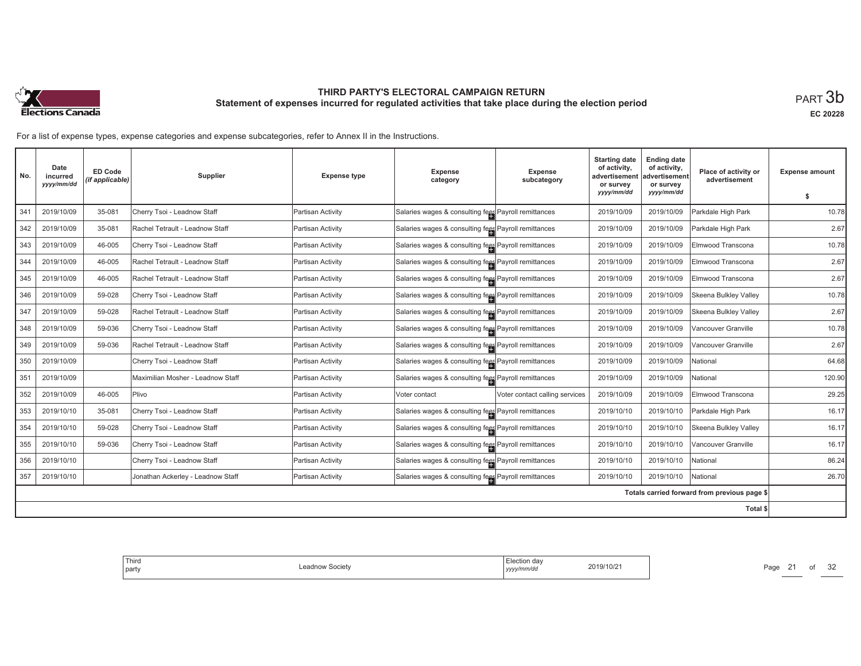

**EC 20228**

For a list of expense types, expense categories and expense subcategories, refer to Annex II in the Instructions.

| No. | Date<br>incurred<br>yyyy/mm/dd | <b>ED Code</b><br>(if applicable) | Supplier                          | <b>Expense type</b> | <b>Expense</b><br>category                           | <b>Expense</b><br>subcategory  | <b>Starting date</b><br>of activity,<br>advertisement<br>or survey<br>yyyy/mm/dd | <b>Ending date</b><br>of activity,<br>advertisement<br>or survey<br>yyyy/mm/dd | Place of activity or<br>advertisement        | <b>Expense amount</b> |
|-----|--------------------------------|-----------------------------------|-----------------------------------|---------------------|------------------------------------------------------|--------------------------------|----------------------------------------------------------------------------------|--------------------------------------------------------------------------------|----------------------------------------------|-----------------------|
|     |                                |                                   |                                   |                     |                                                      |                                |                                                                                  |                                                                                |                                              | Ŝ.                    |
| 341 | 2019/10/09                     | 35-081                            | Cherry Tsoi - Leadnow Staff       | Partisan Activity   | Salaries wages & consulting fees Payroll remittances |                                | 2019/10/09                                                                       | 2019/10/09                                                                     | Parkdale High Park                           | 10.78                 |
| 342 | 2019/10/09                     | 35-081                            | Rachel Tetrault - Leadnow Staff   | Partisan Activity   | Salaries wages & consulting fees Payroll remittances |                                | 2019/10/09                                                                       | 2019/10/09                                                                     | Parkdale High Park                           | 2.67                  |
| 343 | 2019/10/09                     | 46-005                            | Cherry Tsoi - Leadnow Staff       | Partisan Activity   | Salaries wages & consulting fees Payroll remittances |                                | 2019/10/09                                                                       | 2019/10/09                                                                     | Elmwood Transcona                            | 10.78                 |
| 344 | 2019/10/09                     | 46-005                            | Rachel Tetrault - Leadnow Staff   | Partisan Activity   | Salaries wages & consulting fees Payroll remittances |                                | 2019/10/09                                                                       | 2019/10/09                                                                     | Elmwood Transcona                            | 2.67                  |
| 345 | 2019/10/09                     | 46-005                            | Rachel Tetrault - Leadnow Staff   | Partisan Activity   | Salaries wages & consulting fees Payroll remittances |                                | 2019/10/09                                                                       | 2019/10/09                                                                     | Elmwood Transcona                            | 2.67                  |
| 346 | 2019/10/09                     | 59-028                            | Cherry Tsoi - Leadnow Staff       | Partisan Activity   | Salaries wages & consulting fees Payroll remittances |                                | 2019/10/09                                                                       | 2019/10/09                                                                     | Skeena Bulkley Valley                        | 10.78                 |
| 347 | 2019/10/09                     | 59-028                            | Rachel Tetrault - Leadnow Staff   | Partisan Activity   | Salaries wages & consulting fees Payroll remittances |                                | 2019/10/09                                                                       | 2019/10/09                                                                     | Skeena Bulkley Valley                        | 2.67                  |
| 348 | 2019/10/09                     | 59-036                            | Cherry Tsoi - Leadnow Staff       | Partisan Activity   | Salaries wages & consulting fees Payroll remittances |                                | 2019/10/09                                                                       | 2019/10/09                                                                     | Vancouver Granville                          | 10.78                 |
| 349 | 2019/10/09                     | 59-036                            | Rachel Tetrault - Leadnow Staff   | Partisan Activity   | Salaries wages & consulting fees Payroll remittances |                                | 2019/10/09                                                                       | 2019/10/09                                                                     | Vancouver Granville                          | 2.67                  |
| 350 | 2019/10/09                     |                                   | Cherry Tsoi - Leadnow Staff       | Partisan Activity   | Salaries wages & consulting fees Payroll remittances |                                | 2019/10/09                                                                       | 2019/10/09                                                                     | National                                     | 64.68                 |
| 351 | 2019/10/09                     |                                   | Maximilian Mosher - Leadnow Staff | Partisan Activity   | Salaries wages & consulting fees Payroll remittances |                                | 2019/10/09                                                                       | 2019/10/09                                                                     | National                                     | 120.90                |
| 352 | 2019/10/09                     | 46-005                            | Plivo                             | Partisan Activity   | Voter contact                                        | Voter contact calling services | 2019/10/09                                                                       | 2019/10/09                                                                     | Elmwood Transcona                            | 29.25                 |
| 353 | 2019/10/10                     | 35-081                            | Cherry Tsoi - Leadnow Staff       | Partisan Activity   | Salaries wages & consulting fees Payroll remittances |                                | 2019/10/10                                                                       | 2019/10/10                                                                     | Parkdale High Park                           | 16.17                 |
| 354 | 2019/10/10                     | 59-028                            | Cherry Tsoi - Leadnow Staff       | Partisan Activity   | Salaries wages & consulting fees Payroll remittances |                                | 2019/10/10                                                                       | 2019/10/10                                                                     | Skeena Bulkley Valley                        | 16.17                 |
| 355 | 2019/10/10                     | 59-036                            | Cherry Tsoi - Leadnow Staff       | Partisan Activity   | Salaries wages & consulting fees Payroll remittances |                                | 2019/10/10                                                                       | 2019/10/10                                                                     | Vancouver Granville                          | 16.17                 |
| 356 | 2019/10/10                     |                                   | Cherry Tsoi - Leadnow Staff       | Partisan Activity   | Salaries wages & consulting fees Payroll remittances |                                | 2019/10/10                                                                       | 2019/10/10                                                                     | National                                     | 86.24                 |
| 357 | 2019/10/10                     |                                   | Jonathan Ackerley - Leadnow Staff | Partisan Activity   | Salaries wages & consulting fees Payroll remittances |                                | 2019/10/10                                                                       | 2019/10/10                                                                     | National                                     | 26.70                 |
|     |                                |                                   |                                   |                     |                                                      |                                |                                                                                  |                                                                                | Totals carried forward from previous page \$ |                       |
|     |                                |                                   |                                   |                     |                                                      |                                |                                                                                  |                                                                                | Total \$                                     |                       |

| iection dav<br>19/10/2<br>$\sim$<br>'<br><b>SOCIET</b><br>eau<br>٠.,<br>/mm/du<br>.<br>,,,,, | Third<br>party |
|----------------------------------------------------------------------------------------------|----------------|
|----------------------------------------------------------------------------------------------|----------------|

Page 21 of 32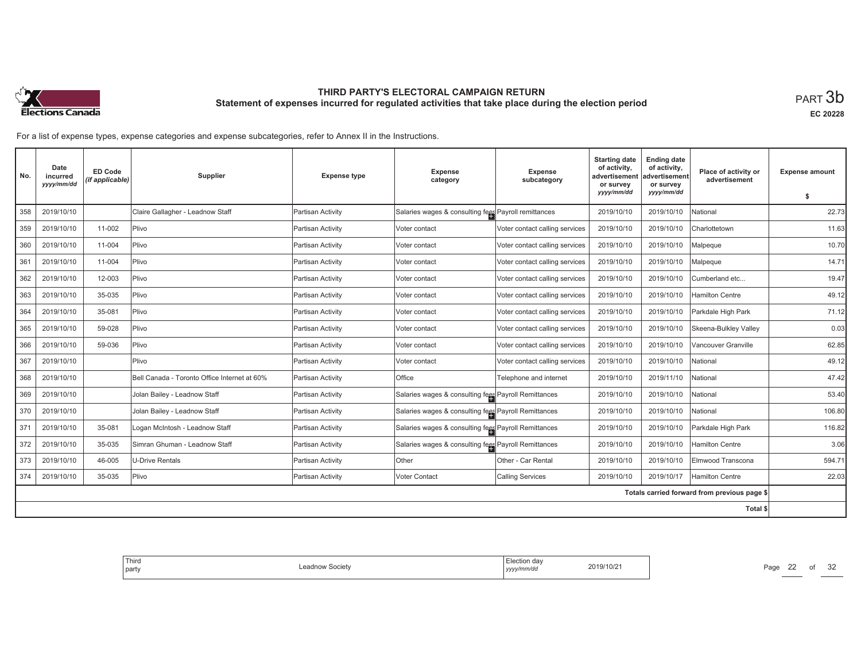

**EC 20228**

For a list of expense types, expense categories and expense subcategories, refer to Annex II in the Instructions.

| No. | Date<br>incurred<br>yyyy/mm/dd | <b>ED Code</b><br>(if applicable) | Supplier                                     | <b>Expense type</b> | Expense<br>category                                  | <b>Expense</b><br>subcategory  | <b>Starting date</b><br>of activity,<br>advertisement<br>or survey | <b>Ending date</b><br>of activity,<br>advertisement<br>or survey | Place of activity or<br>advertisement        | <b>Expense amount</b> |
|-----|--------------------------------|-----------------------------------|----------------------------------------------|---------------------|------------------------------------------------------|--------------------------------|--------------------------------------------------------------------|------------------------------------------------------------------|----------------------------------------------|-----------------------|
|     |                                |                                   |                                              |                     |                                                      |                                | yyyy/mm/dd                                                         | yyyy/mm/dd                                                       |                                              | \$                    |
| 358 | 2019/10/10                     |                                   | Claire Gallagher - Leadnow Staff             | Partisan Activity   | Salaries wages & consulting fees Payroll remittances |                                | 2019/10/10                                                         | 2019/10/10                                                       | National                                     | 22.73                 |
| 359 | 2019/10/10                     | 11-002                            | Plivo                                        | Partisan Activity   | Voter contact                                        | Voter contact calling services | 2019/10/10                                                         | 2019/10/10                                                       | Charlottetown                                | 11.63                 |
| 360 | 2019/10/10                     | 11-004                            | Plivo                                        | Partisan Activity   | Voter contact                                        | Voter contact calling services | 2019/10/10                                                         | 2019/10/10                                                       | Malpeque                                     | 10.70                 |
| 361 | 2019/10/10                     | 11-004                            | Plivo                                        | Partisan Activity   | Voter contact                                        | Voter contact calling services | 2019/10/10                                                         | 2019/10/10                                                       | Malpeque                                     | 14.71                 |
| 362 | 2019/10/10                     | 12-003                            | Plivo                                        | Partisan Activity   | Voter contact                                        | Voter contact calling services | 2019/10/10                                                         | 2019/10/10                                                       | Cumberland etc                               | 19.47                 |
| 363 | 2019/10/10                     | 35-035                            | Plivo                                        | Partisan Activity   | Voter contact                                        | Voter contact calling services | 2019/10/10                                                         | 2019/10/10                                                       | <b>Hamilton Centre</b>                       | 49.12                 |
| 364 | 2019/10/10                     | 35-081                            | Plivo                                        | Partisan Activity   | Voter contact                                        | Voter contact calling services | 2019/10/10                                                         | 2019/10/10                                                       | Parkdale High Park                           | 71.12                 |
| 365 | 2019/10/10                     | 59-028                            | Plivo                                        | Partisan Activity   | Voter contact                                        | Voter contact calling services | 2019/10/10                                                         | 2019/10/10                                                       | Skeena-Bulkley Valley                        | 0.03                  |
| 366 | 2019/10/10                     | 59-036                            | Plivo                                        | Partisan Activity   | Voter contact                                        | Voter contact calling services | 2019/10/10                                                         | 2019/10/10                                                       | Vancouver Granville                          | 62.85                 |
| 367 | 2019/10/10                     |                                   | Plivo                                        | Partisan Activity   | Voter contact                                        | Voter contact calling services | 2019/10/10                                                         | 2019/10/10                                                       | National                                     | 49.12                 |
| 368 | 2019/10/10                     |                                   | Bell Canada - Toronto Office Internet at 60% | Partisan Activity   | Office                                               | Telephone and internet         | 2019/10/10                                                         | 2019/11/10                                                       | National                                     | 47.42                 |
| 369 | 2019/10/10                     |                                   | Jolan Bailey - Leadnow Staff                 | Partisan Activity   | Salaries wages & consulting fees Payroll Remittances |                                | 2019/10/10                                                         | 2019/10/10                                                       | National                                     | 53.40                 |
| 370 | 2019/10/10                     |                                   | Jolan Bailey - Leadnow Staff                 | Partisan Activity   | Salaries wages & consulting fees Payroll Remittances |                                | 2019/10/10                                                         | 2019/10/10                                                       | National                                     | 106.80                |
| 371 | 2019/10/10                     | 35-081                            | Logan McIntosh - Leadnow Staff               | Partisan Activity   | Salaries wages & consulting fees Payroll Remittances |                                | 2019/10/10                                                         | 2019/10/10                                                       | Parkdale High Park                           | 116.82                |
| 372 | 2019/10/10                     | 35-035                            | Simran Ghuman - Leadnow Staff                | Partisan Activity   | Salaries wages & consulting fees Payroll Remittances |                                | 2019/10/10                                                         | 2019/10/10                                                       | <b>Hamilton Centre</b>                       | 3.06                  |
| 373 | 2019/10/10                     | 46-005                            | U-Drive Rentals                              | Partisan Activity   | Other                                                | Other - Car Rental             | 2019/10/10                                                         | 2019/10/10                                                       | Elmwood Transcona                            | 594.71                |
| 374 | 2019/10/10                     | 35-035                            | Plivo                                        | Partisan Activity   | Voter Contact                                        | <b>Calling Services</b>        | 2019/10/10                                                         | 2019/10/17                                                       | <b>Hamilton Centre</b>                       | 22.03                 |
|     |                                |                                   |                                              |                     |                                                      |                                |                                                                    |                                                                  | Totals carried forward from previous page \$ |                       |
|     |                                |                                   |                                              |                     |                                                      |                                |                                                                    |                                                                  | <b>Total \$</b>                              |                       |

| Election dav<br>2019/10/21<br>Society<br>voubes<br>yyyy/mm/dd<br>. |
|--------------------------------------------------------------------|
|--------------------------------------------------------------------|

Page 22 of 32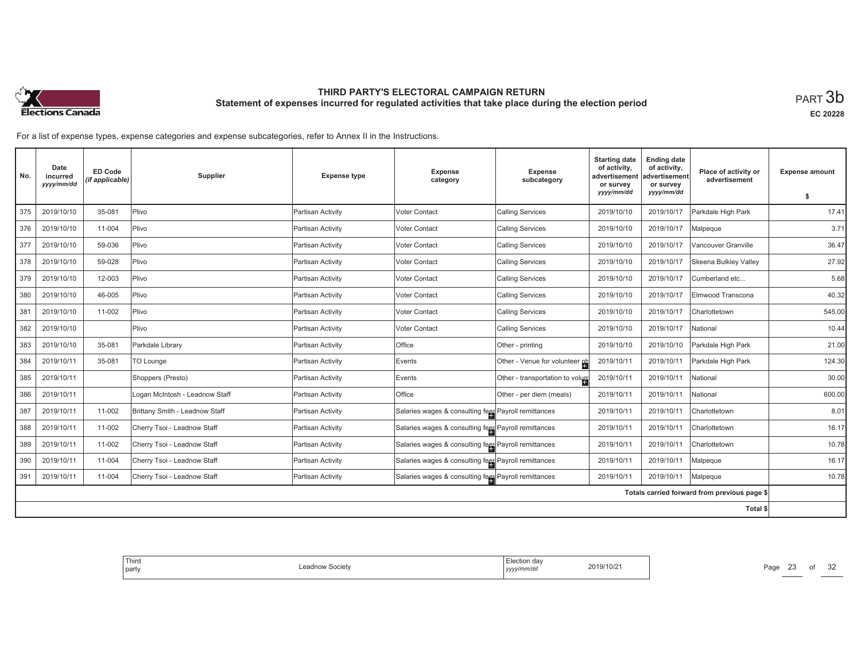

**EC 20228**

For a list of expense types, expense categories and expense subcategories, refer to Annex II in the Instructions.

| No. | Date<br>incurred<br>yyyy/mm/dd | <b>ED Code</b><br>(if applicable) | Supplier                       | <b>Expense type</b> | <b>Expense</b><br>category                           | <b>Expense</b><br>subcategory   | <b>Starting date</b><br>of activity,<br>advertisement<br>or survey | <b>Ending date</b><br>of activity,<br>advertisement<br>or survey | Place of activity or<br>advertisement        | <b>Expense amount</b> |
|-----|--------------------------------|-----------------------------------|--------------------------------|---------------------|------------------------------------------------------|---------------------------------|--------------------------------------------------------------------|------------------------------------------------------------------|----------------------------------------------|-----------------------|
|     |                                |                                   |                                |                     |                                                      |                                 | yyyy/mm/dd                                                         | yyyy/mm/dd                                                       |                                              | \$                    |
| 375 | 2019/10/10                     | 35-081                            | Plivo                          | Partisan Activity   | Voter Contact                                        | <b>Calling Services</b>         | 2019/10/10                                                         | 2019/10/17                                                       | Parkdale High Park                           | 17.41                 |
| 376 | 2019/10/10                     | 11-004                            | Plivo                          | Partisan Activity   | Voter Contact                                        | <b>Calling Services</b>         | 2019/10/10                                                         | 2019/10/17                                                       | Malpeque                                     | 3.71                  |
| 377 | 2019/10/10                     | 59-036                            | Plivo                          | Partisan Activity   | Voter Contact                                        | <b>Calling Services</b>         | 2019/10/10                                                         | 2019/10/17                                                       | Vancouver Granville                          | 36.47                 |
| 378 | 2019/10/10                     | 59-028                            | Plivo                          | Partisan Activity   | Voter Contact                                        | <b>Calling Services</b>         | 2019/10/10                                                         | 2019/10/17                                                       | Skeena Bulkley Valley                        | 27.92                 |
| 379 | 2019/10/10                     | 12-003                            | Plivo                          | Partisan Activity   | Voter Contact                                        | <b>Calling Services</b>         | 2019/10/10                                                         | 2019/10/17                                                       | Cumberland etc                               | 5.68                  |
| 380 | 2019/10/10                     | 46-005                            | Plivo                          | Partisan Activity   | Voter Contact                                        | <b>Calling Services</b>         | 2019/10/10                                                         | 2019/10/17                                                       | Elmwood Transcona                            | 40.32                 |
| 381 | 2019/10/10                     | 11-002                            | Plivo                          | Partisan Activity   | Voter Contact                                        | <b>Calling Services</b>         | 2019/10/10                                                         | 2019/10/17                                                       | Charlottetown                                | 545.00                |
| 382 | 2019/10/10                     |                                   | Plivo                          | Partisan Activity   | Voter Contact                                        | <b>Calling Services</b>         | 2019/10/10                                                         | 2019/10/17                                                       | National                                     | 10.44                 |
| 383 | 2019/10/10                     | 35-081                            | Parkdale Library               | Partisan Activity   | Office                                               | Other - printing                | 2019/10/10                                                         | 2019/10/10                                                       | Parkdale High Park                           | 21.00                 |
| 384 | 2019/10/11                     | 35-081                            | TO Lounge                      | Partisan Activity   | Events                                               | Other - Venue for volunteer ph  | 2019/10/11                                                         | 2019/10/11                                                       | Parkdale High Park                           | 124.30                |
| 385 | 2019/10/11                     |                                   | Shoppers (Presto)              | Partisan Activity   | Events                                               | Other - transportation to volum | 2019/10/11                                                         | 2019/10/11                                                       | National                                     | 30.00                 |
| 386 | 2019/10/11                     |                                   | Logan McIntosh - Leadnow Staff | Partisan Activity   | Office                                               | Other - per diem (meals)        | 2019/10/11                                                         | 2019/10/11                                                       | National                                     | 600.00                |
| 387 | 2019/10/11                     | 11-002                            | Brittany Smith - Leadnow Staff | Partisan Activity   | Salaries wages & consulting fees Payroll remittances |                                 | 2019/10/11                                                         | 2019/10/11                                                       | Charlottetown                                | 8.01                  |
| 388 | 2019/10/11                     | 11-002                            | Cherry Tsoi - Leadnow Staff    | Partisan Activity   | Salaries wages & consulting fees Payroll remittances |                                 | 2019/10/11                                                         | 2019/10/11                                                       | Charlottetown                                | 16.17                 |
| 389 | 2019/10/11                     | 11-002                            | Cherry Tsoi - Leadnow Staff    | Partisan Activity   | Salaries wages & consulting fees Payroll remittances |                                 | 2019/10/11                                                         | 2019/10/11                                                       | Charlottetown                                | 10.78                 |
| 390 | 2019/10/11                     | 11-004                            | Cherry Tsoi - Leadnow Staff    | Partisan Activity   | Salaries wages & consulting fees Payroll remittances |                                 | 2019/10/11                                                         | 2019/10/11                                                       | Malpeque                                     | 16.17                 |
| 391 | 2019/10/11                     | 11-004                            | Cherry Tsoi - Leadnow Staff    | Partisan Activity   | Salaries wages & consulting fees Payroll remittances |                                 | 2019/10/11                                                         | 2019/10/11                                                       | Malpeque                                     | 10.78                 |
|     |                                |                                   |                                |                     |                                                      |                                 |                                                                    |                                                                  | Totals carried forward from previous page \$ |                       |
|     |                                |                                   |                                |                     |                                                      |                                 |                                                                    |                                                                  | <b>Total \$</b>                              |                       |

| Election day<br>2019/10/21<br>eadnow Societv<br>yyyy/mm/dd<br>. | Third<br>party |
|-----------------------------------------------------------------|----------------|
|-----------------------------------------------------------------|----------------|

Page 23 of 32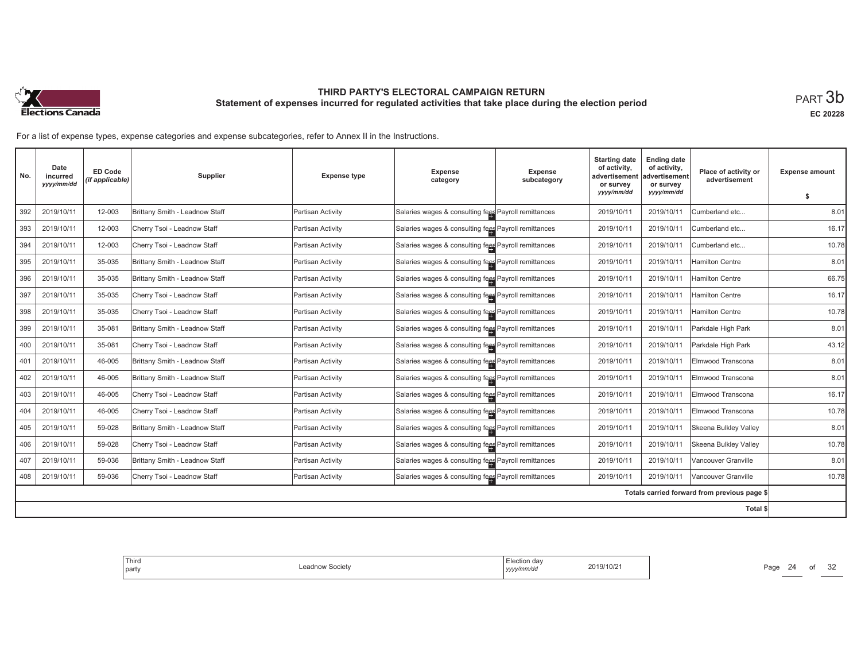

**EC 20228**

| No. | Date<br>incurred<br>yyyy/mm/dd | <b>ED Code</b><br>(if applicable) | Supplier                       | <b>Expense type</b> | <b>Expense</b><br>category                           | <b>Expense</b><br>subcategory | <b>Starting date</b><br>of activity,<br>advertisemen<br>or survey | <b>Ending date</b><br>of activity,<br>advertisement<br>or survey | Place of activity or<br>advertisement        | <b>Expense amount</b> |
|-----|--------------------------------|-----------------------------------|--------------------------------|---------------------|------------------------------------------------------|-------------------------------|-------------------------------------------------------------------|------------------------------------------------------------------|----------------------------------------------|-----------------------|
|     |                                |                                   |                                |                     |                                                      |                               | yyyy/mm/dd                                                        | yyyy/mm/dd                                                       |                                              | \$                    |
| 392 | 2019/10/11                     | 12-003                            | Brittany Smith - Leadnow Staff | Partisan Activity   | Salaries wages & consulting fees Payroll remittances |                               | 2019/10/11                                                        | 2019/10/1                                                        | Cumberland etc                               | 8.01                  |
| 393 | 2019/10/11                     | 12-003                            | Cherry Tsoi - Leadnow Staff    | Partisan Activity   | Salaries wages & consulting fees Payroll remittances |                               | 2019/10/11                                                        | 2019/10/1                                                        | Cumberland etc                               | 16.17                 |
| 394 | 2019/10/11                     | 12-003                            | Cherry Tsoi - Leadnow Staff    | Partisan Activity   | Salaries wages & consulting fees Payroll remittances |                               | 2019/10/11                                                        | 2019/10/1                                                        | Cumberland etc                               | 10.78                 |
| 395 | 2019/10/11                     | 35-035                            | Brittany Smith - Leadnow Staff | Partisan Activity   | Salaries wages & consulting fees Payroll remittances |                               | 2019/10/11                                                        | 2019/10/1                                                        | <b>Hamilton Centre</b>                       | 8.01                  |
| 396 | 2019/10/11                     | 35-035                            | Brittany Smith - Leadnow Staff | Partisan Activity   | Salaries wages & consulting fees Payroll remittances |                               | 2019/10/11                                                        | 2019/10/1                                                        | <b>Hamilton Centre</b>                       | 66.75                 |
| 397 | 2019/10/11                     | 35-035                            | Cherry Tsoi - Leadnow Staff    | Partisan Activity   | Salaries wages & consulting fees Payroll remittances |                               | 2019/10/11                                                        | 2019/10/11                                                       | <b>Hamilton Centre</b>                       | 16.17                 |
| 398 | 2019/10/11                     | 35-035                            | Cherry Tsoi - Leadnow Staff    | Partisan Activity   | Salaries wages & consulting fees Payroll remittances |                               | 2019/10/11                                                        | 2019/10/1                                                        | <b>Hamilton Centre</b>                       | 10.78                 |
| 399 | 2019/10/11                     | 35-081                            | Brittany Smith - Leadnow Staff | Partisan Activity   | Salaries wages & consulting fees Payroll remittances |                               | 2019/10/11                                                        | 2019/10/1                                                        | Parkdale High Park                           | 8.01                  |
| 400 | 2019/10/11                     | 35-081                            | Cherry Tsoi - Leadnow Staff    | Partisan Activity   | Salaries wages & consulting fees Payroll remittances |                               | 2019/10/11                                                        | 2019/10/11                                                       | Parkdale High Park                           | 43.12                 |
| 401 | 2019/10/11                     | 46-005                            | Brittany Smith - Leadnow Staff | Partisan Activity   | Salaries wages & consulting fees Payroll remittances |                               | 2019/10/11                                                        | 2019/10/1                                                        | Elmwood Transcona                            | 8.01                  |
| 402 | 2019/10/11                     | 46-005                            | Brittany Smith - Leadnow Staff | Partisan Activity   | Salaries wages & consulting fees Payroll remittances |                               | 2019/10/11                                                        | 2019/10/1                                                        | Elmwood Transcona                            | 8.01                  |
| 403 | 2019/10/11                     | 46-005                            | Cherry Tsoi - Leadnow Staff    | Partisan Activity   | Salaries wages & consulting fees Payroll remittances |                               | 2019/10/11                                                        | 2019/10/11                                                       | Elmwood Transcona                            | 16.17                 |
| 404 | 2019/10/11                     | 46-005                            | Cherry Tsoi - Leadnow Staff    | Partisan Activity   | Salaries wages & consulting fees Payroll remittances |                               | 2019/10/11                                                        | 2019/10/1                                                        | Elmwood Transcona                            | 10.78                 |
| 405 | 2019/10/11                     | 59-028                            | Brittany Smith - Leadnow Staff | Partisan Activity   | Salaries wages & consulting fees Payroll remittances |                               | 2019/10/11                                                        | 2019/10/1                                                        | Skeena Bulkley Valley                        | 8.01                  |
| 406 | 2019/10/11                     | 59-028                            | Cherry Tsoi - Leadnow Staff    | Partisan Activity   | Salaries wages & consulting fees Payroll remittances |                               | 2019/10/11                                                        | 2019/10/1                                                        | Skeena Bulkley Valley                        | 10.78                 |
| 407 | 2019/10/11                     | 59-036                            | Brittany Smith - Leadnow Staff | Partisan Activity   | Salaries wages & consulting fees Payroll remittances |                               | 2019/10/11                                                        | 2019/10/11                                                       | Vancouver Granville                          | 8.01                  |
| 408 | 2019/10/11                     | 59-036                            | Cherry Tsoi - Leadnow Staff    | Partisan Activity   | Salaries wages & consulting fees Payroll remittances |                               | 2019/10/11                                                        | 2019/10/11                                                       | Vancouver Granville                          | 10.78                 |
|     |                                |                                   |                                |                     |                                                      |                               |                                                                   |                                                                  | Totals carried forward from previous page \$ |                       |
|     |                                |                                   |                                |                     |                                                      |                               |                                                                   |                                                                  | <b>Total \$</b>                              |                       |

|--|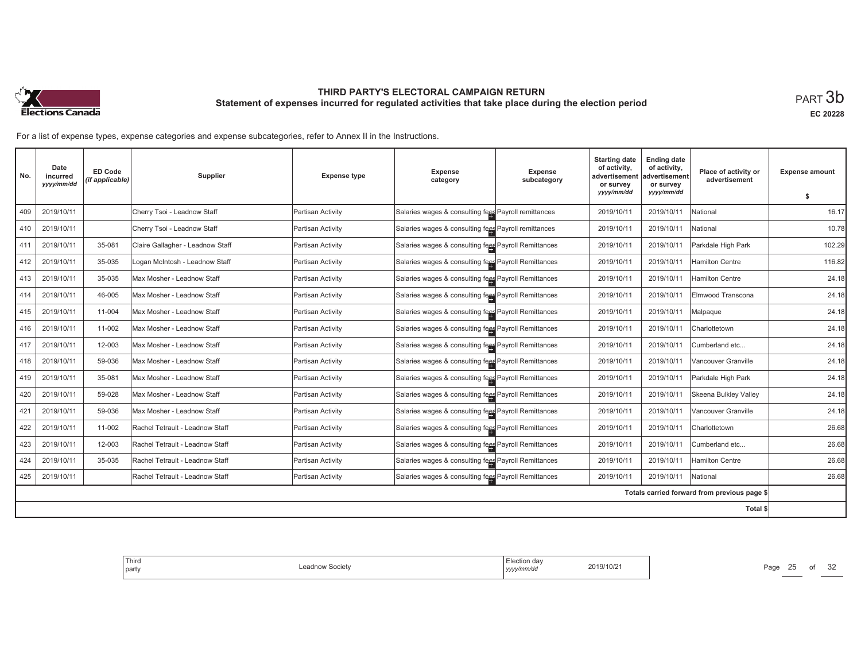

**EC 20228**

For a list of expense types, expense categories and expense subcategories, refer to Annex II in the Instructions.

| No. | Date<br>incurred<br>yyyy/mm/dd | <b>ED Code</b><br>(if applicable) | Supplier                         | <b>Expense type</b> | <b>Expense</b><br>category                           | <b>Expense</b><br>subcategory | <b>Starting date</b><br>of activity,<br>advertisemen<br>or survey | <b>Ending date</b><br>of activity,<br>advertisement<br>or survey | Place of activity or<br>advertisement        | <b>Expense amount</b> |
|-----|--------------------------------|-----------------------------------|----------------------------------|---------------------|------------------------------------------------------|-------------------------------|-------------------------------------------------------------------|------------------------------------------------------------------|----------------------------------------------|-----------------------|
|     |                                |                                   |                                  |                     |                                                      |                               | yyyy/mm/dd                                                        | yyyy/mm/dd                                                       |                                              | \$                    |
| 409 | 2019/10/11                     |                                   | Cherry Tsoi - Leadnow Staff      | Partisan Activity   | Salaries wages & consulting fees Payroll remittances |                               | 2019/10/11                                                        | 2019/10/1                                                        | National                                     | 16.17                 |
| 410 | 2019/10/11                     |                                   | Cherry Tsoi - Leadnow Staff      | Partisan Activity   | Salaries wages & consulting fees Payroll remittances |                               | 2019/10/11                                                        | 2019/10/11                                                       | National                                     | 10.78                 |
| 411 | 2019/10/11                     | 35-081                            | Claire Gallagher - Leadnow Staff | Partisan Activity   | Salaries wages & consulting fees Payroll Remittances |                               | 2019/10/11                                                        | 2019/10/1                                                        | Parkdale High Park                           | 102.29                |
| 412 | 2019/10/11                     | 35-035                            | Logan McIntosh - Leadnow Staff   | Partisan Activity   | Salaries wages & consulting fees Payroll Remittances |                               | 2019/10/11                                                        | 2019/10/1                                                        | <b>Hamilton Centre</b>                       | 116.82                |
| 413 | 2019/10/11                     | 35-035                            | Max Mosher - Leadnow Staff       | Partisan Activity   | Salaries wages & consulting fees Payroll Remittances |                               | 2019/10/11                                                        | 2019/10/1                                                        | <b>Hamilton Centre</b>                       | 24.18                 |
| 414 | 2019/10/11                     | 46-005                            | Max Mosher - Leadnow Staff       | Partisan Activity   | Salaries wages & consulting fees Payroll Remittances |                               | 2019/10/11                                                        | 2019/10/11                                                       | Elmwood Transcona                            | 24.18                 |
| 415 | 2019/10/11                     | 11-004                            | Max Mosher - Leadnow Staff       | Partisan Activity   | Salaries wages & consulting fees Payroll Remittances |                               | 2019/10/11                                                        | 2019/10/11                                                       | Malpaque                                     | 24.18                 |
| 416 | 2019/10/11                     | 11-002                            | Max Mosher - Leadnow Staff       | Partisan Activity   | Salaries wages & consulting fees Payroll Remittances |                               | 2019/10/11                                                        | 2019/10/1                                                        | Charlottetown                                | 24.18                 |
| 417 | 2019/10/11                     | 12-003                            | Max Mosher - Leadnow Staff       | Partisan Activity   | Salaries wages & consulting fees Payroll Remittances |                               | 2019/10/11                                                        | 2019/10/11                                                       | Cumberland etc                               | 24.18                 |
| 418 | 2019/10/11                     | 59-036                            | Max Mosher - Leadnow Staff       | Partisan Activity   | Salaries wages & consulting fees Payroll Remittances |                               | 2019/10/11                                                        | 2019/10/1                                                        | Vancouver Granville                          | 24.18                 |
| 419 | 2019/10/11                     | 35-081                            | Max Mosher - Leadnow Staff       | Partisan Activity   | Salaries wages & consulting fees Payroll Remittances |                               | 2019/10/11                                                        | 2019/10/1                                                        | Parkdale High Park                           | 24.18                 |
| 420 | 2019/10/11                     | 59-028                            | Max Mosher - Leadnow Staff       | Partisan Activity   | Salaries wages & consulting fees Payroll Remittances |                               | 2019/10/11                                                        | 2019/10/11                                                       | Skeena Bulkley Valley                        | 24.18                 |
| 421 | 2019/10/11                     | 59-036                            | Max Mosher - Leadnow Staff       | Partisan Activity   | Salaries wages & consulting fees Payroll Remittances |                               | 2019/10/11                                                        | 2019/10/1                                                        | Vancouver Granville                          | 24.18                 |
| 422 | 2019/10/11                     | 11-002                            | Rachel Tetrault - Leadnow Staff  | Partisan Activity   | Salaries wages & consulting fees Payroll Remittances |                               | 2019/10/11                                                        | 2019/10/1                                                        | Charlottetown                                | 26.68                 |
| 423 | 2019/10/11                     | 12-003                            | Rachel Tetrault - Leadnow Staff  | Partisan Activity   | Salaries wages & consulting fees Payroll Remittances |                               | 2019/10/11                                                        | 2019/10/11                                                       | Cumberland etc                               | 26.68                 |
| 424 | 2019/10/11                     | 35-035                            | Rachel Tetrault - Leadnow Staff  | Partisan Activity   | Salaries wages & consulting fees Payroll Remittances |                               | 2019/10/11                                                        | 2019/10/11                                                       | <b>Hamilton Centre</b>                       | 26.68                 |
| 425 | 2019/10/11                     |                                   | Rachel Tetrault - Leadnow Staff  | Partisan Activity   | Salaries wages & consulting fees Payroll Remittances |                               | 2019/10/11                                                        | 2019/10/11                                                       | National                                     | 26.68                 |
|     |                                |                                   |                                  |                     |                                                      |                               |                                                                   |                                                                  | Totals carried forward from previous page \$ |                       |
|     |                                |                                   |                                  |                     |                                                      |                               |                                                                   |                                                                  | <b>Total \$</b>                              |                       |

| ∟iection dav<br>2019/10/21<br>.<br>eadnow Society<br>.<br>://mm/do<br>,,,, | Third<br>party |  |  |
|----------------------------------------------------------------------------|----------------|--|--|
|----------------------------------------------------------------------------|----------------|--|--|

Page 25 of 32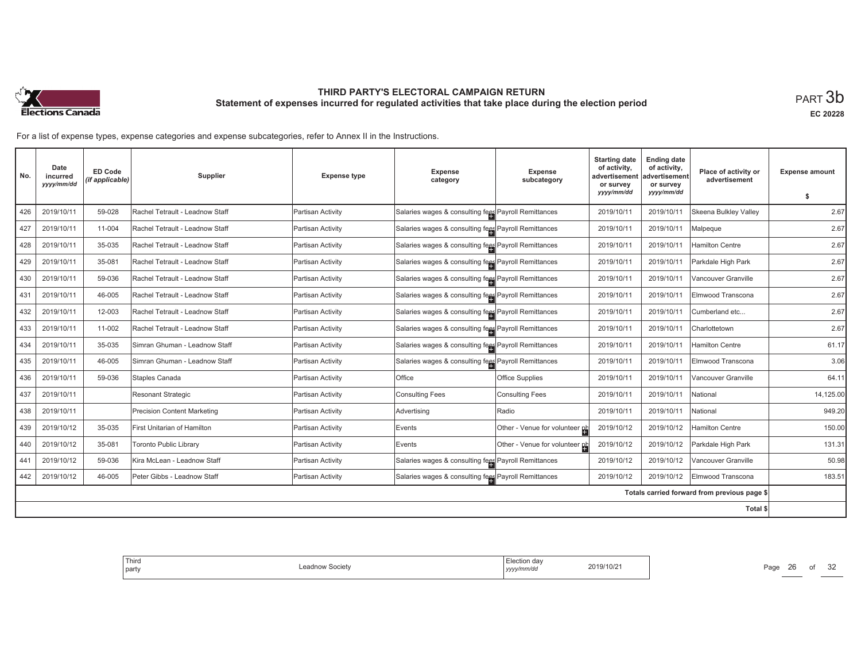

**EC 20228**

| No. | Date<br>incurred<br>yyyy/mm/dd | <b>ED Code</b><br>(if applicable) | Supplier                           | <b>Expense type</b> | Expense<br>category                                  | Expense<br>subcategory         | <b>Starting date</b><br>of activity,<br>advertisement<br>or survey | <b>Ending date</b><br>of activity,<br>advertisement<br>or survey | Place of activity or<br>advertisement        | <b>Expense amount</b> |
|-----|--------------------------------|-----------------------------------|------------------------------------|---------------------|------------------------------------------------------|--------------------------------|--------------------------------------------------------------------|------------------------------------------------------------------|----------------------------------------------|-----------------------|
|     |                                |                                   |                                    |                     |                                                      |                                | yyyy/mm/dd                                                         | yyyy/mm/dd                                                       |                                              | s.                    |
| 426 | 2019/10/11                     | 59-028                            | Rachel Tetrault - Leadnow Staff    | Partisan Activity   | Salaries wages & consulting fees Payroll Remittances |                                | 2019/10/11                                                         | 2019/10/11                                                       | Skeena Bulkley Valley                        | 2.67                  |
| 427 | 2019/10/11                     | 11-004                            | Rachel Tetrault - Leadnow Staff    | Partisan Activity   | Salaries wages & consulting fees Payroll Remittances |                                | 2019/10/11                                                         | 2019/10/11                                                       | Malpeque                                     | 2.67                  |
| 428 | 2019/10/11                     | 35-035                            | Rachel Tetrault - Leadnow Staff    | Partisan Activity   | Salaries wages & consulting fees Payroll Remittances |                                | 2019/10/11                                                         | 2019/10/11                                                       | <b>Hamilton Centre</b>                       | 2.67                  |
| 429 | 2019/10/11                     | 35-081                            | Rachel Tetrault - Leadnow Staff    | Partisan Activity   | Salaries wages & consulting fees Payroll Remittances |                                | 2019/10/11                                                         | 2019/10/11                                                       | Parkdale High Park                           | 2.67                  |
| 430 | 2019/10/11                     | 59-036                            | Rachel Tetrault - Leadnow Staff    | Partisan Activity   | Salaries wages & consulting fees Payroll Remittances |                                | 2019/10/11                                                         | 2019/10/11                                                       | Vancouver Granville                          | 2.67                  |
| 431 | 2019/10/11                     | 46-005                            | Rachel Tetrault - Leadnow Staff    | Partisan Activity   | Salaries wages & consulting fees Payroll Remittances |                                | 2019/10/11                                                         | 2019/10/11                                                       | Elmwood Transcona                            | 2.67                  |
| 432 | 2019/10/11                     | 12-003                            | Rachel Tetrault - Leadnow Staff    | Partisan Activity   | Salaries wages & consulting fees Payroll Remittances |                                | 2019/10/11                                                         | 2019/10/11                                                       | Cumberland etc                               | 2.67                  |
| 433 | 2019/10/11                     | 11-002                            | Rachel Tetrault - Leadnow Staff    | Partisan Activity   | Salaries wages & consulting fees Payroll Remittances |                                | 2019/10/11                                                         | 2019/10/11                                                       | Charlottetown                                | 2.67                  |
| 434 | 2019/10/11                     | 35-035                            | Simran Ghuman - Leadnow Staff      | Partisan Activity   | Salaries wages & consulting fees Payroll Remittances |                                | 2019/10/11                                                         | 2019/10/11                                                       | <b>Hamilton Centre</b>                       | 61.17                 |
| 435 | 2019/10/11                     | 46-005                            | Simran Ghuman - Leadnow Staff      | Partisan Activity   | Salaries wages & consulting fees Payroll Remittances |                                | 2019/10/11                                                         | 2019/10/11                                                       | Elmwood Transcona                            | 3.06                  |
| 436 | 2019/10/11                     | 59-036                            | Staples Canada                     | Partisan Activity   | Office                                               | <b>Office Supplies</b>         | 2019/10/11                                                         | 2019/10/11                                                       | Vancouver Granville                          | 64.11                 |
| 437 | 2019/10/11                     |                                   | Resonant Strategic                 | Partisan Activity   | <b>Consulting Fees</b>                               | <b>Consulting Fees</b>         | 2019/10/11                                                         | 2019/10/11                                                       | National                                     | 14,125.00             |
| 438 | 2019/10/11                     |                                   | <b>Precision Content Marketing</b> | Partisan Activity   | Advertising                                          | Radio                          | 2019/10/11                                                         | 2019/10/11                                                       | National                                     | 949.20                |
| 439 | 2019/10/12                     | 35-035                            | First Unitarian of Hamilton        | Partisan Activity   | Events                                               | Other - Venue for volunteer    | 2019/10/12                                                         | 2019/10/12                                                       | Hamilton Centre                              | 150.00                |
| 440 | 2019/10/12                     | 35-081                            | <b>Toronto Public Library</b>      | Partisan Activity   | Events                                               | Other - Venue for volunteer ph | 2019/10/12                                                         | 2019/10/12                                                       | Parkdale High Park                           | 131.31                |
| 441 | 2019/10/12                     | 59-036                            | Kira McLean - Leadnow Staff        | Partisan Activity   | Salaries wages & consulting fees Payroll Remittances |                                | 2019/10/12                                                         | 2019/10/12                                                       | <b>Vancouver Granville</b>                   | 50.98                 |
| 442 | 2019/10/12                     | 46-005                            | Peter Gibbs - Leadnow Staff        | Partisan Activity   | Salaries wages & consulting fees Payroll Remittances |                                | 2019/10/12                                                         | 2019/10/12                                                       | Elmwood Transcona                            | 183.51                |
|     |                                |                                   |                                    |                     |                                                      |                                |                                                                    |                                                                  | Totals carried forward from previous page \$ |                       |
|     |                                |                                   |                                    |                     |                                                      |                                |                                                                    |                                                                  | Total \$                                     |                       |

| Third<br>∠lection dav<br>2019/10/21<br>Society<br>eadnow<br>.<br>l party<br>yyyy/mm/dd<br>. |
|---------------------------------------------------------------------------------------------|
|---------------------------------------------------------------------------------------------|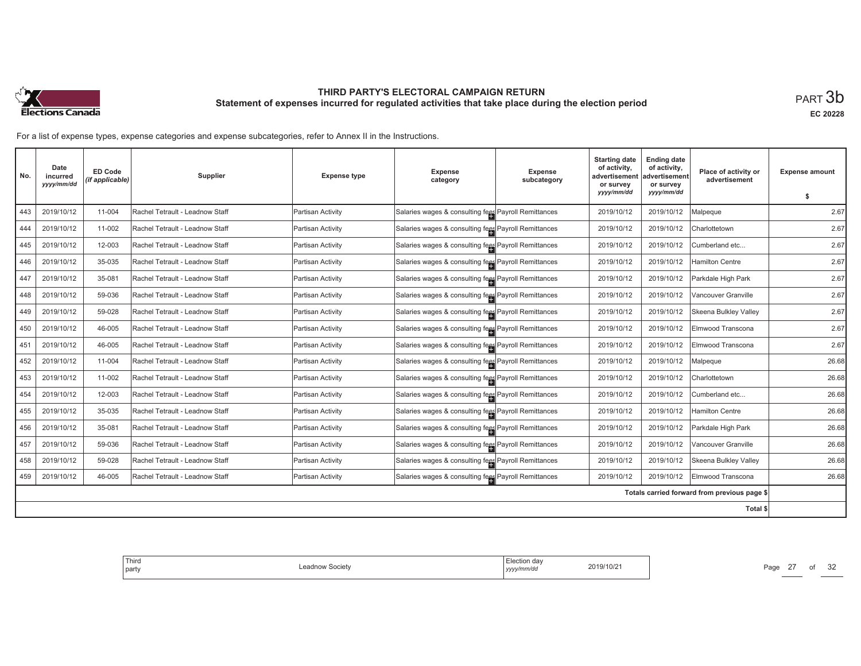

**EC 20228**

| No. | Date<br>incurred<br>yyyy/mm/dd | <b>ED Code</b><br>(if applicable) | <b>Supplier</b>                 | <b>Expense type</b> | <b>Expense</b><br>category                           | <b>Expense</b><br>subcategory | <b>Starting date</b><br>of activity,<br>advertisement<br>or survey | <b>Ending date</b><br>of activity,<br>advertisement<br>or survey | Place of activity or<br>advertisement        | <b>Expense amount</b> |
|-----|--------------------------------|-----------------------------------|---------------------------------|---------------------|------------------------------------------------------|-------------------------------|--------------------------------------------------------------------|------------------------------------------------------------------|----------------------------------------------|-----------------------|
|     |                                |                                   |                                 |                     |                                                      |                               | yyyy/mm/dd                                                         | yyyy/mm/dd                                                       |                                              | Ŝ.                    |
| 443 | 2019/10/12                     | 11-004                            | Rachel Tetrault - Leadnow Staff | Partisan Activity   | Salaries wages & consulting fees Payroll Remittances |                               | 2019/10/12                                                         | 2019/10/12                                                       | Malpeque                                     | 2.67                  |
| 444 | 2019/10/12                     | 11-002                            | Rachel Tetrault - Leadnow Staff | Partisan Activity   | Salaries wages & consulting fees Payroll Remittances |                               | 2019/10/12                                                         | 2019/10/12                                                       | Charlottetown                                | 2.67                  |
| 445 | 2019/10/12                     | 12-003                            | Rachel Tetrault - Leadnow Staff | Partisan Activity   | Salaries wages & consulting fees Payroll Remittances |                               | 2019/10/12                                                         | 2019/10/12                                                       | Cumberland etc                               | 2.67                  |
| 446 | 2019/10/12                     | 35-035                            | Rachel Tetrault - Leadnow Staff | Partisan Activity   | Salaries wages & consulting fees Payroll Remittances |                               | 2019/10/12                                                         | 2019/10/12                                                       | Hamilton Centre                              | 2.67                  |
| 447 | 2019/10/12                     | 35-081                            | Rachel Tetrault - Leadnow Staff | Partisan Activity   | Salaries wages & consulting fees Payroll Remittances |                               | 2019/10/12                                                         | 2019/10/12                                                       | Parkdale High Park                           | 2.67                  |
| 448 | 2019/10/12                     | 59-036                            | Rachel Tetrault - Leadnow Staff | Partisan Activity   | Salaries wages & consulting fees Payroll Remittances |                               | 2019/10/12                                                         | 2019/10/12                                                       | Vancouver Granville                          | 2.67                  |
| 449 | 2019/10/12                     | 59-028                            | Rachel Tetrault - Leadnow Staff | Partisan Activity   | Salaries wages & consulting fees Payroll Remittances |                               | 2019/10/12                                                         | 2019/10/12                                                       | Skeena Bulkley Valley                        | 2.67                  |
| 450 | 2019/10/12                     | 46-005                            | Rachel Tetrault - Leadnow Staff | Partisan Activity   | Salaries wages & consulting fees Payroll Remittances |                               | 2019/10/12                                                         | 2019/10/12                                                       | Elmwood Transcona                            | 2.67                  |
| 451 | 2019/10/12                     | 46-005                            | Rachel Tetrault - Leadnow Staff | Partisan Activity   | Salaries wages & consulting fees Payroll Remittances |                               | 2019/10/12                                                         | 2019/10/12                                                       | Elmwood Transcona                            | 2.67                  |
| 452 | 2019/10/12                     | 11-004                            | Rachel Tetrault - Leadnow Staff | Partisan Activity   | Salaries wages & consulting fees Payroll Remittances |                               | 2019/10/12                                                         | 2019/10/12                                                       | Malpeque                                     | 26.68                 |
| 453 | 2019/10/12                     | 11-002                            | Rachel Tetrault - Leadnow Staff | Partisan Activity   | Salaries wages & consulting fees Payroll Remittances |                               | 2019/10/12                                                         | 2019/10/12                                                       | Charlottetown                                | 26.68                 |
| 454 | 2019/10/12                     | 12-003                            | Rachel Tetrault - Leadnow Staff | Partisan Activity   | Salaries wages & consulting fees Payroll Remittances |                               | 2019/10/12                                                         | 2019/10/12                                                       | Cumberland etc                               | 26.68                 |
| 455 | 2019/10/12                     | 35-035                            | Rachel Tetrault - Leadnow Staff | Partisan Activity   | Salaries wages & consulting fees Payroll Remittances |                               | 2019/10/12                                                         | 2019/10/12                                                       | <b>Hamilton Centre</b>                       | 26.68                 |
| 456 | 2019/10/12                     | 35-081                            | Rachel Tetrault - Leadnow Staff | Partisan Activity   | Salaries wages & consulting fees Payroll Remittances |                               | 2019/10/12                                                         | 2019/10/12                                                       | Parkdale High Park                           | 26.68                 |
| 457 | 2019/10/12                     | 59-036                            | Rachel Tetrault - Leadnow Staff | Partisan Activity   | Salaries wages & consulting fees Payroll Remittances |                               | 2019/10/12                                                         | 2019/10/12                                                       | Vancouver Granville                          | 26.68                 |
| 458 | 2019/10/12                     | 59-028                            | Rachel Tetrault - Leadnow Staff | Partisan Activity   | Salaries wages & consulting fees Payroll Remittances |                               | 2019/10/12                                                         | 2019/10/12                                                       | Skeena Bulkley Valley                        | 26.68                 |
| 459 | 2019/10/12                     | 46-005                            | Rachel Tetrault - Leadnow Staff | Partisan Activity   | Salaries wages & consulting fees Payroll Remittances |                               | 2019/10/12                                                         | 2019/10/12                                                       | Elmwood Transcona                            | 26.68                 |
|     |                                |                                   |                                 |                     |                                                      |                               |                                                                    |                                                                  | Totals carried forward from previous page \$ |                       |
|     |                                |                                   |                                 |                     |                                                      |                               |                                                                    |                                                                  | Total \$                                     |                       |

| Third<br>. Election dav<br>2019/10/21<br>eadnow Society<br>party<br>yyyy/mm/do |
|--------------------------------------------------------------------------------|
|--------------------------------------------------------------------------------|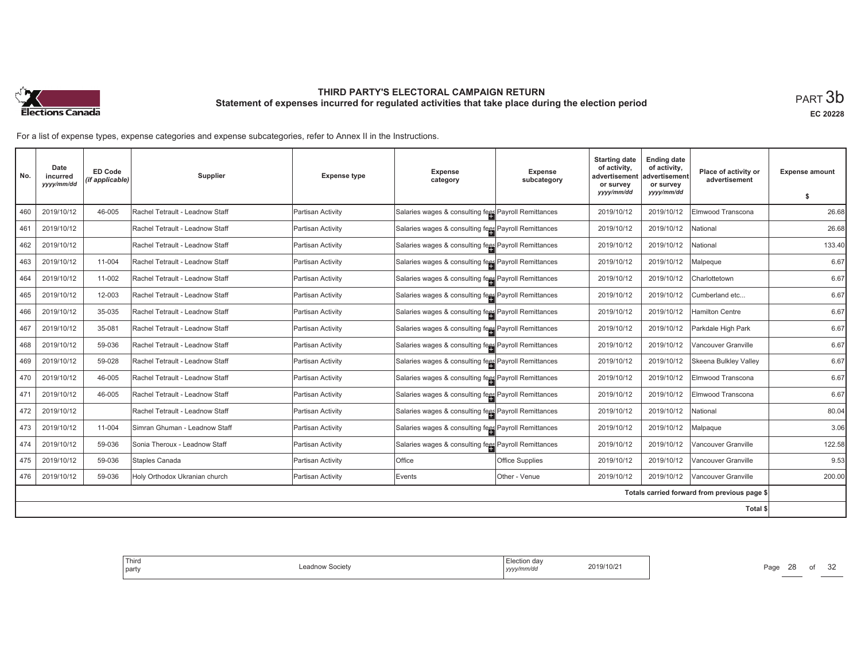

**EC 20228**

For a list of expense types, expense categories and expense subcategories, refer to Annex II in the Instructions.

| No. | Date<br>incurred<br>yyyy/mm/dd | <b>ED Code</b><br>(if applicable) | Supplier                        | <b>Expense type</b> | <b>Expense</b><br>category                           | <b>Expense</b><br>subcategory | <b>Starting date</b><br>of activity,<br>advertisement<br>or survey<br>yyyy/mm/dd | <b>Ending date</b><br>of activity,<br>advertisement<br>or survey<br>yyyy/mm/dd | Place of activity or<br>advertisement        | <b>Expense amount</b> |
|-----|--------------------------------|-----------------------------------|---------------------------------|---------------------|------------------------------------------------------|-------------------------------|----------------------------------------------------------------------------------|--------------------------------------------------------------------------------|----------------------------------------------|-----------------------|
|     |                                |                                   |                                 |                     |                                                      |                               |                                                                                  |                                                                                |                                              | Ŝ.                    |
| 460 | 2019/10/12                     | 46-005                            | Rachel Tetrault - Leadnow Staff | Partisan Activity   | Salaries wages & consulting fees Payroll Remittances |                               | 2019/10/12                                                                       | 2019/10/12                                                                     | Elmwood Transcona                            | 26.68                 |
| 461 | 2019/10/12                     |                                   | Rachel Tetrault - Leadnow Staff | Partisan Activity   | Salaries wages & consulting fees Payroll Remittances |                               | 2019/10/12                                                                       | 2019/10/12                                                                     | National                                     | 26.68                 |
| 462 | 2019/10/12                     |                                   | Rachel Tetrault - Leadnow Staff | Partisan Activity   | Salaries wages & consulting fees Payroll Remittances |                               | 2019/10/12                                                                       | 2019/10/12                                                                     | National                                     | 133.40                |
| 463 | 2019/10/12                     | 11-004                            | Rachel Tetrault - Leadnow Staff | Partisan Activity   | Salaries wages & consulting fees Payroll Remittances |                               | 2019/10/12                                                                       | 2019/10/12                                                                     | Malpeque                                     | 6.67                  |
| 464 | 2019/10/12                     | 11-002                            | Rachel Tetrault - Leadnow Staff | Partisan Activity   | Salaries wages & consulting fees Payroll Remittances |                               | 2019/10/12                                                                       | 2019/10/12                                                                     | Charlottetown                                | 6.67                  |
| 465 | 2019/10/12                     | 12-003                            | Rachel Tetrault - Leadnow Staff | Partisan Activity   | Salaries wages & consulting fees Payroll Remittances |                               | 2019/10/12                                                                       | 2019/10/12                                                                     | Cumberland etc                               | 6.67                  |
| 466 | 2019/10/12                     | 35-035                            | Rachel Tetrault - Leadnow Staff | Partisan Activity   | Salaries wages & consulting fees Payroll Remittances |                               | 2019/10/12                                                                       | 2019/10/12                                                                     | <b>Hamilton Centre</b>                       | 6.67                  |
| 467 | 2019/10/12                     | 35-081                            | Rachel Tetrault - Leadnow Staff | Partisan Activity   | Salaries wages & consulting fees Payroll Remittances |                               | 2019/10/12                                                                       | 2019/10/12                                                                     | Parkdale High Park                           | 6.67                  |
| 468 | 2019/10/12                     | 59-036                            | Rachel Tetrault - Leadnow Staff | Partisan Activity   | Salaries wages & consulting fees Payroll Remittances |                               | 2019/10/12                                                                       | 2019/10/12                                                                     | Vancouver Granville                          | 6.67                  |
| 469 | 2019/10/12                     | 59-028                            | Rachel Tetrault - Leadnow Staff | Partisan Activity   | Salaries wages & consulting fees Payroll Remittances |                               | 2019/10/12                                                                       | 2019/10/12                                                                     | Skeena Bulkley Valley                        | 6.67                  |
| 470 | 2019/10/12                     | 46-005                            | Rachel Tetrault - Leadnow Staff | Partisan Activity   | Salaries wages & consulting fees Payroll Remittances |                               | 2019/10/12                                                                       | 2019/10/12                                                                     | Elmwood Transcona                            | 6.67                  |
| 471 | 2019/10/12                     | 46-005                            | Rachel Tetrault - Leadnow Staff | Partisan Activity   | Salaries wages & consulting fees Payroll Remittances |                               | 2019/10/12                                                                       | 2019/10/12                                                                     | Elmwood Transcona                            | 6.67                  |
| 472 | 2019/10/12                     |                                   | Rachel Tetrault - Leadnow Staff | Partisan Activity   | Salaries wages & consulting fees Payroll Remittances |                               | 2019/10/12                                                                       | 2019/10/12                                                                     | National                                     | 80.04                 |
| 473 | 2019/10/12                     | 11-004                            | Simran Ghuman - Leadnow Staff   | Partisan Activity   | Salaries wages & consulting fees Payroll Remittances |                               | 2019/10/12                                                                       | 2019/10/12                                                                     | Malpaque                                     | 3.06                  |
| 474 | 2019/10/12                     | 59-036                            | Sonia Theroux - Leadnow Staff   | Partisan Activity   | Salaries wages & consulting fees Payroll Remittances |                               | 2019/10/12                                                                       | 2019/10/12                                                                     | Vancouver Granville                          | 122.58                |
| 475 | 2019/10/12                     | 59-036                            | Staples Canada                  | Partisan Activity   | Office                                               | <b>Office Supplies</b>        | 2019/10/12                                                                       | 2019/10/12                                                                     | Vancouver Granville                          | 9.53                  |
| 476 | 2019/10/12                     | 59-036                            | Holy Orthodox Ukranian church   | Partisan Activity   | Events                                               | Other - Venue                 | 2019/10/12                                                                       | 2019/10/12                                                                     | Vancouver Granville                          | 200.00                |
|     |                                |                                   |                                 |                     |                                                      |                               |                                                                                  |                                                                                | Totals carried forward from previous page \$ |                       |
|     |                                |                                   |                                 |                     |                                                      |                               |                                                                                  |                                                                                | Total \$                                     |                       |

| Third<br>∃lection dav<br>2019/10/21<br>Society<br>$\sim$<br>  party<br>, yyyy/mm/dd |
|-------------------------------------------------------------------------------------|
|-------------------------------------------------------------------------------------|

Page 28 of 32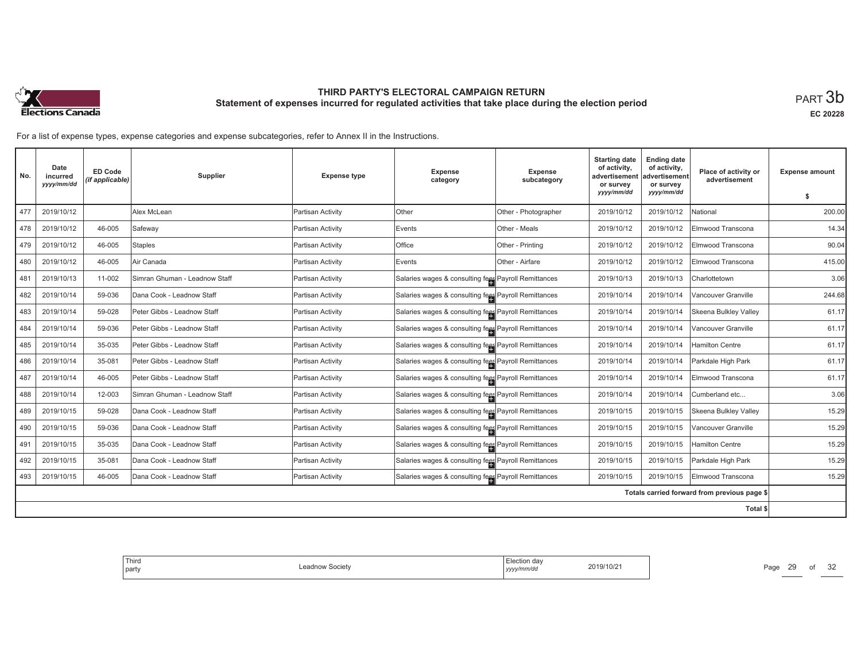

**EC 20228**

For a list of expense types, expense categories and expense subcategories, refer to Annex II in the Instructions.

| No. | Date<br>incurred<br>yyyy/mm/dd | <b>ED Code</b><br>(if applicable) | Supplier                      | <b>Expense type</b> | <b>Expense</b><br>category                           | <b>Expense</b><br>subcategory | <b>Starting date</b><br>of activity,<br>advertisement<br>or survey<br>yyyy/mm/dd | <b>Ending date</b><br>of activity,<br>advertisement<br>or survey<br>yyyy/mm/dd | Place of activity or<br>advertisement        | <b>Expense amount</b><br>- \$ |
|-----|--------------------------------|-----------------------------------|-------------------------------|---------------------|------------------------------------------------------|-------------------------------|----------------------------------------------------------------------------------|--------------------------------------------------------------------------------|----------------------------------------------|-------------------------------|
| 477 | 2019/10/12                     |                                   | Alex McLean                   | Partisan Activity   | Other                                                | Other - Photographer          | 2019/10/12                                                                       | 2019/10/12                                                                     | National                                     | 200.00                        |
| 478 | 2019/10/12                     | 46-005                            | Safeway                       | Partisan Activity   | Events                                               | Other - Meals                 | 2019/10/12                                                                       | 2019/10/12                                                                     | Elmwood Transcona                            | 14.34                         |
| 479 | 2019/10/12                     | 46-005                            | <b>Staples</b>                | Partisan Activity   | Office                                               | Other - Printing              | 2019/10/12                                                                       | 2019/10/12                                                                     | Elmwood Transcona                            | 90.04                         |
| 480 | 2019/10/12                     | 46-005                            | Air Canada                    | Partisan Activity   | Events                                               | Other - Airfare               | 2019/10/12                                                                       | 2019/10/12                                                                     | Elmwood Transcona                            | 415.00                        |
| 481 | 2019/10/13                     | 11-002                            | Simran Ghuman - Leadnow Staff | Partisan Activity   | Salaries wages & consulting fees Payroll Remittances |                               | 2019/10/13                                                                       | 2019/10/13                                                                     | Charlottetown                                | 3.06                          |
| 482 | 2019/10/14                     | 59-036                            | Dana Cook - Leadnow Staff     | Partisan Activity   | Salaries wages & consulting fees Payroll Remittances |                               | 2019/10/14                                                                       | 2019/10/14                                                                     | Vancouver Granville                          | 244.68                        |
| 483 | 2019/10/14                     | 59-028                            | Peter Gibbs - Leadnow Staff   | Partisan Activity   | Salaries wages & consulting fees Payroll Remittances |                               | 2019/10/14                                                                       | 2019/10/14                                                                     | Skeena Bulkley Valley                        | 61.17                         |
| 484 | 2019/10/14                     | 59-036                            | Peter Gibbs - Leadnow Staff   | Partisan Activity   | Salaries wages & consulting fees Payroll Remittances |                               | 2019/10/14                                                                       | 2019/10/14                                                                     | Vancouver Granville                          | 61.17                         |
| 485 | 2019/10/14                     | 35-035                            | Peter Gibbs - Leadnow Staff   | Partisan Activity   | Salaries wages & consulting fees Payroll Remittances |                               | 2019/10/14                                                                       | 2019/10/14                                                                     | Hamilton Centre                              | 61.17                         |
| 486 | 2019/10/14                     | 35-081                            | Peter Gibbs - Leadnow Staff   | Partisan Activity   | Salaries wages & consulting fees Payroll Remittances |                               | 2019/10/14                                                                       | 2019/10/14                                                                     | Parkdale High Park                           | 61.17                         |
| 487 | 2019/10/14                     | 46-005                            | Peter Gibbs - Leadnow Staff   | Partisan Activity   | Salaries wages & consulting fees Payroll Remittances |                               | 2019/10/14                                                                       | 2019/10/14                                                                     | Elmwood Transcona                            | 61.17                         |
| 488 | 2019/10/14                     | 12-003                            | Simran Ghuman - Leadnow Staff | Partisan Activity   | Salaries wages & consulting fees Payroll Remittances |                               | 2019/10/14                                                                       | 2019/10/14                                                                     | Cumberland etc                               | 3.06                          |
| 489 | 2019/10/15                     | 59-028                            | Dana Cook - Leadnow Staff     | Partisan Activity   | Salaries wages & consulting fees Payroll Remittances |                               | 2019/10/15                                                                       | 2019/10/15                                                                     | Skeena Bulkley Valley                        | 15.29                         |
| 490 | 2019/10/15                     | 59-036                            | Dana Cook - Leadnow Staff     | Partisan Activity   | Salaries wages & consulting fees Payroll Remittances |                               | 2019/10/15                                                                       | 2019/10/15                                                                     | Vancouver Granville                          | 15.29                         |
| 491 | 2019/10/15                     | 35-035                            | Dana Cook - Leadnow Staff     | Partisan Activity   | Salaries wages & consulting fees Payroll Remittances |                               | 2019/10/15                                                                       | 2019/10/15                                                                     | <b>Hamilton Centre</b>                       | 15.29                         |
| 492 | 2019/10/15                     | 35-081                            | Dana Cook - Leadnow Staff     | Partisan Activity   | Salaries wages & consulting fees Payroll Remittances |                               | 2019/10/15                                                                       | 2019/10/15                                                                     | Parkdale High Park                           | 15.29                         |
| 493 | 2019/10/15                     | 46-005                            | Dana Cook - Leadnow Staff     | Partisan Activity   | Salaries wages & consulting fees Payroll Remittances |                               | 2019/10/15                                                                       | 2019/10/15                                                                     | Elmwood Transcona                            | 15.29                         |
|     |                                |                                   |                               |                     |                                                      |                               |                                                                                  |                                                                                | Totals carried forward from previous page \$ |                               |
|     |                                |                                   |                               |                     |                                                      |                               |                                                                                  |                                                                                | Total \$                                     |                               |

| u dav<br>19/10/2<br>.<br>vy/mm/da<br>,,,, | Third<br>Society<br>party<br>. |
|-------------------------------------------|--------------------------------|
|-------------------------------------------|--------------------------------|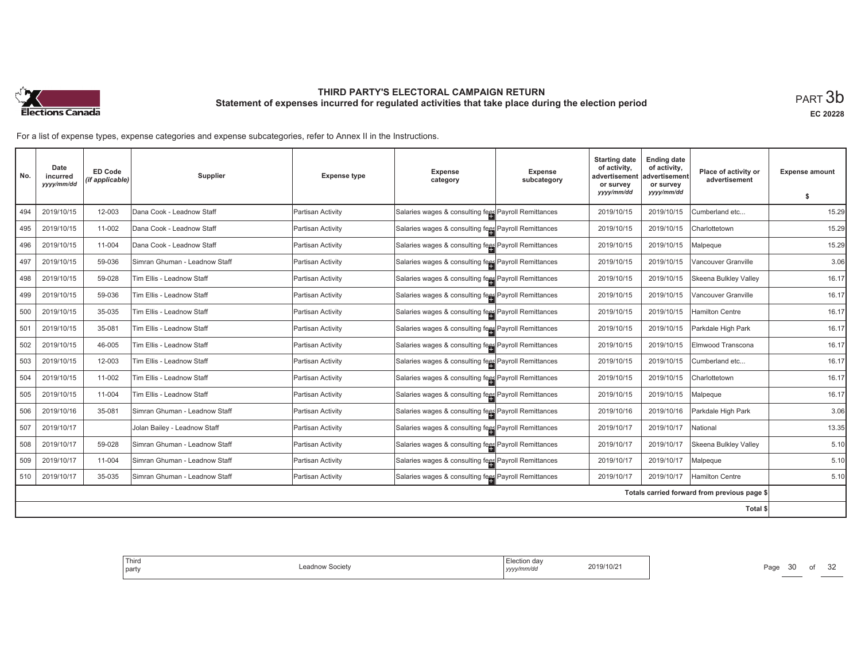

**EC 20228**

For a list of expense types, expense categories and expense subcategories, refer to Annex II in the Instructions.

| No. | Date<br>incurred<br>yyyy/mm/dd | ED Code<br>(if applicable) | Supplier                      | <b>Expense type</b> | <b>Expense</b><br>category                           | <b>Expense</b><br>subcategory | <b>Starting date</b><br>of activity,<br>advertisement<br>or survey | <b>Ending date</b><br>of activity,<br>advertisement<br>or survey | Place of activity or<br>advertisement        | <b>Expense amount</b> |
|-----|--------------------------------|----------------------------|-------------------------------|---------------------|------------------------------------------------------|-------------------------------|--------------------------------------------------------------------|------------------------------------------------------------------|----------------------------------------------|-----------------------|
|     |                                |                            |                               |                     |                                                      |                               | yyyy/mm/dd                                                         | yyyy/mm/dd                                                       |                                              | -S                    |
| 494 | 2019/10/15                     | 12-003                     | Dana Cook - Leadnow Staff     | Partisan Activity   | Salaries wages & consulting fees Payroll Remittances |                               | 2019/10/15                                                         | 2019/10/15                                                       | Cumberland etc                               | 15.29                 |
| 495 | 2019/10/15                     | 11-002                     | Dana Cook - Leadnow Staff     | Partisan Activity   | Salaries wages & consulting fees Payroll Remittances |                               | 2019/10/15                                                         | 2019/10/15                                                       | Charlottetown                                | 15.29                 |
| 496 | 2019/10/15                     | 11-004                     | Dana Cook - Leadnow Staff     | Partisan Activity   | Salaries wages & consulting fees Payroll Remittances |                               | 2019/10/15                                                         | 2019/10/15                                                       | Malpeque                                     | 15.29                 |
| 497 | 2019/10/15                     | 59-036                     | Simran Ghuman - Leadnow Staff | Partisan Activity   | Salaries wages & consulting fees Payroll Remittances |                               | 2019/10/15                                                         | 2019/10/15                                                       | Vancouver Granville                          | 3.06                  |
| 498 | 2019/10/15                     | 59-028                     | Tim Ellis - Leadnow Staff     | Partisan Activity   | Salaries wages & consulting fees Payroll Remittances |                               | 2019/10/15                                                         | 2019/10/15                                                       | Skeena Bulkley Valley                        | 16.17                 |
| 499 | 2019/10/15                     | 59-036                     | Tim Ellis - Leadnow Staff     | Partisan Activity   | Salaries wages & consulting fees Payroll Remittances |                               | 2019/10/15                                                         | 2019/10/15                                                       | Vancouver Granville                          | 16.17                 |
| 500 | 2019/10/15                     | 35-035                     | Tim Ellis - Leadnow Staff     | Partisan Activity   | Salaries wages & consulting fees Payroll Remittances |                               | 2019/10/15                                                         | 2019/10/15                                                       | Hamilton Centre                              | 16.17                 |
| 501 | 2019/10/15                     | 35-081                     | Tim Ellis - Leadnow Staff     | Partisan Activity   | Salaries wages & consulting fees Payroll Remittances |                               | 2019/10/15                                                         | 2019/10/15                                                       | Parkdale High Park                           | 16.17                 |
| 502 | 2019/10/15                     | 46-005                     | Tim Ellis - Leadnow Staff     | Partisan Activity   | Salaries wages & consulting fees Payroll Remittances |                               | 2019/10/15                                                         | 2019/10/15                                                       | Elmwood Transcona                            | 16.17                 |
| 503 | 2019/10/15                     | 12-003                     | Tim Ellis - Leadnow Staff     | Partisan Activity   | Salaries wages & consulting fees Payroll Remittances |                               | 2019/10/15                                                         | 2019/10/15                                                       | Cumberland etc                               | 16.17                 |
| 504 | 2019/10/15                     | 11-002                     | Tim Ellis - Leadnow Staff     | Partisan Activity   | Salaries wages & consulting fees Payroll Remittances |                               | 2019/10/15                                                         | 2019/10/15                                                       | Charlottetown                                | 16.17                 |
| 505 | 2019/10/15                     | 11-004                     | Tim Ellis - Leadnow Staff     | Partisan Activity   | Salaries wages & consulting fees Payroll Remittances |                               | 2019/10/15                                                         | 2019/10/15                                                       | Malpeque                                     | 16.17                 |
| 506 | 2019/10/16                     | 35-081                     | Simran Ghuman - Leadnow Staff | Partisan Activity   | Salaries wages & consulting fees Payroll Remittances |                               | 2019/10/16                                                         | 2019/10/16                                                       | Parkdale High Park                           | 3.06                  |
| 507 | 2019/10/17                     |                            | Jolan Bailey - Leadnow Staff  | Partisan Activity   | Salaries wages & consulting fees Payroll Remittances |                               | 2019/10/17                                                         | 2019/10/17                                                       | Vational                                     | 13.35                 |
| 508 | 2019/10/17                     | 59-028                     | Simran Ghuman - Leadnow Staff | Partisan Activity   | Salaries wages & consulting fees Payroll Remittances |                               | 2019/10/17                                                         | 2019/10/17                                                       | Skeena Bulklev Vallev                        | 5.10                  |
| 509 | 2019/10/17                     | 11-004                     | Simran Ghuman - Leadnow Staff | Partisan Activity   | Salaries wages & consulting fees Payroll Remittances |                               | 2019/10/17                                                         | 2019/10/17                                                       | Malpeque                                     | 5.10                  |
| 510 | 2019/10/17                     | 35-035                     | Simran Ghuman - Leadnow Staff | Partisan Activity   | Salaries wages & consulting fees Payroll Remittances |                               | 2019/10/17                                                         | 2019/10/17                                                       | <b>Hamilton Centre</b>                       | 5.10                  |
|     |                                |                            |                               |                     |                                                      |                               |                                                                    |                                                                  | Totals carried forward from previous page \$ |                       |
|     |                                |                            |                               |                     |                                                      |                               |                                                                    |                                                                  | Total \$                                     |                       |

| ' Third<br>Election day<br>2019/10/21<br>Society<br>ead<br>  party<br>, yyyy/mm/dd<br>. |
|-----------------------------------------------------------------------------------------|
|-----------------------------------------------------------------------------------------|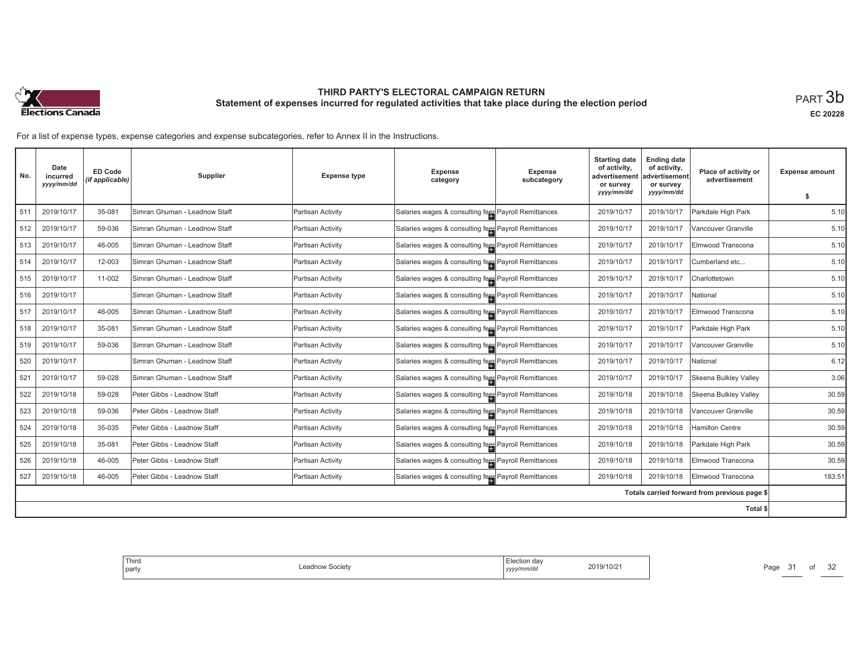

**EC 20228**

For a list of expense types, expense categories and expense subcategories, refer to Annex II in the Instructions.

| No. | Date<br>incurred<br>yyyy/mm/dd | <b>ED Code</b><br>(if applicable) | Supplier                      | <b>Expense type</b> | <b>Expense</b><br>category                           | <b>Expense</b><br>subcategory | <b>Starting date</b><br>of activity,<br>advertisement<br>or survey<br>yyyy/mm/dd | <b>Ending date</b><br>of activity,<br>advertisement<br>or survey<br>yyyy/mm/dd | Place of activity or<br>advertisement        | <b>Expense amount</b><br>Ŝ. |
|-----|--------------------------------|-----------------------------------|-------------------------------|---------------------|------------------------------------------------------|-------------------------------|----------------------------------------------------------------------------------|--------------------------------------------------------------------------------|----------------------------------------------|-----------------------------|
| 511 | 2019/10/17                     | 35-081                            | Simran Ghuman - Leadnow Staff | Partisan Activity   | Salaries wages & consulting fees Payroll Remittances |                               | 2019/10/17                                                                       | 2019/10/17                                                                     | Parkdale High Park                           | 5.10                        |
| 512 | 2019/10/17                     | 59-036                            | Simran Ghuman - Leadnow Staff | Partisan Activity   | Salaries wages & consulting fees Payroll Remittances |                               | 2019/10/17                                                                       | 2019/10/17                                                                     | <b>Vancouver Granville</b>                   | 5.10                        |
| 513 | 2019/10/17                     | 46-005                            | Simran Ghuman - Leadnow Staff | Partisan Activity   | Salaries wages & consulting fees Payroll Remittances |                               | 2019/10/17                                                                       | 2019/10/17                                                                     | Elmwood Transcona                            | 5.10                        |
| 514 | 2019/10/17                     | 12-003                            | Simran Ghuman - Leadnow Staff | Partisan Activity   | Salaries wages & consulting fees Payroll Remittances |                               | 2019/10/17                                                                       | 2019/10/17                                                                     | Cumberland etc                               | 5.10                        |
| 515 | 2019/10/17                     | 11-002                            | Simran Ghuman - Leadnow Staff | Partisan Activity   | Salaries wages & consulting fees Payroll Remittances |                               | 2019/10/17                                                                       | 2019/10/17                                                                     | Charlottetown                                | 5.10                        |
| 516 | 2019/10/17                     |                                   | Simran Ghuman - Leadnow Staff | Partisan Activity   | Salaries wages & consulting fees Payroll Remittances |                               | 2019/10/17                                                                       | 2019/10/17                                                                     | National                                     | 5.10                        |
| 517 | 2019/10/17                     | 46-005                            | Simran Ghuman - Leadnow Staff | Partisan Activity   | Salaries wages & consulting fees Payroll Remittances |                               | 2019/10/17                                                                       | 2019/10/17                                                                     | Elmwood Transcona                            | 5.10                        |
| 518 | 2019/10/17                     | 35-081                            | Simran Ghuman - Leadnow Staff | Partisan Activity   | Salaries wages & consulting fees Payroll Remittances |                               | 2019/10/17                                                                       | 2019/10/17                                                                     | Parkdale High Park                           | 5.10                        |
| 519 | 2019/10/17                     | 59-036                            | Simran Ghuman - Leadnow Staff | Partisan Activity   | Salaries wages & consulting fees Payroll Remittances |                               | 2019/10/17                                                                       | 2019/10/17                                                                     | Vancouver Granville                          | 5.10                        |
| 520 | 2019/10/17                     |                                   | Simran Ghuman - Leadnow Staff | Partisan Activity   | Salaries wages & consulting fees Payroll Remittances |                               | 2019/10/17                                                                       | 2019/10/17                                                                     | National                                     | 6.12                        |
| 521 | 2019/10/17                     | 59-028                            | Simran Ghuman - Leadnow Staff | Partisan Activity   | Salaries wages & consulting fees Payroll Remittances |                               | 2019/10/17                                                                       | 2019/10/17                                                                     | Skeena Bulkley Valley                        | 3.06                        |
| 522 | 2019/10/18                     | 59-028                            | Peter Gibbs - Leadnow Staff   | Partisan Activity   | Salaries wages & consulting fees Payroll Remittances |                               | 2019/10/18                                                                       | 2019/10/18                                                                     | Skeena Bulkley Valley                        | 30.59                       |
| 523 | 2019/10/18                     | 59-036                            | Peter Gibbs - Leadnow Staff   | Partisan Activity   | Salaries wages & consulting fees Payroll Remittances |                               | 2019/10/18                                                                       | 2019/10/18                                                                     | Vancouver Granville                          | 30.59                       |
| 524 | 2019/10/18                     | 35-035                            | Peter Gibbs - Leadnow Staff   | Partisan Activity   | Salaries wages & consulting fees Payroll Remittances |                               | 2019/10/18                                                                       | 2019/10/18                                                                     | Hamilton Centre                              | 30.59                       |
| 525 | 2019/10/18                     | 35-081                            | Peter Gibbs - Leadnow Staff   | Partisan Activity   | Salaries wages & consulting fees Payroll Remittances |                               | 2019/10/18                                                                       | 2019/10/18                                                                     | Parkdale High Park                           | 30.59                       |
| 526 | 2019/10/18                     | 46-005                            | Peter Gibbs - Leadnow Staff   | Partisan Activity   | Salaries wages & consulting fees Payroll Remittances |                               | 2019/10/18                                                                       | 2019/10/18                                                                     | Elmwood Transcona                            | 30.59                       |
| 527 | 2019/10/18                     | 46-005                            | Peter Gibbs - Leadnow Staff   | Partisan Activity   | Salaries wages & consulting fees Payroll Remittances |                               | 2019/10/18                                                                       | 2019/10/18                                                                     | Elmwood Transcona                            | 183.51                      |
|     |                                |                                   |                               |                     |                                                      |                               |                                                                                  |                                                                                | Totals carried forward from previous page \$ |                             |
|     |                                |                                   |                               |                     |                                                      |                               |                                                                                  |                                                                                | Total \$                                     |                             |

| ection dav | Third   |
|------------|---------|
| 10/2       |         |
| – U        | Society |
| yyyy/mm/dd | party   |
|            | .       |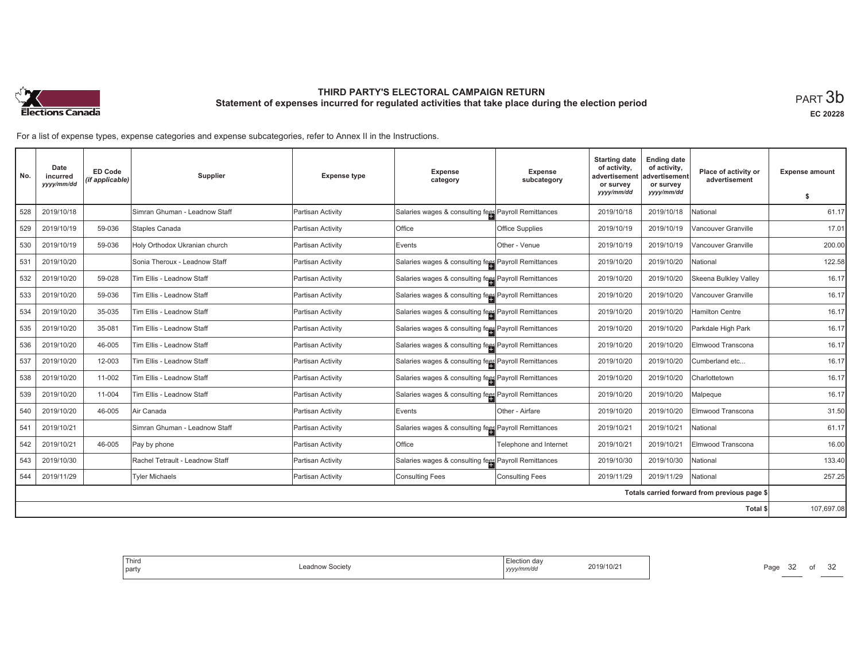

**EC 20228**

For a list of expense types, expense categories and expense subcategories, refer to Annex II in the Instructions.

| No. | Date<br>incurred<br>yyyy/mm/dd | ED Code<br>(if applicable) | Supplier                        | <b>Expense type</b> | <b>Expense</b><br>category                           | Expense<br>subcategory | <b>Starting date</b><br>of activity,<br>advertisement<br>or survev | <b>Ending date</b><br>of activity,<br>advertisement<br>or survey | Place of activity or<br>advertisement        | <b>Expense amount</b> |
|-----|--------------------------------|----------------------------|---------------------------------|---------------------|------------------------------------------------------|------------------------|--------------------------------------------------------------------|------------------------------------------------------------------|----------------------------------------------|-----------------------|
|     |                                |                            |                                 |                     |                                                      |                        | yyyy/mm/dd                                                         | yyyy/mm/dd                                                       |                                              | -S                    |
| 528 | 2019/10/18                     |                            | Simran Ghuman - Leadnow Staff   | Partisan Activity   | Salaries wages & consulting fees Payroll Remittances |                        | 2019/10/18                                                         | 2019/10/18                                                       | National                                     | 61.17                 |
| 529 | 2019/10/19                     | 59-036                     | Staples Canada                  | Partisan Activity   | Office                                               | <b>Office Supplies</b> | 2019/10/19                                                         | 2019/10/19                                                       | Vancouver Granville                          | 17.01                 |
| 530 | 2019/10/19                     | 59-036                     | Holy Orthodox Ukranian church   | Partisan Activity   | Events                                               | Other - Venue          | 2019/10/19                                                         | 2019/10/19                                                       | Vancouver Granville                          | 200.00                |
| 531 | 2019/10/20                     |                            | Sonia Theroux - Leadnow Staff   | Partisan Activity   | Salaries wages & consulting fees Payroll Remittances |                        | 2019/10/20                                                         | 2019/10/20                                                       | National                                     | 122.58                |
| 532 | 2019/10/20                     | 59-028                     | Tim Ellis - Leadnow Staff       | Partisan Activity   | Salaries wages & consulting fees Payroll Remittances |                        | 2019/10/20                                                         | 2019/10/20                                                       | Skeena Bulkley Valley                        | 16.17                 |
| 533 | 2019/10/20                     | 59-036                     | Tim Ellis - Leadnow Staff       | Partisan Activity   | Salaries wages & consulting fees Payroll Remittances |                        | 2019/10/20                                                         | 2019/10/20                                                       | Vancouver Granville                          | 16.17                 |
| 534 | 2019/10/20                     | 35-035                     | Tim Ellis - Leadnow Staff       | Partisan Activity   | Salaries wages & consulting fees Payroll Remittances |                        | 2019/10/20                                                         | 2019/10/20                                                       | <b>Hamilton Centre</b>                       | 16.17                 |
| 535 | 2019/10/20                     | 35-081                     | Tim Ellis - Leadnow Staff       | Partisan Activity   | Salaries wages & consulting fees Payroll Remittances |                        | 2019/10/20                                                         | 2019/10/20                                                       | Parkdale High Park                           | 16.17                 |
| 536 | 2019/10/20                     | 46-005                     | Tim Ellis - Leadnow Staff       | Partisan Activity   | Salaries wages & consulting fees Payroll Remittances |                        | 2019/10/20                                                         | 2019/10/20                                                       | Elmwood Transcona                            | 16.17                 |
| 537 | 2019/10/20                     | 12-003                     | Tim Ellis - Leadnow Staff       | Partisan Activity   | Salaries wages & consulting fees Payroll Remittances |                        | 2019/10/20                                                         | 2019/10/20                                                       | Cumberland etc                               | 16.17                 |
| 538 | 2019/10/20                     | 11-002                     | Tim Ellis - Leadnow Staff       | Partisan Activity   | Salaries wages & consulting fees Payroll Remittances |                        | 2019/10/20                                                         | 2019/10/20                                                       | Charlottetown                                | 16.17                 |
| 539 | 2019/10/20                     | 11-004                     | Tim Ellis - Leadnow Staff       | Partisan Activity   | Salaries wages & consulting fees Payroll Remittances |                        | 2019/10/20                                                         | 2019/10/20                                                       | Malpeque                                     | 16.17                 |
| 540 | 2019/10/20                     | 46-005                     | Air Canada                      | Partisan Activity   | Events                                               | Other - Airfare        | 2019/10/20                                                         | 2019/10/20                                                       | Elmwood Transcona                            | 31.50                 |
| 541 | 2019/10/21                     |                            | Simran Ghuman - Leadnow Staff   | Partisan Activity   | Salaries wages & consulting fees Payroll Remittances |                        | 2019/10/21                                                         | 2019/10/21                                                       | National                                     | 61.17                 |
| 542 | 2019/10/21                     | 46-005                     | Pay by phone                    | Partisan Activity   | Office                                               | Telephone and Internet | 2019/10/21                                                         | 2019/10/21                                                       | Elmwood Transcona                            | 16.00                 |
| 543 | 2019/10/30                     |                            | Rachel Tetrault - Leadnow Staff | Partisan Activity   | Salaries wages & consulting fees Payroll Remittances |                        | 2019/10/30                                                         | 2019/10/30                                                       | National                                     | 133.40                |
| 544 | 2019/11/29                     |                            | <b>Tyler Michaels</b>           | Partisan Activity   | <b>Consulting Fees</b>                               | <b>Consulting Fees</b> | 2019/11/29                                                         | 2019/11/29                                                       | National                                     | 257.25                |
|     |                                |                            |                                 |                     |                                                      |                        |                                                                    |                                                                  | Totals carried forward from previous page \$ |                       |
|     |                                |                            |                                 |                     |                                                      |                        |                                                                    |                                                                  | <b>Total \$</b>                              | 107.697.08            |

| Election dav<br>2019/10/21<br>yyy/mm/da<br>37.73.7<br>,,,,, | Third<br>$\sim$ $\sim$ $\sim$<br>  party<br>OULICI<br>. |
|-------------------------------------------------------------|---------------------------------------------------------|
|-------------------------------------------------------------|---------------------------------------------------------|

Page 32 of 32